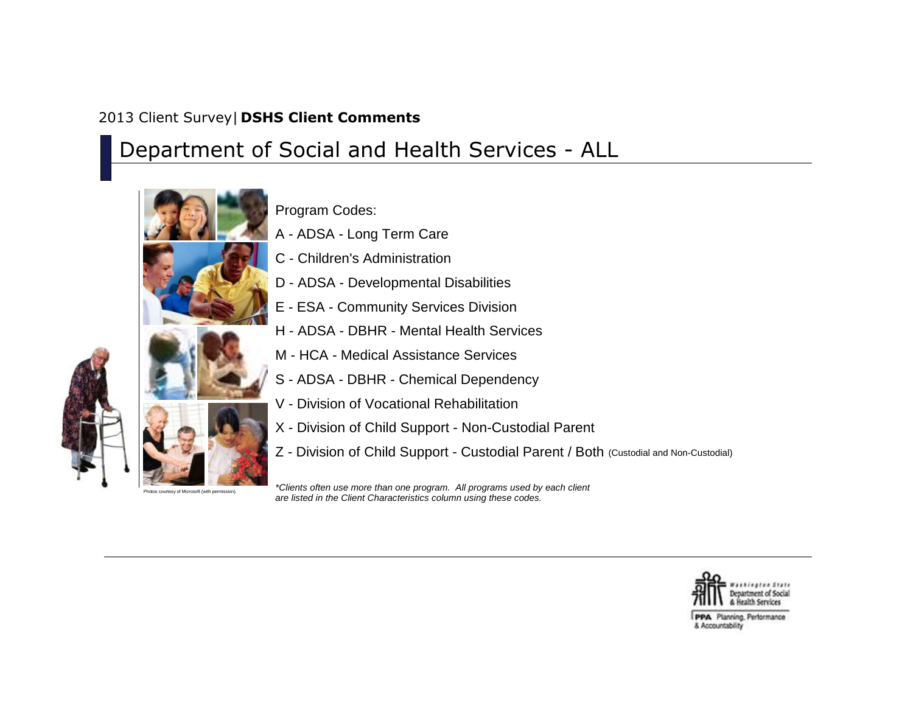## 2013 Client Survey| **DSHS Client Comments**

## Department of Social and Health Services - ALL



Program Codes: A - ADSA - Long Term Care

- C Children's Administration
- D ADSA Developmental Disabilities
- E ESA Community Services Division
- H ADSA DBHR Mental Health Services
- M HCA Medical Assistance Services
- S ADSA DBHR Chemical Dependency
- V Division of Vocational Rehabilitation
- X Division of Child Support Non-Custodial Parent
- Z Division of Child Support Custodial Parent / Both (Custodial and Non-Custodial)

*\*Clients often use more than one program. All programs used by each client are listed in the Client Characteristics column using these codes.*



PPA Planning, Performance & Accountability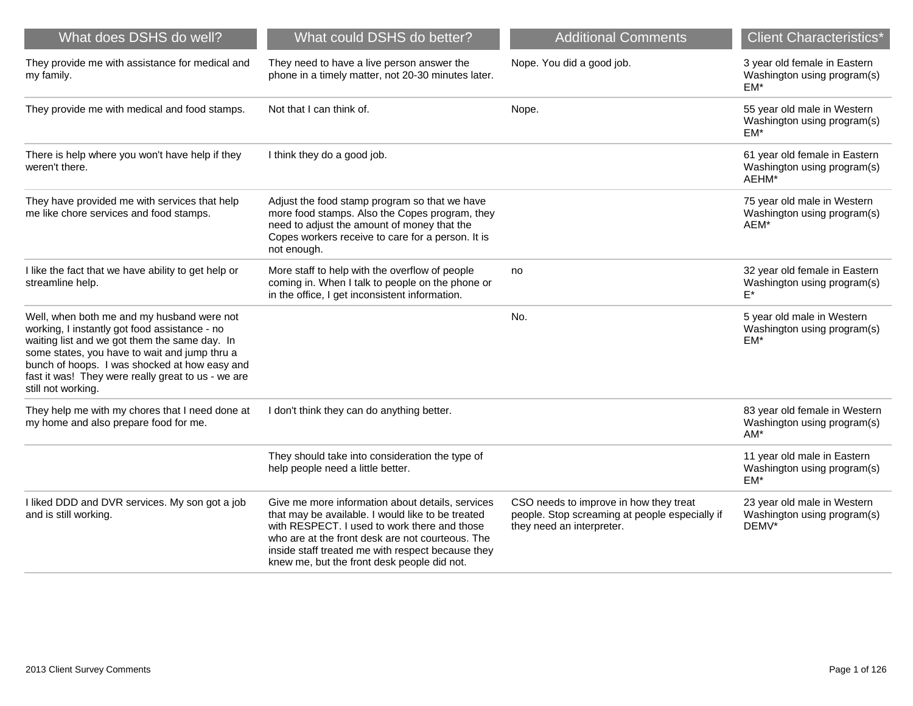| What does DSHS do well?                                                                                                                                                                                                                                                                                                    | What could DSHS do better?                                                                                                                                                                                                                                                                                    | <b>Additional Comments</b>                                                                                            | <b>Client Characteristics*</b>                                        |
|----------------------------------------------------------------------------------------------------------------------------------------------------------------------------------------------------------------------------------------------------------------------------------------------------------------------------|---------------------------------------------------------------------------------------------------------------------------------------------------------------------------------------------------------------------------------------------------------------------------------------------------------------|-----------------------------------------------------------------------------------------------------------------------|-----------------------------------------------------------------------|
| They provide me with assistance for medical and<br>my family.                                                                                                                                                                                                                                                              | They need to have a live person answer the<br>phone in a timely matter, not 20-30 minutes later.                                                                                                                                                                                                              | Nope. You did a good job.                                                                                             | 3 year old female in Eastern<br>Washington using program(s)<br>$EM*$  |
| They provide me with medical and food stamps.                                                                                                                                                                                                                                                                              | Not that I can think of.                                                                                                                                                                                                                                                                                      | Nope.                                                                                                                 | 55 year old male in Western<br>Washington using program(s)<br>EM*     |
| There is help where you won't have help if they<br>weren't there.                                                                                                                                                                                                                                                          | I think they do a good job.                                                                                                                                                                                                                                                                                   |                                                                                                                       | 61 year old female in Eastern<br>Washington using program(s)<br>AEHM* |
| They have provided me with services that help<br>me like chore services and food stamps.                                                                                                                                                                                                                                   | Adjust the food stamp program so that we have<br>more food stamps. Also the Copes program, they<br>need to adjust the amount of money that the<br>Copes workers receive to care for a person. It is<br>not enough.                                                                                            |                                                                                                                       | 75 year old male in Western<br>Washington using program(s)<br>AEM*    |
| I like the fact that we have ability to get help or<br>streamline help.                                                                                                                                                                                                                                                    | More staff to help with the overflow of people<br>coming in. When I talk to people on the phone or<br>in the office, I get inconsistent information.                                                                                                                                                          | no                                                                                                                    | 32 year old female in Eastern<br>Washington using program(s)<br>F*    |
| Well, when both me and my husband were not<br>working, I instantly got food assistance - no<br>waiting list and we got them the same day. In<br>some states, you have to wait and jump thru a<br>bunch of hoops. I was shocked at how easy and<br>fast it was! They were really great to us - we are<br>still not working. |                                                                                                                                                                                                                                                                                                               | No.                                                                                                                   | 5 year old male in Western<br>Washington using program(s)<br>EM*      |
| They help me with my chores that I need done at<br>my home and also prepare food for me.                                                                                                                                                                                                                                   | I don't think they can do anything better.                                                                                                                                                                                                                                                                    |                                                                                                                       | 83 year old female in Western<br>Washington using program(s)<br>$AM*$ |
|                                                                                                                                                                                                                                                                                                                            | They should take into consideration the type of<br>help people need a little better.                                                                                                                                                                                                                          |                                                                                                                       | 11 year old male in Eastern<br>Washington using program(s)<br>$EM*$   |
| I liked DDD and DVR services. My son got a job<br>and is still working.                                                                                                                                                                                                                                                    | Give me more information about details, services<br>that may be available. I would like to be treated<br>with RESPECT. I used to work there and those<br>who are at the front desk are not courteous. The<br>inside staff treated me with respect because they<br>knew me, but the front desk people did not. | CSO needs to improve in how they treat<br>people. Stop screaming at people especially if<br>they need an interpreter. | 23 year old male in Western<br>Washington using program(s)<br>DEMV*   |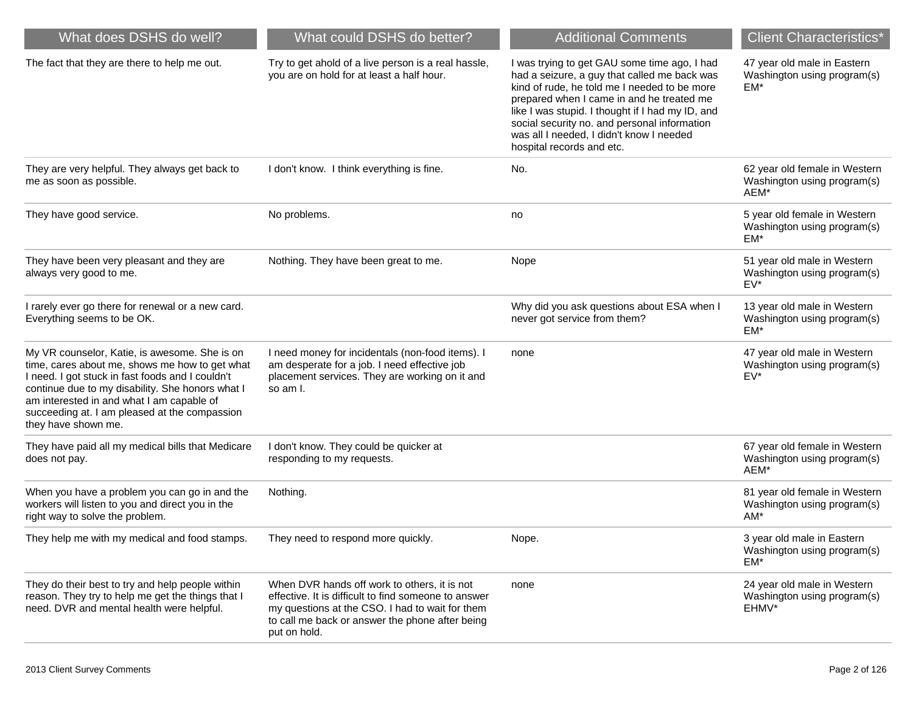| What does DSHS do well?                                                                                                                                                                                                                                                                                                      | What could DSHS do better?                                                                                                                                                                                                 | <b>Additional Comments</b>                                                                                                                                                                                                                                                                                                                                             | <b>Client Characteristics*</b>                                       |
|------------------------------------------------------------------------------------------------------------------------------------------------------------------------------------------------------------------------------------------------------------------------------------------------------------------------------|----------------------------------------------------------------------------------------------------------------------------------------------------------------------------------------------------------------------------|------------------------------------------------------------------------------------------------------------------------------------------------------------------------------------------------------------------------------------------------------------------------------------------------------------------------------------------------------------------------|----------------------------------------------------------------------|
| The fact that they are there to help me out.                                                                                                                                                                                                                                                                                 | Try to get ahold of a live person is a real hassle,<br>you are on hold for at least a half hour.                                                                                                                           | I was trying to get GAU some time ago, I had<br>had a seizure, a guy that called me back was<br>kind of rude, he told me I needed to be more<br>prepared when I came in and he treated me<br>like I was stupid. I thought if I had my ID, and<br>social security no. and personal information<br>was all I needed, I didn't know I needed<br>hospital records and etc. | 47 year old male in Eastern<br>Washington using program(s)<br>EM*    |
| They are very helpful. They always get back to<br>me as soon as possible.                                                                                                                                                                                                                                                    | I don't know. I think everything is fine.                                                                                                                                                                                  | No.                                                                                                                                                                                                                                                                                                                                                                    | 62 year old female in Western<br>Washington using program(s)<br>AEM* |
| They have good service.                                                                                                                                                                                                                                                                                                      | No problems.                                                                                                                                                                                                               | no                                                                                                                                                                                                                                                                                                                                                                     | 5 year old female in Western<br>Washington using program(s)<br>EM*   |
| They have been very pleasant and they are<br>always very good to me.                                                                                                                                                                                                                                                         | Nothing. They have been great to me.                                                                                                                                                                                       | Nope                                                                                                                                                                                                                                                                                                                                                                   | 51 year old male in Western<br>Washington using program(s)<br>$EV^*$ |
| I rarely ever go there for renewal or a new card.<br>Everything seems to be OK.                                                                                                                                                                                                                                              |                                                                                                                                                                                                                            | Why did you ask questions about ESA when I<br>never got service from them?                                                                                                                                                                                                                                                                                             | 13 year old male in Western<br>Washington using program(s)<br>EM*    |
| My VR counselor, Katie, is awesome. She is on<br>time, cares about me, shows me how to get what<br>I need. I got stuck in fast foods and I couldn't<br>continue due to my disability. She honors what I<br>am interested in and what I am capable of<br>succeeding at. I am pleased at the compassion<br>they have shown me. | I need money for incidentals (non-food items). I<br>am desperate for a job. I need effective job<br>placement services. They are working on it and<br>so am I.                                                             | none                                                                                                                                                                                                                                                                                                                                                                   | 47 year old male in Western<br>Washington using program(s)<br>$EV^*$ |
| They have paid all my medical bills that Medicare<br>does not pay.                                                                                                                                                                                                                                                           | I don't know. They could be quicker at<br>responding to my requests.                                                                                                                                                       |                                                                                                                                                                                                                                                                                                                                                                        | 67 year old female in Western<br>Washington using program(s)<br>AEM* |
| When you have a problem you can go in and the<br>workers will listen to you and direct you in the<br>right way to solve the problem.                                                                                                                                                                                         | Nothing.                                                                                                                                                                                                                   |                                                                                                                                                                                                                                                                                                                                                                        | 81 year old female in Western<br>Washington using program(s)<br>AM*  |
| They help me with my medical and food stamps.                                                                                                                                                                                                                                                                                | They need to respond more quickly.                                                                                                                                                                                         | Nope.                                                                                                                                                                                                                                                                                                                                                                  | 3 year old male in Eastern<br>Washington using program(s)<br>EM*     |
| They do their best to try and help people within<br>reason. They try to help me get the things that I<br>need. DVR and mental health were helpful.                                                                                                                                                                           | When DVR hands off work to others, it is not<br>effective. It is difficult to find someone to answer<br>my questions at the CSO. I had to wait for them<br>to call me back or answer the phone after being<br>put on hold. | none                                                                                                                                                                                                                                                                                                                                                                   | 24 year old male in Western<br>Washington using program(s)<br>EHMV*  |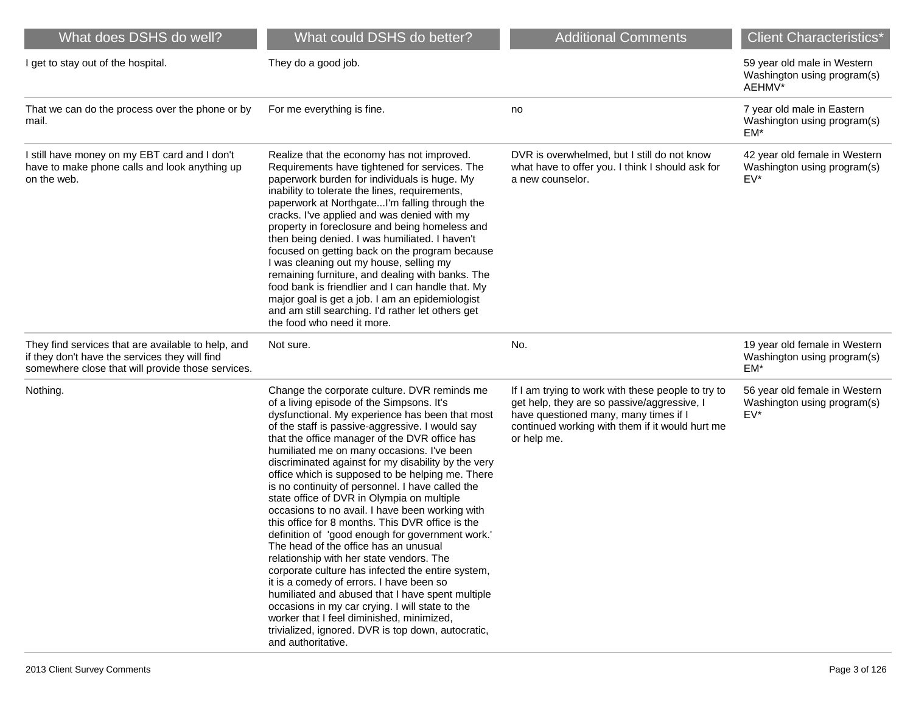| What does DSHS do well?                                                                                                                                   | What could DSHS do better?                                                                                                                                                                                                                                                                                                                                                                                                                                                                                                                                                                                                                                                                                                                                                                                                                                                                                                                                                                                                                                                                   | <b>Additional Comments</b>                                                                                                                                                                                   | <b>Client Characteristics*</b>                                       |
|-----------------------------------------------------------------------------------------------------------------------------------------------------------|----------------------------------------------------------------------------------------------------------------------------------------------------------------------------------------------------------------------------------------------------------------------------------------------------------------------------------------------------------------------------------------------------------------------------------------------------------------------------------------------------------------------------------------------------------------------------------------------------------------------------------------------------------------------------------------------------------------------------------------------------------------------------------------------------------------------------------------------------------------------------------------------------------------------------------------------------------------------------------------------------------------------------------------------------------------------------------------------|--------------------------------------------------------------------------------------------------------------------------------------------------------------------------------------------------------------|----------------------------------------------------------------------|
| I get to stay out of the hospital.                                                                                                                        | They do a good job.                                                                                                                                                                                                                                                                                                                                                                                                                                                                                                                                                                                                                                                                                                                                                                                                                                                                                                                                                                                                                                                                          |                                                                                                                                                                                                              | 59 year old male in Western<br>Washington using program(s)<br>AEHMV* |
| That we can do the process over the phone or by<br>mail.                                                                                                  | For me everything is fine.                                                                                                                                                                                                                                                                                                                                                                                                                                                                                                                                                                                                                                                                                                                                                                                                                                                                                                                                                                                                                                                                   | no                                                                                                                                                                                                           | 7 year old male in Eastern<br>Washington using program(s)<br>EM*     |
| I still have money on my EBT card and I don't<br>have to make phone calls and look anything up<br>on the web.                                             | Realize that the economy has not improved.<br>Requirements have tightened for services. The<br>paperwork burden for individuals is huge. My<br>inability to tolerate the lines, requirements,<br>paperwork at NorthgateI'm falling through the<br>cracks. I've applied and was denied with my<br>property in foreclosure and being homeless and<br>then being denied. I was humiliated. I haven't<br>focused on getting back on the program because<br>I was cleaning out my house, selling my<br>remaining furniture, and dealing with banks. The<br>food bank is friendlier and I can handle that. My<br>major goal is get a job. I am an epidemiologist<br>and am still searching. I'd rather let others get<br>the food who need it more.                                                                                                                                                                                                                                                                                                                                                | DVR is overwhelmed, but I still do not know<br>what have to offer you. I think I should ask for<br>a new counselor.                                                                                          | 42 year old female in Western<br>Washington using program(s)<br>EV*  |
| They find services that are available to help, and<br>if they don't have the services they will find<br>somewhere close that will provide those services. | Not sure.                                                                                                                                                                                                                                                                                                                                                                                                                                                                                                                                                                                                                                                                                                                                                                                                                                                                                                                                                                                                                                                                                    | No.                                                                                                                                                                                                          | 19 year old female in Western<br>Washington using program(s)<br>EM*  |
| Nothing.                                                                                                                                                  | Change the corporate culture. DVR reminds me<br>of a living episode of the Simpsons. It's<br>dysfunctional. My experience has been that most<br>of the staff is passive-aggressive. I would say<br>that the office manager of the DVR office has<br>humiliated me on many occasions. I've been<br>discriminated against for my disability by the very<br>office which is supposed to be helping me. There<br>is no continuity of personnel. I have called the<br>state office of DVR in Olympia on multiple<br>occasions to no avail. I have been working with<br>this office for 8 months. This DVR office is the<br>definition of 'good enough for government work.'<br>The head of the office has an unusual<br>relationship with her state vendors. The<br>corporate culture has infected the entire system,<br>it is a comedy of errors. I have been so<br>humiliated and abused that I have spent multiple<br>occasions in my car crying. I will state to the<br>worker that I feel diminished, minimized,<br>trivialized, ignored. DVR is top down, autocratic,<br>and authoritative. | If I am trying to work with these people to try to<br>get help, they are so passive/aggressive, I<br>have questioned many, many times if I<br>continued working with them if it would hurt me<br>or help me. | 56 year old female in Western<br>Washington using program(s)<br>EV*  |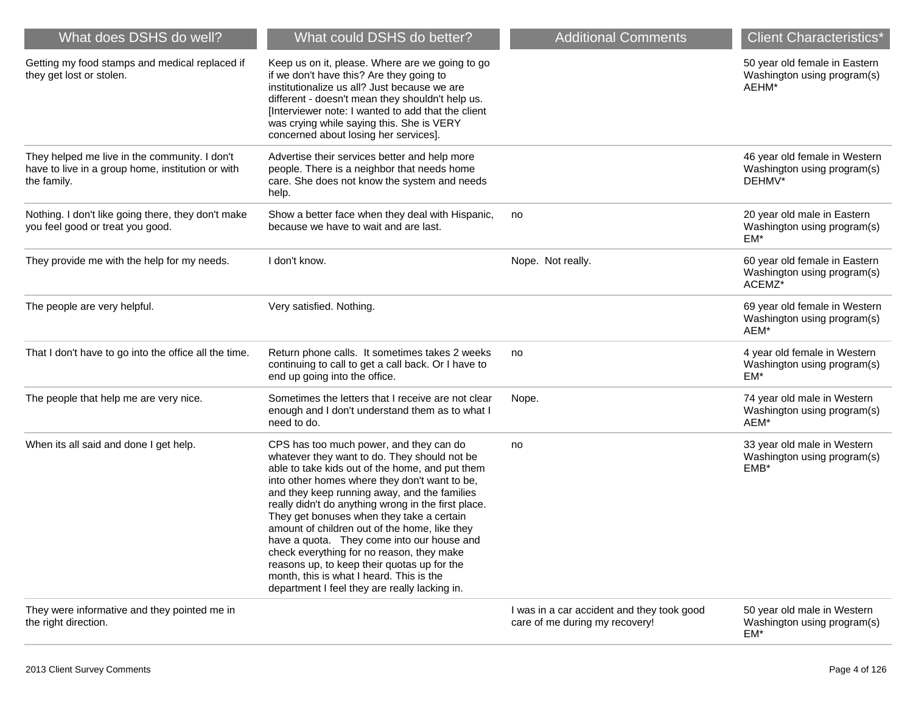| What does DSHS do well?                                                                                           | What could DSHS do better?                                                                                                                                                                                                                                                                                                                                                                                                                                                                                                                                                                                                              | <b>Additional Comments</b>                                                   | <b>Client Characteristics*</b>                                         |
|-------------------------------------------------------------------------------------------------------------------|-----------------------------------------------------------------------------------------------------------------------------------------------------------------------------------------------------------------------------------------------------------------------------------------------------------------------------------------------------------------------------------------------------------------------------------------------------------------------------------------------------------------------------------------------------------------------------------------------------------------------------------------|------------------------------------------------------------------------------|------------------------------------------------------------------------|
| Getting my food stamps and medical replaced if<br>they get lost or stolen.                                        | Keep us on it, please. Where are we going to go<br>if we don't have this? Are they going to<br>institutionalize us all? Just because we are<br>different - doesn't mean they shouldn't help us.<br>[Interviewer note: I wanted to add that the client<br>was crying while saying this. She is VERY<br>concerned about losing her services].                                                                                                                                                                                                                                                                                             |                                                                              | 50 year old female in Eastern<br>Washington using program(s)<br>AEHM*  |
| They helped me live in the community. I don't<br>have to live in a group home, institution or with<br>the family. | Advertise their services better and help more<br>people. There is a neighbor that needs home<br>care. She does not know the system and needs<br>help.                                                                                                                                                                                                                                                                                                                                                                                                                                                                                   |                                                                              | 46 year old female in Western<br>Washington using program(s)<br>DEHMV* |
| Nothing. I don't like going there, they don't make<br>you feel good or treat you good.                            | Show a better face when they deal with Hispanic,<br>because we have to wait and are last.                                                                                                                                                                                                                                                                                                                                                                                                                                                                                                                                               | no                                                                           | 20 year old male in Eastern<br>Washington using program(s)<br>EM*      |
| They provide me with the help for my needs.                                                                       | I don't know.                                                                                                                                                                                                                                                                                                                                                                                                                                                                                                                                                                                                                           | Nope. Not really.                                                            | 60 year old female in Eastern<br>Washington using program(s)<br>ACEMZ* |
| The people are very helpful.                                                                                      | Very satisfied. Nothing.                                                                                                                                                                                                                                                                                                                                                                                                                                                                                                                                                                                                                |                                                                              | 69 year old female in Western<br>Washington using program(s)<br>AEM*   |
| That I don't have to go into the office all the time.                                                             | Return phone calls. It sometimes takes 2 weeks<br>continuing to call to get a call back. Or I have to<br>end up going into the office.                                                                                                                                                                                                                                                                                                                                                                                                                                                                                                  | no                                                                           | 4 year old female in Western<br>Washington using program(s)<br>EM*     |
| The people that help me are very nice.                                                                            | Sometimes the letters that I receive are not clear<br>enough and I don't understand them as to what I<br>need to do.                                                                                                                                                                                                                                                                                                                                                                                                                                                                                                                    | Nope.                                                                        | 74 year old male in Western<br>Washington using program(s)<br>AEM*     |
| When its all said and done I get help.                                                                            | CPS has too much power, and they can do<br>whatever they want to do. They should not be<br>able to take kids out of the home, and put them<br>into other homes where they don't want to be,<br>and they keep running away, and the families<br>really didn't do anything wrong in the first place.<br>They get bonuses when they take a certain<br>amount of children out of the home, like they<br>have a quota. They come into our house and<br>check everything for no reason, they make<br>reasons up, to keep their quotas up for the<br>month, this is what I heard. This is the<br>department I feel they are really lacking in. | no                                                                           | 33 year old male in Western<br>Washington using program(s)<br>EMB*     |
| They were informative and they pointed me in<br>the right direction.                                              |                                                                                                                                                                                                                                                                                                                                                                                                                                                                                                                                                                                                                                         | I was in a car accident and they took good<br>care of me during my recovery! | 50 year old male in Western<br>Washington using program(s)<br>EM*      |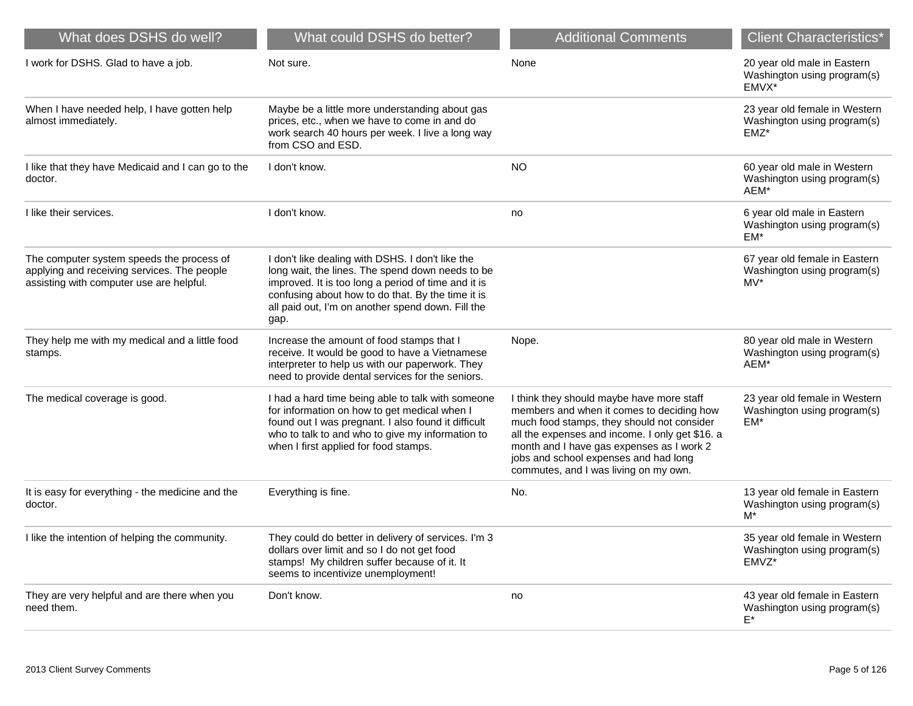| What does DSHS do well?                                                                                                              | What could DSHS do better?                                                                                                                                                                                                                                                    | <b>Additional Comments</b>                                                                                                                                                                                                                                                                                             | <b>Client Characteristics*</b>                                         |
|--------------------------------------------------------------------------------------------------------------------------------------|-------------------------------------------------------------------------------------------------------------------------------------------------------------------------------------------------------------------------------------------------------------------------------|------------------------------------------------------------------------------------------------------------------------------------------------------------------------------------------------------------------------------------------------------------------------------------------------------------------------|------------------------------------------------------------------------|
| I work for DSHS. Glad to have a job.                                                                                                 | Not sure.                                                                                                                                                                                                                                                                     | None                                                                                                                                                                                                                                                                                                                   | 20 year old male in Eastern<br>Washington using program(s)<br>EMVX*    |
| When I have needed help, I have gotten help<br>almost immediately.                                                                   | Maybe be a little more understanding about gas<br>prices, etc., when we have to come in and do<br>work search 40 hours per week. I live a long way<br>from CSO and ESD.                                                                                                       |                                                                                                                                                                                                                                                                                                                        | 23 year old female in Western<br>Washington using program(s)<br>EMZ*   |
| I like that they have Medicaid and I can go to the<br>doctor.                                                                        | I don't know.                                                                                                                                                                                                                                                                 | <b>NO</b>                                                                                                                                                                                                                                                                                                              | 60 year old male in Western<br>Washington using program(s)<br>AEM*     |
| I like their services.                                                                                                               | I don't know.                                                                                                                                                                                                                                                                 | no                                                                                                                                                                                                                                                                                                                     | 6 year old male in Eastern<br>Washington using program(s)<br>EM*       |
| The computer system speeds the process of<br>applying and receiving services. The people<br>assisting with computer use are helpful. | I don't like dealing with DSHS. I don't like the<br>long wait, the lines. The spend down needs to be<br>improved. It is too long a period of time and it is<br>confusing about how to do that. By the time it is<br>all paid out, I'm on another spend down. Fill the<br>gap. |                                                                                                                                                                                                                                                                                                                        | 67 year old female in Eastern<br>Washington using program(s)<br>$MV^*$ |
| They help me with my medical and a little food<br>stamps.                                                                            | Increase the amount of food stamps that I<br>receive. It would be good to have a Vietnamese<br>interpreter to help us with our paperwork. They<br>need to provide dental services for the seniors.                                                                            | Nope.                                                                                                                                                                                                                                                                                                                  | 80 year old male in Western<br>Washington using program(s)<br>AEM*     |
| The medical coverage is good.                                                                                                        | I had a hard time being able to talk with someone<br>for information on how to get medical when I<br>found out I was pregnant. I also found it difficult<br>who to talk to and who to give my information to<br>when I first applied for food stamps.                         | I think they should maybe have more staff<br>members and when it comes to deciding how<br>much food stamps, they should not consider<br>all the expenses and income. I only get \$16. a<br>month and I have gas expenses as I work 2<br>jobs and school expenses and had long<br>commutes, and I was living on my own. | 23 year old female in Western<br>Washington using program(s)<br>EM*    |
| It is easy for everything - the medicine and the<br>doctor.                                                                          | Everything is fine.                                                                                                                                                                                                                                                           | No.                                                                                                                                                                                                                                                                                                                    | 13 year old female in Eastern<br>Washington using program(s)<br>$M^*$  |
| I like the intention of helping the community.                                                                                       | They could do better in delivery of services. I'm 3<br>dollars over limit and so I do not get food<br>stamps! My children suffer because of it. It<br>seems to incentivize unemployment!                                                                                      |                                                                                                                                                                                                                                                                                                                        | 35 year old female in Western<br>Washington using program(s)<br>EMVZ*  |
| They are very helpful and are there when you<br>need them.                                                                           | Don't know.                                                                                                                                                                                                                                                                   | no                                                                                                                                                                                                                                                                                                                     | 43 year old female in Eastern<br>Washington using program(s)<br>$E^*$  |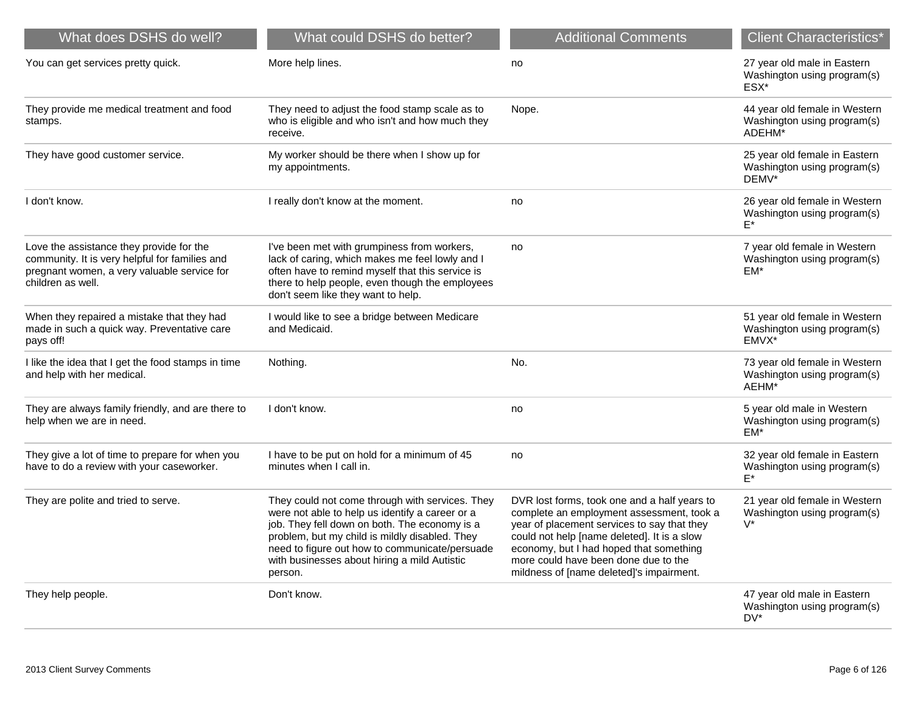| What does DSHS do well?                                                                                                                                        | What could DSHS do better?                                                                                                                                                                                                                                                                                         | <b>Additional Comments</b>                                                                                                                                                                                                                                                                                             | <b>Client Characteristics*</b>                                         |
|----------------------------------------------------------------------------------------------------------------------------------------------------------------|--------------------------------------------------------------------------------------------------------------------------------------------------------------------------------------------------------------------------------------------------------------------------------------------------------------------|------------------------------------------------------------------------------------------------------------------------------------------------------------------------------------------------------------------------------------------------------------------------------------------------------------------------|------------------------------------------------------------------------|
| You can get services pretty quick.                                                                                                                             | More help lines.                                                                                                                                                                                                                                                                                                   | no                                                                                                                                                                                                                                                                                                                     | 27 year old male in Eastern<br>Washington using program(s)<br>ESX*     |
| They provide me medical treatment and food<br>stamps.                                                                                                          | They need to adjust the food stamp scale as to<br>who is eligible and who isn't and how much they<br>receive.                                                                                                                                                                                                      | Nope.                                                                                                                                                                                                                                                                                                                  | 44 year old female in Western<br>Washington using program(s)<br>ADEHM* |
| They have good customer service.                                                                                                                               | My worker should be there when I show up for<br>my appointments.                                                                                                                                                                                                                                                   |                                                                                                                                                                                                                                                                                                                        | 25 year old female in Eastern<br>Washington using program(s)<br>DEMV*  |
| I don't know.                                                                                                                                                  | I really don't know at the moment.                                                                                                                                                                                                                                                                                 | no                                                                                                                                                                                                                                                                                                                     | 26 year old female in Western<br>Washington using program(s)           |
| Love the assistance they provide for the<br>community. It is very helpful for families and<br>pregnant women, a very valuable service for<br>children as well. | I've been met with grumpiness from workers,<br>lack of caring, which makes me feel lowly and I<br>often have to remind myself that this service is<br>there to help people, even though the employees<br>don't seem like they want to help.                                                                        | no                                                                                                                                                                                                                                                                                                                     | 7 year old female in Western<br>Washington using program(s)<br>$EM*$   |
| When they repaired a mistake that they had<br>made in such a quick way. Preventative care<br>pays off!                                                         | I would like to see a bridge between Medicare<br>and Medicaid.                                                                                                                                                                                                                                                     |                                                                                                                                                                                                                                                                                                                        | 51 year old female in Western<br>Washington using program(s)<br>EMVX*  |
| I like the idea that I get the food stamps in time<br>and help with her medical.                                                                               | Nothing.                                                                                                                                                                                                                                                                                                           | No.                                                                                                                                                                                                                                                                                                                    | 73 year old female in Western<br>Washington using program(s)<br>AEHM*  |
| They are always family friendly, and are there to<br>help when we are in need.                                                                                 | I don't know.                                                                                                                                                                                                                                                                                                      | no                                                                                                                                                                                                                                                                                                                     | 5 year old male in Western<br>Washington using program(s)<br>$EM*$     |
| They give a lot of time to prepare for when you<br>have to do a review with your caseworker.                                                                   | I have to be put on hold for a minimum of 45<br>minutes when I call in.                                                                                                                                                                                                                                            | no                                                                                                                                                                                                                                                                                                                     | 32 year old female in Eastern<br>Washington using program(s)<br>E*     |
| They are polite and tried to serve.                                                                                                                            | They could not come through with services. They<br>were not able to help us identify a career or a<br>job. They fell down on both. The economy is a<br>problem, but my child is mildly disabled. They<br>need to figure out how to communicate/persuade<br>with businesses about hiring a mild Autistic<br>person. | DVR lost forms, took one and a half years to<br>complete an employment assessment, took a<br>year of placement services to say that they<br>could not help [name deleted]. It is a slow<br>economy, but I had hoped that something<br>more could have been done due to the<br>mildness of [name deleted]'s impairment. | 21 year old female in Western<br>Washington using program(s)<br>$V^*$  |
| They help people.                                                                                                                                              | Don't know.                                                                                                                                                                                                                                                                                                        |                                                                                                                                                                                                                                                                                                                        | 47 year old male in Eastern<br>Washington using program(s)<br>DV*      |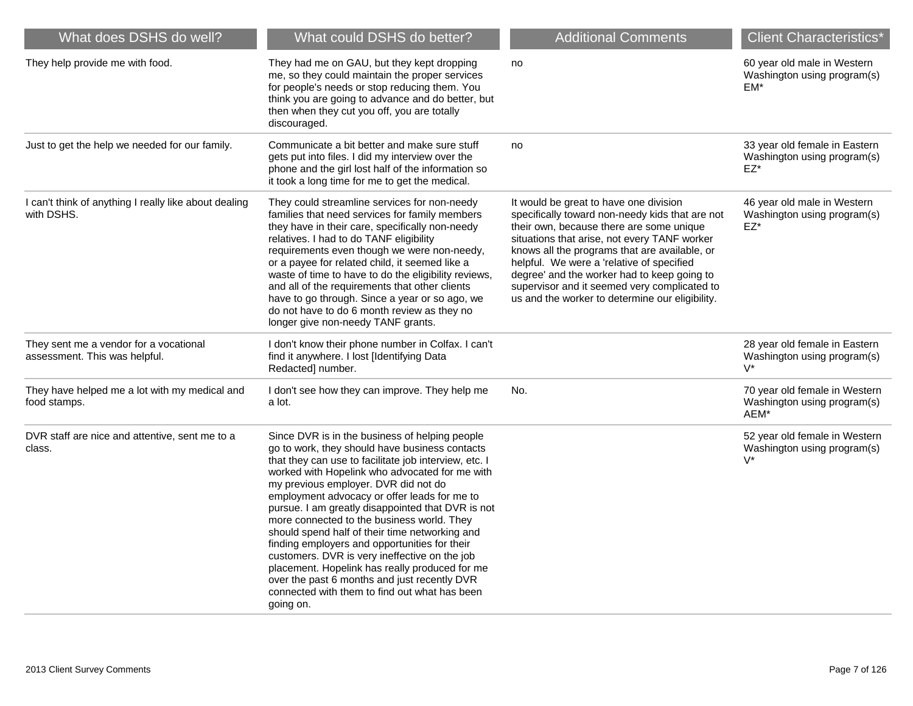| What does DSHS do well?                                                 | What could DSHS do better?                                                                                                                                                                                                                                                                                                                                                                                                                                                                                                                                                                                                                                                                                                 | <b>Additional Comments</b>                                                                                                                                                                                                                                                                                                                                                                                                            | <b>Client Characteristics*</b>                                         |
|-------------------------------------------------------------------------|----------------------------------------------------------------------------------------------------------------------------------------------------------------------------------------------------------------------------------------------------------------------------------------------------------------------------------------------------------------------------------------------------------------------------------------------------------------------------------------------------------------------------------------------------------------------------------------------------------------------------------------------------------------------------------------------------------------------------|---------------------------------------------------------------------------------------------------------------------------------------------------------------------------------------------------------------------------------------------------------------------------------------------------------------------------------------------------------------------------------------------------------------------------------------|------------------------------------------------------------------------|
| They help provide me with food.                                         | They had me on GAU, but they kept dropping<br>me, so they could maintain the proper services<br>for people's needs or stop reducing them. You<br>think you are going to advance and do better, but<br>then when they cut you off, you are totally<br>discouraged.                                                                                                                                                                                                                                                                                                                                                                                                                                                          | no                                                                                                                                                                                                                                                                                                                                                                                                                                    | 60 year old male in Western<br>Washington using program(s)<br>$EM*$    |
| Just to get the help we needed for our family.                          | Communicate a bit better and make sure stuff<br>gets put into files. I did my interview over the<br>phone and the girl lost half of the information so<br>it took a long time for me to get the medical.                                                                                                                                                                                                                                                                                                                                                                                                                                                                                                                   | no                                                                                                                                                                                                                                                                                                                                                                                                                                    | 33 year old female in Eastern<br>Washington using program(s)<br>$EZ^*$ |
| I can't think of anything I really like about dealing<br>with DSHS.     | They could streamline services for non-needy<br>families that need services for family members<br>they have in their care, specifically non-needy<br>relatives. I had to do TANF eligibility<br>requirements even though we were non-needy,<br>or a payee for related child, it seemed like a<br>waste of time to have to do the eligibility reviews,<br>and all of the requirements that other clients<br>have to go through. Since a year or so ago, we<br>do not have to do 6 month review as they no<br>longer give non-needy TANF grants.                                                                                                                                                                             | It would be great to have one division<br>specifically toward non-needy kids that are not<br>their own, because there are some unique<br>situations that arise, not every TANF worker<br>knows all the programs that are available, or<br>helpful. We were a 'relative of specified<br>degree' and the worker had to keep going to<br>supervisor and it seemed very complicated to<br>us and the worker to determine our eligibility. | 46 year old male in Western<br>Washington using program(s)<br>$EZ^*$   |
| They sent me a vendor for a vocational<br>assessment. This was helpful. | I don't know their phone number in Colfax. I can't<br>find it anywhere. I lost [Identifying Data<br>Redacted] number.                                                                                                                                                                                                                                                                                                                                                                                                                                                                                                                                                                                                      |                                                                                                                                                                                                                                                                                                                                                                                                                                       | 28 year old female in Eastern<br>Washington using program(s)<br>$V^*$  |
| They have helped me a lot with my medical and<br>food stamps.           | I don't see how they can improve. They help me<br>a lot.                                                                                                                                                                                                                                                                                                                                                                                                                                                                                                                                                                                                                                                                   | No.                                                                                                                                                                                                                                                                                                                                                                                                                                   | 70 year old female in Western<br>Washington using program(s)<br>AEM*   |
| DVR staff are nice and attentive, sent me to a<br>class.                | Since DVR is in the business of helping people<br>go to work, they should have business contacts<br>that they can use to facilitate job interview, etc. I<br>worked with Hopelink who advocated for me with<br>my previous employer. DVR did not do<br>employment advocacy or offer leads for me to<br>pursue. I am greatly disappointed that DVR is not<br>more connected to the business world. They<br>should spend half of their time networking and<br>finding employers and opportunities for their<br>customers. DVR is very ineffective on the job<br>placement. Hopelink has really produced for me<br>over the past 6 months and just recently DVR<br>connected with them to find out what has been<br>going on. |                                                                                                                                                                                                                                                                                                                                                                                                                                       | 52 year old female in Western<br>Washington using program(s)<br>$V^*$  |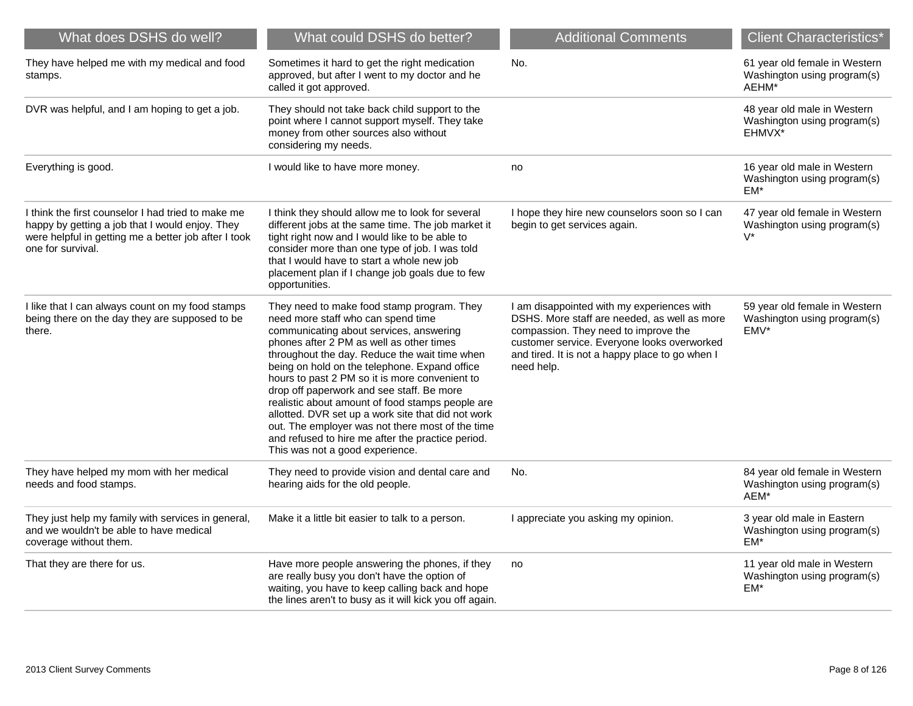| What does DSHS do well?                                                                                                                                                            | What could DSHS do better?                                                                                                                                                                                                                                                                                                                                                                                                                                                                                                                                                                                                     | <b>Additional Comments</b>                                                                                                                                                                                                                         | <b>Client Characteristics*</b>                                        |
|------------------------------------------------------------------------------------------------------------------------------------------------------------------------------------|--------------------------------------------------------------------------------------------------------------------------------------------------------------------------------------------------------------------------------------------------------------------------------------------------------------------------------------------------------------------------------------------------------------------------------------------------------------------------------------------------------------------------------------------------------------------------------------------------------------------------------|----------------------------------------------------------------------------------------------------------------------------------------------------------------------------------------------------------------------------------------------------|-----------------------------------------------------------------------|
| They have helped me with my medical and food<br>stamps.                                                                                                                            | Sometimes it hard to get the right medication<br>approved, but after I went to my doctor and he<br>called it got approved.                                                                                                                                                                                                                                                                                                                                                                                                                                                                                                     | No.                                                                                                                                                                                                                                                | 61 year old female in Western<br>Washington using program(s)<br>AEHM* |
| DVR was helpful, and I am hoping to get a job.                                                                                                                                     | They should not take back child support to the<br>point where I cannot support myself. They take<br>money from other sources also without<br>considering my needs.                                                                                                                                                                                                                                                                                                                                                                                                                                                             |                                                                                                                                                                                                                                                    | 48 year old male in Western<br>Washington using program(s)<br>EHMVX*  |
| Everything is good.                                                                                                                                                                | I would like to have more money.                                                                                                                                                                                                                                                                                                                                                                                                                                                                                                                                                                                               | no                                                                                                                                                                                                                                                 | 16 year old male in Western<br>Washington using program(s)<br>EM*     |
| I think the first counselor I had tried to make me<br>happy by getting a job that I would enjoy. They<br>were helpful in getting me a better job after I took<br>one for survival. | I think they should allow me to look for several<br>different jobs at the same time. The job market it<br>tight right now and I would like to be able to<br>consider more than one type of job. I was told<br>that I would have to start a whole new job<br>placement plan if I change job goals due to few<br>opportunities.                                                                                                                                                                                                                                                                                                  | I hope they hire new counselors soon so I can<br>begin to get services again.                                                                                                                                                                      | 47 year old female in Western<br>Washington using program(s)<br>$V^*$ |
| I like that I can always count on my food stamps<br>being there on the day they are supposed to be<br>there.                                                                       | They need to make food stamp program. They<br>need more staff who can spend time<br>communicating about services, answering<br>phones after 2 PM as well as other times<br>throughout the day. Reduce the wait time when<br>being on hold on the telephone. Expand office<br>hours to past 2 PM so it is more convenient to<br>drop off paperwork and see staff. Be more<br>realistic about amount of food stamps people are<br>allotted. DVR set up a work site that did not work<br>out. The employer was not there most of the time<br>and refused to hire me after the practice period.<br>This was not a good experience. | I am disappointed with my experiences with<br>DSHS. More staff are needed, as well as more<br>compassion. They need to improve the<br>customer service. Everyone looks overworked<br>and tired. It is not a happy place to go when I<br>need help. | 59 year old female in Western<br>Washington using program(s)<br>EMV*  |
| They have helped my mom with her medical<br>needs and food stamps.                                                                                                                 | They need to provide vision and dental care and<br>hearing aids for the old people.                                                                                                                                                                                                                                                                                                                                                                                                                                                                                                                                            | No.                                                                                                                                                                                                                                                | 84 year old female in Western<br>Washington using program(s)<br>AEM*  |
| They just help my family with services in general,<br>and we wouldn't be able to have medical<br>coverage without them.                                                            | Make it a little bit easier to talk to a person.                                                                                                                                                                                                                                                                                                                                                                                                                                                                                                                                                                               | I appreciate you asking my opinion.                                                                                                                                                                                                                | 3 year old male in Eastern<br>Washington using program(s)<br>$EM*$    |
| That they are there for us.                                                                                                                                                        | Have more people answering the phones, if they<br>are really busy you don't have the option of<br>waiting, you have to keep calling back and hope<br>the lines aren't to busy as it will kick you off again.                                                                                                                                                                                                                                                                                                                                                                                                                   | no                                                                                                                                                                                                                                                 | 11 year old male in Western<br>Washington using program(s)<br>EM*     |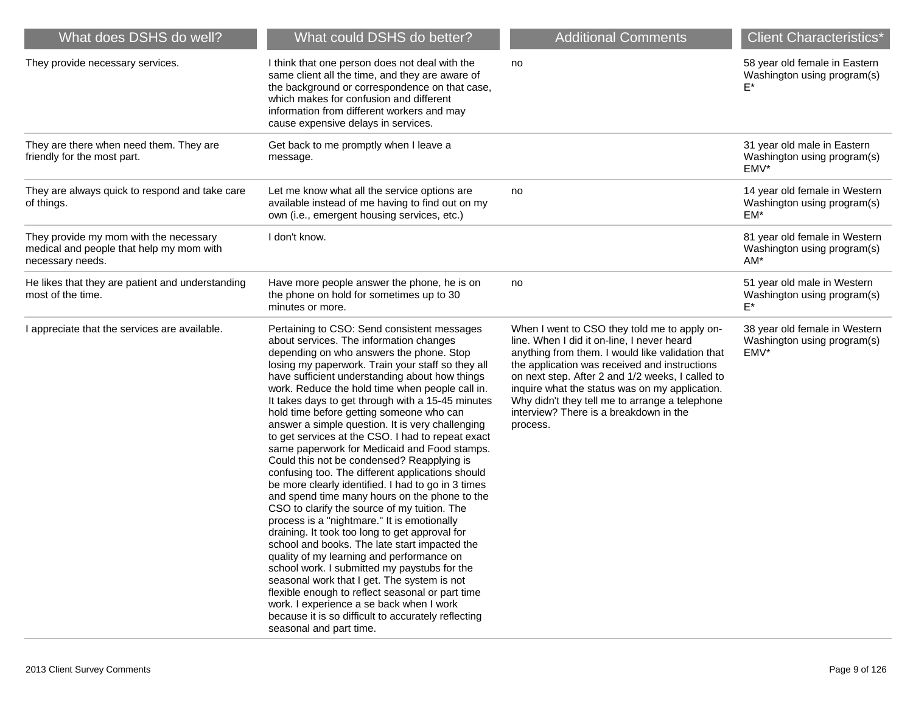| What does DSHS do well?                                                                                | What could DSHS do better?                                                                                                                                                                                                                                                                                                                                                                                                                                                                                                                                                                                                                                                                                                                                                                                                                                                                                                                                                                                                                                                                                                                                                                                                                                                                      | <b>Additional Comments</b>                                                                                                                                                                                                                                                                                                                                                                                    | <b>Client Characteristics*</b>                                       |
|--------------------------------------------------------------------------------------------------------|-------------------------------------------------------------------------------------------------------------------------------------------------------------------------------------------------------------------------------------------------------------------------------------------------------------------------------------------------------------------------------------------------------------------------------------------------------------------------------------------------------------------------------------------------------------------------------------------------------------------------------------------------------------------------------------------------------------------------------------------------------------------------------------------------------------------------------------------------------------------------------------------------------------------------------------------------------------------------------------------------------------------------------------------------------------------------------------------------------------------------------------------------------------------------------------------------------------------------------------------------------------------------------------------------|---------------------------------------------------------------------------------------------------------------------------------------------------------------------------------------------------------------------------------------------------------------------------------------------------------------------------------------------------------------------------------------------------------------|----------------------------------------------------------------------|
| They provide necessary services.                                                                       | I think that one person does not deal with the<br>same client all the time, and they are aware of<br>the background or correspondence on that case,<br>which makes for confusion and different<br>information from different workers and may<br>cause expensive delays in services.                                                                                                                                                                                                                                                                                                                                                                                                                                                                                                                                                                                                                                                                                                                                                                                                                                                                                                                                                                                                             | no                                                                                                                                                                                                                                                                                                                                                                                                            | 58 year old female in Eastern<br>Washington using program(s)         |
| They are there when need them. They are<br>friendly for the most part.                                 | Get back to me promptly when I leave a<br>message.                                                                                                                                                                                                                                                                                                                                                                                                                                                                                                                                                                                                                                                                                                                                                                                                                                                                                                                                                                                                                                                                                                                                                                                                                                              |                                                                                                                                                                                                                                                                                                                                                                                                               | 31 year old male in Eastern<br>Washington using program(s)<br>EMV*   |
| They are always quick to respond and take care<br>of things.                                           | Let me know what all the service options are<br>available instead of me having to find out on my<br>own (i.e., emergent housing services, etc.)                                                                                                                                                                                                                                                                                                                                                                                                                                                                                                                                                                                                                                                                                                                                                                                                                                                                                                                                                                                                                                                                                                                                                 | no                                                                                                                                                                                                                                                                                                                                                                                                            | 14 year old female in Western<br>Washington using program(s)<br>EM*  |
| They provide my mom with the necessary<br>medical and people that help my mom with<br>necessary needs. | I don't know.                                                                                                                                                                                                                                                                                                                                                                                                                                                                                                                                                                                                                                                                                                                                                                                                                                                                                                                                                                                                                                                                                                                                                                                                                                                                                   |                                                                                                                                                                                                                                                                                                                                                                                                               | 81 year old female in Western<br>Washington using program(s)<br>AM*  |
| He likes that they are patient and understanding<br>most of the time.                                  | Have more people answer the phone, he is on<br>the phone on hold for sometimes up to 30<br>minutes or more.                                                                                                                                                                                                                                                                                                                                                                                                                                                                                                                                                                                                                                                                                                                                                                                                                                                                                                                                                                                                                                                                                                                                                                                     | no                                                                                                                                                                                                                                                                                                                                                                                                            | 51 year old male in Western<br>Washington using program(s)<br>F*     |
| I appreciate that the services are available.                                                          | Pertaining to CSO: Send consistent messages<br>about services. The information changes<br>depending on who answers the phone. Stop<br>losing my paperwork. Train your staff so they all<br>have sufficient understanding about how things<br>work. Reduce the hold time when people call in.<br>It takes days to get through with a 15-45 minutes<br>hold time before getting someone who can<br>answer a simple question. It is very challenging<br>to get services at the CSO. I had to repeat exact<br>same paperwork for Medicaid and Food stamps.<br>Could this not be condensed? Reapplying is<br>confusing too. The different applications should<br>be more clearly identified. I had to go in 3 times<br>and spend time many hours on the phone to the<br>CSO to clarify the source of my tuition. The<br>process is a "nightmare." It is emotionally<br>draining. It took too long to get approval for<br>school and books. The late start impacted the<br>quality of my learning and performance on<br>school work. I submitted my paystubs for the<br>seasonal work that I get. The system is not<br>flexible enough to reflect seasonal or part time<br>work. I experience a se back when I work<br>because it is so difficult to accurately reflecting<br>seasonal and part time. | When I went to CSO they told me to apply on-<br>line. When I did it on-line, I never heard<br>anything from them. I would like validation that<br>the application was received and instructions<br>on next step. After 2 and 1/2 weeks, I called to<br>inquire what the status was on my application.<br>Why didn't they tell me to arrange a telephone<br>interview? There is a breakdown in the<br>process. | 38 year old female in Western<br>Washington using program(s)<br>EMV* |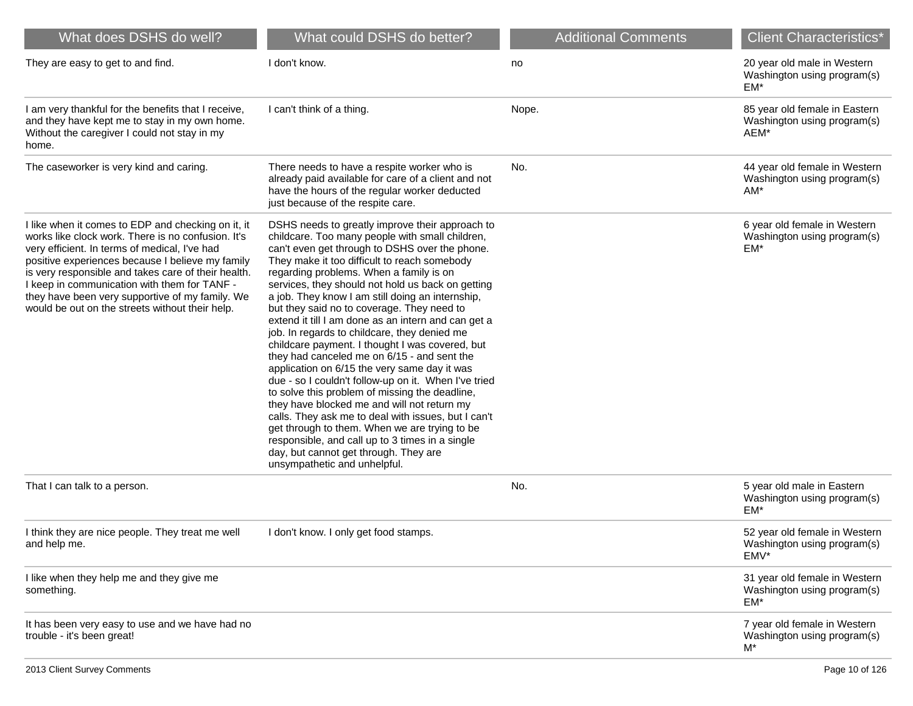| What does DSHS do well?                                                                                                                                                                                                                                                                                                                                                                                                    | What could DSHS do better?                                                                                                                                                                                                                                                                                                                                                                                                                                                                                                                                                                                                                                                                                                                                                                                                                                                                                                                                                                                                                                   | <b>Additional Comments</b> | <b>Client Characteristics*</b>                                        |
|----------------------------------------------------------------------------------------------------------------------------------------------------------------------------------------------------------------------------------------------------------------------------------------------------------------------------------------------------------------------------------------------------------------------------|--------------------------------------------------------------------------------------------------------------------------------------------------------------------------------------------------------------------------------------------------------------------------------------------------------------------------------------------------------------------------------------------------------------------------------------------------------------------------------------------------------------------------------------------------------------------------------------------------------------------------------------------------------------------------------------------------------------------------------------------------------------------------------------------------------------------------------------------------------------------------------------------------------------------------------------------------------------------------------------------------------------------------------------------------------------|----------------------------|-----------------------------------------------------------------------|
| They are easy to get to and find.                                                                                                                                                                                                                                                                                                                                                                                          | I don't know.                                                                                                                                                                                                                                                                                                                                                                                                                                                                                                                                                                                                                                                                                                                                                                                                                                                                                                                                                                                                                                                | no                         | 20 year old male in Western<br>Washington using program(s)<br>EM*     |
| I am very thankful for the benefits that I receive,<br>and they have kept me to stay in my own home.<br>Without the caregiver I could not stay in my<br>home.                                                                                                                                                                                                                                                              | I can't think of a thing.                                                                                                                                                                                                                                                                                                                                                                                                                                                                                                                                                                                                                                                                                                                                                                                                                                                                                                                                                                                                                                    | Nope.                      | 85 year old female in Eastern<br>Washington using program(s)<br>AEM*  |
| The caseworker is very kind and caring.                                                                                                                                                                                                                                                                                                                                                                                    | There needs to have a respite worker who is<br>already paid available for care of a client and not<br>have the hours of the regular worker deducted<br>just because of the respite care.                                                                                                                                                                                                                                                                                                                                                                                                                                                                                                                                                                                                                                                                                                                                                                                                                                                                     | No.                        | 44 year old female in Western<br>Washington using program(s)<br>$AM*$ |
| I like when it comes to EDP and checking on it, it<br>works like clock work. There is no confusion. It's<br>very efficient. In terms of medical, I've had<br>positive experiences because I believe my family<br>is very responsible and takes care of their health.<br>I keep in communication with them for TANF -<br>they have been very supportive of my family. We<br>would be out on the streets without their help. | DSHS needs to greatly improve their approach to<br>childcare. Too many people with small children,<br>can't even get through to DSHS over the phone.<br>They make it too difficult to reach somebody<br>regarding problems. When a family is on<br>services, they should not hold us back on getting<br>a job. They know I am still doing an internship,<br>but they said no to coverage. They need to<br>extend it till I am done as an intern and can get a<br>job. In regards to childcare, they denied me<br>childcare payment. I thought I was covered, but<br>they had canceled me on 6/15 - and sent the<br>application on 6/15 the very same day it was<br>due - so I couldn't follow-up on it. When I've tried<br>to solve this problem of missing the deadline,<br>they have blocked me and will not return my<br>calls. They ask me to deal with issues, but I can't<br>get through to them. When we are trying to be<br>responsible, and call up to 3 times in a single<br>day, but cannot get through. They are<br>unsympathetic and unhelpful. |                            | 6 year old female in Western<br>Washington using program(s)<br>EM*    |
| That I can talk to a person.                                                                                                                                                                                                                                                                                                                                                                                               |                                                                                                                                                                                                                                                                                                                                                                                                                                                                                                                                                                                                                                                                                                                                                                                                                                                                                                                                                                                                                                                              | No.                        | 5 year old male in Eastern<br>Washington using program(s)<br>EM*      |
| I think they are nice people. They treat me well<br>and help me.                                                                                                                                                                                                                                                                                                                                                           | I don't know. I only get food stamps.                                                                                                                                                                                                                                                                                                                                                                                                                                                                                                                                                                                                                                                                                                                                                                                                                                                                                                                                                                                                                        |                            | 52 year old female in Western<br>Washington using program(s)<br>EMV*  |
| I like when they help me and they give me<br>something.                                                                                                                                                                                                                                                                                                                                                                    |                                                                                                                                                                                                                                                                                                                                                                                                                                                                                                                                                                                                                                                                                                                                                                                                                                                                                                                                                                                                                                                              |                            | 31 year old female in Western<br>Washington using program(s)<br>EM*   |
| It has been very easy to use and we have had no<br>trouble - it's been great!                                                                                                                                                                                                                                                                                                                                              |                                                                                                                                                                                                                                                                                                                                                                                                                                                                                                                                                                                                                                                                                                                                                                                                                                                                                                                                                                                                                                                              |                            | 7 year old female in Western<br>Washington using program(s)<br>$M^*$  |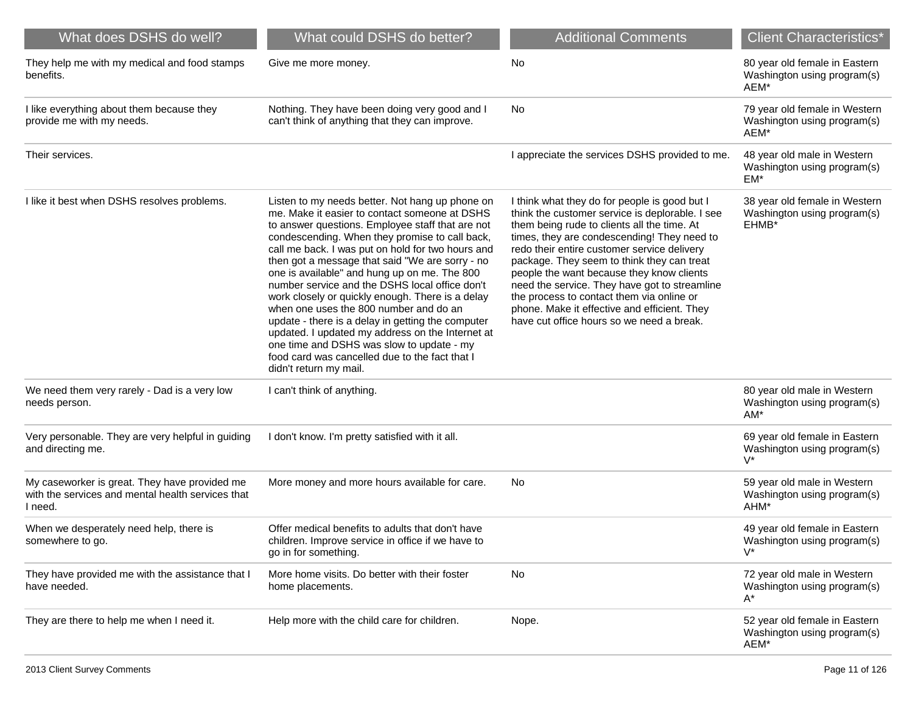| What does DSHS do well?                                                                                       | What could DSHS do better?                                                                                                                                                                                                                                                                                                                                                                                                                                                                                                                                                                                                                                                                                                                       | <b>Additional Comments</b>                                                                                                                                                                                                                                                                                                                                                                                                                                                                                                          | <b>Client Characteristics*</b>                                        |
|---------------------------------------------------------------------------------------------------------------|--------------------------------------------------------------------------------------------------------------------------------------------------------------------------------------------------------------------------------------------------------------------------------------------------------------------------------------------------------------------------------------------------------------------------------------------------------------------------------------------------------------------------------------------------------------------------------------------------------------------------------------------------------------------------------------------------------------------------------------------------|-------------------------------------------------------------------------------------------------------------------------------------------------------------------------------------------------------------------------------------------------------------------------------------------------------------------------------------------------------------------------------------------------------------------------------------------------------------------------------------------------------------------------------------|-----------------------------------------------------------------------|
| They help me with my medical and food stamps<br>benefits.                                                     | Give me more money.                                                                                                                                                                                                                                                                                                                                                                                                                                                                                                                                                                                                                                                                                                                              | No                                                                                                                                                                                                                                                                                                                                                                                                                                                                                                                                  | 80 year old female in Eastern<br>Washington using program(s)<br>AEM*  |
| I like everything about them because they<br>provide me with my needs.                                        | Nothing. They have been doing very good and I<br>can't think of anything that they can improve.                                                                                                                                                                                                                                                                                                                                                                                                                                                                                                                                                                                                                                                  | No                                                                                                                                                                                                                                                                                                                                                                                                                                                                                                                                  | 79 year old female in Western<br>Washington using program(s)<br>AEM*  |
| Their services.                                                                                               |                                                                                                                                                                                                                                                                                                                                                                                                                                                                                                                                                                                                                                                                                                                                                  | I appreciate the services DSHS provided to me.                                                                                                                                                                                                                                                                                                                                                                                                                                                                                      | 48 year old male in Western<br>Washington using program(s)<br>EM*     |
| I like it best when DSHS resolves problems.                                                                   | Listen to my needs better. Not hang up phone on<br>me. Make it easier to contact someone at DSHS<br>to answer questions. Employee staff that are not<br>condescending. When they promise to call back,<br>call me back. I was put on hold for two hours and<br>then got a message that said "We are sorry - no<br>one is available" and hung up on me. The 800<br>number service and the DSHS local office don't<br>work closely or quickly enough. There is a delay<br>when one uses the 800 number and do an<br>update - there is a delay in getting the computer<br>updated. I updated my address on the Internet at<br>one time and DSHS was slow to update - my<br>food card was cancelled due to the fact that I<br>didn't return my mail. | I think what they do for people is good but I<br>think the customer service is deplorable. I see<br>them being rude to clients all the time. At<br>times, they are condescending! They need to<br>redo their entire customer service delivery<br>package. They seem to think they can treat<br>people the want because they know clients<br>need the service. They have got to streamline<br>the process to contact them via online or<br>phone. Make it effective and efficient. They<br>have cut office hours so we need a break. | 38 year old female in Western<br>Washington using program(s)<br>EHMB* |
| We need them very rarely - Dad is a very low<br>needs person.                                                 | I can't think of anything.                                                                                                                                                                                                                                                                                                                                                                                                                                                                                                                                                                                                                                                                                                                       |                                                                                                                                                                                                                                                                                                                                                                                                                                                                                                                                     | 80 year old male in Western<br>Washington using program(s)<br>AM*     |
| Very personable. They are very helpful in guiding<br>and directing me.                                        | I don't know. I'm pretty satisfied with it all.                                                                                                                                                                                                                                                                                                                                                                                                                                                                                                                                                                                                                                                                                                  |                                                                                                                                                                                                                                                                                                                                                                                                                                                                                                                                     | 69 year old female in Eastern<br>Washington using program(s)<br>$V^*$ |
| My caseworker is great. They have provided me<br>with the services and mental health services that<br>I need. | More money and more hours available for care.                                                                                                                                                                                                                                                                                                                                                                                                                                                                                                                                                                                                                                                                                                    | No                                                                                                                                                                                                                                                                                                                                                                                                                                                                                                                                  | 59 year old male in Western<br>Washington using program(s)<br>AHM*    |
| When we desperately need help, there is<br>somewhere to go.                                                   | Offer medical benefits to adults that don't have<br>children. Improve service in office if we have to<br>go in for something.                                                                                                                                                                                                                                                                                                                                                                                                                                                                                                                                                                                                                    |                                                                                                                                                                                                                                                                                                                                                                                                                                                                                                                                     | 49 year old female in Eastern<br>Washington using program(s)<br>$V^*$ |
| They have provided me with the assistance that I<br>have needed.                                              | More home visits. Do better with their foster<br>home placements.                                                                                                                                                                                                                                                                                                                                                                                                                                                                                                                                                                                                                                                                                | No                                                                                                                                                                                                                                                                                                                                                                                                                                                                                                                                  | 72 year old male in Western<br>Washington using program(s)<br>A*      |
| They are there to help me when I need it.                                                                     | Help more with the child care for children.                                                                                                                                                                                                                                                                                                                                                                                                                                                                                                                                                                                                                                                                                                      | Nope.                                                                                                                                                                                                                                                                                                                                                                                                                                                                                                                               | 52 year old female in Eastern<br>Washington using program(s)<br>AEM*  |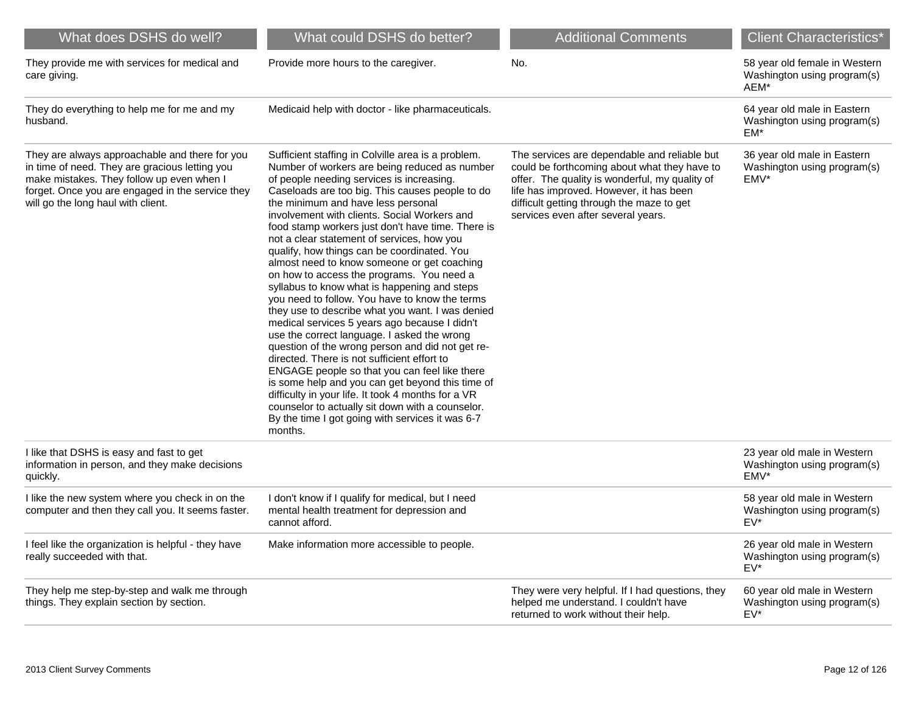| What does DSHS do well?                                                                                                                                                                                                                 | What could DSHS do better?                                                                                                                                                                                                                                                                                                                                                                                                                                                                                                                                                                                                                                                                                                                                                                                                                                                                                                                                                                                                                                                                                                                                                     | <b>Additional Comments</b>                                                                                                                                                                                                                                                   | <b>Client Characteristics*</b>                                                         |
|-----------------------------------------------------------------------------------------------------------------------------------------------------------------------------------------------------------------------------------------|--------------------------------------------------------------------------------------------------------------------------------------------------------------------------------------------------------------------------------------------------------------------------------------------------------------------------------------------------------------------------------------------------------------------------------------------------------------------------------------------------------------------------------------------------------------------------------------------------------------------------------------------------------------------------------------------------------------------------------------------------------------------------------------------------------------------------------------------------------------------------------------------------------------------------------------------------------------------------------------------------------------------------------------------------------------------------------------------------------------------------------------------------------------------------------|------------------------------------------------------------------------------------------------------------------------------------------------------------------------------------------------------------------------------------------------------------------------------|----------------------------------------------------------------------------------------|
| They provide me with services for medical and<br>care giving.                                                                                                                                                                           | Provide more hours to the caregiver.                                                                                                                                                                                                                                                                                                                                                                                                                                                                                                                                                                                                                                                                                                                                                                                                                                                                                                                                                                                                                                                                                                                                           | No.                                                                                                                                                                                                                                                                          | 58 year old female in Western<br>Washington using program(s)<br>AEM*                   |
| They do everything to help me for me and my<br>husband.                                                                                                                                                                                 | Medicaid help with doctor - like pharmaceuticals.                                                                                                                                                                                                                                                                                                                                                                                                                                                                                                                                                                                                                                                                                                                                                                                                                                                                                                                                                                                                                                                                                                                              |                                                                                                                                                                                                                                                                              | 64 year old male in Eastern<br>Washington using program(s)<br>EM*                      |
| They are always approachable and there for you<br>in time of need. They are gracious letting you<br>make mistakes. They follow up even when I<br>forget. Once you are engaged in the service they<br>will go the long haul with client. | Sufficient staffing in Colville area is a problem.<br>Number of workers are being reduced as number<br>of people needing services is increasing.<br>Caseloads are too big. This causes people to do<br>the minimum and have less personal<br>involvement with clients. Social Workers and<br>food stamp workers just don't have time. There is<br>not a clear statement of services, how you<br>qualify, how things can be coordinated. You<br>almost need to know someone or get coaching<br>on how to access the programs. You need a<br>syllabus to know what is happening and steps<br>you need to follow. You have to know the terms<br>they use to describe what you want. I was denied<br>medical services 5 years ago because I didn't<br>use the correct language. I asked the wrong<br>question of the wrong person and did not get re-<br>directed. There is not sufficient effort to<br>ENGAGE people so that you can feel like there<br>is some help and you can get beyond this time of<br>difficulty in your life. It took 4 months for a VR<br>counselor to actually sit down with a counselor.<br>By the time I got going with services it was 6-7<br>months. | The services are dependable and reliable but<br>could be forthcoming about what they have to<br>offer. The quality is wonderful, my quality of<br>life has improved. However, it has been<br>difficult getting through the maze to get<br>services even after several years. | 36 year old male in Eastern<br>Washington using program(s)<br>EMV*                     |
| I like that DSHS is easy and fast to get<br>information in person, and they make decisions<br>quickly.                                                                                                                                  |                                                                                                                                                                                                                                                                                                                                                                                                                                                                                                                                                                                                                                                                                                                                                                                                                                                                                                                                                                                                                                                                                                                                                                                |                                                                                                                                                                                                                                                                              | 23 year old male in Western<br>Washington using program(s)<br>EMV*                     |
| I like the new system where you check in on the<br>computer and then they call you. It seems faster.                                                                                                                                    | I don't know if I qualify for medical, but I need<br>mental health treatment for depression and<br>cannot afford.                                                                                                                                                                                                                                                                                                                                                                                                                                                                                                                                                                                                                                                                                                                                                                                                                                                                                                                                                                                                                                                              |                                                                                                                                                                                                                                                                              | 58 year old male in Western<br>Washington using program(s)<br>$EV^*$                   |
| I feel like the organization is helpful - they have<br>really succeeded with that.                                                                                                                                                      | Make information more accessible to people.                                                                                                                                                                                                                                                                                                                                                                                                                                                                                                                                                                                                                                                                                                                                                                                                                                                                                                                                                                                                                                                                                                                                    |                                                                                                                                                                                                                                                                              | 26 year old male in Western<br>Washington using program(s)<br>$EV^*$                   |
| They help me step-by-step and walk me through<br>things. They explain section by section.                                                                                                                                               |                                                                                                                                                                                                                                                                                                                                                                                                                                                                                                                                                                                                                                                                                                                                                                                                                                                                                                                                                                                                                                                                                                                                                                                | They were very helpful. If I had questions, they<br>helped me understand. I couldn't have<br>returned to work without their help.                                                                                                                                            | 60 year old male in Western<br>Washington using program(s)<br>$\mathsf{E}\mathsf{V}^*$ |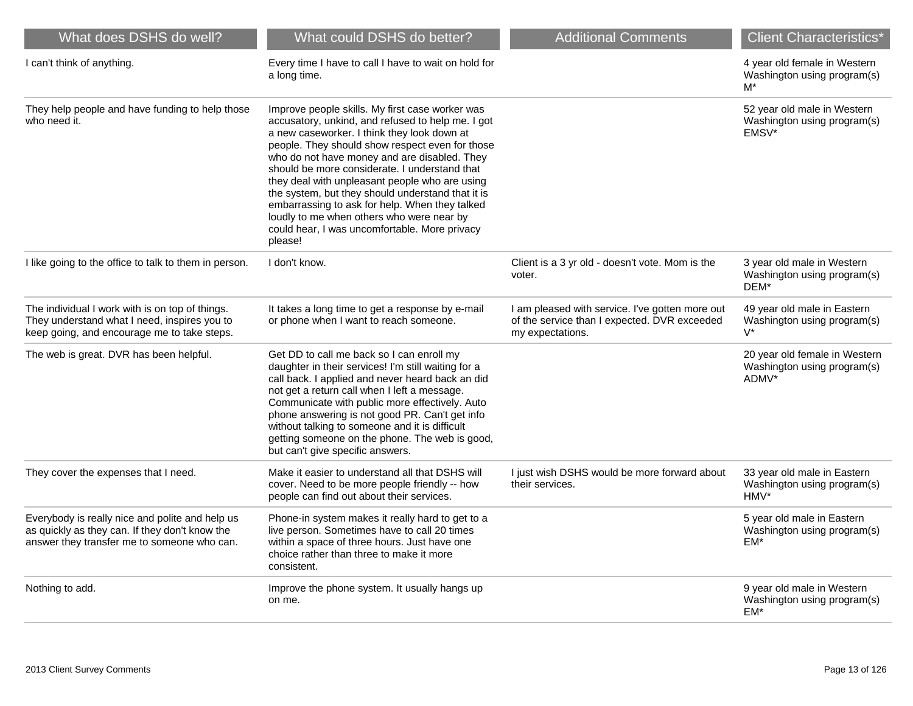| What does DSHS do well?                                                                                                                          | What could DSHS do better?                                                                                                                                                                                                                                                                                                                                                                                                                                                                                                                                                | <b>Additional Comments</b>                                                                                          | <b>Client Characteristics*</b>                                        |
|--------------------------------------------------------------------------------------------------------------------------------------------------|---------------------------------------------------------------------------------------------------------------------------------------------------------------------------------------------------------------------------------------------------------------------------------------------------------------------------------------------------------------------------------------------------------------------------------------------------------------------------------------------------------------------------------------------------------------------------|---------------------------------------------------------------------------------------------------------------------|-----------------------------------------------------------------------|
| I can't think of anything.                                                                                                                       | Every time I have to call I have to wait on hold for<br>a long time.                                                                                                                                                                                                                                                                                                                                                                                                                                                                                                      |                                                                                                                     | 4 year old female in Western<br>Washington using program(s)<br>$M^*$  |
| They help people and have funding to help those<br>who need it.                                                                                  | Improve people skills. My first case worker was<br>accusatory, unkind, and refused to help me. I got<br>a new caseworker. I think they look down at<br>people. They should show respect even for those<br>who do not have money and are disabled. They<br>should be more considerate. I understand that<br>they deal with unpleasant people who are using<br>the system, but they should understand that it is<br>embarrassing to ask for help. When they talked<br>loudly to me when others who were near by<br>could hear, I was uncomfortable. More privacy<br>please! |                                                                                                                     | 52 year old male in Western<br>Washington using program(s)<br>EMSV*   |
| I like going to the office to talk to them in person.                                                                                            | I don't know.                                                                                                                                                                                                                                                                                                                                                                                                                                                                                                                                                             | Client is a 3 yr old - doesn't vote. Mom is the<br>voter.                                                           | 3 year old male in Western<br>Washington using program(s)<br>DEM*     |
| The individual I work with is on top of things.<br>They understand what I need, inspires you to<br>keep going, and encourage me to take steps.   | It takes a long time to get a response by e-mail<br>or phone when I want to reach someone.                                                                                                                                                                                                                                                                                                                                                                                                                                                                                | I am pleased with service. I've gotten more out<br>of the service than I expected. DVR exceeded<br>my expectations. | 49 year old male in Eastern<br>Washington using program(s)<br>$V^*$   |
| The web is great. DVR has been helpful.                                                                                                          | Get DD to call me back so I can enroll my<br>daughter in their services! I'm still waiting for a<br>call back. I applied and never heard back an did<br>not get a return call when I left a message.<br>Communicate with public more effectively. Auto<br>phone answering is not good PR. Can't get info<br>without talking to someone and it is difficult<br>getting someone on the phone. The web is good,<br>but can't give specific answers.                                                                                                                          |                                                                                                                     | 20 year old female in Western<br>Washington using program(s)<br>ADMV* |
| They cover the expenses that I need.                                                                                                             | Make it easier to understand all that DSHS will<br>cover. Need to be more people friendly -- how<br>people can find out about their services.                                                                                                                                                                                                                                                                                                                                                                                                                             | I just wish DSHS would be more forward about<br>their services.                                                     | 33 year old male in Eastern<br>Washington using program(s)<br>HMV*    |
| Everybody is really nice and polite and help us<br>as quickly as they can. If they don't know the<br>answer they transfer me to someone who can. | Phone-in system makes it really hard to get to a<br>live person. Sometimes have to call 20 times<br>within a space of three hours. Just have one<br>choice rather than three to make it more<br>consistent.                                                                                                                                                                                                                                                                                                                                                               |                                                                                                                     | 5 year old male in Eastern<br>Washington using program(s)<br>EM*      |
| Nothing to add.                                                                                                                                  | Improve the phone system. It usually hangs up<br>on me.                                                                                                                                                                                                                                                                                                                                                                                                                                                                                                                   |                                                                                                                     | 9 year old male in Western<br>Washington using program(s)<br>EM*      |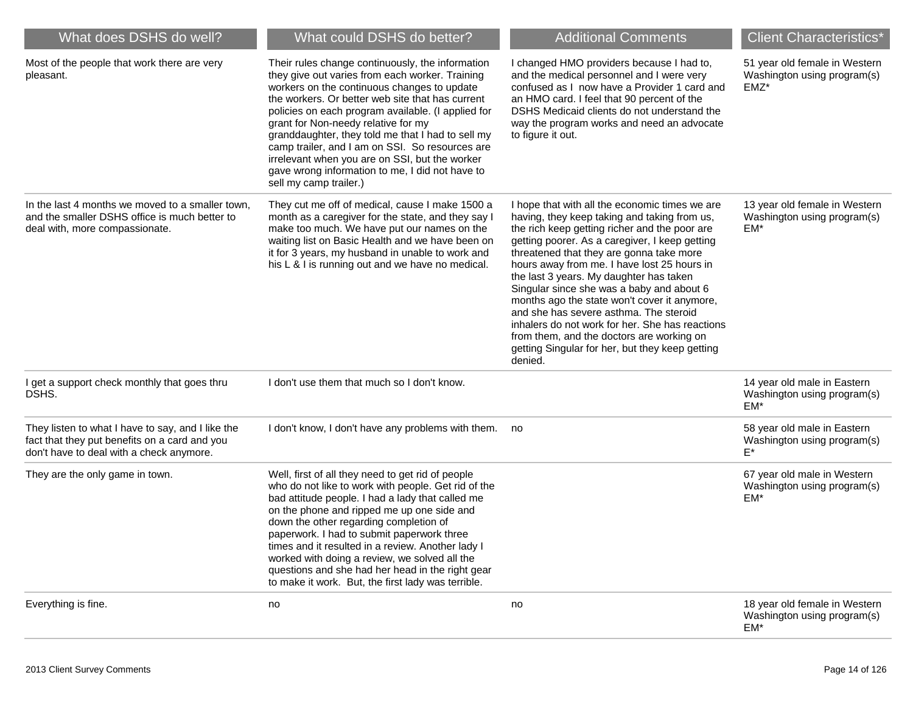| What does DSHS do well?                                                                                                                        | What could DSHS do better?                                                                                                                                                                                                                                                                                                                                                                                                                                                                                                                 | <b>Additional Comments</b>                                                                                                                                                                                                                                                                                                                                                                                                                                                                                                                                                                                                                   | <b>Client Characteristics*</b>                                          |
|------------------------------------------------------------------------------------------------------------------------------------------------|--------------------------------------------------------------------------------------------------------------------------------------------------------------------------------------------------------------------------------------------------------------------------------------------------------------------------------------------------------------------------------------------------------------------------------------------------------------------------------------------------------------------------------------------|----------------------------------------------------------------------------------------------------------------------------------------------------------------------------------------------------------------------------------------------------------------------------------------------------------------------------------------------------------------------------------------------------------------------------------------------------------------------------------------------------------------------------------------------------------------------------------------------------------------------------------------------|-------------------------------------------------------------------------|
| Most of the people that work there are very<br>pleasant.                                                                                       | Their rules change continuously, the information<br>they give out varies from each worker. Training<br>workers on the continuous changes to update<br>the workers. Or better web site that has current<br>policies on each program available. (I applied for<br>grant for Non-needy relative for my<br>granddaughter, they told me that I had to sell my<br>camp trailer, and I am on SSI. So resources are<br>irrelevant when you are on SSI, but the worker<br>gave wrong information to me, I did not have to<br>sell my camp trailer.) | I changed HMO providers because I had to,<br>and the medical personnel and I were very<br>confused as I now have a Provider 1 card and<br>an HMO card. I feel that 90 percent of the<br>DSHS Medicaid clients do not understand the<br>way the program works and need an advocate<br>to figure it out.                                                                                                                                                                                                                                                                                                                                       | 51 year old female in Western<br>Washington using program(s)<br>$EMZ^*$ |
| In the last 4 months we moved to a smaller town,<br>and the smaller DSHS office is much better to<br>deal with, more compassionate.            | They cut me off of medical, cause I make 1500 a<br>month as a caregiver for the state, and they say I<br>make too much. We have put our names on the<br>waiting list on Basic Health and we have been on<br>it for 3 years, my husband in unable to work and<br>his L & I is running out and we have no medical.                                                                                                                                                                                                                           | I hope that with all the economic times we are<br>having, they keep taking and taking from us,<br>the rich keep getting richer and the poor are<br>getting poorer. As a caregiver, I keep getting<br>threatened that they are gonna take more<br>hours away from me. I have lost 25 hours in<br>the last 3 years. My daughter has taken<br>Singular since she was a baby and about 6<br>months ago the state won't cover it anymore,<br>and she has severe asthma. The steroid<br>inhalers do not work for her. She has reactions<br>from them, and the doctors are working on<br>getting Singular for her, but they keep getting<br>denied. | 13 year old female in Western<br>Washington using program(s)<br>$EM*$   |
| I get a support check monthly that goes thru<br>DSHS.                                                                                          | I don't use them that much so I don't know.                                                                                                                                                                                                                                                                                                                                                                                                                                                                                                |                                                                                                                                                                                                                                                                                                                                                                                                                                                                                                                                                                                                                                              | 14 year old male in Eastern<br>Washington using program(s)<br>EM*       |
| They listen to what I have to say, and I like the<br>fact that they put benefits on a card and you<br>don't have to deal with a check anymore. | I don't know, I don't have any problems with them.                                                                                                                                                                                                                                                                                                                                                                                                                                                                                         | no                                                                                                                                                                                                                                                                                                                                                                                                                                                                                                                                                                                                                                           | 58 year old male in Eastern<br>Washington using program(s)<br>$E^*$     |
| They are the only game in town.                                                                                                                | Well, first of all they need to get rid of people<br>who do not like to work with people. Get rid of the<br>bad attitude people. I had a lady that called me<br>on the phone and ripped me up one side and<br>down the other regarding completion of<br>paperwork. I had to submit paperwork three<br>times and it resulted in a review. Another lady I<br>worked with doing a review, we solved all the<br>questions and she had her head in the right gear<br>to make it work. But, the first lady was terrible.                         |                                                                                                                                                                                                                                                                                                                                                                                                                                                                                                                                                                                                                                              | 67 year old male in Western<br>Washington using program(s)<br>EM*       |
| Everything is fine.                                                                                                                            | no                                                                                                                                                                                                                                                                                                                                                                                                                                                                                                                                         | no                                                                                                                                                                                                                                                                                                                                                                                                                                                                                                                                                                                                                                           | 18 year old female in Western<br>Washington using program(s)<br>EM*     |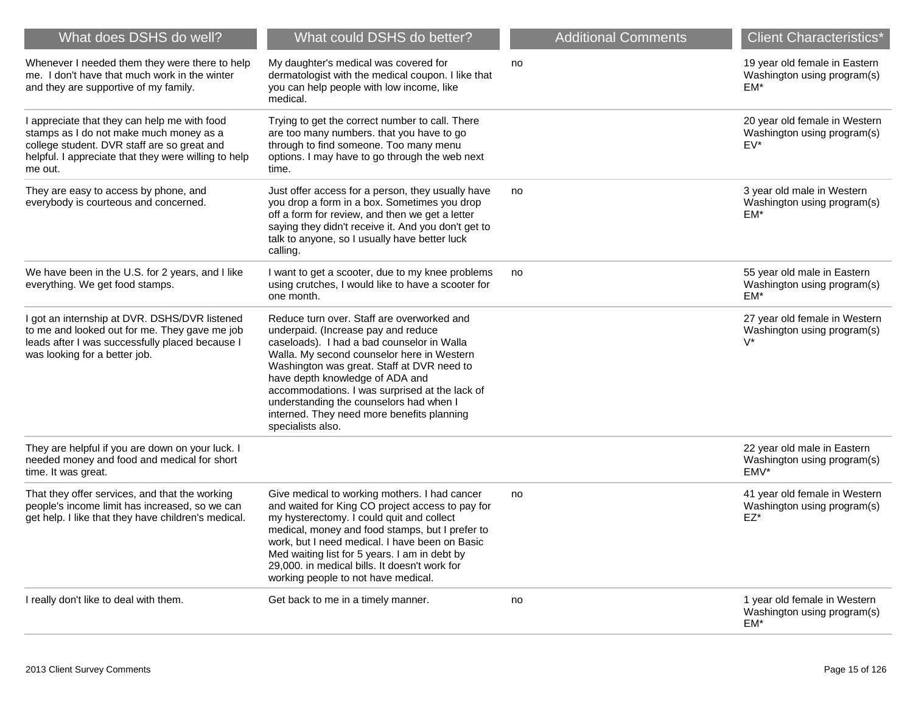| What does DSHS do well?                                                                                                                                                                                   | What could DSHS do better?                                                                                                                                                                                                                                                                                                                                                                                                     | <b>Additional Comments</b> | <b>Client Characteristics*</b>                                        |
|-----------------------------------------------------------------------------------------------------------------------------------------------------------------------------------------------------------|--------------------------------------------------------------------------------------------------------------------------------------------------------------------------------------------------------------------------------------------------------------------------------------------------------------------------------------------------------------------------------------------------------------------------------|----------------------------|-----------------------------------------------------------------------|
| Whenever I needed them they were there to help<br>me. I don't have that much work in the winter<br>and they are supportive of my family.                                                                  | My daughter's medical was covered for<br>dermatologist with the medical coupon. I like that<br>you can help people with low income, like<br>medical.                                                                                                                                                                                                                                                                           | no                         | 19 year old female in Eastern<br>Washington using program(s)<br>EM*   |
| I appreciate that they can help me with food<br>stamps as I do not make much money as a<br>college student. DVR staff are so great and<br>helpful. I appreciate that they were willing to help<br>me out. | Trying to get the correct number to call. There<br>are too many numbers. that you have to go<br>through to find someone. Too many menu<br>options. I may have to go through the web next<br>time.                                                                                                                                                                                                                              |                            | 20 year old female in Western<br>Washington using program(s)<br>EV*   |
| They are easy to access by phone, and<br>everybody is courteous and concerned.                                                                                                                            | Just offer access for a person, they usually have<br>you drop a form in a box. Sometimes you drop<br>off a form for review, and then we get a letter<br>saying they didn't receive it. And you don't get to<br>talk to anyone, so I usually have better luck<br>calling.                                                                                                                                                       | no                         | 3 year old male in Western<br>Washington using program(s)<br>EM*      |
| We have been in the U.S. for 2 years, and I like<br>everything. We get food stamps.                                                                                                                       | I want to get a scooter, due to my knee problems<br>using crutches, I would like to have a scooter for<br>one month.                                                                                                                                                                                                                                                                                                           | no                         | 55 year old male in Eastern<br>Washington using program(s)<br>EM*     |
| I got an internship at DVR. DSHS/DVR listened<br>to me and looked out for me. They gave me job<br>leads after I was successfully placed because I<br>was looking for a better job.                        | Reduce turn over. Staff are overworked and<br>underpaid. (Increase pay and reduce<br>caseloads). I had a bad counselor in Walla<br>Walla. My second counselor here in Western<br>Washington was great. Staff at DVR need to<br>have depth knowledge of ADA and<br>accommodations. I was surprised at the lack of<br>understanding the counselors had when I<br>interned. They need more benefits planning<br>specialists also. |                            | 27 year old female in Western<br>Washington using program(s)<br>$V^*$ |
| They are helpful if you are down on your luck. I<br>needed money and food and medical for short<br>time. It was great.                                                                                    |                                                                                                                                                                                                                                                                                                                                                                                                                                |                            | 22 year old male in Eastern<br>Washington using program(s)<br>EMV*    |
| That they offer services, and that the working<br>people's income limit has increased, so we can<br>get help. I like that they have children's medical.                                                   | Give medical to working mothers. I had cancer<br>and waited for King CO project access to pay for<br>my hysterectomy. I could quit and collect<br>medical, money and food stamps, but I prefer to<br>work, but I need medical. I have been on Basic<br>Med waiting list for 5 years. I am in debt by<br>29,000. in medical bills. It doesn't work for<br>working people to not have medical.                                   | no                         | 41 year old female in Western<br>Washington using program(s)<br>EZ*   |
| I really don't like to deal with them.                                                                                                                                                                    | Get back to me in a timely manner.                                                                                                                                                                                                                                                                                                                                                                                             | no                         | 1 year old female in Western<br>Washington using program(s)<br>EM*    |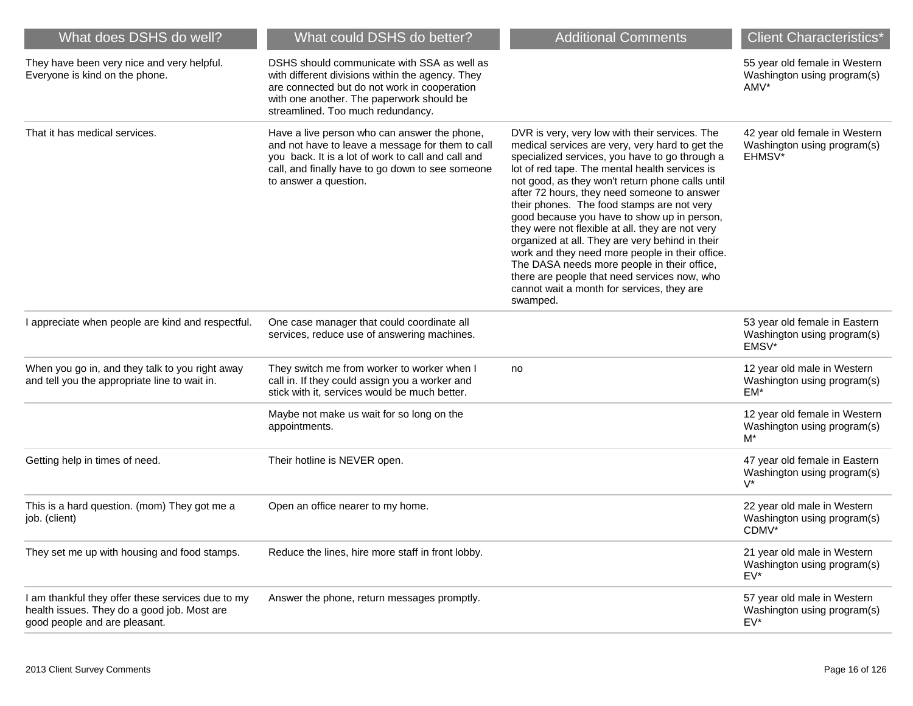| What does DSHS do well?                                                                                                           | What could DSHS do better?                                                                                                                                                                                                          | <b>Additional Comments</b>                                                                                                                                                                                                                                                                                                                                                                                                                                                                                                                                                                                                                                                                                               | <b>Client Characteristics*</b>                                         |
|-----------------------------------------------------------------------------------------------------------------------------------|-------------------------------------------------------------------------------------------------------------------------------------------------------------------------------------------------------------------------------------|--------------------------------------------------------------------------------------------------------------------------------------------------------------------------------------------------------------------------------------------------------------------------------------------------------------------------------------------------------------------------------------------------------------------------------------------------------------------------------------------------------------------------------------------------------------------------------------------------------------------------------------------------------------------------------------------------------------------------|------------------------------------------------------------------------|
| They have been very nice and very helpful.<br>Everyone is kind on the phone.                                                      | DSHS should communicate with SSA as well as<br>with different divisions within the agency. They<br>are connected but do not work in cooperation<br>with one another. The paperwork should be<br>streamlined. Too much redundancy.   |                                                                                                                                                                                                                                                                                                                                                                                                                                                                                                                                                                                                                                                                                                                          | 55 year old female in Western<br>Washington using program(s)<br>AMV*   |
| That it has medical services.                                                                                                     | Have a live person who can answer the phone,<br>and not have to leave a message for them to call<br>you back. It is a lot of work to call and call and<br>call, and finally have to go down to see someone<br>to answer a question. | DVR is very, very low with their services. The<br>medical services are very, very hard to get the<br>specialized services, you have to go through a<br>lot of red tape. The mental health services is<br>not good, as they won't return phone calls until<br>after 72 hours, they need someone to answer<br>their phones. The food stamps are not very<br>good because you have to show up in person,<br>they were not flexible at all. they are not very<br>organized at all. They are very behind in their<br>work and they need more people in their office.<br>The DASA needs more people in their office,<br>there are people that need services now, who<br>cannot wait a month for services, they are<br>swamped. | 42 year old female in Western<br>Washington using program(s)<br>EHMSV* |
| I appreciate when people are kind and respectful.                                                                                 | One case manager that could coordinate all<br>services, reduce use of answering machines.                                                                                                                                           |                                                                                                                                                                                                                                                                                                                                                                                                                                                                                                                                                                                                                                                                                                                          | 53 year old female in Eastern<br>Washington using program(s)<br>EMSV*  |
| When you go in, and they talk to you right away<br>and tell you the appropriate line to wait in.                                  | They switch me from worker to worker when I<br>call in. If they could assign you a worker and<br>stick with it, services would be much better.                                                                                      | no                                                                                                                                                                                                                                                                                                                                                                                                                                                                                                                                                                                                                                                                                                                       | 12 year old male in Western<br>Washington using program(s)<br>EM*      |
|                                                                                                                                   | Maybe not make us wait for so long on the<br>appointments.                                                                                                                                                                          |                                                                                                                                                                                                                                                                                                                                                                                                                                                                                                                                                                                                                                                                                                                          | 12 year old female in Western<br>Washington using program(s)<br>$M^*$  |
| Getting help in times of need.                                                                                                    | Their hotline is NEVER open.                                                                                                                                                                                                        |                                                                                                                                                                                                                                                                                                                                                                                                                                                                                                                                                                                                                                                                                                                          | 47 year old female in Eastern<br>Washington using program(s)<br>$V^*$  |
| This is a hard question. (mom) They got me a<br>job. (client)                                                                     | Open an office nearer to my home.                                                                                                                                                                                                   |                                                                                                                                                                                                                                                                                                                                                                                                                                                                                                                                                                                                                                                                                                                          | 22 year old male in Western<br>Washington using program(s)<br>CDMV*    |
| They set me up with housing and food stamps.                                                                                      | Reduce the lines, hire more staff in front lobby.                                                                                                                                                                                   |                                                                                                                                                                                                                                                                                                                                                                                                                                                                                                                                                                                                                                                                                                                          | 21 year old male in Western<br>Washington using program(s)<br>$EV^*$   |
| I am thankful they offer these services due to my<br>health issues. They do a good job. Most are<br>good people and are pleasant. | Answer the phone, return messages promptly.                                                                                                                                                                                         |                                                                                                                                                                                                                                                                                                                                                                                                                                                                                                                                                                                                                                                                                                                          | 57 year old male in Western<br>Washington using program(s)<br>EV*      |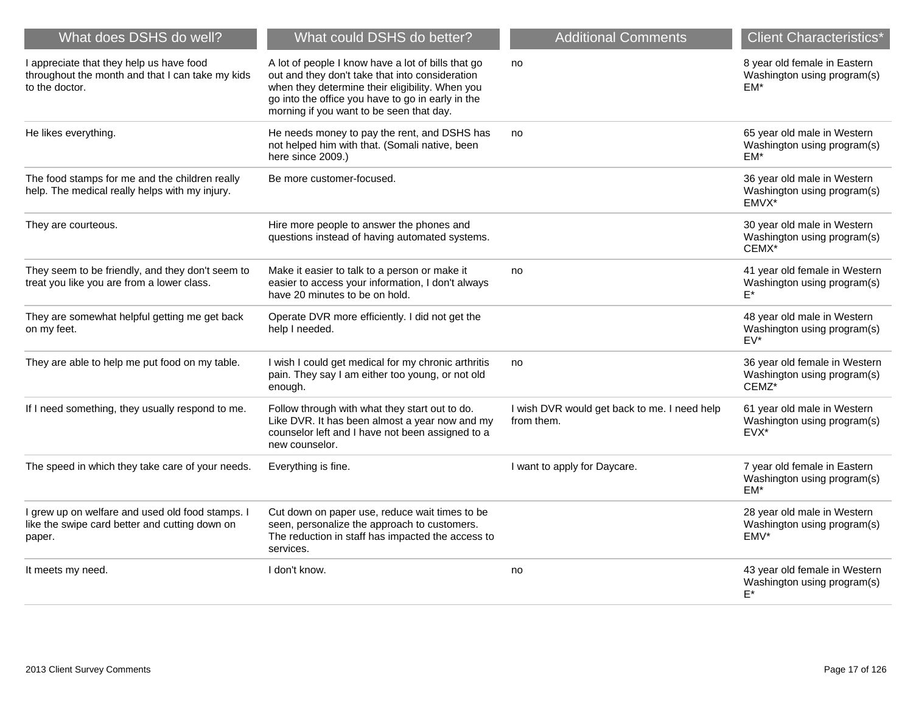| What does DSHS do well?                                                                                        | What could DSHS do better?                                                                                                                                                                                                                                | <b>Additional Comments</b>                                 | <b>Client Characteristics*</b>                                        |
|----------------------------------------------------------------------------------------------------------------|-----------------------------------------------------------------------------------------------------------------------------------------------------------------------------------------------------------------------------------------------------------|------------------------------------------------------------|-----------------------------------------------------------------------|
| I appreciate that they help us have food<br>throughout the month and that I can take my kids<br>to the doctor. | A lot of people I know have a lot of bills that go<br>out and they don't take that into consideration<br>when they determine their eligibility. When you<br>go into the office you have to go in early in the<br>morning if you want to be seen that day. | no                                                         | 8 year old female in Eastern<br>Washington using program(s)<br>EM*    |
| He likes everything.                                                                                           | He needs money to pay the rent, and DSHS has<br>not helped him with that. (Somali native, been<br>here since 2009.)                                                                                                                                       | no                                                         | 65 year old male in Western<br>Washington using program(s)<br>$EM*$   |
| The food stamps for me and the children really<br>help. The medical really helps with my injury.               | Be more customer-focused.                                                                                                                                                                                                                                 |                                                            | 36 year old male in Western<br>Washington using program(s)<br>EMVX*   |
| They are courteous.                                                                                            | Hire more people to answer the phones and<br>questions instead of having automated systems.                                                                                                                                                               |                                                            | 30 year old male in Western<br>Washington using program(s)<br>CEMX*   |
| They seem to be friendly, and they don't seem to<br>treat you like you are from a lower class.                 | Make it easier to talk to a person or make it<br>easier to access your information, I don't always<br>have 20 minutes to be on hold.                                                                                                                      | no                                                         | 41 year old female in Western<br>Washington using program(s)<br>$F^*$ |
| They are somewhat helpful getting me get back<br>on my feet.                                                   | Operate DVR more efficiently. I did not get the<br>help I needed.                                                                                                                                                                                         |                                                            | 48 year old male in Western<br>Washington using program(s)<br>$EV^*$  |
| They are able to help me put food on my table.                                                                 | I wish I could get medical for my chronic arthritis<br>pain. They say I am either too young, or not old<br>enough.                                                                                                                                        | no                                                         | 36 year old female in Western<br>Washington using program(s)<br>CEMZ* |
| If I need something, they usually respond to me.                                                               | Follow through with what they start out to do.<br>Like DVR. It has been almost a year now and my<br>counselor left and I have not been assigned to a<br>new counselor.                                                                                    | I wish DVR would get back to me. I need help<br>from them. | 61 year old male in Western<br>Washington using program(s)<br>EVX*    |
| The speed in which they take care of your needs.                                                               | Everything is fine.                                                                                                                                                                                                                                       | I want to apply for Daycare.                               | 7 year old female in Eastern<br>Washington using program(s)<br>EM*    |
| I grew up on welfare and used old food stamps. I<br>like the swipe card better and cutting down on<br>paper.   | Cut down on paper use, reduce wait times to be<br>seen, personalize the approach to customers.<br>The reduction in staff has impacted the access to<br>services.                                                                                          |                                                            | 28 year old male in Western<br>Washington using program(s)<br>EMV*    |
| It meets my need.                                                                                              | I don't know.                                                                                                                                                                                                                                             | no                                                         | 43 year old female in Western<br>Washington using program(s)<br>E*    |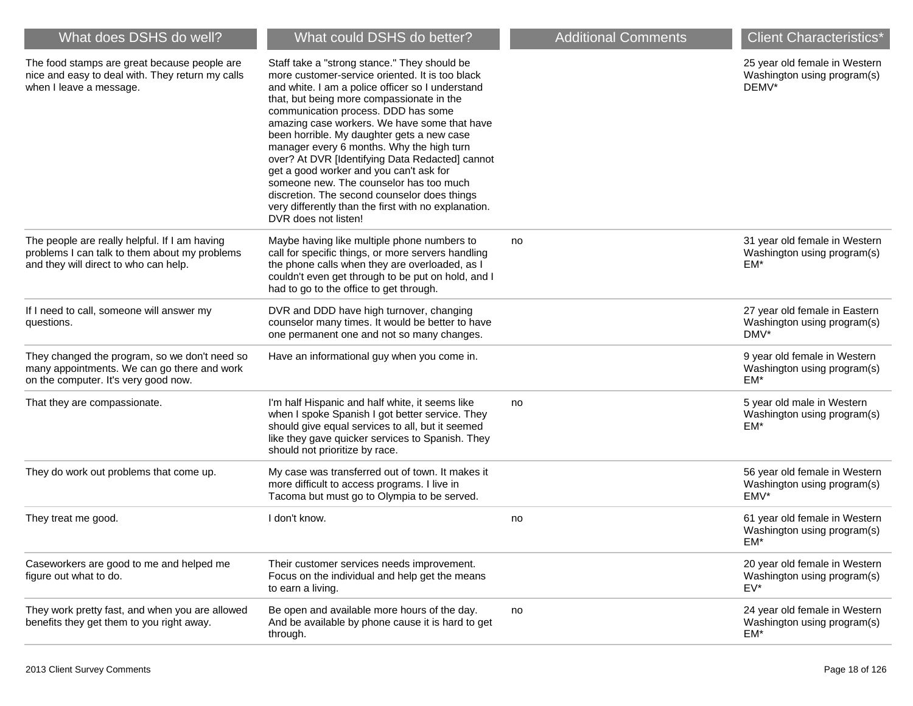| What does DSHS do well?                                                                                                                 | What could DSHS do better?                                                                                                                                                                                                                                                                                                                                                                                                                                                                                                                                                                                                                                  | <b>Additional Comments</b> | <b>Client Characteristics*</b>                                         |
|-----------------------------------------------------------------------------------------------------------------------------------------|-------------------------------------------------------------------------------------------------------------------------------------------------------------------------------------------------------------------------------------------------------------------------------------------------------------------------------------------------------------------------------------------------------------------------------------------------------------------------------------------------------------------------------------------------------------------------------------------------------------------------------------------------------------|----------------------------|------------------------------------------------------------------------|
| The food stamps are great because people are<br>nice and easy to deal with. They return my calls<br>when I leave a message.             | Staff take a "strong stance." They should be<br>more customer-service oriented. It is too black<br>and white. I am a police officer so I understand<br>that, but being more compassionate in the<br>communication process. DDD has some<br>amazing case workers. We have some that have<br>been horrible. My daughter gets a new case<br>manager every 6 months. Why the high turn<br>over? At DVR [Identifying Data Redacted] cannot<br>get a good worker and you can't ask for<br>someone new. The counselor has too much<br>discretion. The second counselor does things<br>very differently than the first with no explanation.<br>DVR does not listen! |                            | 25 year old female in Western<br>Washington using program(s)<br>DEMV*  |
| The people are really helpful. If I am having<br>problems I can talk to them about my problems<br>and they will direct to who can help. | Maybe having like multiple phone numbers to<br>call for specific things, or more servers handling<br>the phone calls when they are overloaded, as I<br>couldn't even get through to be put on hold, and I<br>had to go to the office to get through.                                                                                                                                                                                                                                                                                                                                                                                                        | no                         | 31 year old female in Western<br>Washington using program(s)<br>EM*    |
| If I need to call, someone will answer my<br>questions.                                                                                 | DVR and DDD have high turnover, changing<br>counselor many times. It would be better to have<br>one permanent one and not so many changes.                                                                                                                                                                                                                                                                                                                                                                                                                                                                                                                  |                            | 27 year old female in Eastern<br>Washington using program(s)<br>DMV*   |
| They changed the program, so we don't need so<br>many appointments. We can go there and work<br>on the computer. It's very good now.    | Have an informational guy when you come in.                                                                                                                                                                                                                                                                                                                                                                                                                                                                                                                                                                                                                 |                            | 9 year old female in Western<br>Washington using program(s)<br>EM*     |
| That they are compassionate.                                                                                                            | I'm half Hispanic and half white, it seems like<br>when I spoke Spanish I got better service. They<br>should give equal services to all, but it seemed<br>like they gave quicker services to Spanish. They<br>should not prioritize by race.                                                                                                                                                                                                                                                                                                                                                                                                                | no                         | 5 year old male in Western<br>Washington using program(s)<br>EM*       |
| They do work out problems that come up.                                                                                                 | My case was transferred out of town. It makes it<br>more difficult to access programs. I live in<br>Tacoma but must go to Olympia to be served.                                                                                                                                                                                                                                                                                                                                                                                                                                                                                                             |                            | 56 year old female in Western<br>Washington using program(s)<br>EMV*   |
| They treat me good.                                                                                                                     | I don't know.                                                                                                                                                                                                                                                                                                                                                                                                                                                                                                                                                                                                                                               | no                         | 61 year old female in Western<br>Washington using program(s)<br>EM*    |
| Caseworkers are good to me and helped me<br>figure out what to do.                                                                      | Their customer services needs improvement.<br>Focus on the individual and help get the means<br>to earn a living.                                                                                                                                                                                                                                                                                                                                                                                                                                                                                                                                           |                            | 20 year old female in Western<br>Washington using program(s)<br>$EV^*$ |
| They work pretty fast, and when you are allowed<br>benefits they get them to you right away.                                            | Be open and available more hours of the day.<br>And be available by phone cause it is hard to get<br>through.                                                                                                                                                                                                                                                                                                                                                                                                                                                                                                                                               | no                         | 24 year old female in Western<br>Washington using program(s)<br>EM*    |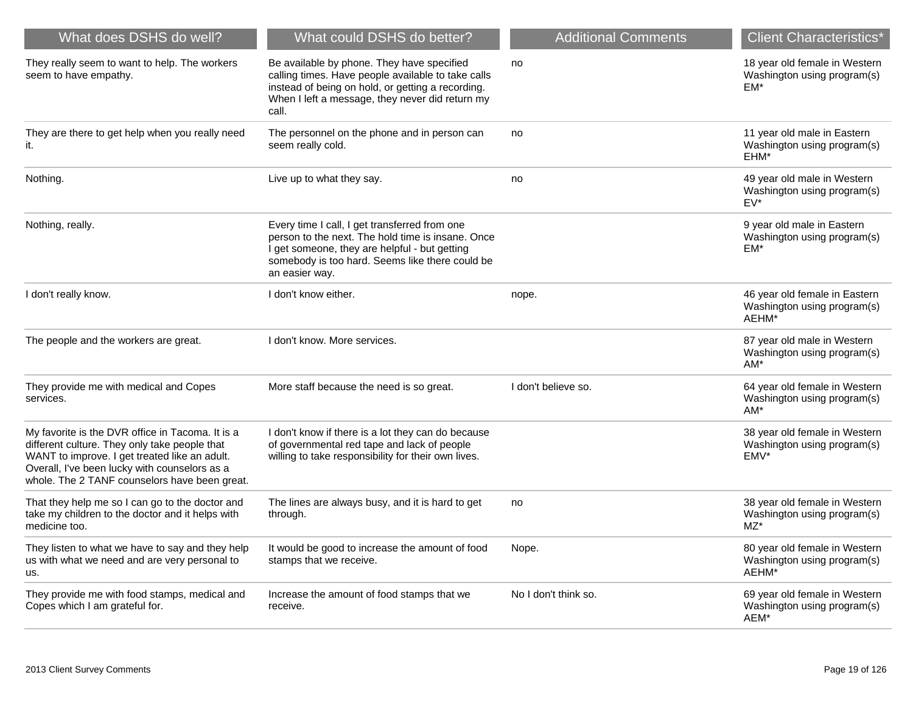| What does DSHS do well?                                                                                                                                                                                                                              | What could DSHS do better?                                                                                                                                                                                               | <b>Additional Comments</b> | <b>Client Characteristics*</b>                                        |
|------------------------------------------------------------------------------------------------------------------------------------------------------------------------------------------------------------------------------------------------------|--------------------------------------------------------------------------------------------------------------------------------------------------------------------------------------------------------------------------|----------------------------|-----------------------------------------------------------------------|
| They really seem to want to help. The workers<br>seem to have empathy.                                                                                                                                                                               | Be available by phone. They have specified<br>calling times. Have people available to take calls<br>instead of being on hold, or getting a recording.<br>When I left a message, they never did return my<br>call.        | no                         | 18 year old female in Western<br>Washington using program(s)<br>EM*   |
| They are there to get help when you really need<br>it.                                                                                                                                                                                               | The personnel on the phone and in person can<br>seem really cold.                                                                                                                                                        | no                         | 11 year old male in Eastern<br>Washington using program(s)<br>EHM*    |
| Nothing.                                                                                                                                                                                                                                             | Live up to what they say.                                                                                                                                                                                                | no                         | 49 year old male in Western<br>Washington using program(s)<br>$EV^*$  |
| Nothing, really.                                                                                                                                                                                                                                     | Every time I call, I get transferred from one<br>person to the next. The hold time is insane. Once<br>I get someone, they are helpful - but getting<br>somebody is too hard. Seems like there could be<br>an easier way. |                            | 9 year old male in Eastern<br>Washington using program(s)<br>EM*      |
| I don't really know.                                                                                                                                                                                                                                 | I don't know either.                                                                                                                                                                                                     | nope.                      | 46 year old female in Eastern<br>Washington using program(s)<br>AEHM* |
| The people and the workers are great.                                                                                                                                                                                                                | I don't know. More services.                                                                                                                                                                                             |                            | 87 year old male in Western<br>Washington using program(s)<br>AM*     |
| They provide me with medical and Copes<br>services.                                                                                                                                                                                                  | More staff because the need is so great.                                                                                                                                                                                 | I don't believe so.        | 64 year old female in Western<br>Washington using program(s)<br>$AM*$ |
| My favorite is the DVR office in Tacoma. It is a<br>different culture. They only take people that<br>WANT to improve. I get treated like an adult.<br>Overall, I've been lucky with counselors as a<br>whole. The 2 TANF counselors have been great. | I don't know if there is a lot they can do because<br>of governmental red tape and lack of people<br>willing to take responsibility for their own lives.                                                                 |                            | 38 year old female in Western<br>Washington using program(s)<br>EMV*  |
| That they help me so I can go to the doctor and<br>take my children to the doctor and it helps with<br>medicine too.                                                                                                                                 | The lines are always busy, and it is hard to get<br>through.                                                                                                                                                             | no                         | 38 year old female in Western<br>Washington using program(s)<br>MZ*   |
| They listen to what we have to say and they help<br>us with what we need and are very personal to<br>us.                                                                                                                                             | It would be good to increase the amount of food<br>stamps that we receive.                                                                                                                                               | Nope.                      | 80 year old female in Western<br>Washington using program(s)<br>AEHM* |
| They provide me with food stamps, medical and<br>Copes which I am grateful for.                                                                                                                                                                      | Increase the amount of food stamps that we<br>receive.                                                                                                                                                                   | No I don't think so.       | 69 year old female in Western<br>Washington using program(s)<br>AEM*  |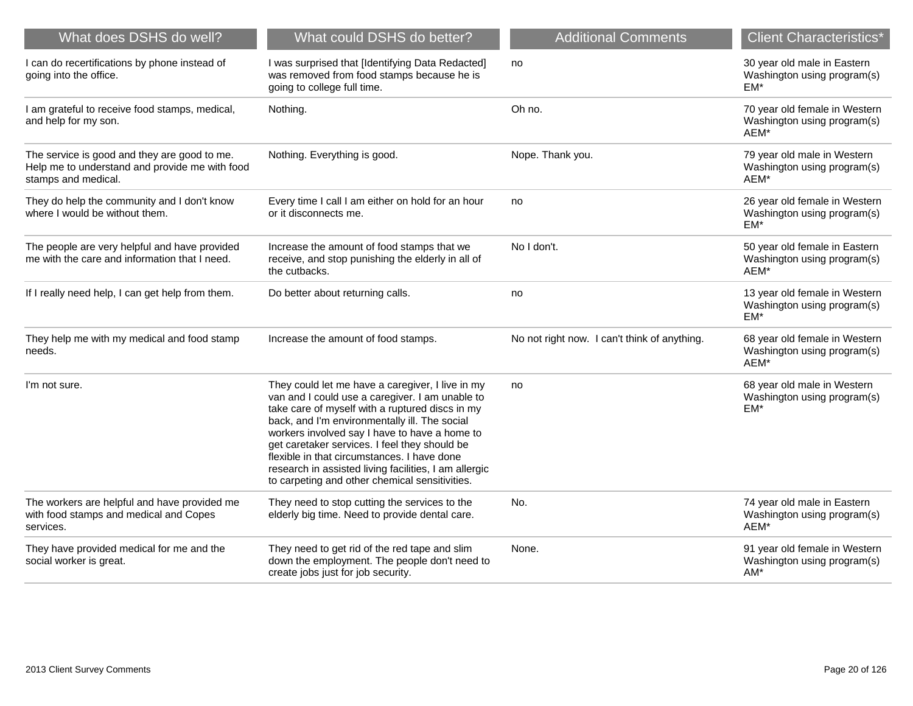| What does DSHS do well?                                                                                               | What could DSHS do better?                                                                                                                                                                                                                                                                                                                                                                                                                                          | <b>Additional Comments</b>                   | <b>Client Characteristics*</b>                                       |
|-----------------------------------------------------------------------------------------------------------------------|---------------------------------------------------------------------------------------------------------------------------------------------------------------------------------------------------------------------------------------------------------------------------------------------------------------------------------------------------------------------------------------------------------------------------------------------------------------------|----------------------------------------------|----------------------------------------------------------------------|
| I can do recertifications by phone instead of<br>going into the office.                                               | I was surprised that [Identifying Data Redacted]<br>was removed from food stamps because he is<br>going to college full time.                                                                                                                                                                                                                                                                                                                                       | no                                           | 30 year old male in Eastern<br>Washington using program(s)<br>EM*    |
| I am grateful to receive food stamps, medical,<br>and help for my son.                                                | Nothing.                                                                                                                                                                                                                                                                                                                                                                                                                                                            | Oh no.                                       | 70 year old female in Western<br>Washington using program(s)<br>AEM* |
| The service is good and they are good to me.<br>Help me to understand and provide me with food<br>stamps and medical. | Nothing. Everything is good.                                                                                                                                                                                                                                                                                                                                                                                                                                        | Nope. Thank you.                             | 79 year old male in Western<br>Washington using program(s)<br>AEM*   |
| They do help the community and I don't know<br>where I would be without them.                                         | Every time I call I am either on hold for an hour<br>or it disconnects me.                                                                                                                                                                                                                                                                                                                                                                                          | no                                           | 26 year old female in Western<br>Washington using program(s)<br>EM*  |
| The people are very helpful and have provided<br>me with the care and information that I need.                        | Increase the amount of food stamps that we<br>receive, and stop punishing the elderly in all of<br>the cutbacks.                                                                                                                                                                                                                                                                                                                                                    | No I don't.                                  | 50 year old female in Eastern<br>Washington using program(s)<br>AEM* |
| If I really need help, I can get help from them.                                                                      | Do better about returning calls.                                                                                                                                                                                                                                                                                                                                                                                                                                    | no                                           | 13 year old female in Western<br>Washington using program(s)<br>EM*  |
| They help me with my medical and food stamp<br>needs.                                                                 | Increase the amount of food stamps.                                                                                                                                                                                                                                                                                                                                                                                                                                 | No not right now. I can't think of anything. | 68 year old female in Western<br>Washington using program(s)<br>AEM* |
| I'm not sure.                                                                                                         | They could let me have a caregiver, I live in my<br>van and I could use a caregiver. I am unable to<br>take care of myself with a ruptured discs in my<br>back, and I'm environmentally ill. The social<br>workers involved say I have to have a home to<br>get caretaker services. I feel they should be<br>flexible in that circumstances. I have done<br>research in assisted living facilities, I am allergic<br>to carpeting and other chemical sensitivities. | no                                           | 68 year old male in Western<br>Washington using program(s)<br>EM*    |
| The workers are helpful and have provided me<br>with food stamps and medical and Copes<br>services.                   | They need to stop cutting the services to the<br>elderly big time. Need to provide dental care.                                                                                                                                                                                                                                                                                                                                                                     | No.                                          | 74 year old male in Eastern<br>Washington using program(s)<br>AEM*   |
| They have provided medical for me and the<br>social worker is great.                                                  | They need to get rid of the red tape and slim<br>down the employment. The people don't need to<br>create jobs just for job security.                                                                                                                                                                                                                                                                                                                                | None.                                        | 91 year old female in Western<br>Washington using program(s)<br>AM*  |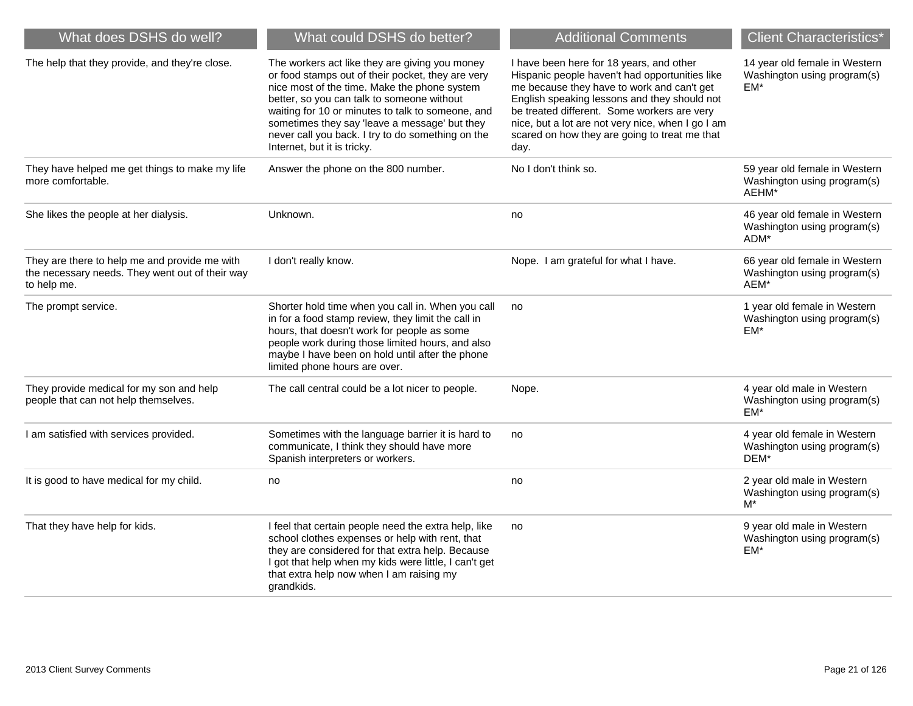| What does DSHS do well?                                                                                         | What could DSHS do better?                                                                                                                                                                                                                                                                                                                                                                  | <b>Additional Comments</b>                                                                                                                                                                                                                                                                                                                            | <b>Client Characteristics*</b>                                        |
|-----------------------------------------------------------------------------------------------------------------|---------------------------------------------------------------------------------------------------------------------------------------------------------------------------------------------------------------------------------------------------------------------------------------------------------------------------------------------------------------------------------------------|-------------------------------------------------------------------------------------------------------------------------------------------------------------------------------------------------------------------------------------------------------------------------------------------------------------------------------------------------------|-----------------------------------------------------------------------|
| The help that they provide, and they're close.                                                                  | The workers act like they are giving you money<br>or food stamps out of their pocket, they are very<br>nice most of the time. Make the phone system<br>better, so you can talk to someone without<br>waiting for 10 or minutes to talk to someone, and<br>sometimes they say 'leave a message' but they<br>never call you back. I try to do something on the<br>Internet, but it is tricky. | I have been here for 18 years, and other<br>Hispanic people haven't had opportunities like<br>me because they have to work and can't get<br>English speaking lessons and they should not<br>be treated different. Some workers are very<br>nice, but a lot are not very nice, when I go I am<br>scared on how they are going to treat me that<br>day. | 14 year old female in Western<br>Washington using program(s)<br>EM*   |
| They have helped me get things to make my life<br>more comfortable.                                             | Answer the phone on the 800 number.                                                                                                                                                                                                                                                                                                                                                         | No I don't think so.                                                                                                                                                                                                                                                                                                                                  | 59 year old female in Western<br>Washington using program(s)<br>AEHM* |
| She likes the people at her dialysis.                                                                           | Unknown.                                                                                                                                                                                                                                                                                                                                                                                    | no                                                                                                                                                                                                                                                                                                                                                    | 46 year old female in Western<br>Washington using program(s)<br>ADM*  |
| They are there to help me and provide me with<br>the necessary needs. They went out of their way<br>to help me. | I don't really know.                                                                                                                                                                                                                                                                                                                                                                        | Nope. I am grateful for what I have.                                                                                                                                                                                                                                                                                                                  | 66 year old female in Western<br>Washington using program(s)<br>AEM*  |
| The prompt service.                                                                                             | Shorter hold time when you call in. When you call<br>in for a food stamp review, they limit the call in<br>hours, that doesn't work for people as some<br>people work during those limited hours, and also<br>maybe I have been on hold until after the phone<br>limited phone hours are over.                                                                                              | no                                                                                                                                                                                                                                                                                                                                                    | 1 year old female in Western<br>Washington using program(s)<br>$EM^*$ |
| They provide medical for my son and help<br>people that can not help themselves.                                | The call central could be a lot nicer to people.                                                                                                                                                                                                                                                                                                                                            | Nope.                                                                                                                                                                                                                                                                                                                                                 | 4 year old male in Western<br>Washington using program(s)<br>$EM*$    |
| I am satisfied with services provided.                                                                          | Sometimes with the language barrier it is hard to<br>communicate, I think they should have more<br>Spanish interpreters or workers.                                                                                                                                                                                                                                                         | no                                                                                                                                                                                                                                                                                                                                                    | 4 year old female in Western<br>Washington using program(s)<br>DEM*   |
| It is good to have medical for my child.                                                                        | no                                                                                                                                                                                                                                                                                                                                                                                          | no                                                                                                                                                                                                                                                                                                                                                    | 2 year old male in Western<br>Washington using program(s)<br>M*       |
| That they have help for kids.                                                                                   | I feel that certain people need the extra help, like<br>school clothes expenses or help with rent, that<br>they are considered for that extra help. Because<br>I got that help when my kids were little, I can't get<br>that extra help now when I am raising my<br>grandkids.                                                                                                              | no                                                                                                                                                                                                                                                                                                                                                    | 9 year old male in Western<br>Washington using program(s)<br>EM*      |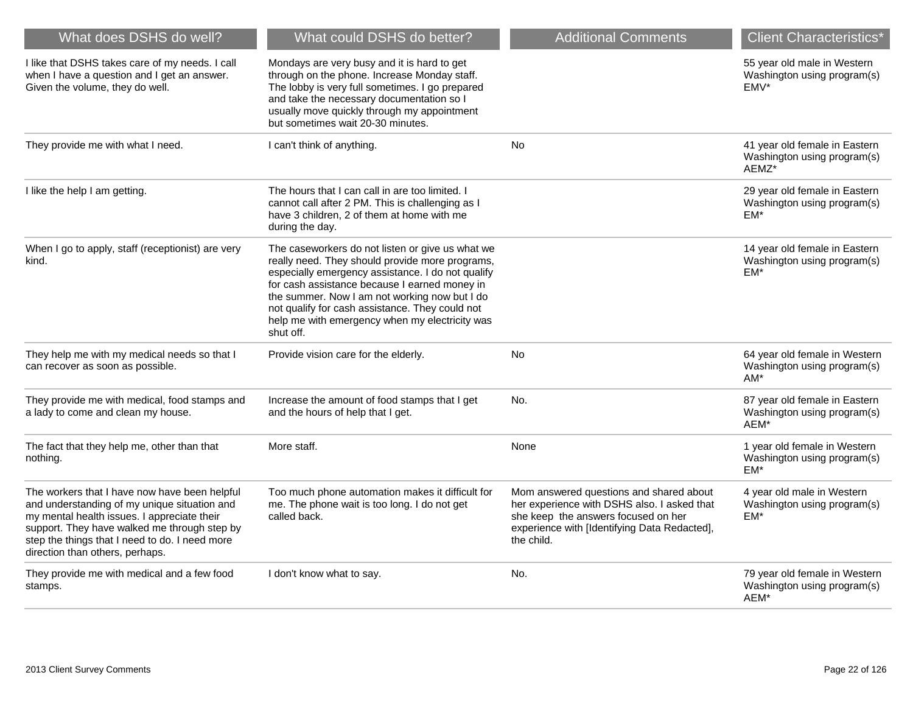| What does DSHS do well?                                                                                                                                                                                                                                                           | What could DSHS do better?                                                                                                                                                                                                                                                                                                                                                   | <b>Additional Comments</b>                                                                                                                                                                  | <b>Client Characteristics*</b>                                         |
|-----------------------------------------------------------------------------------------------------------------------------------------------------------------------------------------------------------------------------------------------------------------------------------|------------------------------------------------------------------------------------------------------------------------------------------------------------------------------------------------------------------------------------------------------------------------------------------------------------------------------------------------------------------------------|---------------------------------------------------------------------------------------------------------------------------------------------------------------------------------------------|------------------------------------------------------------------------|
| I like that DSHS takes care of my needs. I call<br>when I have a question and I get an answer.<br>Given the volume, they do well.                                                                                                                                                 | Mondays are very busy and it is hard to get<br>through on the phone. Increase Monday staff.<br>The lobby is very full sometimes. I go prepared<br>and take the necessary documentation so I<br>usually move quickly through my appointment<br>but sometimes wait 20-30 minutes.                                                                                              |                                                                                                                                                                                             | 55 year old male in Western<br>Washington using program(s)<br>EMV*     |
| They provide me with what I need.                                                                                                                                                                                                                                                 | I can't think of anything.                                                                                                                                                                                                                                                                                                                                                   | <b>No</b>                                                                                                                                                                                   | 41 year old female in Eastern<br>Washington using program(s)<br>AEMZ*  |
| I like the help I am getting.                                                                                                                                                                                                                                                     | The hours that I can call in are too limited. I<br>cannot call after 2 PM. This is challenging as I<br>have 3 children, 2 of them at home with me<br>during the day.                                                                                                                                                                                                         |                                                                                                                                                                                             | 29 year old female in Eastern<br>Washington using program(s)<br>$EM*$  |
| When I go to apply, staff (receptionist) are very<br>kind.                                                                                                                                                                                                                        | The caseworkers do not listen or give us what we<br>really need. They should provide more programs,<br>especially emergency assistance. I do not qualify<br>for cash assistance because I earned money in<br>the summer. Now I am not working now but I do<br>not qualify for cash assistance. They could not<br>help me with emergency when my electricity was<br>shut off. |                                                                                                                                                                                             | 14 year old female in Eastern<br>Washington using program(s)<br>EM*    |
| They help me with my medical needs so that I<br>can recover as soon as possible.                                                                                                                                                                                                  | Provide vision care for the elderly.                                                                                                                                                                                                                                                                                                                                         | No                                                                                                                                                                                          | 64 year old female in Western<br>Washington using program(s)<br>$AM^*$ |
| They provide me with medical, food stamps and<br>a lady to come and clean my house.                                                                                                                                                                                               | Increase the amount of food stamps that I get<br>and the hours of help that I get.                                                                                                                                                                                                                                                                                           | No.                                                                                                                                                                                         | 87 year old female in Eastern<br>Washington using program(s)<br>AEM*   |
| The fact that they help me, other than that<br>nothing.                                                                                                                                                                                                                           | More staff.                                                                                                                                                                                                                                                                                                                                                                  | None                                                                                                                                                                                        | 1 year old female in Western<br>Washington using program(s)<br>$EM*$   |
| The workers that I have now have been helpful<br>and understanding of my unique situation and<br>my mental health issues. I appreciate their<br>support. They have walked me through step by<br>step the things that I need to do. I need more<br>direction than others, perhaps. | Too much phone automation makes it difficult for<br>me. The phone wait is too long. I do not get<br>called back.                                                                                                                                                                                                                                                             | Mom answered questions and shared about<br>her experience with DSHS also. I asked that<br>she keep the answers focused on her<br>experience with [Identifying Data Redacted],<br>the child. | 4 year old male in Western<br>Washington using program(s)<br>EM*       |
| They provide me with medical and a few food<br>stamps.                                                                                                                                                                                                                            | I don't know what to say.                                                                                                                                                                                                                                                                                                                                                    | No.                                                                                                                                                                                         | 79 year old female in Western<br>Washington using program(s)<br>AEM*   |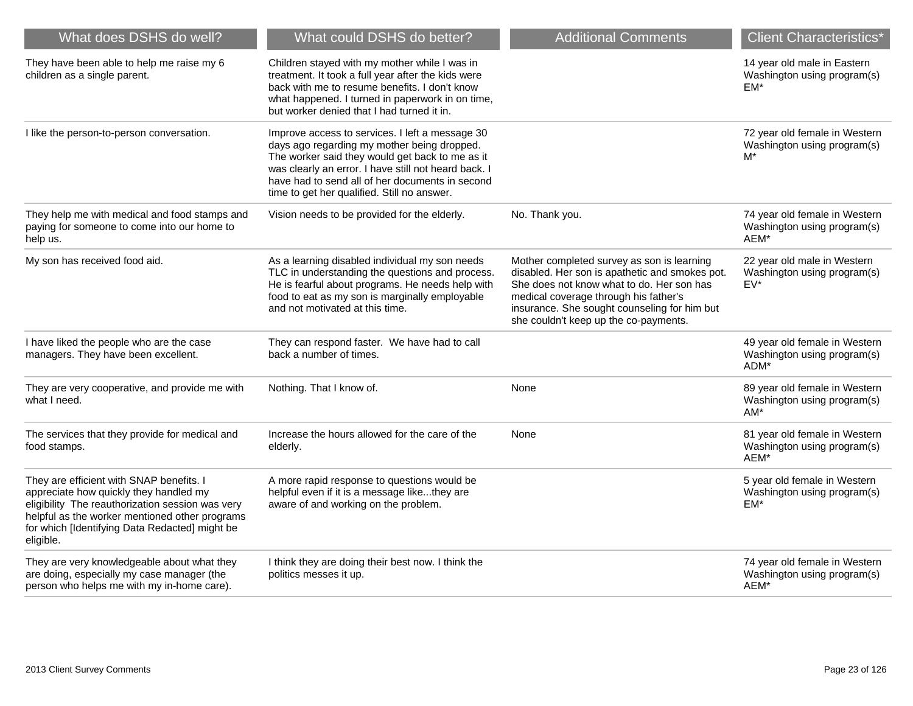| What does DSHS do well?                                                                                                                                                                                                                                 | What could DSHS do better?                                                                                                                                                                                                                                                                                  | <b>Additional Comments</b>                                                                                                                                                                                                                                                  | <b>Client Characteristics*</b>                                        |
|---------------------------------------------------------------------------------------------------------------------------------------------------------------------------------------------------------------------------------------------------------|-------------------------------------------------------------------------------------------------------------------------------------------------------------------------------------------------------------------------------------------------------------------------------------------------------------|-----------------------------------------------------------------------------------------------------------------------------------------------------------------------------------------------------------------------------------------------------------------------------|-----------------------------------------------------------------------|
| They have been able to help me raise my 6<br>children as a single parent.                                                                                                                                                                               | Children stayed with my mother while I was in<br>treatment. It took a full year after the kids were<br>back with me to resume benefits. I don't know<br>what happened. I turned in paperwork in on time,<br>but worker denied that I had turned it in.                                                      |                                                                                                                                                                                                                                                                             | 14 year old male in Eastern<br>Washington using program(s)<br>EM*     |
| I like the person-to-person conversation.                                                                                                                                                                                                               | Improve access to services. I left a message 30<br>days ago regarding my mother being dropped.<br>The worker said they would get back to me as it<br>was clearly an error. I have still not heard back. I<br>have had to send all of her documents in second<br>time to get her qualified. Still no answer. |                                                                                                                                                                                                                                                                             | 72 year old female in Western<br>Washington using program(s)<br>$M^*$ |
| They help me with medical and food stamps and<br>paying for someone to come into our home to<br>help us.                                                                                                                                                | Vision needs to be provided for the elderly.                                                                                                                                                                                                                                                                | No. Thank you.                                                                                                                                                                                                                                                              | 74 year old female in Western<br>Washington using program(s)<br>AEM*  |
| My son has received food aid.                                                                                                                                                                                                                           | As a learning disabled individual my son needs<br>TLC in understanding the questions and process.<br>He is fearful about programs. He needs help with<br>food to eat as my son is marginally employable<br>and not motivated at this time.                                                                  | Mother completed survey as son is learning<br>disabled. Her son is apathetic and smokes pot.<br>She does not know what to do. Her son has<br>medical coverage through his father's<br>insurance. She sought counseling for him but<br>she couldn't keep up the co-payments. | 22 year old male in Western<br>Washington using program(s)<br>EV*     |
| I have liked the people who are the case<br>managers. They have been excellent.                                                                                                                                                                         | They can respond faster. We have had to call<br>back a number of times.                                                                                                                                                                                                                                     |                                                                                                                                                                                                                                                                             | 49 year old female in Western<br>Washington using program(s)<br>ADM*  |
| They are very cooperative, and provide me with<br>what I need.                                                                                                                                                                                          | Nothing. That I know of.                                                                                                                                                                                                                                                                                    | None                                                                                                                                                                                                                                                                        | 89 year old female in Western<br>Washington using program(s)<br>$AM*$ |
| The services that they provide for medical and<br>food stamps.                                                                                                                                                                                          | Increase the hours allowed for the care of the<br>elderly.                                                                                                                                                                                                                                                  | None                                                                                                                                                                                                                                                                        | 81 year old female in Western<br>Washington using program(s)<br>AEM*  |
| They are efficient with SNAP benefits. I<br>appreciate how quickly they handled my<br>eligibility The reauthorization session was very<br>helpful as the worker mentioned other programs<br>for which [Identifying Data Redacted] might be<br>eligible. | A more rapid response to questions would be<br>helpful even if it is a message likethey are<br>aware of and working on the problem.                                                                                                                                                                         |                                                                                                                                                                                                                                                                             | 5 year old female in Western<br>Washington using program(s)<br>EM*    |
| They are very knowledgeable about what they<br>are doing, especially my case manager (the<br>person who helps me with my in-home care).                                                                                                                 | I think they are doing their best now. I think the<br>politics messes it up.                                                                                                                                                                                                                                |                                                                                                                                                                                                                                                                             | 74 year old female in Western<br>Washington using program(s)<br>AEM*  |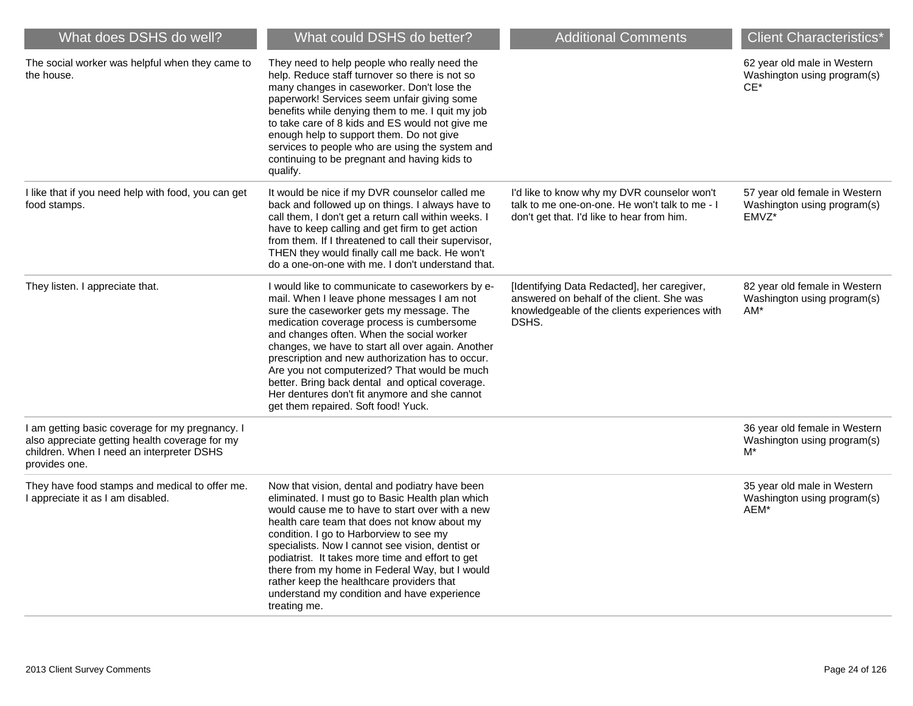| What does DSHS do well?                                                                                                                                         | What could DSHS do better?                                                                                                                                                                                                                                                                                                                                                                                                                                                                                                               | <b>Additional Comments</b>                                                                                                                         | <b>Client Characteristics*</b>                                        |
|-----------------------------------------------------------------------------------------------------------------------------------------------------------------|------------------------------------------------------------------------------------------------------------------------------------------------------------------------------------------------------------------------------------------------------------------------------------------------------------------------------------------------------------------------------------------------------------------------------------------------------------------------------------------------------------------------------------------|----------------------------------------------------------------------------------------------------------------------------------------------------|-----------------------------------------------------------------------|
| The social worker was helpful when they came to<br>the house.                                                                                                   | They need to help people who really need the<br>help. Reduce staff turnover so there is not so<br>many changes in caseworker. Don't lose the<br>paperwork! Services seem unfair giving some<br>benefits while denying them to me. I quit my job<br>to take care of 8 kids and ES would not give me<br>enough help to support them. Do not give<br>services to people who are using the system and<br>continuing to be pregnant and having kids to<br>qualify.                                                                            |                                                                                                                                                    | 62 year old male in Western<br>Washington using program(s)<br>$CE^*$  |
| I like that if you need help with food, you can get<br>food stamps.                                                                                             | It would be nice if my DVR counselor called me<br>back and followed up on things. I always have to<br>call them, I don't get a return call within weeks. I<br>have to keep calling and get firm to get action<br>from them. If I threatened to call their supervisor,<br>THEN they would finally call me back. He won't<br>do a one-on-one with me. I don't understand that.                                                                                                                                                             | I'd like to know why my DVR counselor won't<br>talk to me one-on-one. He won't talk to me - I<br>don't get that. I'd like to hear from him.        | 57 year old female in Western<br>Washington using program(s)<br>EMVZ* |
| They listen. I appreciate that.                                                                                                                                 | I would like to communicate to caseworkers by e-<br>mail. When I leave phone messages I am not<br>sure the caseworker gets my message. The<br>medication coverage process is cumbersome<br>and changes often. When the social worker<br>changes, we have to start all over again. Another<br>prescription and new authorization has to occur.<br>Are you not computerized? That would be much<br>better. Bring back dental and optical coverage.<br>Her dentures don't fit anymore and she cannot<br>get them repaired. Soft food! Yuck. | [Identifying Data Redacted], her caregiver,<br>answered on behalf of the client. She was<br>knowledgeable of the clients experiences with<br>DSHS. | 82 year old female in Western<br>Washington using program(s)<br>AM*   |
| I am getting basic coverage for my pregnancy. I<br>also appreciate getting health coverage for my<br>children. When I need an interpreter DSHS<br>provides one. |                                                                                                                                                                                                                                                                                                                                                                                                                                                                                                                                          |                                                                                                                                                    | 36 year old female in Western<br>Washington using program(s)<br>M*    |
| They have food stamps and medical to offer me.<br>I appreciate it as I am disabled.                                                                             | Now that vision, dental and podiatry have been<br>eliminated. I must go to Basic Health plan which<br>would cause me to have to start over with a new<br>health care team that does not know about my<br>condition. I go to Harborview to see my<br>specialists. Now I cannot see vision, dentist or<br>podiatrist. It takes more time and effort to get<br>there from my home in Federal Way, but I would<br>rather keep the healthcare providers that<br>understand my condition and have experience<br>treating me.                   |                                                                                                                                                    | 35 year old male in Western<br>Washington using program(s)<br>AEM*    |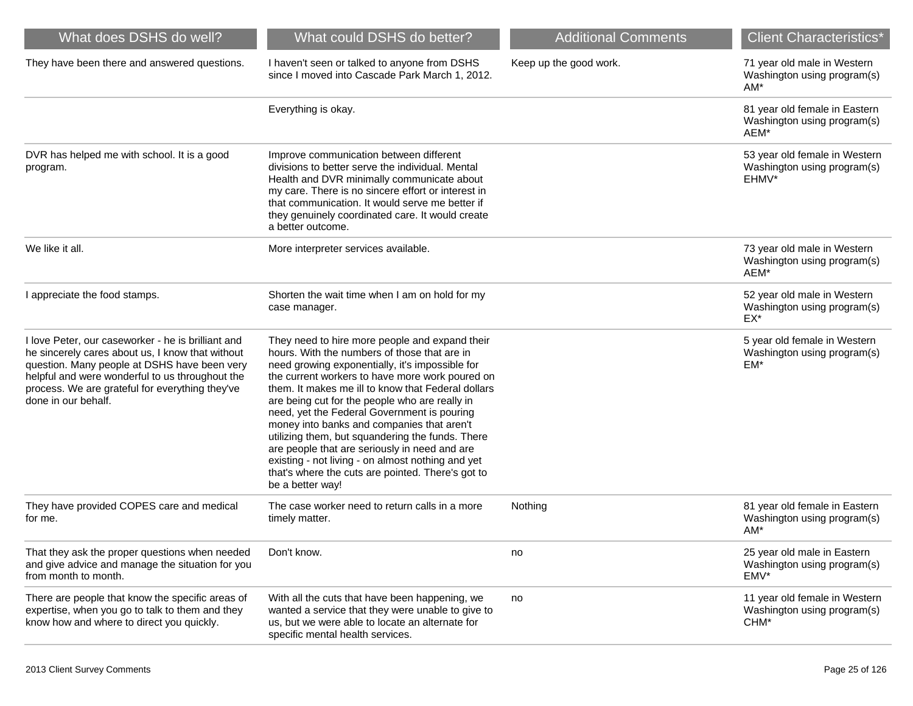| What does DSHS do well?                                                                                                                                                                                                                                                             | What could DSHS do better?                                                                                                                                                                                                                                                                                                                                                                                                                                                                                                                                                                                                                   | <b>Additional Comments</b> | <b>Client Characteristics*</b>                                        |
|-------------------------------------------------------------------------------------------------------------------------------------------------------------------------------------------------------------------------------------------------------------------------------------|----------------------------------------------------------------------------------------------------------------------------------------------------------------------------------------------------------------------------------------------------------------------------------------------------------------------------------------------------------------------------------------------------------------------------------------------------------------------------------------------------------------------------------------------------------------------------------------------------------------------------------------------|----------------------------|-----------------------------------------------------------------------|
| They have been there and answered questions.                                                                                                                                                                                                                                        | I haven't seen or talked to anyone from DSHS<br>since I moved into Cascade Park March 1, 2012.                                                                                                                                                                                                                                                                                                                                                                                                                                                                                                                                               | Keep up the good work.     | 71 year old male in Western<br>Washington using program(s)<br>$AM*$   |
|                                                                                                                                                                                                                                                                                     | Everything is okay.                                                                                                                                                                                                                                                                                                                                                                                                                                                                                                                                                                                                                          |                            | 81 year old female in Eastern<br>Washington using program(s)<br>AEM*  |
| DVR has helped me with school. It is a good<br>program.                                                                                                                                                                                                                             | Improve communication between different<br>divisions to better serve the individual. Mental<br>Health and DVR minimally communicate about<br>my care. There is no sincere effort or interest in<br>that communication. It would serve me better if<br>they genuinely coordinated care. It would create<br>a better outcome.                                                                                                                                                                                                                                                                                                                  |                            | 53 year old female in Western<br>Washington using program(s)<br>EHMV* |
| We like it all.                                                                                                                                                                                                                                                                     | More interpreter services available.                                                                                                                                                                                                                                                                                                                                                                                                                                                                                                                                                                                                         |                            | 73 year old male in Western<br>Washington using program(s)<br>AEM*    |
| I appreciate the food stamps.                                                                                                                                                                                                                                                       | Shorten the wait time when I am on hold for my<br>case manager.                                                                                                                                                                                                                                                                                                                                                                                                                                                                                                                                                                              |                            | 52 year old male in Western<br>Washington using program(s)<br>EX*     |
| I love Peter, our caseworker - he is brilliant and<br>he sincerely cares about us, I know that without<br>question. Many people at DSHS have been very<br>helpful and were wonderful to us throughout the<br>process. We are grateful for everything they've<br>done in our behalf. | They need to hire more people and expand their<br>hours. With the numbers of those that are in<br>need growing exponentially, it's impossible for<br>the current workers to have more work poured on<br>them. It makes me ill to know that Federal dollars<br>are being cut for the people who are really in<br>need, yet the Federal Government is pouring<br>money into banks and companies that aren't<br>utilizing them, but squandering the funds. There<br>are people that are seriously in need and are<br>existing - not living - on almost nothing and yet<br>that's where the cuts are pointed. There's got to<br>be a better way! |                            | 5 year old female in Western<br>Washington using program(s)<br>EM*    |
| They have provided COPES care and medical<br>for me.                                                                                                                                                                                                                                | The case worker need to return calls in a more<br>timely matter.                                                                                                                                                                                                                                                                                                                                                                                                                                                                                                                                                                             | Nothing                    | 81 year old female in Eastern<br>Washington using program(s)<br>$AM*$ |
| That they ask the proper questions when needed<br>and give advice and manage the situation for you<br>from month to month.                                                                                                                                                          | Don't know.                                                                                                                                                                                                                                                                                                                                                                                                                                                                                                                                                                                                                                  | no                         | 25 year old male in Eastern<br>Washington using program(s)<br>EMV*    |
| There are people that know the specific areas of<br>expertise, when you go to talk to them and they<br>know how and where to direct you quickly.                                                                                                                                    | With all the cuts that have been happening, we<br>wanted a service that they were unable to give to<br>us, but we were able to locate an alternate for<br>specific mental health services.                                                                                                                                                                                                                                                                                                                                                                                                                                                   | no                         | 11 year old female in Western<br>Washington using program(s)<br>CHM*  |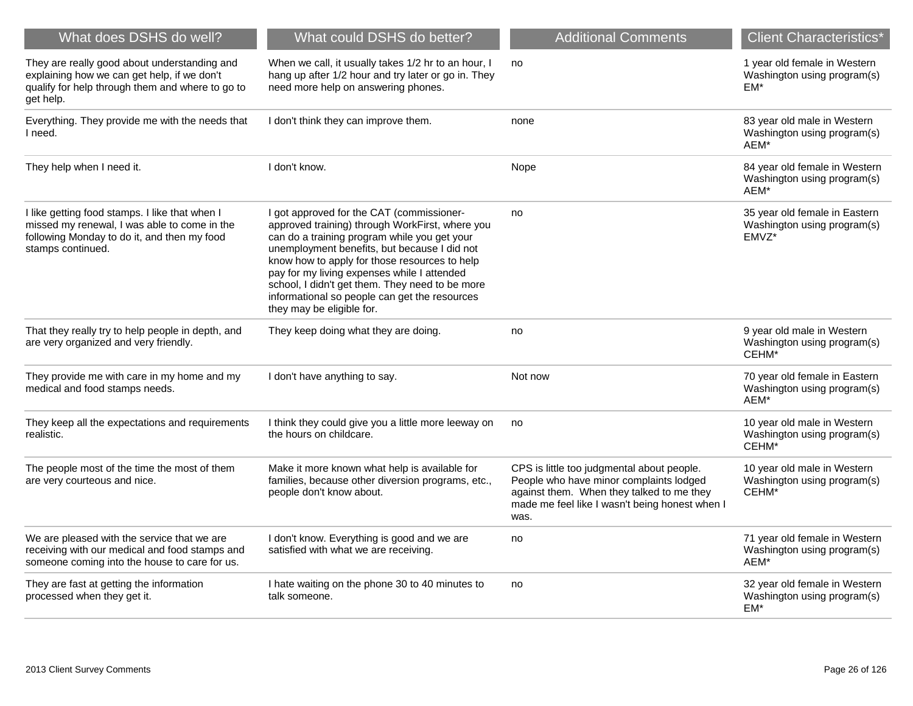| What does DSHS do well?                                                                                                                                            | What could DSHS do better?                                                                                                                                                                                                                                                                                                                                                                                                    | <b>Additional Comments</b>                                                                                                                                                                   | <b>Client Characteristics*</b>                                        |
|--------------------------------------------------------------------------------------------------------------------------------------------------------------------|-------------------------------------------------------------------------------------------------------------------------------------------------------------------------------------------------------------------------------------------------------------------------------------------------------------------------------------------------------------------------------------------------------------------------------|----------------------------------------------------------------------------------------------------------------------------------------------------------------------------------------------|-----------------------------------------------------------------------|
| They are really good about understanding and<br>explaining how we can get help, if we don't<br>qualify for help through them and where to go to<br>get help.       | When we call, it usually takes 1/2 hr to an hour, I<br>hang up after 1/2 hour and try later or go in. They<br>need more help on answering phones.                                                                                                                                                                                                                                                                             | no                                                                                                                                                                                           | 1 year old female in Western<br>Washington using program(s)<br>$EM*$  |
| Everything. They provide me with the needs that<br>I need.                                                                                                         | I don't think they can improve them.                                                                                                                                                                                                                                                                                                                                                                                          | none                                                                                                                                                                                         | 83 year old male in Western<br>Washington using program(s)<br>AEM*    |
| They help when I need it.                                                                                                                                          | I don't know.                                                                                                                                                                                                                                                                                                                                                                                                                 | Nope                                                                                                                                                                                         | 84 year old female in Western<br>Washington using program(s)<br>AEM*  |
| I like getting food stamps. I like that when I<br>missed my renewal, I was able to come in the<br>following Monday to do it, and then my food<br>stamps continued. | I got approved for the CAT (commissioner-<br>approved training) through WorkFirst, where you<br>can do a training program while you get your<br>unemployment benefits, but because I did not<br>know how to apply for those resources to help<br>pay for my living expenses while I attended<br>school, I didn't get them. They need to be more<br>informational so people can get the resources<br>they may be eligible for. | no                                                                                                                                                                                           | 35 year old female in Eastern<br>Washington using program(s)<br>EMVZ* |
| That they really try to help people in depth, and<br>are very organized and very friendly.                                                                         | They keep doing what they are doing.                                                                                                                                                                                                                                                                                                                                                                                          | no                                                                                                                                                                                           | 9 year old male in Western<br>Washington using program(s)<br>CEHM*    |
| They provide me with care in my home and my<br>medical and food stamps needs.                                                                                      | I don't have anything to say.                                                                                                                                                                                                                                                                                                                                                                                                 | Not now                                                                                                                                                                                      | 70 year old female in Eastern<br>Washington using program(s)<br>AEM*  |
| They keep all the expectations and requirements<br>realistic.                                                                                                      | I think they could give you a little more leeway on<br>the hours on childcare.                                                                                                                                                                                                                                                                                                                                                | no                                                                                                                                                                                           | 10 year old male in Western<br>Washington using program(s)<br>CEHM*   |
| The people most of the time the most of them<br>are very courteous and nice.                                                                                       | Make it more known what help is available for<br>families, because other diversion programs, etc.,<br>people don't know about.                                                                                                                                                                                                                                                                                                | CPS is little too judgmental about people.<br>People who have minor complaints lodged<br>against them. When they talked to me they<br>made me feel like I wasn't being honest when I<br>was. | 10 year old male in Western<br>Washington using program(s)<br>CEHM*   |
| We are pleased with the service that we are<br>receiving with our medical and food stamps and<br>someone coming into the house to care for us.                     | I don't know. Everything is good and we are<br>satisfied with what we are receiving.                                                                                                                                                                                                                                                                                                                                          | no                                                                                                                                                                                           | 71 year old female in Western<br>Washington using program(s)<br>AEM*  |
| They are fast at getting the information<br>processed when they get it.                                                                                            | I hate waiting on the phone 30 to 40 minutes to<br>talk someone.                                                                                                                                                                                                                                                                                                                                                              | no                                                                                                                                                                                           | 32 year old female in Western<br>Washington using program(s)<br>EM*   |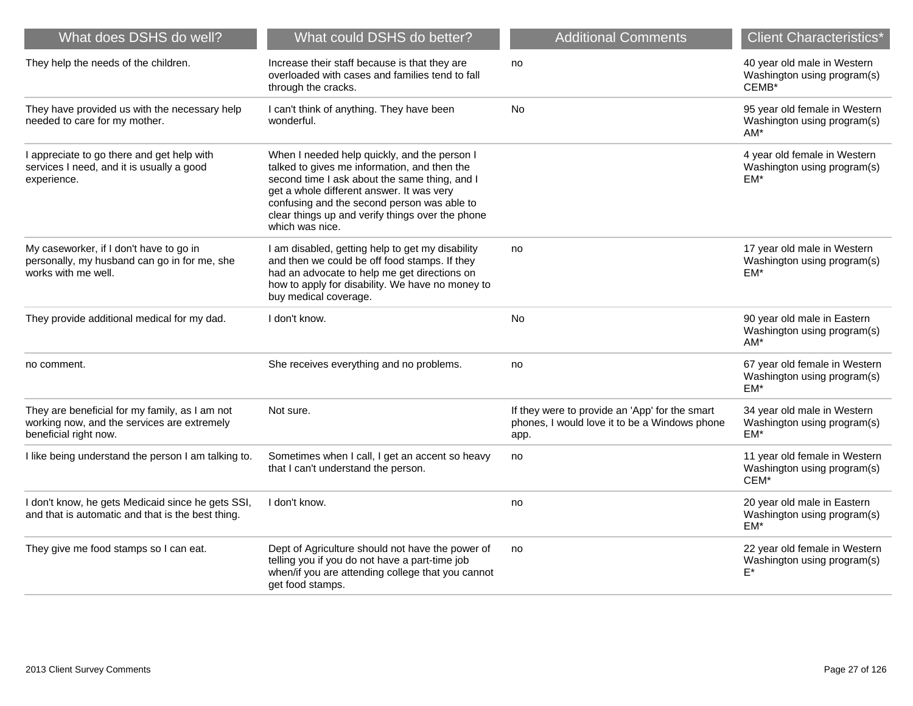| What does DSHS do well?                                                                                                | What could DSHS do better?                                                                                                                                                                                                                                                                                       | <b>Additional Comments</b>                                                                              | <b>Client Characteristics*</b>                                        |
|------------------------------------------------------------------------------------------------------------------------|------------------------------------------------------------------------------------------------------------------------------------------------------------------------------------------------------------------------------------------------------------------------------------------------------------------|---------------------------------------------------------------------------------------------------------|-----------------------------------------------------------------------|
| They help the needs of the children.                                                                                   | Increase their staff because is that they are<br>overloaded with cases and families tend to fall<br>through the cracks.                                                                                                                                                                                          | no                                                                                                      | 40 year old male in Western<br>Washington using program(s)<br>CEMB*   |
| They have provided us with the necessary help<br>needed to care for my mother.                                         | I can't think of anything. They have been<br>wonderful.                                                                                                                                                                                                                                                          | <b>No</b>                                                                                               | 95 year old female in Western<br>Washington using program(s)<br>$AM*$ |
| I appreciate to go there and get help with<br>services I need, and it is usually a good<br>experience.                 | When I needed help quickly, and the person I<br>talked to gives me information, and then the<br>second time I ask about the same thing, and I<br>get a whole different answer. It was very<br>confusing and the second person was able to<br>clear things up and verify things over the phone<br>which was nice. |                                                                                                         | 4 year old female in Western<br>Washington using program(s)<br>EM*    |
| My caseworker, if I don't have to go in<br>personally, my husband can go in for me, she<br>works with me well.         | I am disabled, getting help to get my disability<br>and then we could be off food stamps. If they<br>had an advocate to help me get directions on<br>how to apply for disability. We have no money to<br>buy medical coverage.                                                                                   | no                                                                                                      | 17 year old male in Western<br>Washington using program(s)<br>EM*     |
| They provide additional medical for my dad.                                                                            | I don't know.                                                                                                                                                                                                                                                                                                    | <b>No</b>                                                                                               | 90 year old male in Eastern<br>Washington using program(s)<br>AM*     |
| no comment.                                                                                                            | She receives everything and no problems.                                                                                                                                                                                                                                                                         | no                                                                                                      | 67 year old female in Western<br>Washington using program(s)<br>EM*   |
| They are beneficial for my family, as I am not<br>working now, and the services are extremely<br>beneficial right now. | Not sure.                                                                                                                                                                                                                                                                                                        | If they were to provide an 'App' for the smart<br>phones, I would love it to be a Windows phone<br>app. | 34 year old male in Western<br>Washington using program(s)<br>$EM*$   |
| I like being understand the person I am talking to.                                                                    | Sometimes when I call, I get an accent so heavy<br>that I can't understand the person.                                                                                                                                                                                                                           | no                                                                                                      | 11 year old female in Western<br>Washington using program(s)<br>CEM*  |
| I don't know, he gets Medicaid since he gets SSI,<br>and that is automatic and that is the best thing.                 | I don't know.                                                                                                                                                                                                                                                                                                    | no                                                                                                      | 20 year old male in Eastern<br>Washington using program(s)<br>EM*     |
| They give me food stamps so I can eat.                                                                                 | Dept of Agriculture should not have the power of<br>telling you if you do not have a part-time job<br>when/if you are attending college that you cannot<br>get food stamps.                                                                                                                                      | no                                                                                                      | 22 year old female in Western<br>Washington using program(s)<br>E*    |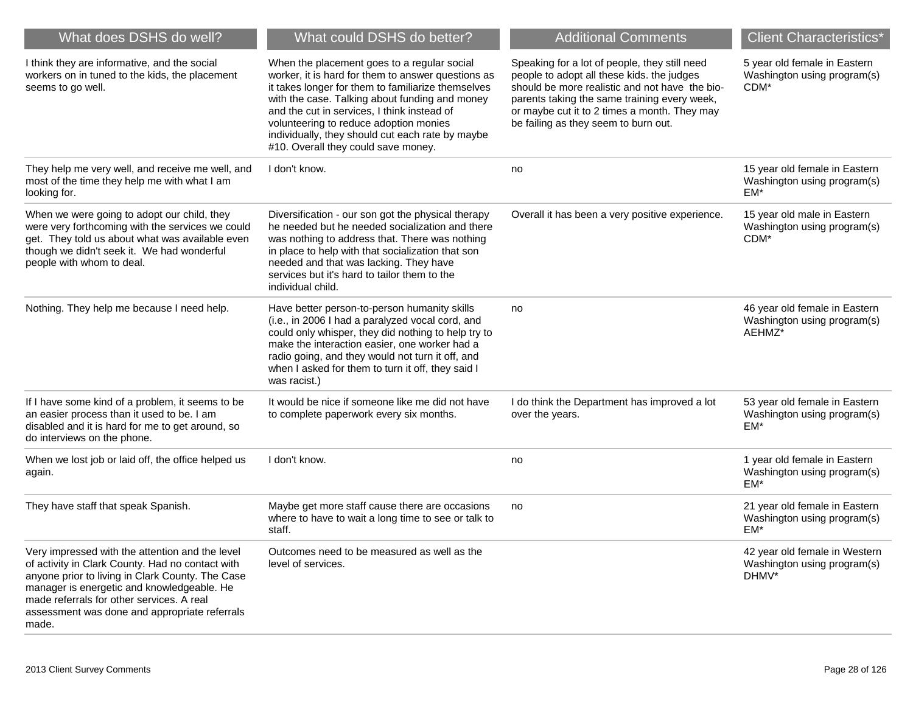| What does DSHS do well?                                                                                                                                                                                                                                                                                      | What could DSHS do better?                                                                                                                                                                                                                                                                                                                                                                    | <b>Additional Comments</b>                                                                                                                                                                                                                                                            | <b>Client Characteristics*</b>                                                  |
|--------------------------------------------------------------------------------------------------------------------------------------------------------------------------------------------------------------------------------------------------------------------------------------------------------------|-----------------------------------------------------------------------------------------------------------------------------------------------------------------------------------------------------------------------------------------------------------------------------------------------------------------------------------------------------------------------------------------------|---------------------------------------------------------------------------------------------------------------------------------------------------------------------------------------------------------------------------------------------------------------------------------------|---------------------------------------------------------------------------------|
| I think they are informative, and the social<br>workers on in tuned to the kids, the placement<br>seems to go well.                                                                                                                                                                                          | When the placement goes to a regular social<br>worker, it is hard for them to answer questions as<br>it takes longer for them to familiarize themselves<br>with the case. Talking about funding and money<br>and the cut in services, I think instead of<br>volunteering to reduce adoption monies<br>individually, they should cut each rate by maybe<br>#10. Overall they could save money. | Speaking for a lot of people, they still need<br>people to adopt all these kids. the judges<br>should be more realistic and not have the bio-<br>parents taking the same training every week,<br>or maybe cut it to 2 times a month. They may<br>be failing as they seem to burn out. | 5 year old female in Eastern<br>Washington using program(s)<br>CDM <sup>*</sup> |
| They help me very well, and receive me well, and<br>most of the time they help me with what I am<br>looking for.                                                                                                                                                                                             | I don't know.                                                                                                                                                                                                                                                                                                                                                                                 | no                                                                                                                                                                                                                                                                                    | 15 year old female in Eastern<br>Washington using program(s)<br>EM*             |
| When we were going to adopt our child, they<br>were very forthcoming with the services we could<br>get. They told us about what was available even<br>though we didn't seek it. We had wonderful<br>people with whom to deal.                                                                                | Diversification - our son got the physical therapy<br>he needed but he needed socialization and there<br>was nothing to address that. There was nothing<br>in place to help with that socialization that son<br>needed and that was lacking. They have<br>services but it's hard to tailor them to the<br>individual child.                                                                   | Overall it has been a very positive experience.                                                                                                                                                                                                                                       | 15 year old male in Eastern<br>Washington using program(s)<br>CDM*              |
| Nothing. They help me because I need help.                                                                                                                                                                                                                                                                   | Have better person-to-person humanity skills<br>(i.e., in 2006 I had a paralyzed vocal cord, and<br>could only whisper, they did nothing to help try to<br>make the interaction easier, one worker had a<br>radio going, and they would not turn it off, and<br>when I asked for them to turn it off, they said I<br>was racist.)                                                             | no                                                                                                                                                                                                                                                                                    | 46 year old female in Eastern<br>Washington using program(s)<br>AEHMZ*          |
| If I have some kind of a problem, it seems to be<br>an easier process than it used to be. I am<br>disabled and it is hard for me to get around, so<br>do interviews on the phone.                                                                                                                            | It would be nice if someone like me did not have<br>to complete paperwork every six months.                                                                                                                                                                                                                                                                                                   | I do think the Department has improved a lot<br>over the years.                                                                                                                                                                                                                       | 53 year old female in Eastern<br>Washington using program(s)<br>EM*             |
| When we lost job or laid off, the office helped us<br>again.                                                                                                                                                                                                                                                 | I don't know.                                                                                                                                                                                                                                                                                                                                                                                 | no                                                                                                                                                                                                                                                                                    | 1 year old female in Eastern<br>Washington using program(s)<br>EM*              |
| They have staff that speak Spanish.                                                                                                                                                                                                                                                                          | Maybe get more staff cause there are occasions<br>where to have to wait a long time to see or talk to<br>staff.                                                                                                                                                                                                                                                                               | no                                                                                                                                                                                                                                                                                    | 21 year old female in Eastern<br>Washington using program(s)<br>EM*             |
| Very impressed with the attention and the level<br>of activity in Clark County. Had no contact with<br>anyone prior to living in Clark County. The Case<br>manager is energetic and knowledgeable. He<br>made referrals for other services. A real<br>assessment was done and appropriate referrals<br>made. | Outcomes need to be measured as well as the<br>level of services.                                                                                                                                                                                                                                                                                                                             |                                                                                                                                                                                                                                                                                       | 42 year old female in Western<br>Washington using program(s)<br>DHMV*           |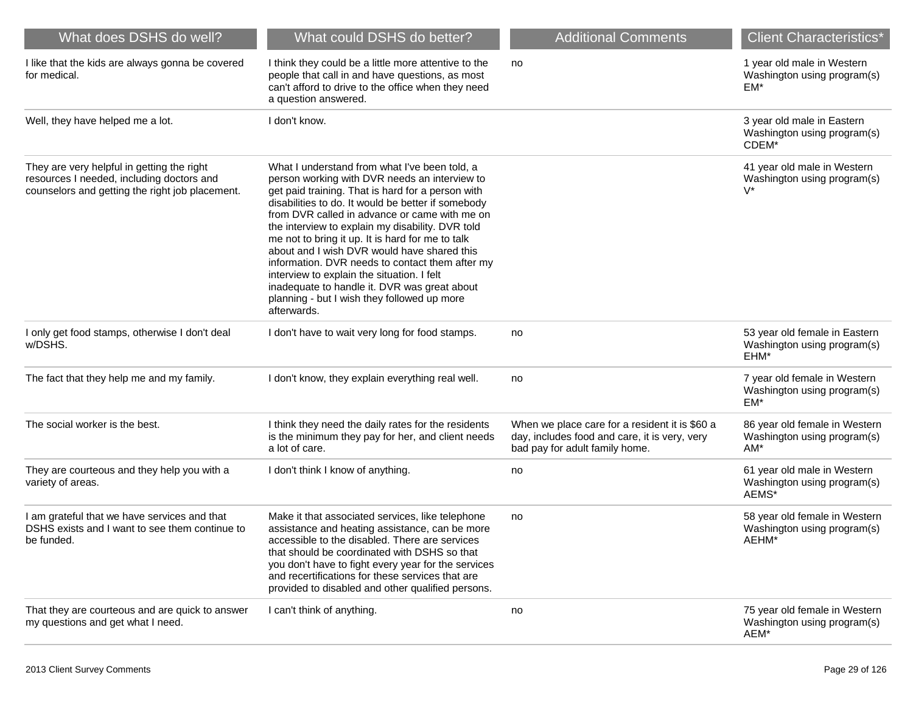| What does DSHS do well?                                                                                                                    | What could DSHS do better?                                                                                                                                                                                                                                                                                                                                                                                                                                                                                                                                                                                                       | <b>Additional Comments</b>                                                                                                        | <b>Client Characteristics*</b>                                        |
|--------------------------------------------------------------------------------------------------------------------------------------------|----------------------------------------------------------------------------------------------------------------------------------------------------------------------------------------------------------------------------------------------------------------------------------------------------------------------------------------------------------------------------------------------------------------------------------------------------------------------------------------------------------------------------------------------------------------------------------------------------------------------------------|-----------------------------------------------------------------------------------------------------------------------------------|-----------------------------------------------------------------------|
| I like that the kids are always gonna be covered<br>for medical.                                                                           | I think they could be a little more attentive to the<br>people that call in and have questions, as most<br>can't afford to drive to the office when they need<br>a question answered.                                                                                                                                                                                                                                                                                                                                                                                                                                            | no                                                                                                                                | 1 year old male in Western<br>Washington using program(s)<br>EM*      |
| Well, they have helped me a lot.                                                                                                           | I don't know.                                                                                                                                                                                                                                                                                                                                                                                                                                                                                                                                                                                                                    |                                                                                                                                   | 3 year old male in Eastern<br>Washington using program(s)<br>CDEM*    |
| They are very helpful in getting the right<br>resources I needed, including doctors and<br>counselors and getting the right job placement. | What I understand from what I've been told, a<br>person working with DVR needs an interview to<br>get paid training. That is hard for a person with<br>disabilities to do. It would be better if somebody<br>from DVR called in advance or came with me on<br>the interview to explain my disability. DVR told<br>me not to bring it up. It is hard for me to talk<br>about and I wish DVR would have shared this<br>information. DVR needs to contact them after my<br>interview to explain the situation. I felt<br>inadequate to handle it. DVR was great about<br>planning - but I wish they followed up more<br>afterwards. |                                                                                                                                   | 41 year old male in Western<br>Washington using program(s)<br>$V^*$   |
| I only get food stamps, otherwise I don't deal<br>w/DSHS.                                                                                  | I don't have to wait very long for food stamps.                                                                                                                                                                                                                                                                                                                                                                                                                                                                                                                                                                                  | no                                                                                                                                | 53 year old female in Eastern<br>Washington using program(s)<br>EHM*  |
| The fact that they help me and my family.                                                                                                  | I don't know, they explain everything real well.                                                                                                                                                                                                                                                                                                                                                                                                                                                                                                                                                                                 | no                                                                                                                                | 7 year old female in Western<br>Washington using program(s)<br>EM*    |
| The social worker is the best.                                                                                                             | I think they need the daily rates for the residents<br>is the minimum they pay for her, and client needs<br>a lot of care.                                                                                                                                                                                                                                                                                                                                                                                                                                                                                                       | When we place care for a resident it is \$60 a<br>day, includes food and care, it is very, very<br>bad pay for adult family home. | 86 year old female in Western<br>Washington using program(s)<br>AM*   |
| They are courteous and they help you with a<br>variety of areas.                                                                           | I don't think I know of anything.                                                                                                                                                                                                                                                                                                                                                                                                                                                                                                                                                                                                | no                                                                                                                                | 61 year old male in Western<br>Washington using program(s)<br>AEMS*   |
| I am grateful that we have services and that<br>DSHS exists and I want to see them continue to<br>be funded.                               | Make it that associated services, like telephone<br>assistance and heating assistance, can be more<br>accessible to the disabled. There are services<br>that should be coordinated with DSHS so that<br>you don't have to fight every year for the services<br>and recertifications for these services that are<br>provided to disabled and other qualified persons.                                                                                                                                                                                                                                                             | no                                                                                                                                | 58 year old female in Western<br>Washington using program(s)<br>AEHM* |
| That they are courteous and are quick to answer<br>my questions and get what I need.                                                       | I can't think of anything.                                                                                                                                                                                                                                                                                                                                                                                                                                                                                                                                                                                                       | no                                                                                                                                | 75 year old female in Western<br>Washington using program(s)<br>AEM*  |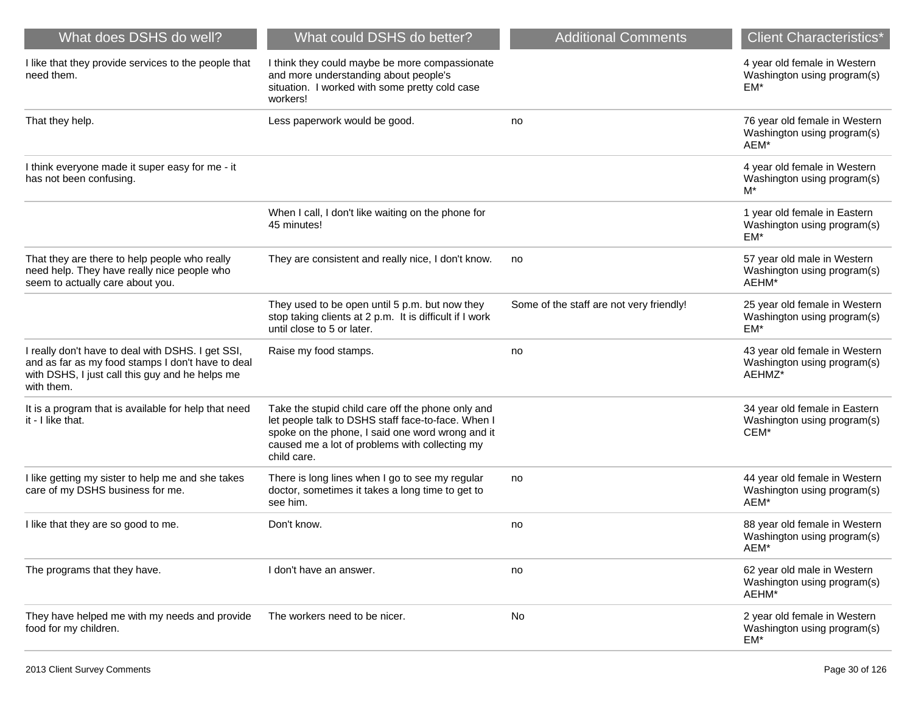| What does DSHS do well?                                                                                                                                                 | What could DSHS do better?                                                                                                                                                                                                   | <b>Additional Comments</b>               | <b>Client Characteristics*</b>                                         |
|-------------------------------------------------------------------------------------------------------------------------------------------------------------------------|------------------------------------------------------------------------------------------------------------------------------------------------------------------------------------------------------------------------------|------------------------------------------|------------------------------------------------------------------------|
| I like that they provide services to the people that<br>need them.                                                                                                      | I think they could maybe be more compassionate<br>and more understanding about people's<br>situation. I worked with some pretty cold case<br>workers!                                                                        |                                          | 4 year old female in Western<br>Washington using program(s)<br>EM*     |
| That they help.                                                                                                                                                         | Less paperwork would be good.                                                                                                                                                                                                | no                                       | 76 year old female in Western<br>Washington using program(s)<br>AEM*   |
| I think everyone made it super easy for me - it<br>has not been confusing.                                                                                              |                                                                                                                                                                                                                              |                                          | 4 year old female in Western<br>Washington using program(s)<br>M*      |
|                                                                                                                                                                         | When I call, I don't like waiting on the phone for<br>45 minutes!                                                                                                                                                            |                                          | 1 year old female in Eastern<br>Washington using program(s)<br>$EM^*$  |
| That they are there to help people who really<br>need help. They have really nice people who<br>seem to actually care about you.                                        | They are consistent and really nice, I don't know.                                                                                                                                                                           | no                                       | 57 year old male in Western<br>Washington using program(s)<br>AEHM*    |
|                                                                                                                                                                         | They used to be open until 5 p.m. but now they<br>stop taking clients at 2 p.m. It is difficult if I work<br>until close to 5 or later.                                                                                      | Some of the staff are not very friendly! | 25 year old female in Western<br>Washington using program(s)<br>EM*    |
| I really don't have to deal with DSHS. I get SSI,<br>and as far as my food stamps I don't have to deal<br>with DSHS, I just call this guy and he helps me<br>with them. | Raise my food stamps.                                                                                                                                                                                                        | no                                       | 43 year old female in Western<br>Washington using program(s)<br>AEHMZ* |
| It is a program that is available for help that need<br>it - I like that.                                                                                               | Take the stupid child care off the phone only and<br>let people talk to DSHS staff face-to-face. When I<br>spoke on the phone, I said one word wrong and it<br>caused me a lot of problems with collecting my<br>child care. |                                          | 34 year old female in Eastern<br>Washington using program(s)<br>CEM*   |
| I like getting my sister to help me and she takes<br>care of my DSHS business for me.                                                                                   | There is long lines when I go to see my regular<br>doctor, sometimes it takes a long time to get to<br>see him.                                                                                                              | no                                       | 44 year old female in Western<br>Washington using program(s)<br>AEM*   |
| I like that they are so good to me.                                                                                                                                     | Don't know.                                                                                                                                                                                                                  | no                                       | 88 year old female in Western<br>Washington using program(s)<br>AEM'   |
| The programs that they have.                                                                                                                                            | I don't have an answer.                                                                                                                                                                                                      | no                                       | 62 year old male in Western<br>Washington using program(s)<br>AEHM*    |
| They have helped me with my needs and provide<br>food for my children.                                                                                                  | The workers need to be nicer.                                                                                                                                                                                                | No                                       | 2 year old female in Western<br>Washington using program(s)<br>EM*     |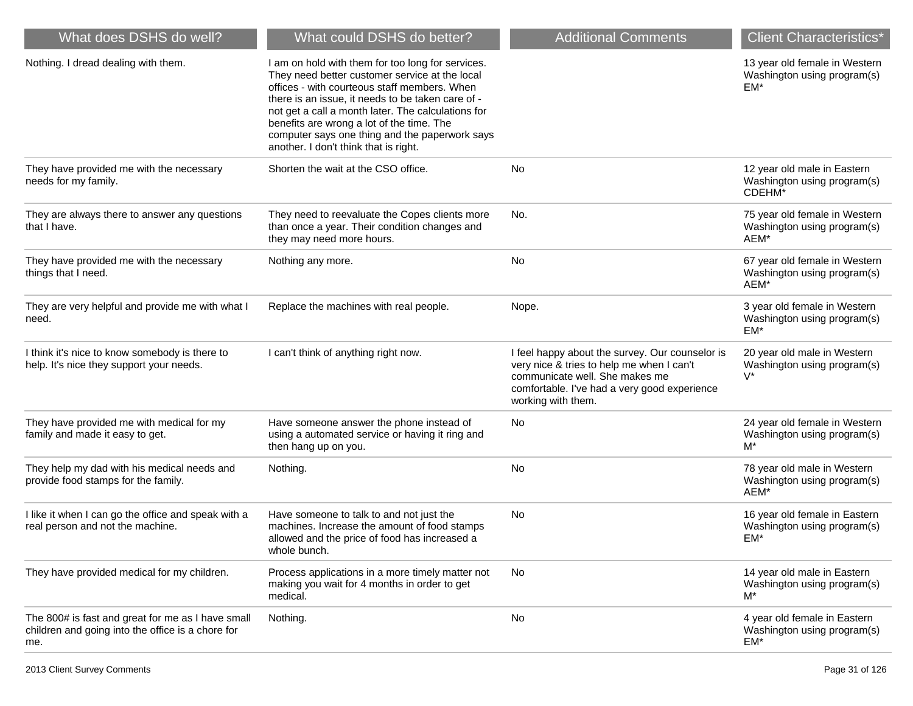| What does DSHS do well?                                                                                       | What could DSHS do better?                                                                                                                                                                                                                                                                                                                                                                             | <b>Additional Comments</b>                                                                                                                                                                           | <b>Client Characteristics*</b>                                       |
|---------------------------------------------------------------------------------------------------------------|--------------------------------------------------------------------------------------------------------------------------------------------------------------------------------------------------------------------------------------------------------------------------------------------------------------------------------------------------------------------------------------------------------|------------------------------------------------------------------------------------------------------------------------------------------------------------------------------------------------------|----------------------------------------------------------------------|
| Nothing. I dread dealing with them.                                                                           | I am on hold with them for too long for services.<br>They need better customer service at the local<br>offices - with courteous staff members. When<br>there is an issue, it needs to be taken care of -<br>not get a call a month later. The calculations for<br>benefits are wrong a lot of the time. The<br>computer says one thing and the paperwork says<br>another. I don't think that is right. |                                                                                                                                                                                                      | 13 year old female in Western<br>Washington using program(s)<br>EM*  |
| They have provided me with the necessary<br>needs for my family.                                              | Shorten the wait at the CSO office.                                                                                                                                                                                                                                                                                                                                                                    | No                                                                                                                                                                                                   | 12 year old male in Eastern<br>Washington using program(s)<br>CDEHM* |
| They are always there to answer any questions<br>that I have.                                                 | They need to reevaluate the Copes clients more<br>than once a year. Their condition changes and<br>they may need more hours.                                                                                                                                                                                                                                                                           | No.                                                                                                                                                                                                  | 75 year old female in Western<br>Washington using program(s)<br>AEM* |
| They have provided me with the necessary<br>things that I need.                                               | Nothing any more.                                                                                                                                                                                                                                                                                                                                                                                      | No                                                                                                                                                                                                   | 67 year old female in Western<br>Washington using program(s)<br>AEM* |
| They are very helpful and provide me with what I<br>need.                                                     | Replace the machines with real people.                                                                                                                                                                                                                                                                                                                                                                 | Nope.                                                                                                                                                                                                | 3 year old female in Western<br>Washington using program(s)<br>EM*   |
| I think it's nice to know somebody is there to<br>help. It's nice they support your needs.                    | I can't think of anything right now.                                                                                                                                                                                                                                                                                                                                                                   | I feel happy about the survey. Our counselor is<br>very nice & tries to help me when I can't<br>communicate well. She makes me<br>comfortable. I've had a very good experience<br>working with them. | 20 year old male in Western<br>Washington using program(s)<br>V*     |
| They have provided me with medical for my<br>family and made it easy to get.                                  | Have someone answer the phone instead of<br>using a automated service or having it ring and<br>then hang up on you.                                                                                                                                                                                                                                                                                    | No                                                                                                                                                                                                   | 24 year old female in Western<br>Washington using program(s)<br>M*   |
| They help my dad with his medical needs and<br>provide food stamps for the family.                            | Nothing.                                                                                                                                                                                                                                                                                                                                                                                               | No                                                                                                                                                                                                   | 78 year old male in Western<br>Washington using program(s)<br>AEM*   |
| I like it when I can go the office and speak with a<br>real person and not the machine.                       | Have someone to talk to and not just the<br>machines. Increase the amount of food stamps<br>allowed and the price of food has increased a<br>whole bunch.                                                                                                                                                                                                                                              | No                                                                                                                                                                                                   | 16 year old female in Eastern<br>Washington using program(s)<br>EM*  |
| They have provided medical for my children.                                                                   | Process applications in a more timely matter not<br>making you wait for 4 months in order to get<br>medical.                                                                                                                                                                                                                                                                                           | No                                                                                                                                                                                                   | 14 year old male in Eastern<br>Washington using program(s)<br>M*     |
| The 800# is fast and great for me as I have small<br>children and going into the office is a chore for<br>me. | Nothing.                                                                                                                                                                                                                                                                                                                                                                                               | No                                                                                                                                                                                                   | 4 year old female in Eastern<br>Washington using program(s)<br>EM*   |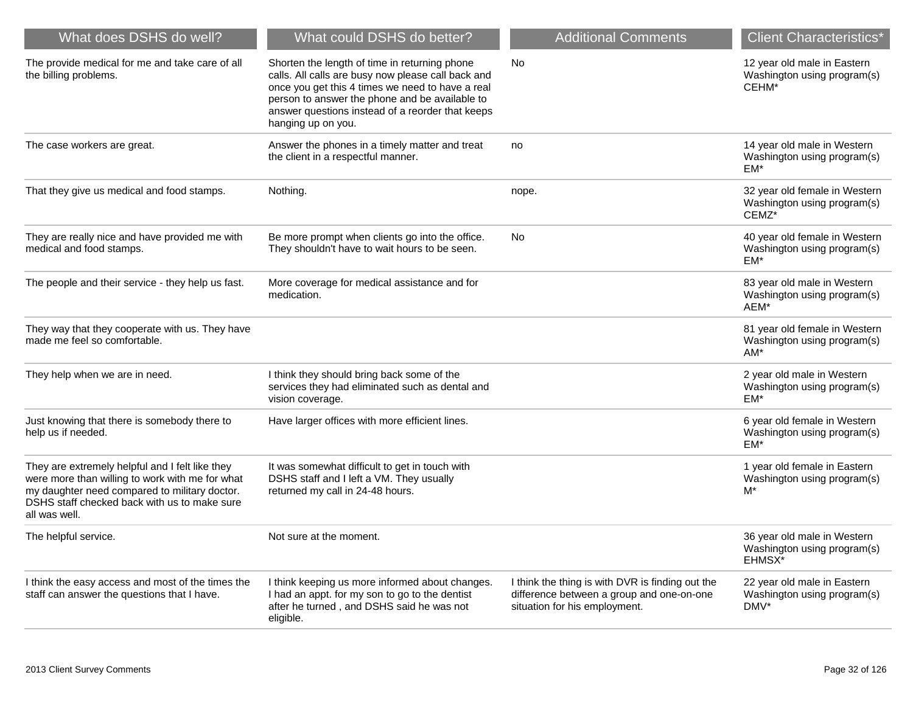| What does DSHS do well?                                                                                                                                                                                              | What could DSHS do better?                                                                                                                                                                                                                                                          | <b>Additional Comments</b>                                                                                                     | <b>Client Characteristics*</b>                                        |
|----------------------------------------------------------------------------------------------------------------------------------------------------------------------------------------------------------------------|-------------------------------------------------------------------------------------------------------------------------------------------------------------------------------------------------------------------------------------------------------------------------------------|--------------------------------------------------------------------------------------------------------------------------------|-----------------------------------------------------------------------|
| The provide medical for me and take care of all<br>the billing problems.                                                                                                                                             | Shorten the length of time in returning phone<br>calls. All calls are busy now please call back and<br>once you get this 4 times we need to have a real<br>person to answer the phone and be available to<br>answer questions instead of a reorder that keeps<br>hanging up on you. | <b>No</b>                                                                                                                      | 12 year old male in Eastern<br>Washington using program(s)<br>CEHM*   |
| The case workers are great.                                                                                                                                                                                          | Answer the phones in a timely matter and treat<br>the client in a respectful manner.                                                                                                                                                                                                | no                                                                                                                             | 14 year old male in Western<br>Washington using program(s)<br>$EM*$   |
| That they give us medical and food stamps.                                                                                                                                                                           | Nothing.                                                                                                                                                                                                                                                                            | nope.                                                                                                                          | 32 year old female in Western<br>Washington using program(s)<br>CEMZ* |
| They are really nice and have provided me with<br>medical and food stamps.                                                                                                                                           | Be more prompt when clients go into the office.<br>They shouldn't have to wait hours to be seen.                                                                                                                                                                                    | No                                                                                                                             | 40 year old female in Western<br>Washington using program(s)<br>EM*   |
| The people and their service - they help us fast.                                                                                                                                                                    | More coverage for medical assistance and for<br>medication.                                                                                                                                                                                                                         |                                                                                                                                | 83 year old male in Western<br>Washington using program(s)<br>AEM*    |
| They way that they cooperate with us. They have<br>made me feel so comfortable.                                                                                                                                      |                                                                                                                                                                                                                                                                                     |                                                                                                                                | 81 year old female in Western<br>Washington using program(s)<br>$AM*$ |
| They help when we are in need.                                                                                                                                                                                       | I think they should bring back some of the<br>services they had eliminated such as dental and<br>vision coverage.                                                                                                                                                                   |                                                                                                                                | 2 year old male in Western<br>Washington using program(s)<br>EM*      |
| Just knowing that there is somebody there to<br>help us if needed.                                                                                                                                                   | Have larger offices with more efficient lines.                                                                                                                                                                                                                                      |                                                                                                                                | 6 year old female in Western<br>Washington using program(s)<br>EM*    |
| They are extremely helpful and I felt like they<br>were more than willing to work with me for what<br>my daughter need compared to military doctor.<br>DSHS staff checked back with us to make sure<br>all was well. | It was somewhat difficult to get in touch with<br>DSHS staff and I left a VM. They usually<br>returned my call in 24-48 hours.                                                                                                                                                      |                                                                                                                                | 1 year old female in Eastern<br>Washington using program(s)<br>M*     |
| The helpful service.                                                                                                                                                                                                 | Not sure at the moment.                                                                                                                                                                                                                                                             |                                                                                                                                | 36 year old male in Western<br>Washington using program(s)<br>EHMSX*  |
| I think the easy access and most of the times the<br>staff can answer the questions that I have.                                                                                                                     | I think keeping us more informed about changes.<br>I had an appt. for my son to go to the dentist<br>after he turned, and DSHS said he was not<br>eligible.                                                                                                                         | I think the thing is with DVR is finding out the<br>difference between a group and one-on-one<br>situation for his employment. | 22 year old male in Eastern<br>Washington using program(s)<br>DMV*    |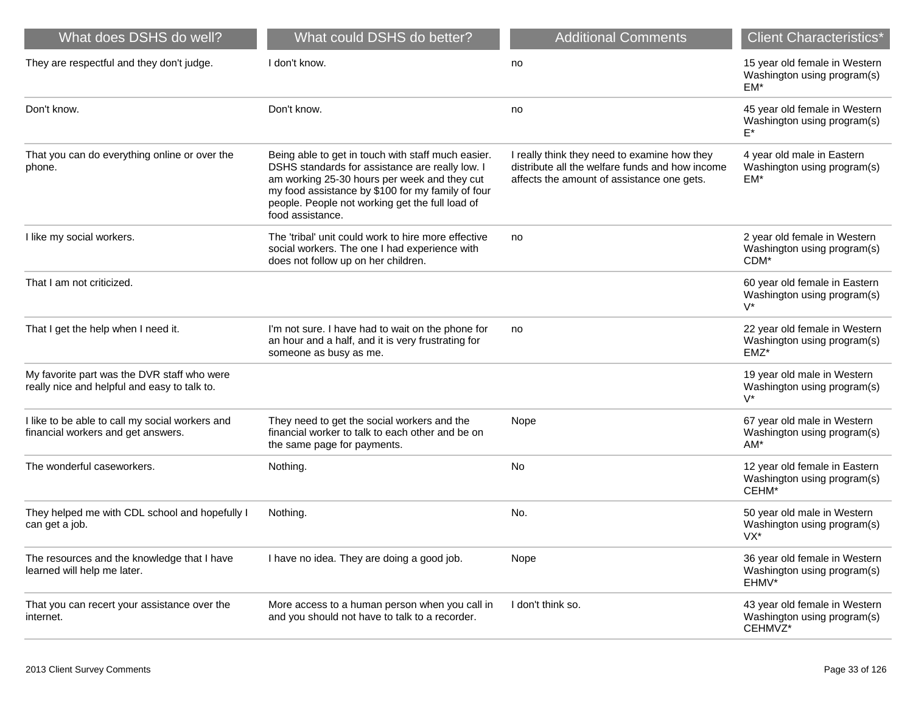| What does DSHS do well?                                                                     | What could DSHS do better?                                                                                                                                                                                                                                                        | <b>Additional Comments</b>                                                                                                                    | <b>Client Characteristics*</b>                                          |
|---------------------------------------------------------------------------------------------|-----------------------------------------------------------------------------------------------------------------------------------------------------------------------------------------------------------------------------------------------------------------------------------|-----------------------------------------------------------------------------------------------------------------------------------------------|-------------------------------------------------------------------------|
| They are respectful and they don't judge.                                                   | I don't know.                                                                                                                                                                                                                                                                     | no                                                                                                                                            | 15 year old female in Western<br>Washington using program(s)<br>$EM*$   |
| Don't know.                                                                                 | Don't know.                                                                                                                                                                                                                                                                       | no                                                                                                                                            | 45 year old female in Western<br>Washington using program(s)<br>E*      |
| That you can do everything online or over the<br>phone.                                     | Being able to get in touch with staff much easier.<br>DSHS standards for assistance are really low. I<br>am working 25-30 hours per week and they cut<br>my food assistance by \$100 for my family of four<br>people. People not working get the full load of<br>food assistance. | I really think they need to examine how they<br>distribute all the welfare funds and how income<br>affects the amount of assistance one gets. | 4 year old male in Eastern<br>Washington using program(s)<br>EM*        |
| I like my social workers.                                                                   | The 'tribal' unit could work to hire more effective<br>social workers. The one I had experience with<br>does not follow up on her children.                                                                                                                                       | no                                                                                                                                            | 2 year old female in Western<br>Washington using program(s)<br>CDM*     |
| That I am not criticized.                                                                   |                                                                                                                                                                                                                                                                                   |                                                                                                                                               | 60 year old female in Eastern<br>Washington using program(s)<br>$V^*$   |
| That I get the help when I need it.                                                         | I'm not sure. I have had to wait on the phone for<br>an hour and a half, and it is very frustrating for<br>someone as busy as me.                                                                                                                                                 | no                                                                                                                                            | 22 year old female in Western<br>Washington using program(s)<br>EMZ*    |
| My favorite part was the DVR staff who were<br>really nice and helpful and easy to talk to. |                                                                                                                                                                                                                                                                                   |                                                                                                                                               | 19 year old male in Western<br>Washington using program(s)<br>$V^*$     |
| I like to be able to call my social workers and<br>financial workers and get answers.       | They need to get the social workers and the<br>financial worker to talk to each other and be on<br>the same page for payments.                                                                                                                                                    | Nope                                                                                                                                          | 67 year old male in Western<br>Washington using program(s)<br>$AM*$     |
| The wonderful caseworkers.                                                                  | Nothing.                                                                                                                                                                                                                                                                          | No                                                                                                                                            | 12 year old female in Eastern<br>Washington using program(s)<br>CEHM*   |
| They helped me with CDL school and hopefully I<br>can get a job.                            | Nothing.                                                                                                                                                                                                                                                                          | No.                                                                                                                                           | 50 year old male in Western<br>Washington using program(s)<br>VX*       |
| The resources and the knowledge that I have<br>learned will help me later.                  | I have no idea. They are doing a good job.                                                                                                                                                                                                                                        | Nope                                                                                                                                          | 36 year old female in Western<br>Washington using program(s)<br>EHMV*   |
| That you can recert your assistance over the<br>internet.                                   | More access to a human person when you call in<br>and you should not have to talk to a recorder.                                                                                                                                                                                  | I don't think so.                                                                                                                             | 43 year old female in Western<br>Washington using program(s)<br>CEHMVZ* |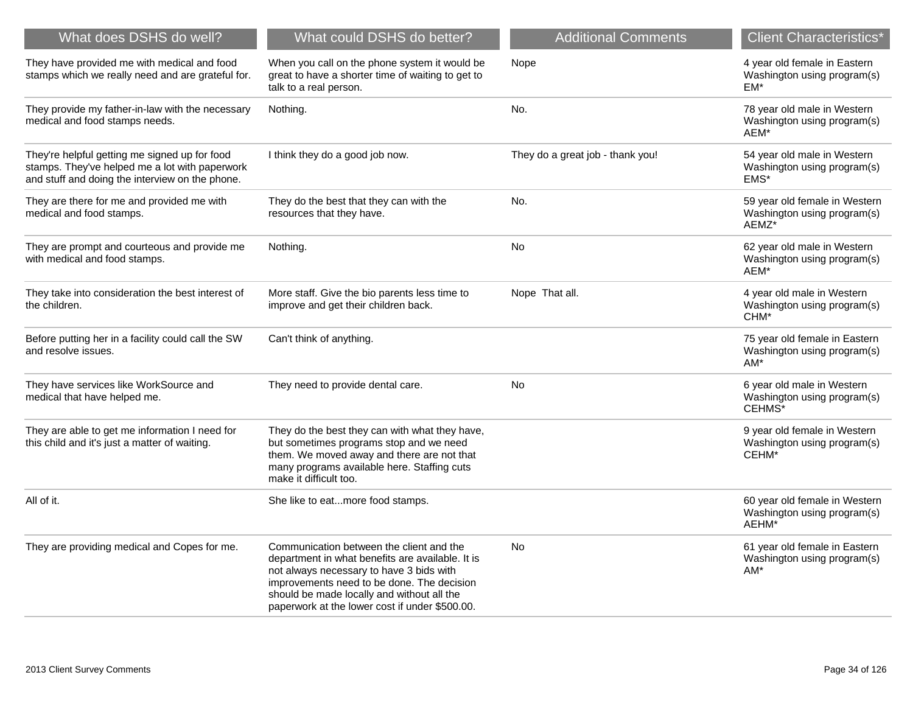| What does DSHS do well?                                                                                                                            | What could DSHS do better?                                                                                                                                                                                                                                                             | <b>Additional Comments</b>       | <b>Client Characteristics*</b>                                        |
|----------------------------------------------------------------------------------------------------------------------------------------------------|----------------------------------------------------------------------------------------------------------------------------------------------------------------------------------------------------------------------------------------------------------------------------------------|----------------------------------|-----------------------------------------------------------------------|
| They have provided me with medical and food<br>stamps which we really need and are grateful for.                                                   | When you call on the phone system it would be<br>great to have a shorter time of waiting to get to<br>talk to a real person.                                                                                                                                                           | Nope                             | 4 year old female in Eastern<br>Washington using program(s)<br>EM*    |
| They provide my father-in-law with the necessary<br>medical and food stamps needs.                                                                 | Nothing.                                                                                                                                                                                                                                                                               | No.                              | 78 year old male in Western<br>Washington using program(s)<br>AEM*    |
| They're helpful getting me signed up for food<br>stamps. They've helped me a lot with paperwork<br>and stuff and doing the interview on the phone. | I think they do a good job now.                                                                                                                                                                                                                                                        | They do a great job - thank you! | 54 year old male in Western<br>Washington using program(s)<br>EMS*    |
| They are there for me and provided me with<br>medical and food stamps.                                                                             | They do the best that they can with the<br>resources that they have.                                                                                                                                                                                                                   | No.                              | 59 year old female in Western<br>Washington using program(s)<br>AEMZ* |
| They are prompt and courteous and provide me<br>with medical and food stamps.                                                                      | Nothing.                                                                                                                                                                                                                                                                               | No                               | 62 year old male in Western<br>Washington using program(s)<br>AEM*    |
| They take into consideration the best interest of<br>the children.                                                                                 | More staff. Give the bio parents less time to<br>improve and get their children back.                                                                                                                                                                                                  | Nope That all.                   | 4 year old male in Western<br>Washington using program(s)<br>CHM*     |
| Before putting her in a facility could call the SW<br>and resolve issues.                                                                          | Can't think of anything.                                                                                                                                                                                                                                                               |                                  | 75 year old female in Eastern<br>Washington using program(s)<br>$AM*$ |
| They have services like WorkSource and<br>medical that have helped me.                                                                             | They need to provide dental care.                                                                                                                                                                                                                                                      | <b>No</b>                        | 6 year old male in Western<br>Washington using program(s)<br>CEHMS*   |
| They are able to get me information I need for<br>this child and it's just a matter of waiting.                                                    | They do the best they can with what they have,<br>but sometimes programs stop and we need<br>them. We moved away and there are not that<br>many programs available here. Staffing cuts<br>make it difficult too.                                                                       |                                  | 9 year old female in Western<br>Washington using program(s)<br>CEHM*  |
| All of it.                                                                                                                                         | She like to eatmore food stamps.                                                                                                                                                                                                                                                       |                                  | 60 year old female in Western<br>Washington using program(s)<br>AEHM* |
| They are providing medical and Copes for me.                                                                                                       | Communication between the client and the<br>department in what benefits are available. It is<br>not always necessary to have 3 bids with<br>improvements need to be done. The decision<br>should be made locally and without all the<br>paperwork at the lower cost if under \$500.00. | <b>No</b>                        | 61 year old female in Eastern<br>Washington using program(s)<br>$AM*$ |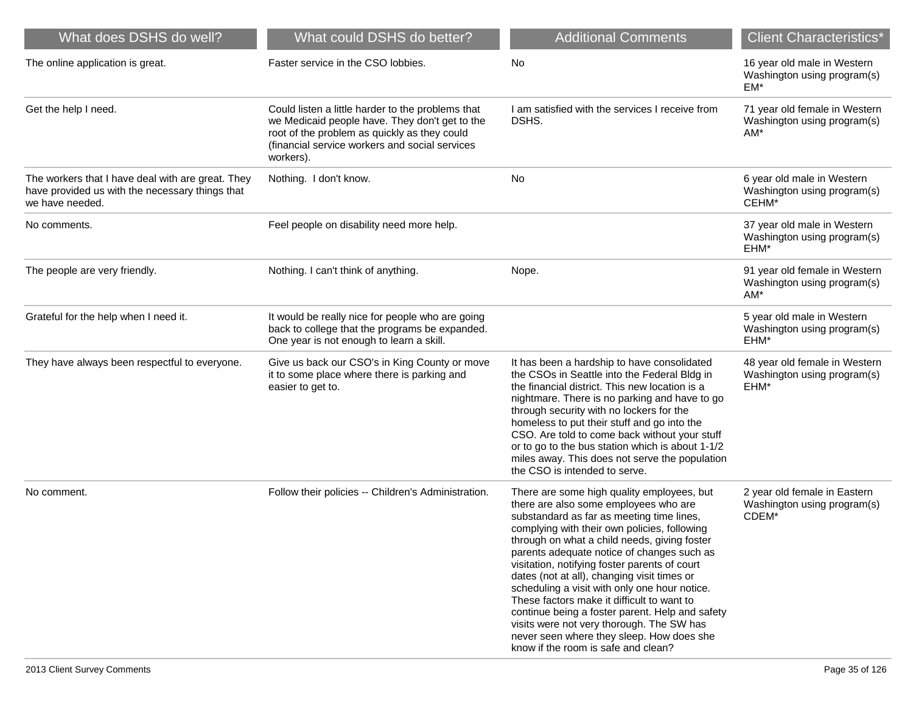| What does DSHS do well?                                                                                                 | What could DSHS do better?                                                                                                                                                                                         | <b>Additional Comments</b>                                                                                                                                                                                                                                                                                                                                                                                                                                                                                                                                                                                                                                        | <b>Client Characteristics*</b>                                        |
|-------------------------------------------------------------------------------------------------------------------------|--------------------------------------------------------------------------------------------------------------------------------------------------------------------------------------------------------------------|-------------------------------------------------------------------------------------------------------------------------------------------------------------------------------------------------------------------------------------------------------------------------------------------------------------------------------------------------------------------------------------------------------------------------------------------------------------------------------------------------------------------------------------------------------------------------------------------------------------------------------------------------------------------|-----------------------------------------------------------------------|
| The online application is great.                                                                                        | Faster service in the CSO lobbies.                                                                                                                                                                                 | No                                                                                                                                                                                                                                                                                                                                                                                                                                                                                                                                                                                                                                                                | 16 year old male in Western<br>Washington using program(s)<br>EM*     |
| Get the help I need.                                                                                                    | Could listen a little harder to the problems that<br>we Medicaid people have. They don't get to the<br>root of the problem as quickly as they could<br>(financial service workers and social services<br>workers). | I am satisfied with the services I receive from<br>DSHS.                                                                                                                                                                                                                                                                                                                                                                                                                                                                                                                                                                                                          | 71 year old female in Western<br>Washington using program(s)<br>AM*   |
| The workers that I have deal with are great. They<br>have provided us with the necessary things that<br>we have needed. | Nothing. I don't know.                                                                                                                                                                                             | <b>No</b>                                                                                                                                                                                                                                                                                                                                                                                                                                                                                                                                                                                                                                                         | 6 year old male in Western<br>Washington using program(s)<br>CEHM*    |
| No comments.                                                                                                            | Feel people on disability need more help.                                                                                                                                                                          |                                                                                                                                                                                                                                                                                                                                                                                                                                                                                                                                                                                                                                                                   | 37 year old male in Western<br>Washington using program(s)<br>EHM*    |
| The people are very friendly.                                                                                           | Nothing. I can't think of anything.                                                                                                                                                                                | Nope.                                                                                                                                                                                                                                                                                                                                                                                                                                                                                                                                                                                                                                                             | 91 year old female in Western<br>Washington using program(s)<br>$AM*$ |
| Grateful for the help when I need it.                                                                                   | It would be really nice for people who are going<br>back to college that the programs be expanded.<br>One year is not enough to learn a skill.                                                                     |                                                                                                                                                                                                                                                                                                                                                                                                                                                                                                                                                                                                                                                                   | 5 year old male in Western<br>Washington using program(s)<br>EHM*     |
| They have always been respectful to everyone.                                                                           | Give us back our CSO's in King County or move<br>it to some place where there is parking and<br>easier to get to.                                                                                                  | It has been a hardship to have consolidated<br>the CSOs in Seattle into the Federal Bldg in<br>the financial district. This new location is a<br>nightmare. There is no parking and have to go<br>through security with no lockers for the<br>homeless to put their stuff and go into the<br>CSO. Are told to come back without your stuff<br>or to go to the bus station which is about 1-1/2<br>miles away. This does not serve the population<br>the CSO is intended to serve.                                                                                                                                                                                 | 48 year old female in Western<br>Washington using program(s)<br>EHM*  |
| No comment.                                                                                                             | Follow their policies -- Children's Administration.                                                                                                                                                                | There are some high quality employees, but<br>there are also some employees who are<br>substandard as far as meeting time lines,<br>complying with their own policies, following<br>through on what a child needs, giving foster<br>parents adequate notice of changes such as<br>visitation, notifying foster parents of court<br>dates (not at all), changing visit times or<br>scheduling a visit with only one hour notice.<br>These factors make it difficult to want to<br>continue being a foster parent. Help and safety<br>visits were not very thorough. The SW has<br>never seen where they sleep. How does she<br>know if the room is safe and clean? | 2 year old female in Eastern<br>Washington using program(s)<br>CDEM*  |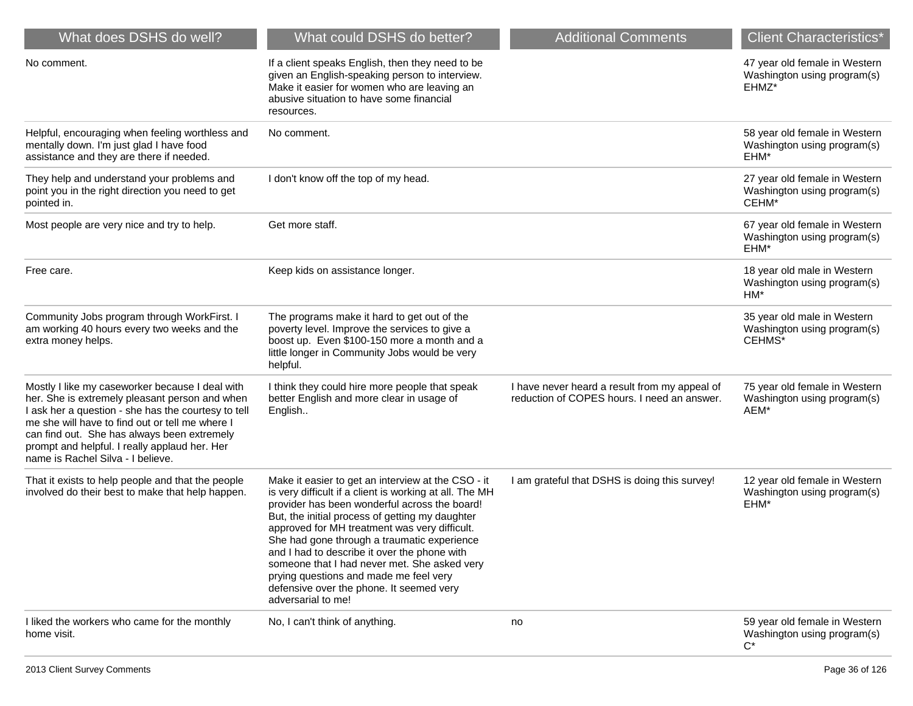| What does DSHS do well?                                                                                                                                                                                                                                                                                                                          | What could DSHS do better?                                                                                                                                                                                                                                                                                                                                                                                                                                                                                                    | <b>Additional Comments</b>                                                                   | <b>Client Characteristics*</b>                                        |
|--------------------------------------------------------------------------------------------------------------------------------------------------------------------------------------------------------------------------------------------------------------------------------------------------------------------------------------------------|-------------------------------------------------------------------------------------------------------------------------------------------------------------------------------------------------------------------------------------------------------------------------------------------------------------------------------------------------------------------------------------------------------------------------------------------------------------------------------------------------------------------------------|----------------------------------------------------------------------------------------------|-----------------------------------------------------------------------|
| No comment.                                                                                                                                                                                                                                                                                                                                      | If a client speaks English, then they need to be<br>given an English-speaking person to interview.<br>Make it easier for women who are leaving an<br>abusive situation to have some financial<br>resources.                                                                                                                                                                                                                                                                                                                   |                                                                                              | 47 year old female in Western<br>Washington using program(s)<br>EHMZ* |
| Helpful, encouraging when feeling worthless and<br>mentally down. I'm just glad I have food<br>assistance and they are there if needed.                                                                                                                                                                                                          | No comment.                                                                                                                                                                                                                                                                                                                                                                                                                                                                                                                   |                                                                                              | 58 year old female in Western<br>Washington using program(s)<br>EHM*  |
| They help and understand your problems and<br>point you in the right direction you need to get<br>pointed in.                                                                                                                                                                                                                                    | I don't know off the top of my head.                                                                                                                                                                                                                                                                                                                                                                                                                                                                                          |                                                                                              | 27 year old female in Western<br>Washington using program(s)<br>CEHM* |
| Most people are very nice and try to help.                                                                                                                                                                                                                                                                                                       | Get more staff.                                                                                                                                                                                                                                                                                                                                                                                                                                                                                                               |                                                                                              | 67 year old female in Western<br>Washington using program(s)<br>EHM*  |
| Free care.                                                                                                                                                                                                                                                                                                                                       | Keep kids on assistance longer.                                                                                                                                                                                                                                                                                                                                                                                                                                                                                               |                                                                                              | 18 year old male in Western<br>Washington using program(s)<br>HM*     |
| Community Jobs program through WorkFirst. I<br>am working 40 hours every two weeks and the<br>extra money helps.                                                                                                                                                                                                                                 | The programs make it hard to get out of the<br>poverty level. Improve the services to give a<br>boost up. Even \$100-150 more a month and a<br>little longer in Community Jobs would be very<br>helpful.                                                                                                                                                                                                                                                                                                                      |                                                                                              | 35 year old male in Western<br>Washington using program(s)<br>CEHMS*  |
| Mostly I like my caseworker because I deal with<br>her. She is extremely pleasant person and when<br>I ask her a question - she has the courtesy to tell<br>me she will have to find out or tell me where I<br>can find out. She has always been extremely<br>prompt and helpful. I really applaud her. Her<br>name is Rachel Silva - I believe. | I think they could hire more people that speak<br>better English and more clear in usage of<br>English                                                                                                                                                                                                                                                                                                                                                                                                                        | I have never heard a result from my appeal of<br>reduction of COPES hours. I need an answer. | 75 year old female in Western<br>Washington using program(s)<br>AEM*  |
| That it exists to help people and that the people<br>involved do their best to make that help happen.                                                                                                                                                                                                                                            | Make it easier to get an interview at the CSO - it<br>is very difficult if a client is working at all. The MH<br>provider has been wonderful across the board!<br>But, the initial process of getting my daughter<br>approved for MH treatment was very difficult.<br>She had gone through a traumatic experience<br>and I had to describe it over the phone with<br>someone that I had never met. She asked very<br>prying questions and made me feel very<br>defensive over the phone. It seemed very<br>adversarial to me! | I am grateful that DSHS is doing this survey!                                                | 12 year old female in Western<br>Washington using program(s)<br>EHM*  |
| I liked the workers who came for the monthly<br>home visit.                                                                                                                                                                                                                                                                                      | No, I can't think of anything.                                                                                                                                                                                                                                                                                                                                                                                                                                                                                                | no                                                                                           | 59 year old female in Western<br>Washington using program(s)<br>C*    |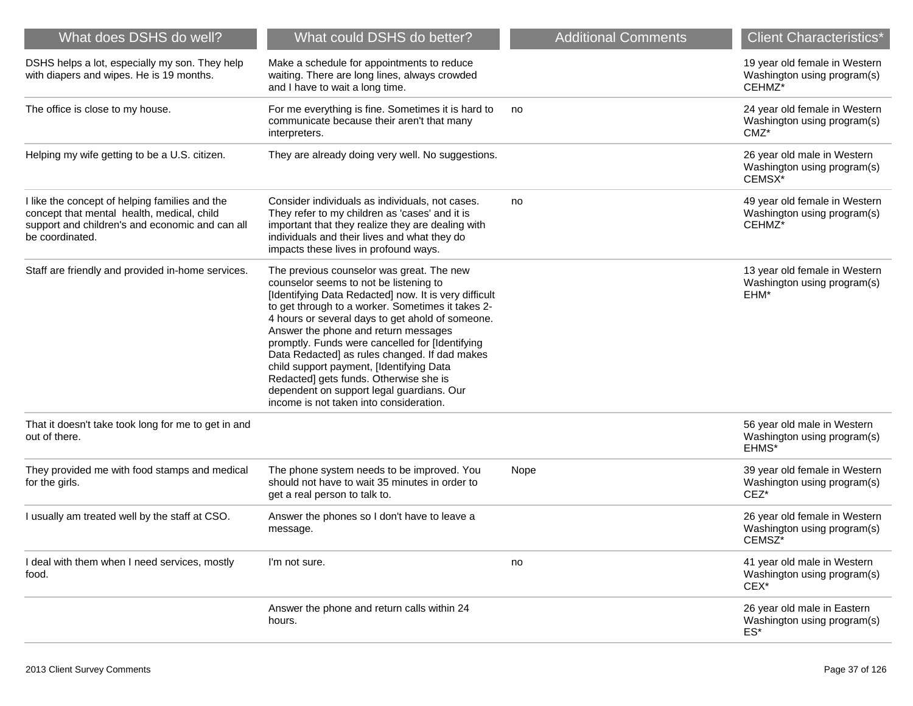| What does DSHS do well?                                                                                                                                            | What could DSHS do better?                                                                                                                                                                                                                                                                                                                                                                                                                                                                                                                                                      | <b>Additional Comments</b> | <b>Client Characteristics*</b>                                          |
|--------------------------------------------------------------------------------------------------------------------------------------------------------------------|---------------------------------------------------------------------------------------------------------------------------------------------------------------------------------------------------------------------------------------------------------------------------------------------------------------------------------------------------------------------------------------------------------------------------------------------------------------------------------------------------------------------------------------------------------------------------------|----------------------------|-------------------------------------------------------------------------|
| DSHS helps a lot, especially my son. They help<br>with diapers and wipes. He is 19 months.                                                                         | Make a schedule for appointments to reduce<br>waiting. There are long lines, always crowded<br>and I have to wait a long time.                                                                                                                                                                                                                                                                                                                                                                                                                                                  |                            | 19 year old female in Western<br>Washington using program(s)<br>CEHMZ*  |
| The office is close to my house.                                                                                                                                   | For me everything is fine. Sometimes it is hard to<br>communicate because their aren't that many<br>interpreters.                                                                                                                                                                                                                                                                                                                                                                                                                                                               | no                         | 24 year old female in Western<br>Washington using program(s)<br>$CMZ^*$ |
| Helping my wife getting to be a U.S. citizen.                                                                                                                      | They are already doing very well. No suggestions.                                                                                                                                                                                                                                                                                                                                                                                                                                                                                                                               |                            | 26 year old male in Western<br>Washington using program(s)<br>CEMSX*    |
| I like the concept of helping families and the<br>concept that mental health, medical, child<br>support and children's and economic and can all<br>be coordinated. | Consider individuals as individuals, not cases.<br>They refer to my children as 'cases' and it is<br>important that they realize they are dealing with<br>individuals and their lives and what they do<br>impacts these lives in profound ways.                                                                                                                                                                                                                                                                                                                                 | no                         | 49 year old female in Western<br>Washington using program(s)<br>CEHMZ*  |
| Staff are friendly and provided in-home services.                                                                                                                  | The previous counselor was great. The new<br>counselor seems to not be listening to<br>[Identifying Data Redacted] now. It is very difficult<br>to get through to a worker. Sometimes it takes 2-<br>4 hours or several days to get ahold of someone.<br>Answer the phone and return messages<br>promptly. Funds were cancelled for [Identifying<br>Data Redacted] as rules changed. If dad makes<br>child support payment, [Identifying Data<br>Redacted] gets funds. Otherwise she is<br>dependent on support legal guardians. Our<br>income is not taken into consideration. |                            | 13 year old female in Western<br>Washington using program(s)<br>EHM*    |
| That it doesn't take took long for me to get in and<br>out of there.                                                                                               |                                                                                                                                                                                                                                                                                                                                                                                                                                                                                                                                                                                 |                            | 56 year old male in Western<br>Washington using program(s)<br>EHMS*     |
| They provided me with food stamps and medical<br>for the girls.                                                                                                    | The phone system needs to be improved. You<br>should not have to wait 35 minutes in order to<br>get a real person to talk to.                                                                                                                                                                                                                                                                                                                                                                                                                                                   | Nope                       | 39 year old female in Western<br>Washington using program(s)<br>CEZ*    |
| I usually am treated well by the staff at CSO.                                                                                                                     | Answer the phones so I don't have to leave a<br>message.                                                                                                                                                                                                                                                                                                                                                                                                                                                                                                                        |                            | 26 year old female in Western<br>Washington using program(s)<br>CEMSZ*  |
| I deal with them when I need services, mostly<br>food.                                                                                                             | I'm not sure.                                                                                                                                                                                                                                                                                                                                                                                                                                                                                                                                                                   | no                         | 41 year old male in Western<br>Washington using program(s)<br>$CEX^*$   |
|                                                                                                                                                                    | Answer the phone and return calls within 24<br>hours.                                                                                                                                                                                                                                                                                                                                                                                                                                                                                                                           |                            | 26 year old male in Eastern<br>Washington using program(s)<br>$ES^*$    |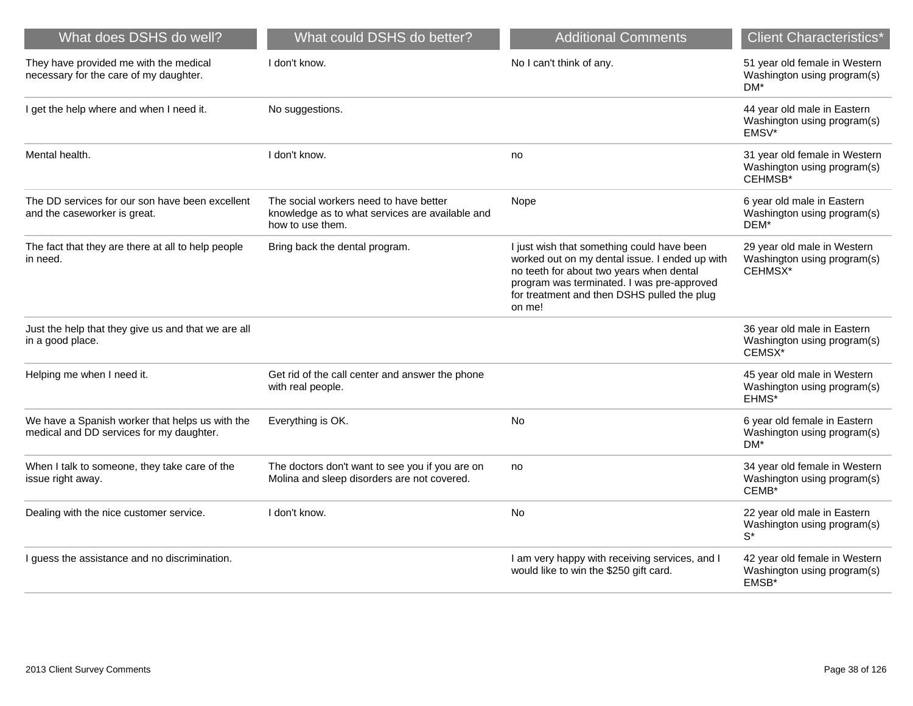| What does DSHS do well?                                                                     | What could DSHS do better?                                                                                    | <b>Additional Comments</b>                                                                                                                                                                                                                      | <b>Client Characteristics*</b>                                                   |
|---------------------------------------------------------------------------------------------|---------------------------------------------------------------------------------------------------------------|-------------------------------------------------------------------------------------------------------------------------------------------------------------------------------------------------------------------------------------------------|----------------------------------------------------------------------------------|
| They have provided me with the medical<br>necessary for the care of my daughter.            | I don't know.                                                                                                 | No I can't think of any.                                                                                                                                                                                                                        | 51 year old female in Western<br>Washington using program(s)<br>$DM*$            |
| I get the help where and when I need it.                                                    | No suggestions.                                                                                               |                                                                                                                                                                                                                                                 | 44 year old male in Eastern<br>Washington using program(s)<br>EMSV*              |
| Mental health.                                                                              | I don't know.                                                                                                 | no                                                                                                                                                                                                                                              | 31 year old female in Western<br>Washington using program(s)<br>CEHMSB*          |
| The DD services for our son have been excellent<br>and the caseworker is great.             | The social workers need to have better<br>knowledge as to what services are available and<br>how to use them. | Nope                                                                                                                                                                                                                                            | 6 year old male in Eastern<br>Washington using program(s)<br>DEM*                |
| The fact that they are there at all to help people<br>in need.                              | Bring back the dental program.                                                                                | I just wish that something could have been<br>worked out on my dental issue. I ended up with<br>no teeth for about two years when dental<br>program was terminated. I was pre-approved<br>for treatment and then DSHS pulled the plug<br>on me! | 29 year old male in Western<br>Washington using program(s)<br>CEHMSX*            |
| Just the help that they give us and that we are all<br>in a good place.                     |                                                                                                               |                                                                                                                                                                                                                                                 | 36 year old male in Eastern<br>Washington using program(s)<br>CEMSX <sup>*</sup> |
| Helping me when I need it.                                                                  | Get rid of the call center and answer the phone<br>with real people.                                          |                                                                                                                                                                                                                                                 | 45 year old male in Western<br>Washington using program(s)<br>EHMS*              |
| We have a Spanish worker that helps us with the<br>medical and DD services for my daughter. | Everything is OK.                                                                                             | No                                                                                                                                                                                                                                              | 6 year old female in Eastern<br>Washington using program(s)<br>DM <sup>*</sup>   |
| When I talk to someone, they take care of the<br>issue right away.                          | The doctors don't want to see you if you are on<br>Molina and sleep disorders are not covered.                | no                                                                                                                                                                                                                                              | 34 year old female in Western<br>Washington using program(s)<br>CEMB*            |
| Dealing with the nice customer service.                                                     | I don't know.                                                                                                 | No.                                                                                                                                                                                                                                             | 22 year old male in Eastern<br>Washington using program(s)<br>$S^*$              |
| I guess the assistance and no discrimination.                                               |                                                                                                               | I am very happy with receiving services, and I<br>would like to win the \$250 gift card.                                                                                                                                                        | 42 year old female in Western<br>Washington using program(s)<br>EMSB*            |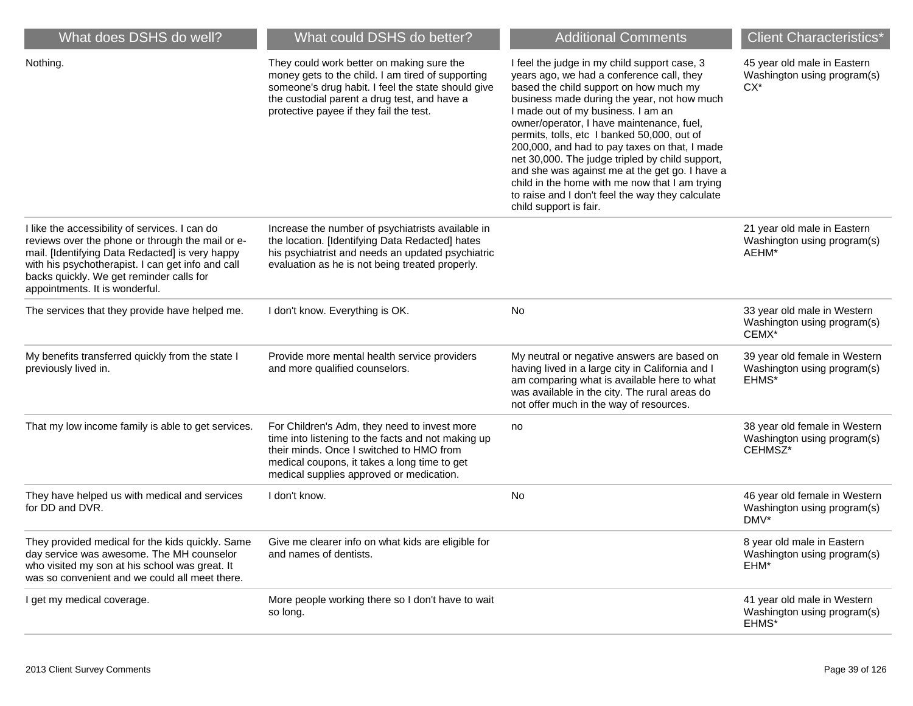| What does DSHS do well?                                                                                                                                                                                                                                                                  | What could DSHS do better?                                                                                                                                                                                                                      | <b>Additional Comments</b>                                                                                                                                                                                                                                                                                                                                                                                                                                                                                                                                                                                 | <b>Client Characteristics*</b>                                          |
|------------------------------------------------------------------------------------------------------------------------------------------------------------------------------------------------------------------------------------------------------------------------------------------|-------------------------------------------------------------------------------------------------------------------------------------------------------------------------------------------------------------------------------------------------|------------------------------------------------------------------------------------------------------------------------------------------------------------------------------------------------------------------------------------------------------------------------------------------------------------------------------------------------------------------------------------------------------------------------------------------------------------------------------------------------------------------------------------------------------------------------------------------------------------|-------------------------------------------------------------------------|
| Nothing.                                                                                                                                                                                                                                                                                 | They could work better on making sure the<br>money gets to the child. I am tired of supporting<br>someone's drug habit. I feel the state should give<br>the custodial parent a drug test, and have a<br>protective payee if they fail the test. | I feel the judge in my child support case, 3<br>years ago, we had a conference call, they<br>based the child support on how much my<br>business made during the year, not how much<br>I made out of my business. I am an<br>owner/operator, I have maintenance, fuel,<br>permits, tolls, etc I banked 50,000, out of<br>200,000, and had to pay taxes on that, I made<br>net 30,000. The judge tripled by child support,<br>and she was against me at the get go. I have a<br>child in the home with me now that I am trying<br>to raise and I don't feel the way they calculate<br>child support is fair. | 45 year old male in Eastern<br>Washington using program(s)<br>CX*       |
| I like the accessibility of services. I can do<br>reviews over the phone or through the mail or e-<br>mail. [Identifying Data Redacted] is very happy<br>with his psychotherapist. I can get info and call<br>backs quickly. We get reminder calls for<br>appointments. It is wonderful. | Increase the number of psychiatrists available in<br>the location. [Identifying Data Redacted] hates<br>his psychiatrist and needs an updated psychiatric<br>evaluation as he is not being treated properly.                                    |                                                                                                                                                                                                                                                                                                                                                                                                                                                                                                                                                                                                            | 21 year old male in Eastern<br>Washington using program(s)<br>AEHM*     |
| The services that they provide have helped me.                                                                                                                                                                                                                                           | I don't know. Everything is OK.                                                                                                                                                                                                                 | No                                                                                                                                                                                                                                                                                                                                                                                                                                                                                                                                                                                                         | 33 year old male in Western<br>Washington using program(s)<br>CEMX*     |
| My benefits transferred quickly from the state I<br>previously lived in.                                                                                                                                                                                                                 | Provide more mental health service providers<br>and more qualified counselors.                                                                                                                                                                  | My neutral or negative answers are based on<br>having lived in a large city in California and I<br>am comparing what is available here to what<br>was available in the city. The rural areas do<br>not offer much in the way of resources.                                                                                                                                                                                                                                                                                                                                                                 | 39 year old female in Western<br>Washington using program(s)<br>EHMS*   |
| That my low income family is able to get services.                                                                                                                                                                                                                                       | For Children's Adm, they need to invest more<br>time into listening to the facts and not making up<br>their minds. Once I switched to HMO from<br>medical coupons, it takes a long time to get<br>medical supplies approved or medication.      | no                                                                                                                                                                                                                                                                                                                                                                                                                                                                                                                                                                                                         | 38 year old female in Western<br>Washington using program(s)<br>CEHMSZ* |
| They have helped us with medical and services<br>for DD and DVR.                                                                                                                                                                                                                         | I don't know.                                                                                                                                                                                                                                   | No                                                                                                                                                                                                                                                                                                                                                                                                                                                                                                                                                                                                         | 46 year old female in Western<br>Washington using program(s)<br>DMV*    |
| They provided medical for the kids quickly. Same Give me clearer info on what kids are eligible for<br>day service was awesome. The MH counselor<br>who visited my son at his school was great. It<br>was so convenient and we could all meet there.                                     | and names of dentists.                                                                                                                                                                                                                          |                                                                                                                                                                                                                                                                                                                                                                                                                                                                                                                                                                                                            | 8 year old male in Eastern<br>Washington using program(s)<br>EHM*       |
| I get my medical coverage.                                                                                                                                                                                                                                                               | More people working there so I don't have to wait<br>so long.                                                                                                                                                                                   |                                                                                                                                                                                                                                                                                                                                                                                                                                                                                                                                                                                                            | 41 year old male in Western<br>Washington using program(s)<br>EHMS*     |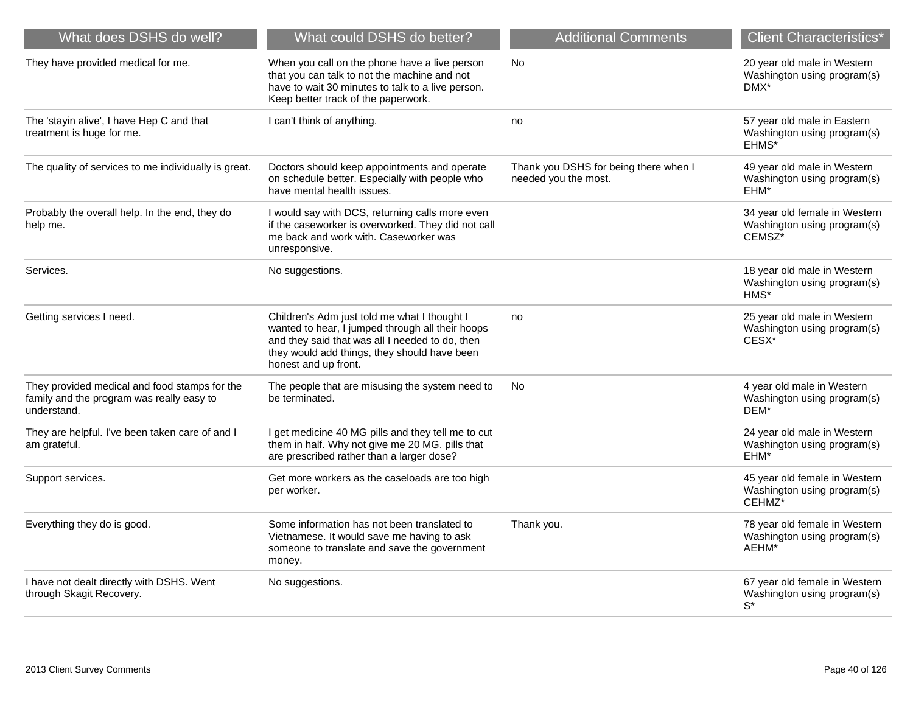| What does DSHS do well?                                                                                   | What could DSHS do better?                                                                                                                                                                                                  | <b>Additional Comments</b>                                    | <b>Client Characteristics*</b>                                                     |
|-----------------------------------------------------------------------------------------------------------|-----------------------------------------------------------------------------------------------------------------------------------------------------------------------------------------------------------------------------|---------------------------------------------------------------|------------------------------------------------------------------------------------|
| They have provided medical for me.                                                                        | When you call on the phone have a live person<br>that you can talk to not the machine and not<br>have to wait 30 minutes to talk to a live person.<br>Keep better track of the paperwork.                                   | No                                                            | 20 year old male in Western<br>Washington using program(s)<br>DMX*                 |
| The 'stayin alive', I have Hep C and that<br>treatment is huge for me.                                    | I can't think of anything.                                                                                                                                                                                                  | no                                                            | 57 year old male in Eastern<br>Washington using program(s)<br>EHMS*                |
| The quality of services to me individually is great.                                                      | Doctors should keep appointments and operate<br>on schedule better. Especially with people who<br>have mental health issues.                                                                                                | Thank you DSHS for being there when I<br>needed you the most. | 49 year old male in Western<br>Washington using program(s)<br>EHM*                 |
| Probably the overall help. In the end, they do<br>help me.                                                | I would say with DCS, returning calls more even<br>if the caseworker is overworked. They did not call<br>me back and work with. Caseworker was<br>unresponsive.                                                             |                                                               | 34 year old female in Western<br>Washington using program(s)<br>CEMSZ <sup>*</sup> |
| Services.                                                                                                 | No suggestions.                                                                                                                                                                                                             |                                                               | 18 year old male in Western<br>Washington using program(s)<br>$HMS*$               |
| Getting services I need.                                                                                  | Children's Adm just told me what I thought I<br>wanted to hear, I jumped through all their hoops<br>and they said that was all I needed to do, then<br>they would add things, they should have been<br>honest and up front. | no                                                            | 25 year old male in Western<br>Washington using program(s)<br>CESX*                |
| They provided medical and food stamps for the<br>family and the program was really easy to<br>understand. | The people that are misusing the system need to<br>be terminated.                                                                                                                                                           | No.                                                           | 4 year old male in Western<br>Washington using program(s)<br>DEM*                  |
| They are helpful. I've been taken care of and I<br>am grateful.                                           | I get medicine 40 MG pills and they tell me to cut<br>them in half. Why not give me 20 MG. pills that<br>are prescribed rather than a larger dose?                                                                          |                                                               | 24 year old male in Western<br>Washington using program(s)<br>EHM*                 |
| Support services.                                                                                         | Get more workers as the caseloads are too high<br>per worker.                                                                                                                                                               |                                                               | 45 year old female in Western<br>Washington using program(s)<br>CEHMZ*             |
| Everything they do is good.                                                                               | Some information has not been translated to<br>Vietnamese. It would save me having to ask<br>someone to translate and save the government<br>money.                                                                         | Thank you.                                                    | 78 year old female in Western<br>Washington using program(s)<br>AEHM*              |
| I have not dealt directly with DSHS. Went<br>through Skagit Recovery.                                     | No suggestions.                                                                                                                                                                                                             |                                                               | 67 year old female in Western<br>Washington using program(s)<br>$S^*$              |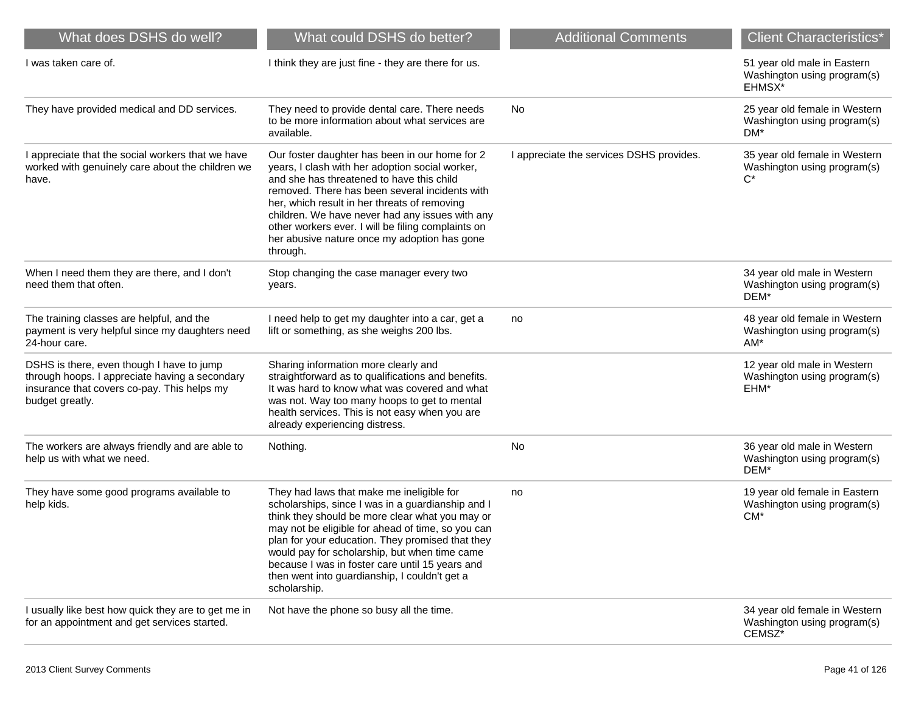| What does DSHS do well?                                                                                                                                       | What could DSHS do better?                                                                                                                                                                                                                                                                                                                                                                                                      | <b>Additional Comments</b>               | <b>Client Characteristics*</b>                                                  |
|---------------------------------------------------------------------------------------------------------------------------------------------------------------|---------------------------------------------------------------------------------------------------------------------------------------------------------------------------------------------------------------------------------------------------------------------------------------------------------------------------------------------------------------------------------------------------------------------------------|------------------------------------------|---------------------------------------------------------------------------------|
| I was taken care of.                                                                                                                                          | I think they are just fine - they are there for us.                                                                                                                                                                                                                                                                                                                                                                             |                                          | 51 year old male in Eastern<br>Washington using program(s)<br>EHMSX*            |
| They have provided medical and DD services.                                                                                                                   | They need to provide dental care. There needs<br>to be more information about what services are<br>available.                                                                                                                                                                                                                                                                                                                   | No                                       | 25 year old female in Western<br>Washington using program(s)<br>DM*             |
| I appreciate that the social workers that we have<br>worked with genuinely care about the children we<br>have.                                                | Our foster daughter has been in our home for 2<br>years, I clash with her adoption social worker,<br>and she has threatened to have this child<br>removed. There has been several incidents with<br>her, which result in her threats of removing<br>children. We have never had any issues with any<br>other workers ever. I will be filing complaints on<br>her abusive nature once my adoption has gone<br>through.           | I appreciate the services DSHS provides. | 35 year old female in Western<br>Washington using program(s)<br>$C^*$           |
| When I need them they are there, and I don't<br>need them that often.                                                                                         | Stop changing the case manager every two<br>years.                                                                                                                                                                                                                                                                                                                                                                              |                                          | 34 year old male in Western<br>Washington using program(s)<br>DEM*              |
| The training classes are helpful, and the<br>payment is very helpful since my daughters need<br>24-hour care.                                                 | I need help to get my daughter into a car, get a<br>lift or something, as she weighs 200 lbs.                                                                                                                                                                                                                                                                                                                                   | no                                       | 48 year old female in Western<br>Washington using program(s)<br>$AM*$           |
| DSHS is there, even though I have to jump<br>through hoops. I appreciate having a secondary<br>insurance that covers co-pay. This helps my<br>budget greatly. | Sharing information more clearly and<br>straightforward as to qualifications and benefits.<br>It was hard to know what was covered and what<br>was not. Way too many hoops to get to mental<br>health services. This is not easy when you are<br>already experiencing distress.                                                                                                                                                 |                                          | 12 year old male in Western<br>Washington using program(s)<br>EHM*              |
| The workers are always friendly and are able to<br>help us with what we need.                                                                                 | Nothing.                                                                                                                                                                                                                                                                                                                                                                                                                        | No                                       | 36 year old male in Western<br>Washington using program(s)<br>DEM*              |
| They have some good programs available to<br>help kids.                                                                                                       | They had laws that make me ineligible for<br>scholarships, since I was in a guardianship and I<br>think they should be more clear what you may or<br>may not be eligible for ahead of time, so you can<br>plan for your education. They promised that they<br>would pay for scholarship, but when time came<br>because I was in foster care until 15 years and<br>then went into guardianship, I couldn't get a<br>scholarship. | no                                       | 19 year old female in Eastern<br>Washington using program(s)<br>CM <sup>*</sup> |
| I usually like best how quick they are to get me in<br>for an appointment and get services started.                                                           | Not have the phone so busy all the time.                                                                                                                                                                                                                                                                                                                                                                                        |                                          | 34 year old female in Western<br>Washington using program(s)<br>CEMSZ*          |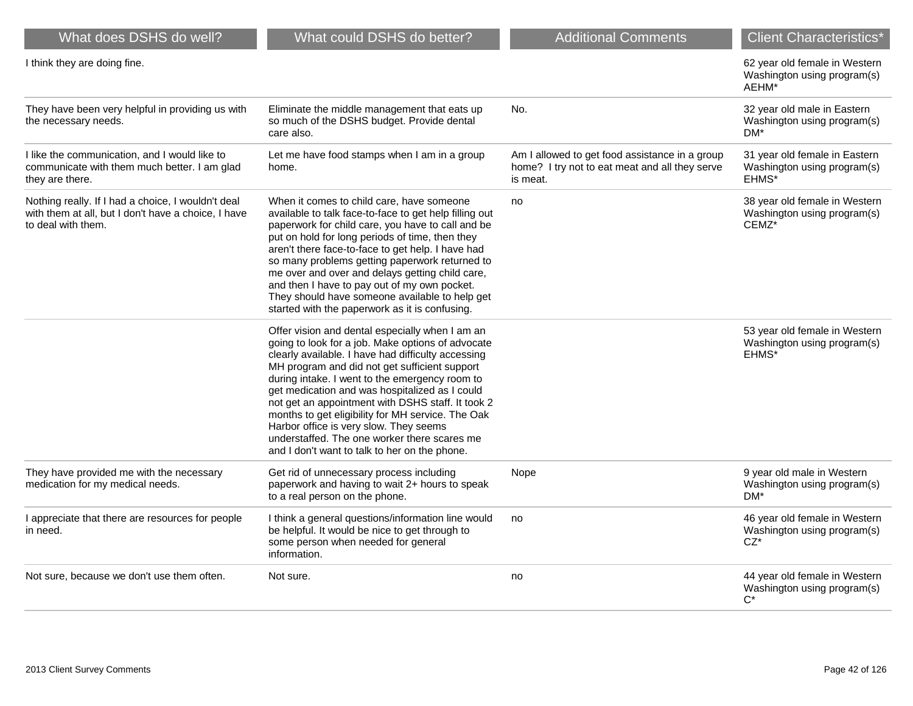| What does DSHS do well?                                                                                                         | What could DSHS do better?                                                                                                                                                                                                                                                                                                                                                                                                                                                                                                                                           | <b>Additional Comments</b>                                                                                   | <b>Client Characteristics*</b>                                                |
|---------------------------------------------------------------------------------------------------------------------------------|----------------------------------------------------------------------------------------------------------------------------------------------------------------------------------------------------------------------------------------------------------------------------------------------------------------------------------------------------------------------------------------------------------------------------------------------------------------------------------------------------------------------------------------------------------------------|--------------------------------------------------------------------------------------------------------------|-------------------------------------------------------------------------------|
| I think they are doing fine.                                                                                                    |                                                                                                                                                                                                                                                                                                                                                                                                                                                                                                                                                                      |                                                                                                              | 62 year old female in Western<br>Washington using program(s)<br>AEHM*         |
| They have been very helpful in providing us with<br>the necessary needs.                                                        | Eliminate the middle management that eats up<br>so much of the DSHS budget. Provide dental<br>care also.                                                                                                                                                                                                                                                                                                                                                                                                                                                             | No.                                                                                                          | 32 year old male in Eastern<br>Washington using program(s)<br>DM <sup>*</sup> |
| I like the communication, and I would like to<br>communicate with them much better. I am glad<br>they are there.                | Let me have food stamps when I am in a group<br>home.                                                                                                                                                                                                                                                                                                                                                                                                                                                                                                                | Am I allowed to get food assistance in a group<br>home? I try not to eat meat and all they serve<br>is meat. | 31 year old female in Eastern<br>Washington using program(s)<br>EHMS*         |
| Nothing really. If I had a choice, I wouldn't deal<br>with them at all, but I don't have a choice, I have<br>to deal with them. | When it comes to child care, have someone<br>available to talk face-to-face to get help filling out<br>paperwork for child care, you have to call and be<br>put on hold for long periods of time, then they<br>aren't there face-to-face to get help. I have had<br>so many problems getting paperwork returned to<br>me over and over and delays getting child care,<br>and then I have to pay out of my own pocket.<br>They should have someone available to help get<br>started with the paperwork as it is confusing.                                            | no                                                                                                           | 38 year old female in Western<br>Washington using program(s)<br>CEMZ*         |
|                                                                                                                                 | Offer vision and dental especially when I am an<br>going to look for a job. Make options of advocate<br>clearly available. I have had difficulty accessing<br>MH program and did not get sufficient support<br>during intake. I went to the emergency room to<br>get medication and was hospitalized as I could<br>not get an appointment with DSHS staff. It took 2<br>months to get eligibility for MH service. The Oak<br>Harbor office is very slow. They seems<br>understaffed. The one worker there scares me<br>and I don't want to talk to her on the phone. |                                                                                                              | 53 year old female in Western<br>Washington using program(s)<br>EHMS*         |
| They have provided me with the necessary<br>medication for my medical needs.                                                    | Get rid of unnecessary process including<br>paperwork and having to wait 2+ hours to speak<br>to a real person on the phone.                                                                                                                                                                                                                                                                                                                                                                                                                                         | Nope                                                                                                         | 9 year old male in Western<br>Washington using program(s)<br>DM <sup>*</sup>  |
| I appreciate that there are resources for people<br>in need.                                                                    | I think a general questions/information line would<br>be helpful. It would be nice to get through to<br>some person when needed for general<br>information.                                                                                                                                                                                                                                                                                                                                                                                                          | no                                                                                                           | 46 year old female in Western<br>Washington using program(s)<br>$CZ^*$        |
| Not sure, because we don't use them often.                                                                                      | Not sure.                                                                                                                                                                                                                                                                                                                                                                                                                                                                                                                                                            | no                                                                                                           | 44 year old female in Western<br>Washington using program(s)<br>$C^*$         |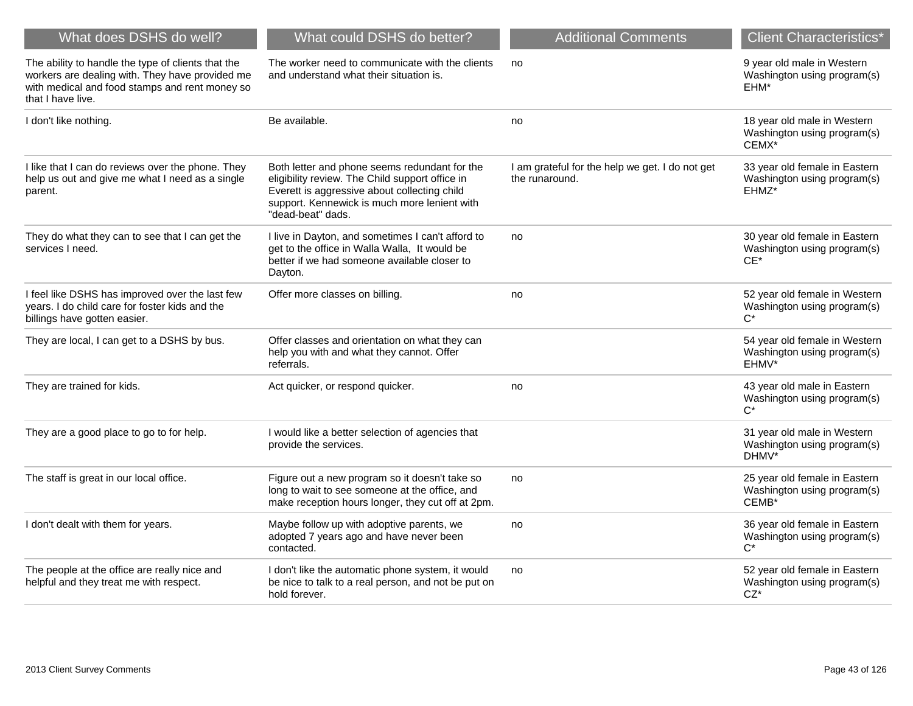| What does DSHS do well?                                                                                                                                                      | What could DSHS do better?                                                                                                                                                                                            | <b>Additional Comments</b>                                        | Client Characteristics*                                                           |
|------------------------------------------------------------------------------------------------------------------------------------------------------------------------------|-----------------------------------------------------------------------------------------------------------------------------------------------------------------------------------------------------------------------|-------------------------------------------------------------------|-----------------------------------------------------------------------------------|
| The ability to handle the type of clients that the<br>workers are dealing with. They have provided me<br>with medical and food stamps and rent money so<br>that I have live. | The worker need to communicate with the clients<br>and understand what their situation is.                                                                                                                            | no                                                                | 9 year old male in Western<br>Washington using program(s)<br>EHM*                 |
| I don't like nothing.                                                                                                                                                        | Be available.                                                                                                                                                                                                         | no                                                                | 18 year old male in Western<br>Washington using program(s)<br>CEMX*               |
| I like that I can do reviews over the phone. They<br>help us out and give me what I need as a single<br>parent.                                                              | Both letter and phone seems redundant for the<br>eligibility review. The Child support office in<br>Everett is aggressive about collecting child<br>support. Kennewick is much more lenient with<br>"dead-beat" dads. | I am grateful for the help we get. I do not get<br>the runaround. | 33 year old female in Eastern<br>Washington using program(s)<br>EHMZ*             |
| They do what they can to see that I can get the<br>services I need.                                                                                                          | I live in Dayton, and sometimes I can't afford to<br>get to the office in Walla Walla, It would be<br>better if we had someone available closer to<br>Dayton.                                                         | no                                                                | 30 year old female in Eastern<br>Washington using program(s)<br>$CE^*$            |
| I feel like DSHS has improved over the last few<br>years. I do child care for foster kids and the<br>billings have gotten easier.                                            | Offer more classes on billing.                                                                                                                                                                                        | no                                                                | 52 year old female in Western<br>Washington using program(s)<br>$C^*$             |
| They are local, I can get to a DSHS by bus.                                                                                                                                  | Offer classes and orientation on what they can<br>help you with and what they cannot. Offer<br>referrals.                                                                                                             |                                                                   | 54 year old female in Western<br>Washington using program(s)<br>EHMV*             |
| They are trained for kids.                                                                                                                                                   | Act quicker, or respond quicker.                                                                                                                                                                                      | no                                                                | 43 year old male in Eastern<br>Washington using program(s)<br>$C^*$               |
| They are a good place to go to for help.                                                                                                                                     | I would like a better selection of agencies that<br>provide the services.                                                                                                                                             |                                                                   | 31 year old male in Western<br>Washington using program(s)<br>DHMV*               |
| The staff is great in our local office.                                                                                                                                      | Figure out a new program so it doesn't take so<br>long to wait to see someone at the office, and<br>make reception hours longer, they cut off at 2pm.                                                                 | no                                                                | 25 year old female in Eastern<br>Washington using program(s)<br>CEMB <sup>*</sup> |
| I don't dealt with them for years.                                                                                                                                           | Maybe follow up with adoptive parents, we<br>adopted 7 years ago and have never been<br>contacted.                                                                                                                    | no                                                                | 36 year old female in Eastern<br>Washington using program(s)<br>$C^*$             |
| The people at the office are really nice and<br>helpful and they treat me with respect.                                                                                      | I don't like the automatic phone system, it would<br>be nice to talk to a real person, and not be put on<br>hold forever.                                                                                             | no                                                                | 52 year old female in Eastern<br>Washington using program(s)<br>$CZ^*$            |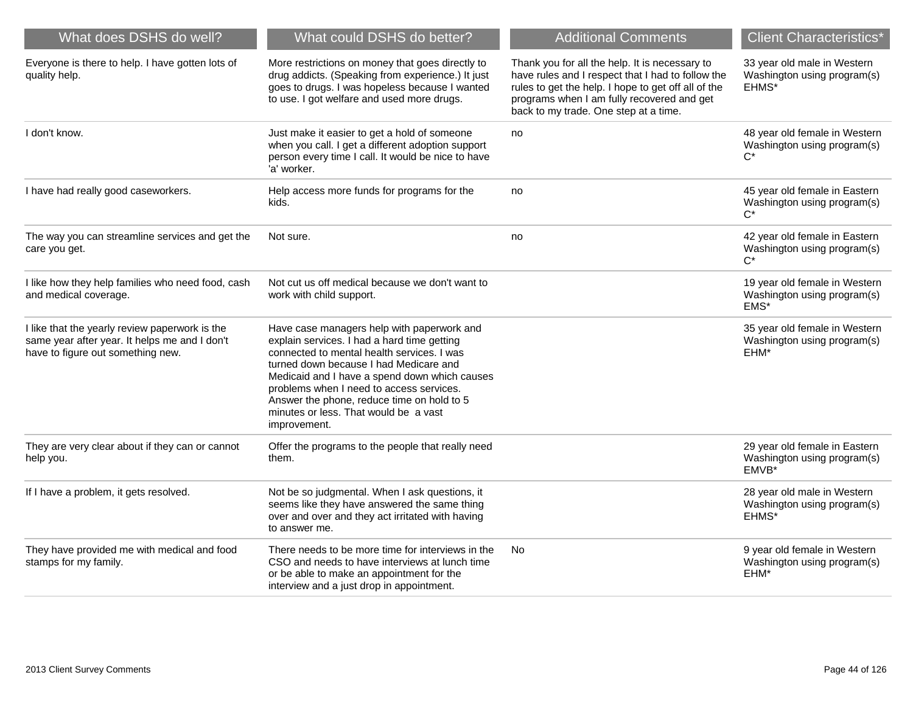| What does DSHS do well?                                                                                                              | What could DSHS do better?                                                                                                                                                                                                                                                                                                                                                            | <b>Additional Comments</b>                                                                                                                                                                                                                        | <b>Client Characteristics*</b>                                        |
|--------------------------------------------------------------------------------------------------------------------------------------|---------------------------------------------------------------------------------------------------------------------------------------------------------------------------------------------------------------------------------------------------------------------------------------------------------------------------------------------------------------------------------------|---------------------------------------------------------------------------------------------------------------------------------------------------------------------------------------------------------------------------------------------------|-----------------------------------------------------------------------|
| Everyone is there to help. I have gotten lots of<br>quality help.                                                                    | More restrictions on money that goes directly to<br>drug addicts. (Speaking from experience.) It just<br>goes to drugs. I was hopeless because I wanted<br>to use. I got welfare and used more drugs.                                                                                                                                                                                 | Thank you for all the help. It is necessary to<br>have rules and I respect that I had to follow the<br>rules to get the help. I hope to get off all of the<br>programs when I am fully recovered and get<br>back to my trade. One step at a time. | 33 year old male in Western<br>Washington using program(s)<br>EHMS*   |
| I don't know.                                                                                                                        | Just make it easier to get a hold of someone<br>when you call. I get a different adoption support<br>person every time I call. It would be nice to have<br>'a' worker.                                                                                                                                                                                                                | no                                                                                                                                                                                                                                                | 48 year old female in Western<br>Washington using program(s)<br>$C^*$ |
| I have had really good caseworkers.                                                                                                  | Help access more funds for programs for the<br>kids.                                                                                                                                                                                                                                                                                                                                  | no                                                                                                                                                                                                                                                | 45 year old female in Eastern<br>Washington using program(s)<br>$C^*$ |
| The way you can streamline services and get the<br>care you get.                                                                     | Not sure.                                                                                                                                                                                                                                                                                                                                                                             | no                                                                                                                                                                                                                                                | 42 year old female in Eastern<br>Washington using program(s)<br>$C^*$ |
| I like how they help families who need food, cash<br>and medical coverage.                                                           | Not cut us off medical because we don't want to<br>work with child support.                                                                                                                                                                                                                                                                                                           |                                                                                                                                                                                                                                                   | 19 year old female in Western<br>Washington using program(s)<br>EMS*  |
| I like that the yearly review paperwork is the<br>same year after year. It helps me and I don't<br>have to figure out something new. | Have case managers help with paperwork and<br>explain services. I had a hard time getting<br>connected to mental health services. I was<br>turned down because I had Medicare and<br>Medicaid and I have a spend down which causes<br>problems when I need to access services.<br>Answer the phone, reduce time on hold to 5<br>minutes or less. That would be a vast<br>improvement. |                                                                                                                                                                                                                                                   | 35 year old female in Western<br>Washington using program(s)<br>EHM*  |
| They are very clear about if they can or cannot<br>help you.                                                                         | Offer the programs to the people that really need<br>them.                                                                                                                                                                                                                                                                                                                            |                                                                                                                                                                                                                                                   | 29 year old female in Eastern<br>Washington using program(s)<br>EMVB* |
| If I have a problem, it gets resolved.                                                                                               | Not be so judgmental. When I ask questions, it<br>seems like they have answered the same thing<br>over and over and they act irritated with having<br>to answer me.                                                                                                                                                                                                                   |                                                                                                                                                                                                                                                   | 28 year old male in Western<br>Washington using program(s)<br>EHMS*   |
| They have provided me with medical and food<br>stamps for my family.                                                                 | There needs to be more time for interviews in the<br>CSO and needs to have interviews at lunch time<br>or be able to make an appointment for the<br>interview and a just drop in appointment.                                                                                                                                                                                         | No                                                                                                                                                                                                                                                | 9 year old female in Western<br>Washington using program(s)<br>EHM*   |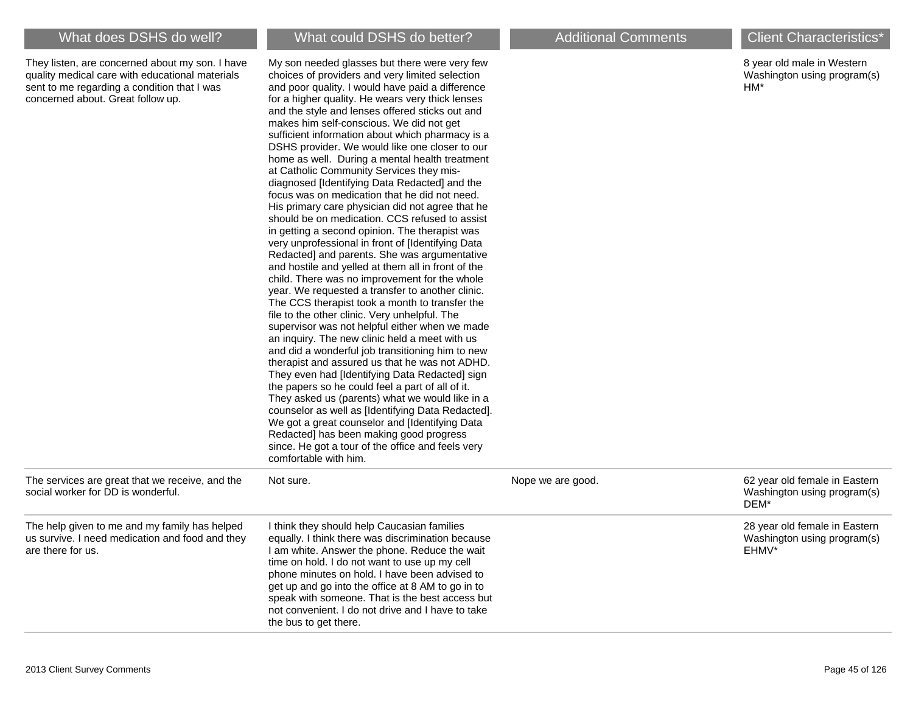They listen, are concerned about my son. I have quality medical care with educational materials sent to me regarding a condition that I was concerned about. Great follow up.

My son needed glasses but there were very few choices of providers and very limited selection and poor quality. I would have paid a difference for a higher quality. He wears very thick lenses and the style and lenses offered sticks out and makes him self-conscious. We did not get

8 year old male in Western Washington using program(s) HM\*

|                                                                                                                       | sufficient information about which pharmacy is a<br>DSHS provider. We would like one closer to our<br>home as well. During a mental health treatment<br>at Catholic Community Services they mis-<br>diagnosed [Identifying Data Redacted] and the<br>focus was on medication that he did not need.<br>His primary care physician did not agree that he<br>should be on medication. CCS refused to assist<br>in getting a second opinion. The therapist was<br>very unprofessional in front of [Identifying Data<br>Redacted] and parents. She was argumentative<br>and hostile and yelled at them all in front of the<br>child. There was no improvement for the whole<br>year. We requested a transfer to another clinic.<br>The CCS therapist took a month to transfer the<br>file to the other clinic. Very unhelpful. The<br>supervisor was not helpful either when we made<br>an inquiry. The new clinic held a meet with us<br>and did a wonderful job transitioning him to new<br>therapist and assured us that he was not ADHD.<br>They even had [Identifying Data Redacted] sign<br>the papers so he could feel a part of all of it.<br>They asked us (parents) what we would like in a<br>counselor as well as [Identifying Data Redacted].<br>We got a great counselor and [Identifying Data<br>Redacted] has been making good progress<br>since. He got a tour of the office and feels very<br>comfortable with him. |                   |                                                                       |
|-----------------------------------------------------------------------------------------------------------------------|----------------------------------------------------------------------------------------------------------------------------------------------------------------------------------------------------------------------------------------------------------------------------------------------------------------------------------------------------------------------------------------------------------------------------------------------------------------------------------------------------------------------------------------------------------------------------------------------------------------------------------------------------------------------------------------------------------------------------------------------------------------------------------------------------------------------------------------------------------------------------------------------------------------------------------------------------------------------------------------------------------------------------------------------------------------------------------------------------------------------------------------------------------------------------------------------------------------------------------------------------------------------------------------------------------------------------------------------------------------------------------------------------------------------------------|-------------------|-----------------------------------------------------------------------|
| The services are great that we receive, and the<br>social worker for DD is wonderful.                                 | Not sure.                                                                                                                                                                                                                                                                                                                                                                                                                                                                                                                                                                                                                                                                                                                                                                                                                                                                                                                                                                                                                                                                                                                                                                                                                                                                                                                                                                                                                        | Nope we are good. | 62 year old female in Eastern<br>Washington using program(s)<br>DEM*  |
| The help given to me and my family has helped<br>us survive. I need medication and food and they<br>are there for us. | I think they should help Caucasian families<br>equally. I think there was discrimination because<br>I am white. Answer the phone. Reduce the wait<br>time on hold. I do not want to use up my cell<br>phone minutes on hold. I have been advised to<br>get up and go into the office at 8 AM to go in to<br>speak with someone. That is the best access but<br>not convenient. I do not drive and I have to take<br>the bus to get there.                                                                                                                                                                                                                                                                                                                                                                                                                                                                                                                                                                                                                                                                                                                                                                                                                                                                                                                                                                                        |                   | 28 year old female in Eastern<br>Washington using program(s)<br>EHMV* |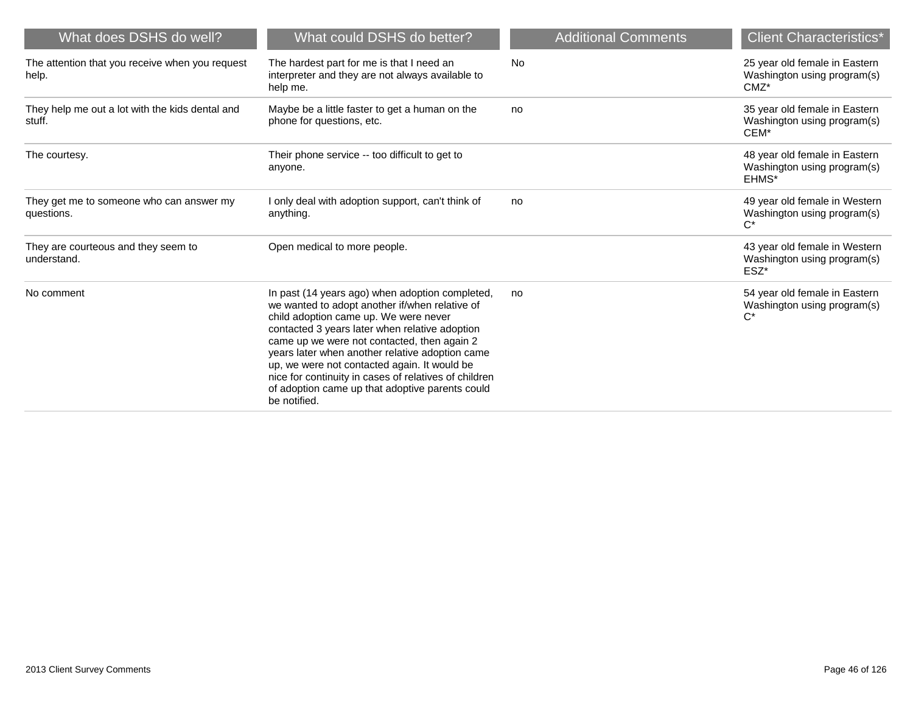| What does DSHS do well?                                   | What could DSHS do better?                                                                                                                                                                                                                                                                                                                                                                                                                                                 | <b>Additional Comments</b> | <b>Client Characteristics*</b>                                          |
|-----------------------------------------------------------|----------------------------------------------------------------------------------------------------------------------------------------------------------------------------------------------------------------------------------------------------------------------------------------------------------------------------------------------------------------------------------------------------------------------------------------------------------------------------|----------------------------|-------------------------------------------------------------------------|
| The attention that you receive when you request<br>help.  | The hardest part for me is that I need an<br>interpreter and they are not always available to<br>help me.                                                                                                                                                                                                                                                                                                                                                                  | <b>No</b>                  | 25 year old female in Eastern<br>Washington using program(s)<br>$CMZ^*$ |
| They help me out a lot with the kids dental and<br>stuff. | Maybe be a little faster to get a human on the<br>phone for questions, etc.                                                                                                                                                                                                                                                                                                                                                                                                | no                         | 35 year old female in Eastern<br>Washington using program(s)<br>CEM*    |
| The courtesy.                                             | Their phone service -- too difficult to get to<br>anyone.                                                                                                                                                                                                                                                                                                                                                                                                                  |                            | 48 year old female in Eastern<br>Washington using program(s)<br>EHMS*   |
| They get me to someone who can answer my<br>questions.    | I only deal with adoption support, can't think of<br>anything.                                                                                                                                                                                                                                                                                                                                                                                                             | no                         | 49 year old female in Western<br>Washington using program(s)<br>$C^*$   |
| They are courteous and they seem to<br>understand.        | Open medical to more people.                                                                                                                                                                                                                                                                                                                                                                                                                                               |                            | 43 year old female in Western<br>Washington using program(s)<br>ESZ*    |
| No comment                                                | In past (14 years ago) when adoption completed,<br>we wanted to adopt another if/when relative of<br>child adoption came up. We were never<br>contacted 3 years later when relative adoption<br>came up we were not contacted, then again 2<br>years later when another relative adoption came<br>up, we were not contacted again. It would be<br>nice for continuity in cases of relatives of children<br>of adoption came up that adoptive parents could<br>be notified. | no                         | 54 year old female in Eastern<br>Washington using program(s)<br>$C^*$   |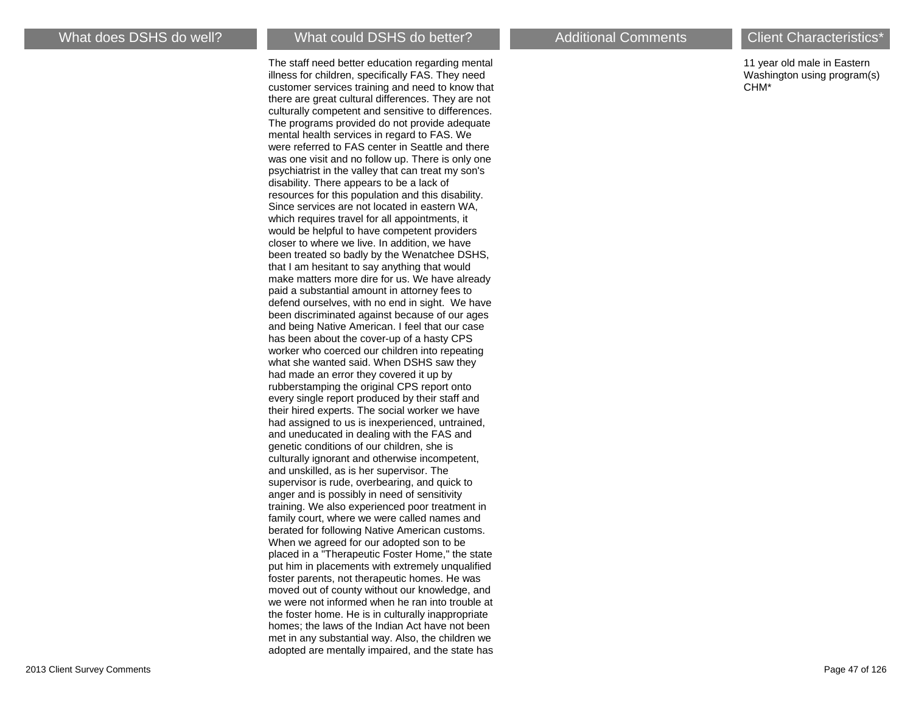The staff need better education regarding mental illness for children, specifically FAS. They need customer services training and need to know that there are great cultural differences. They are not culturally competent and sensitive to differences. The programs provided do not provide adequate mental health services in regard to FAS. We were referred to FAS center in Seattle and there was one visit and no follow up. There is only one psychiatrist in the valley that can treat my son's disability. There appears to be a lack of resources for this population and this disability. Since services are not located in eastern WA, which requires travel for all appointments, it would be helpful to have competent providers closer to where we live. In addition, we have been treated so badly by the Wenatchee DSHS, that I am hesitant to say anything that would make matters more dire for us. We have already paid a substantial amount in attorney fees to defend ourselves, with no end in sight. We have been discriminated against because of our ages and being Native American. I feel that our case has been about the cover-up of a hasty CPS worker who coerced our children into repeating what she wanted said. When DSHS saw they had made an error they covered it up by rubberstamping the original CPS report onto every single report produced by their staff and their hired experts. The social worker we have had assigned to us is inexperienced, untrained, and uneducated in dealing with the FAS and genetic conditions of our children, she is culturally ignorant and otherwise incompetent, and unskilled, as is her supervisor. The supervisor is rude, overbearing, and quick to anger and is possibly in need of sensitivity training. We also experienced poor treatment in family court, where we were called names and berated for following Native American customs. When we agreed for our adopted son to be placed in a "Therapeutic Foster Home," the state put him in placements with extremely unqualified foster parents, not therapeutic homes. He was moved out of county without our knowledge, and we were not informed when he ran into trouble at the foster home. He is in culturally inappropriate homes; the laws of the Indian Act have not been met in any substantial way. Also, the children we adopted are mentally impaired, and the state has

11 year old male in Eastern Washington using program(s) CHM\*

2013 Client Survey Comments Page 47 of 126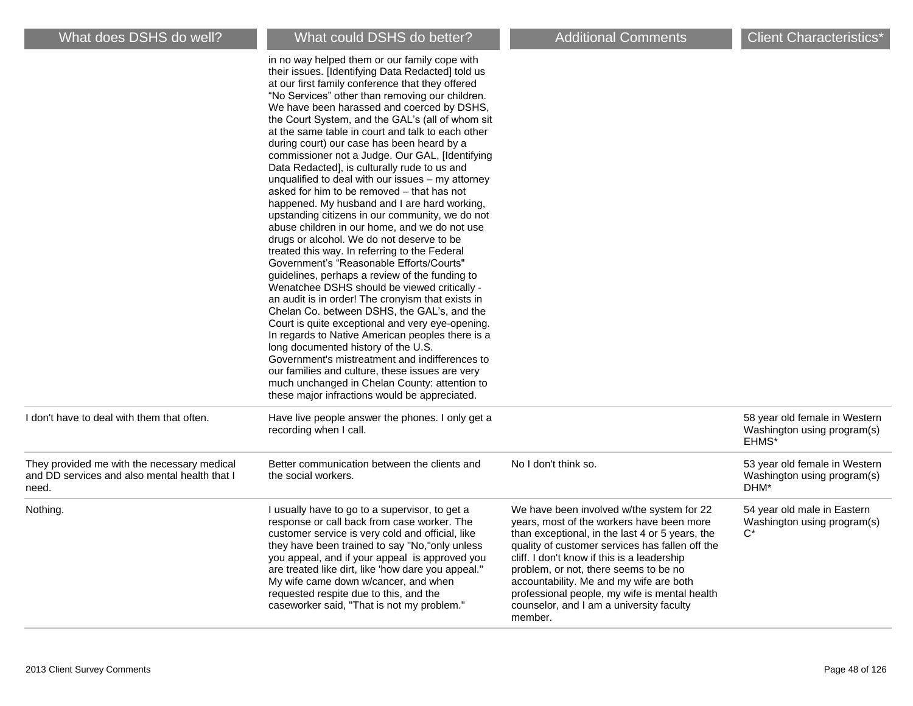|                                                                                                       | in no way helped them or our family cope with<br>their issues. [Identifying Data Redacted] told us<br>at our first family conference that they offered<br>"No Services" other than removing our children.<br>We have been harassed and coerced by DSHS,<br>the Court System, and the GAL's (all of whom sit<br>at the same table in court and talk to each other<br>during court) our case has been heard by a<br>commissioner not a Judge. Our GAL, [Identifying<br>Data Redacted], is culturally rude to us and<br>unqualified to deal with our issues - my attorney<br>asked for him to be removed – that has not<br>happened. My husband and I are hard working,<br>upstanding citizens in our community, we do not<br>abuse children in our home, and we do not use<br>drugs or alcohol. We do not deserve to be<br>treated this way. In referring to the Federal<br>Government's "Reasonable Efforts/Courts"<br>guidelines, perhaps a review of the funding to<br>Wenatchee DSHS should be viewed critically -<br>an audit is in order! The cronyism that exists in<br>Chelan Co. between DSHS, the GAL's, and the<br>Court is quite exceptional and very eye-opening.<br>In regards to Native American peoples there is a<br>long documented history of the U.S.<br>Government's mistreatment and indifferences to<br>our families and culture, these issues are very<br>much unchanged in Chelan County: attention to<br>these major infractions would be appreciated. |                                                                                                                                                                                                                                                                                                                                                                                                                                         |                                                                       |
|-------------------------------------------------------------------------------------------------------|--------------------------------------------------------------------------------------------------------------------------------------------------------------------------------------------------------------------------------------------------------------------------------------------------------------------------------------------------------------------------------------------------------------------------------------------------------------------------------------------------------------------------------------------------------------------------------------------------------------------------------------------------------------------------------------------------------------------------------------------------------------------------------------------------------------------------------------------------------------------------------------------------------------------------------------------------------------------------------------------------------------------------------------------------------------------------------------------------------------------------------------------------------------------------------------------------------------------------------------------------------------------------------------------------------------------------------------------------------------------------------------------------------------------------------------------------------------------------------|-----------------------------------------------------------------------------------------------------------------------------------------------------------------------------------------------------------------------------------------------------------------------------------------------------------------------------------------------------------------------------------------------------------------------------------------|-----------------------------------------------------------------------|
| I don't have to deal with them that often.                                                            | Have live people answer the phones. I only get a<br>recording when I call.                                                                                                                                                                                                                                                                                                                                                                                                                                                                                                                                                                                                                                                                                                                                                                                                                                                                                                                                                                                                                                                                                                                                                                                                                                                                                                                                                                                                     |                                                                                                                                                                                                                                                                                                                                                                                                                                         | 58 year old female in Western<br>Washington using program(s)<br>EHMS* |
| They provided me with the necessary medical<br>and DD services and also mental health that I<br>need. | Better communication between the clients and<br>the social workers.                                                                                                                                                                                                                                                                                                                                                                                                                                                                                                                                                                                                                                                                                                                                                                                                                                                                                                                                                                                                                                                                                                                                                                                                                                                                                                                                                                                                            | No I don't think so.                                                                                                                                                                                                                                                                                                                                                                                                                    | 53 year old female in Western<br>Washington using program(s)<br>DHM*  |
| Nothing.                                                                                              | I usually have to go to a supervisor, to get a<br>response or call back from case worker. The<br>customer service is very cold and official, like<br>they have been trained to say "No,"only unless<br>you appeal, and if your appeal is approved you<br>are treated like dirt, like 'how dare you appeal."<br>My wife came down w/cancer, and when<br>requested respite due to this, and the<br>caseworker said, "That is not my problem."                                                                                                                                                                                                                                                                                                                                                                                                                                                                                                                                                                                                                                                                                                                                                                                                                                                                                                                                                                                                                                    | We have been involved w/the system for 22<br>years, most of the workers have been more<br>than exceptional, in the last 4 or 5 years, the<br>quality of customer services has fallen off the<br>cliff. I don't know if this is a leadership<br>problem, or not, there seems to be no<br>accountability. Me and my wife are both<br>professional people, my wife is mental health<br>counselor, and I am a university faculty<br>member. | 54 year old male in Eastern<br>Washington using program(s)<br>$C^*$   |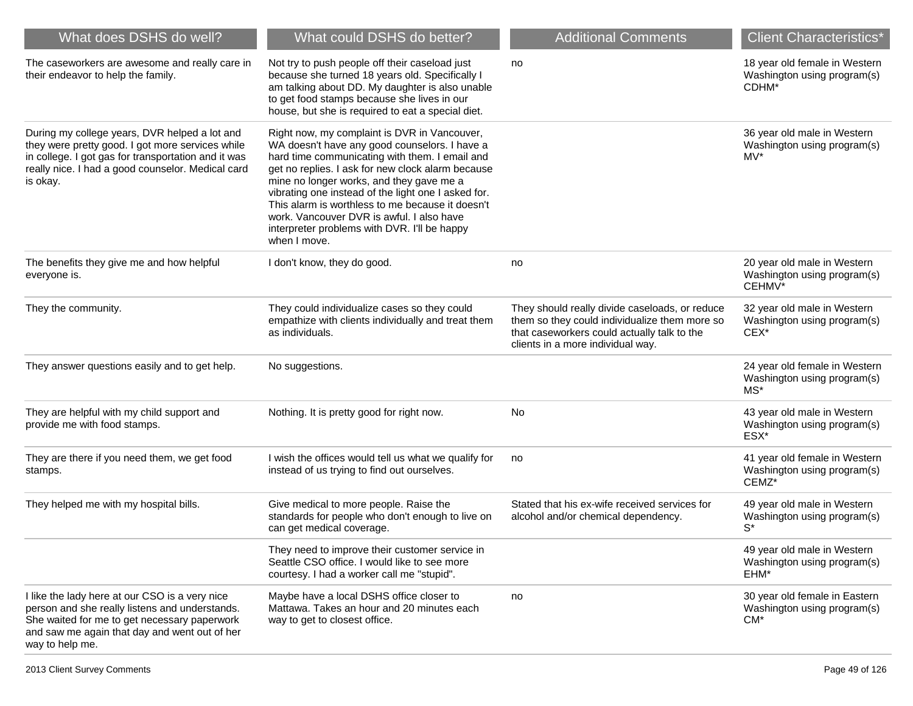| What does DSHS do well?                                                                                                                                                                                                   | What could DSHS do better?                                                                                                                                                                                                                                                                                                                                                                                                                                               | <b>Additional Comments</b>                                                                                                                                                          | <b>Client Characteristics*</b>                                         |
|---------------------------------------------------------------------------------------------------------------------------------------------------------------------------------------------------------------------------|--------------------------------------------------------------------------------------------------------------------------------------------------------------------------------------------------------------------------------------------------------------------------------------------------------------------------------------------------------------------------------------------------------------------------------------------------------------------------|-------------------------------------------------------------------------------------------------------------------------------------------------------------------------------------|------------------------------------------------------------------------|
| The caseworkers are awesome and really care in<br>their endeavor to help the family.                                                                                                                                      | Not try to push people off their caseload just<br>because she turned 18 years old. Specifically I<br>am talking about DD. My daughter is also unable<br>to get food stamps because she lives in our<br>house, but she is required to eat a special diet.                                                                                                                                                                                                                 | no                                                                                                                                                                                  | 18 year old female in Western<br>Washington using program(s)<br>CDHM*  |
| During my college years, DVR helped a lot and<br>they were pretty good. I got more services while<br>in college. I got gas for transportation and it was<br>really nice. I had a good counselor. Medical card<br>is okay. | Right now, my complaint is DVR in Vancouver,<br>WA doesn't have any good counselors. I have a<br>hard time communicating with them. I email and<br>get no replies. I ask for new clock alarm because<br>mine no longer works, and they gave me a<br>vibrating one instead of the light one I asked for.<br>This alarm is worthless to me because it doesn't<br>work. Vancouver DVR is awful. I also have<br>interpreter problems with DVR. I'll be happy<br>when I move. |                                                                                                                                                                                     | 36 year old male in Western<br>Washington using program(s)<br>$MV^*$   |
| The benefits they give me and how helpful<br>everyone is.                                                                                                                                                                 | I don't know, they do good.                                                                                                                                                                                                                                                                                                                                                                                                                                              | no                                                                                                                                                                                  | 20 year old male in Western<br>Washington using program(s)<br>CEHMV*   |
| They the community.                                                                                                                                                                                                       | They could individualize cases so they could<br>empathize with clients individually and treat them<br>as individuals.                                                                                                                                                                                                                                                                                                                                                    | They should really divide caseloads, or reduce<br>them so they could individualize them more so<br>that caseworkers could actually talk to the<br>clients in a more individual way. | 32 year old male in Western<br>Washington using program(s)<br>CEX*     |
| They answer questions easily and to get help.                                                                                                                                                                             | No suggestions.                                                                                                                                                                                                                                                                                                                                                                                                                                                          |                                                                                                                                                                                     | 24 year old female in Western<br>Washington using program(s)<br>$MS^*$ |
| They are helpful with my child support and<br>provide me with food stamps.                                                                                                                                                | Nothing. It is pretty good for right now.                                                                                                                                                                                                                                                                                                                                                                                                                                | No                                                                                                                                                                                  | 43 year old male in Western<br>Washington using program(s)<br>ESX*     |
| They are there if you need them, we get food<br>stamps.                                                                                                                                                                   | I wish the offices would tell us what we qualify for<br>instead of us trying to find out ourselves.                                                                                                                                                                                                                                                                                                                                                                      | no                                                                                                                                                                                  | 41 year old female in Western<br>Washington using program(s)<br>CEMZ*  |
| They helped me with my hospital bills.                                                                                                                                                                                    | Give medical to more people. Raise the<br>standards for people who don't enough to live on<br>can get medical coverage.                                                                                                                                                                                                                                                                                                                                                  | Stated that his ex-wife received services for<br>alcohol and/or chemical dependency.                                                                                                | 49 year old male in Western<br>Washington using program(s)<br>$S^*$    |
|                                                                                                                                                                                                                           | They need to improve their customer service in<br>Seattle CSO office. I would like to see more<br>courtesy. I had a worker call me "stupid".                                                                                                                                                                                                                                                                                                                             |                                                                                                                                                                                     | 49 year old male in Western<br>Washington using program(s)<br>EHM*     |
| I like the lady here at our CSO is a very nice<br>person and she really listens and understands.<br>She waited for me to get necessary paperwork<br>and saw me again that day and went out of her<br>way to help me.      | Maybe have a local DSHS office closer to<br>Mattawa. Takes an hour and 20 minutes each<br>way to get to closest office.                                                                                                                                                                                                                                                                                                                                                  | no                                                                                                                                                                                  | 30 year old female in Eastern<br>Washington using program(s)<br>$CM^*$ |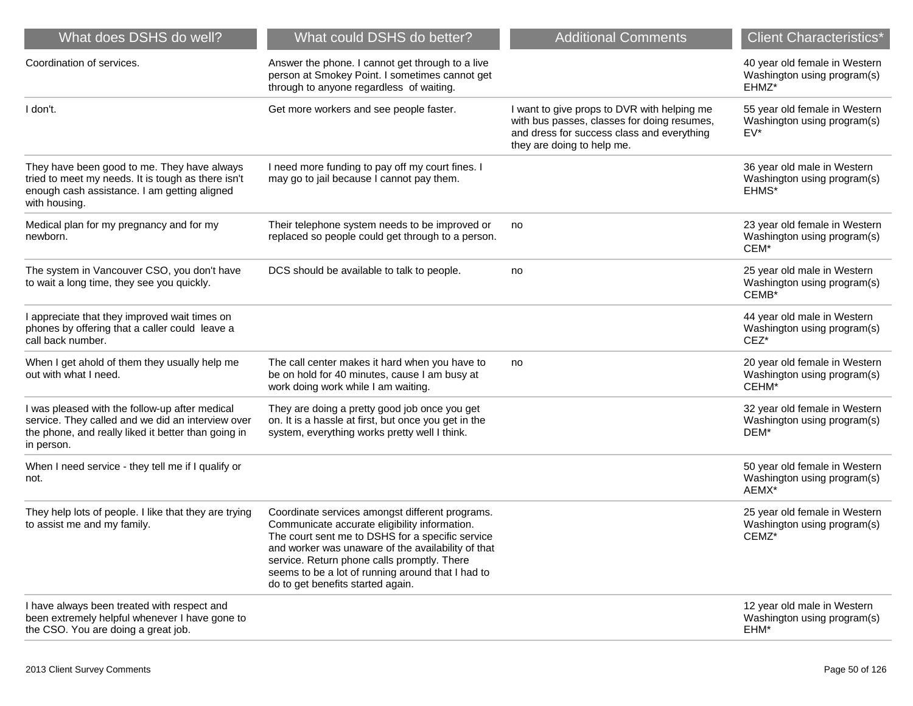| What does DSHS do well?                                                                                                                                                  | What could DSHS do better?                                                                                                                                                                                                                                                                                                                          | <b>Additional Comments</b>                                                                                                                                             | <b>Client Characteristics*</b>                                        |
|--------------------------------------------------------------------------------------------------------------------------------------------------------------------------|-----------------------------------------------------------------------------------------------------------------------------------------------------------------------------------------------------------------------------------------------------------------------------------------------------------------------------------------------------|------------------------------------------------------------------------------------------------------------------------------------------------------------------------|-----------------------------------------------------------------------|
| Coordination of services.                                                                                                                                                | Answer the phone. I cannot get through to a live<br>person at Smokey Point. I sometimes cannot get<br>through to anyone regardless of waiting.                                                                                                                                                                                                      |                                                                                                                                                                        | 40 year old female in Western<br>Washington using program(s)<br>EHMZ* |
| I don't.                                                                                                                                                                 | Get more workers and see people faster.                                                                                                                                                                                                                                                                                                             | I want to give props to DVR with helping me<br>with bus passes, classes for doing resumes,<br>and dress for success class and everything<br>they are doing to help me. | 55 year old female in Western<br>Washington using program(s)<br>EV*   |
| They have been good to me. They have always<br>tried to meet my needs. It is tough as there isn't<br>enough cash assistance. I am getting aligned<br>with housing.       | I need more funding to pay off my court fines. I<br>may go to jail because I cannot pay them.                                                                                                                                                                                                                                                       |                                                                                                                                                                        | 36 year old male in Western<br>Washington using program(s)<br>EHMS*   |
| Medical plan for my pregnancy and for my<br>newborn.                                                                                                                     | Their telephone system needs to be improved or<br>replaced so people could get through to a person.                                                                                                                                                                                                                                                 | no                                                                                                                                                                     | 23 year old female in Western<br>Washington using program(s)<br>CEM*  |
| The system in Vancouver CSO, you don't have<br>to wait a long time, they see you quickly.                                                                                | DCS should be available to talk to people.                                                                                                                                                                                                                                                                                                          | no                                                                                                                                                                     | 25 year old male in Western<br>Washington using program(s)<br>CEMB*   |
| I appreciate that they improved wait times on<br>phones by offering that a caller could leave a<br>call back number.                                                     |                                                                                                                                                                                                                                                                                                                                                     |                                                                                                                                                                        | 44 year old male in Western<br>Washington using program(s)<br>$CEZ^*$ |
| When I get ahold of them they usually help me<br>out with what I need.                                                                                                   | The call center makes it hard when you have to<br>be on hold for 40 minutes, cause I am busy at<br>work doing work while I am waiting.                                                                                                                                                                                                              | no                                                                                                                                                                     | 20 year old female in Western<br>Washington using program(s)<br>CEHM* |
| I was pleased with the follow-up after medical<br>service. They called and we did an interview over<br>the phone, and really liked it better than going in<br>in person. | They are doing a pretty good job once you get<br>on. It is a hassle at first, but once you get in the<br>system, everything works pretty well I think.                                                                                                                                                                                              |                                                                                                                                                                        | 32 year old female in Western<br>Washington using program(s)<br>DEM*  |
| When I need service - they tell me if I qualify or<br>not.                                                                                                               |                                                                                                                                                                                                                                                                                                                                                     |                                                                                                                                                                        | 50 year old female in Western<br>Washington using program(s)<br>AEMX* |
| They help lots of people. I like that they are trying<br>to assist me and my family.                                                                                     | Coordinate services amongst different programs.<br>Communicate accurate eligibility information.<br>The court sent me to DSHS for a specific service<br>and worker was unaware of the availability of that<br>service. Return phone calls promptly. There<br>seems to be a lot of running around that I had to<br>do to get benefits started again. |                                                                                                                                                                        | 25 year old female in Western<br>Washington using program(s)<br>CEMZ* |
| I have always been treated with respect and<br>been extremely helpful whenever I have gone to<br>the CSO. You are doing a great job.                                     |                                                                                                                                                                                                                                                                                                                                                     |                                                                                                                                                                        | 12 year old male in Western<br>Washington using program(s)<br>EHM*    |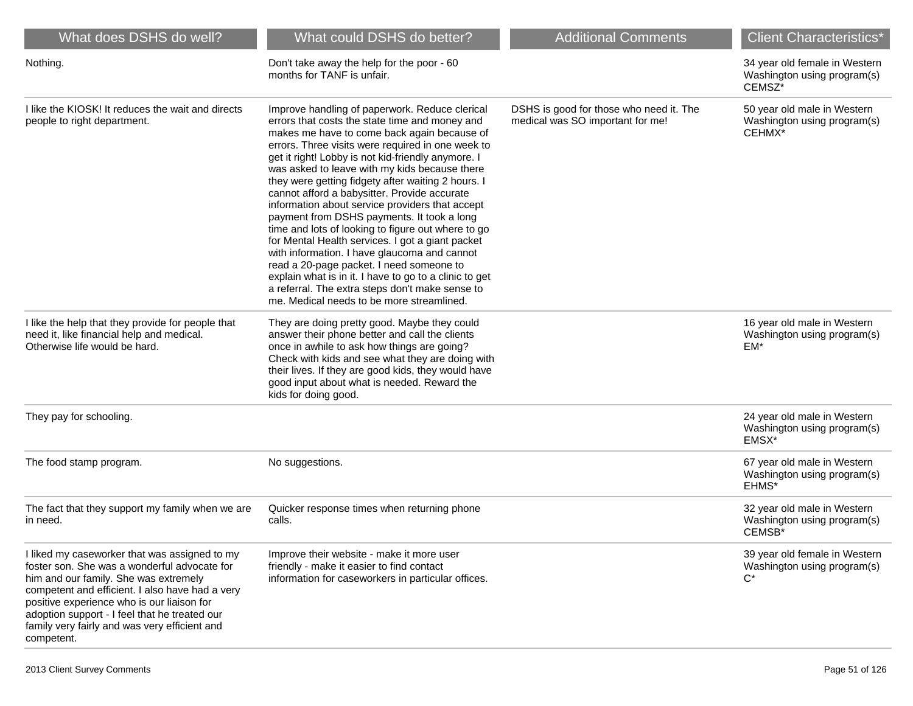| What does DSHS do well?                                                                                                                                                                                                                                                                                                                                 | What could DSHS do better?                                                                                                                                                                                                                                                                                                                                                                                                                                                                                                                                                                                                                                                                                                                                                                                                                                                         | <b>Additional Comments</b>                                                  | <b>Client Characteristics*</b>                                         |
|---------------------------------------------------------------------------------------------------------------------------------------------------------------------------------------------------------------------------------------------------------------------------------------------------------------------------------------------------------|------------------------------------------------------------------------------------------------------------------------------------------------------------------------------------------------------------------------------------------------------------------------------------------------------------------------------------------------------------------------------------------------------------------------------------------------------------------------------------------------------------------------------------------------------------------------------------------------------------------------------------------------------------------------------------------------------------------------------------------------------------------------------------------------------------------------------------------------------------------------------------|-----------------------------------------------------------------------------|------------------------------------------------------------------------|
| Nothing.                                                                                                                                                                                                                                                                                                                                                | Don't take away the help for the poor - 60<br>months for TANF is unfair.                                                                                                                                                                                                                                                                                                                                                                                                                                                                                                                                                                                                                                                                                                                                                                                                           |                                                                             | 34 year old female in Western<br>Washington using program(s)<br>CEMSZ* |
| I like the KIOSK! It reduces the wait and directs<br>people to right department.                                                                                                                                                                                                                                                                        | Improve handling of paperwork. Reduce clerical<br>errors that costs the state time and money and<br>makes me have to come back again because of<br>errors. Three visits were required in one week to<br>get it right! Lobby is not kid-friendly anymore. I<br>was asked to leave with my kids because there<br>they were getting fidgety after waiting 2 hours. I<br>cannot afford a babysitter. Provide accurate<br>information about service providers that accept<br>payment from DSHS payments. It took a long<br>time and lots of looking to figure out where to go<br>for Mental Health services. I got a giant packet<br>with information. I have glaucoma and cannot<br>read a 20-page packet. I need someone to<br>explain what is in it. I have to go to a clinic to get<br>a referral. The extra steps don't make sense to<br>me. Medical needs to be more streamlined. | DSHS is good for those who need it. The<br>medical was SO important for me! | 50 year old male in Western<br>Washington using program(s)<br>CEHMX*   |
| I like the help that they provide for people that<br>need it, like financial help and medical.<br>Otherwise life would be hard.                                                                                                                                                                                                                         | They are doing pretty good. Maybe they could<br>answer their phone better and call the clients<br>once in awhile to ask how things are going?<br>Check with kids and see what they are doing with<br>their lives. If they are good kids, they would have<br>good input about what is needed. Reward the<br>kids for doing good.                                                                                                                                                                                                                                                                                                                                                                                                                                                                                                                                                    |                                                                             | 16 year old male in Western<br>Washington using program(s)<br>$EM*$    |
| They pay for schooling.                                                                                                                                                                                                                                                                                                                                 |                                                                                                                                                                                                                                                                                                                                                                                                                                                                                                                                                                                                                                                                                                                                                                                                                                                                                    |                                                                             | 24 year old male in Western<br>Washington using program(s)<br>EMSX*    |
| The food stamp program.                                                                                                                                                                                                                                                                                                                                 | No suggestions.                                                                                                                                                                                                                                                                                                                                                                                                                                                                                                                                                                                                                                                                                                                                                                                                                                                                    |                                                                             | 67 year old male in Western<br>Washington using program(s)<br>EHMS*    |
| The fact that they support my family when we are<br>in need.                                                                                                                                                                                                                                                                                            | Quicker response times when returning phone<br>calls.                                                                                                                                                                                                                                                                                                                                                                                                                                                                                                                                                                                                                                                                                                                                                                                                                              |                                                                             | 32 year old male in Western<br>Washington using program(s)<br>CEMSB*   |
| I liked my caseworker that was assigned to my<br>foster son. She was a wonderful advocate for<br>him and our family. She was extremely<br>competent and efficient. I also have had a very<br>positive experience who is our liaison for<br>adoption support - I feel that he treated our<br>family very fairly and was very efficient and<br>competent. | Improve their website - make it more user<br>friendly - make it easier to find contact<br>information for caseworkers in particular offices.                                                                                                                                                                                                                                                                                                                                                                                                                                                                                                                                                                                                                                                                                                                                       |                                                                             | 39 year old female in Western<br>Washington using program(s)<br>$C^*$  |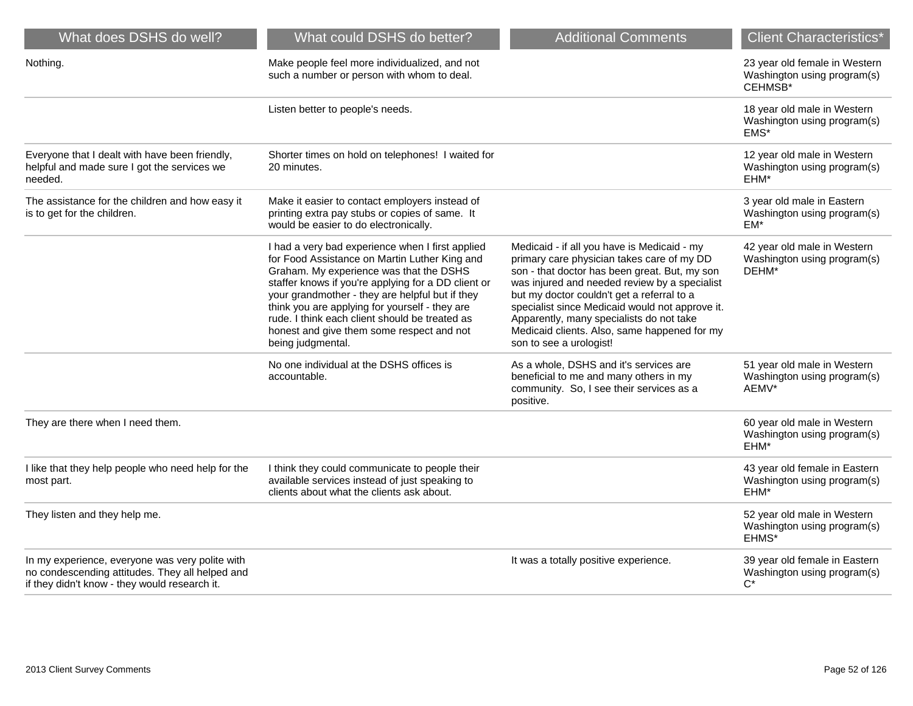| What does DSHS do well?                                                                                                                             | What could DSHS do better?                                                                                                                                                                                                                                                                                                                                                                                                   | <b>Additional Comments</b>                                                                                                                                                                                                                                                                                                                                                                                          | <b>Client Characteristics*</b>                                          |
|-----------------------------------------------------------------------------------------------------------------------------------------------------|------------------------------------------------------------------------------------------------------------------------------------------------------------------------------------------------------------------------------------------------------------------------------------------------------------------------------------------------------------------------------------------------------------------------------|---------------------------------------------------------------------------------------------------------------------------------------------------------------------------------------------------------------------------------------------------------------------------------------------------------------------------------------------------------------------------------------------------------------------|-------------------------------------------------------------------------|
| Nothing.                                                                                                                                            | Make people feel more individualized, and not<br>such a number or person with whom to deal.                                                                                                                                                                                                                                                                                                                                  |                                                                                                                                                                                                                                                                                                                                                                                                                     | 23 year old female in Western<br>Washington using program(s)<br>CEHMSB* |
|                                                                                                                                                     | Listen better to people's needs.                                                                                                                                                                                                                                                                                                                                                                                             |                                                                                                                                                                                                                                                                                                                                                                                                                     | 18 year old male in Western<br>Washington using program(s)<br>EMS*      |
| Everyone that I dealt with have been friendly,<br>helpful and made sure I got the services we<br>needed.                                            | Shorter times on hold on telephones! I waited for<br>20 minutes.                                                                                                                                                                                                                                                                                                                                                             |                                                                                                                                                                                                                                                                                                                                                                                                                     | 12 year old male in Western<br>Washington using program(s)<br>EHM*      |
| The assistance for the children and how easy it<br>is to get for the children.                                                                      | Make it easier to contact employers instead of<br>printing extra pay stubs or copies of same. It<br>would be easier to do electronically.                                                                                                                                                                                                                                                                                    |                                                                                                                                                                                                                                                                                                                                                                                                                     | 3 year old male in Eastern<br>Washington using program(s)<br>EM*        |
|                                                                                                                                                     | I had a very bad experience when I first applied<br>for Food Assistance on Martin Luther King and<br>Graham. My experience was that the DSHS<br>staffer knows if you're applying for a DD client or<br>your grandmother - they are helpful but if they<br>think you are applying for yourself - they are<br>rude. I think each client should be treated as<br>honest and give them some respect and not<br>being judgmental. | Medicaid - if all you have is Medicaid - my<br>primary care physician takes care of my DD<br>son - that doctor has been great. But, my son<br>was injured and needed review by a specialist<br>but my doctor couldn't get a referral to a<br>specialist since Medicaid would not approve it.<br>Apparently, many specialists do not take<br>Medicaid clients. Also, same happened for my<br>son to see a urologist! | 42 year old male in Western<br>Washington using program(s)<br>DEHM*     |
|                                                                                                                                                     | No one individual at the DSHS offices is<br>accountable.                                                                                                                                                                                                                                                                                                                                                                     | As a whole, DSHS and it's services are<br>beneficial to me and many others in my<br>community. So, I see their services as a<br>positive.                                                                                                                                                                                                                                                                           | 51 year old male in Western<br>Washington using program(s)<br>AEMV*     |
| They are there when I need them.                                                                                                                    |                                                                                                                                                                                                                                                                                                                                                                                                                              |                                                                                                                                                                                                                                                                                                                                                                                                                     | 60 year old male in Western<br>Washington using program(s)<br>EHM*      |
| I like that they help people who need help for the<br>most part.                                                                                    | I think they could communicate to people their<br>available services instead of just speaking to<br>clients about what the clients ask about.                                                                                                                                                                                                                                                                                |                                                                                                                                                                                                                                                                                                                                                                                                                     | 43 year old female in Eastern<br>Washington using program(s)<br>EHM*    |
| They listen and they help me.                                                                                                                       |                                                                                                                                                                                                                                                                                                                                                                                                                              |                                                                                                                                                                                                                                                                                                                                                                                                                     | 52 year old male in Western<br>Washington using program(s)<br>EHMS*     |
| In my experience, everyone was very polite with<br>no condescending attitudes. They all helped and<br>if they didn't know - they would research it. |                                                                                                                                                                                                                                                                                                                                                                                                                              | It was a totally positive experience.                                                                                                                                                                                                                                                                                                                                                                               | 39 year old female in Eastern<br>Washington using program(s)<br>$C^*$   |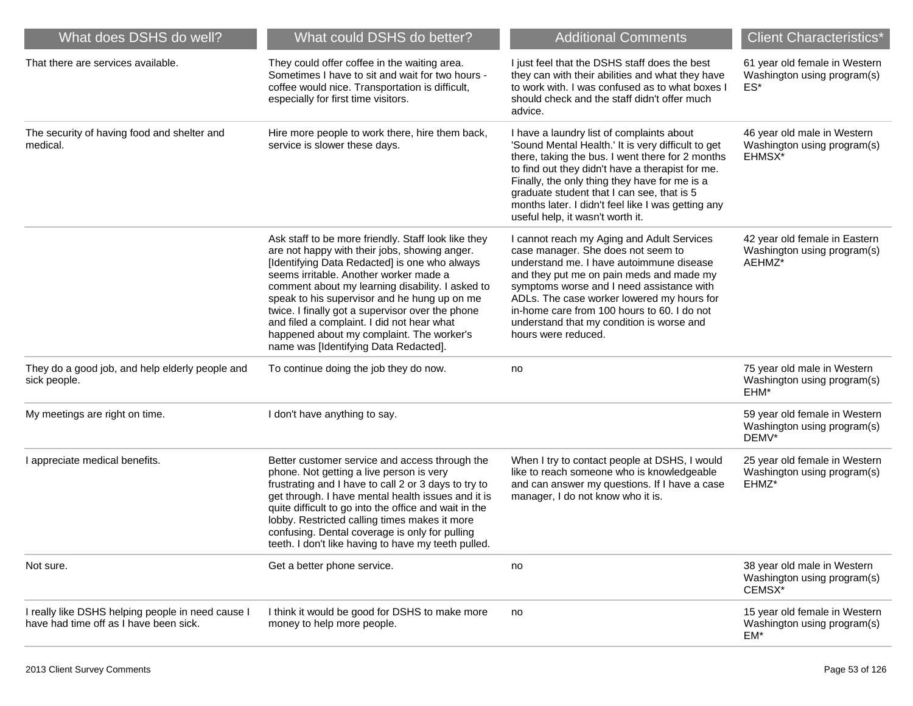| What does DSHS do well?                                                                     | What could DSHS do better?                                                                                                                                                                                                                                                                                                                                                                                                                                                                  | <b>Additional Comments</b>                                                                                                                                                                                                                                                                                                                                                                       | <b>Client Characteristics*</b>                                         |
|---------------------------------------------------------------------------------------------|---------------------------------------------------------------------------------------------------------------------------------------------------------------------------------------------------------------------------------------------------------------------------------------------------------------------------------------------------------------------------------------------------------------------------------------------------------------------------------------------|--------------------------------------------------------------------------------------------------------------------------------------------------------------------------------------------------------------------------------------------------------------------------------------------------------------------------------------------------------------------------------------------------|------------------------------------------------------------------------|
| That there are services available.                                                          | They could offer coffee in the waiting area.<br>Sometimes I have to sit and wait for two hours -<br>coffee would nice. Transportation is difficult,<br>especially for first time visitors.                                                                                                                                                                                                                                                                                                  | I just feel that the DSHS staff does the best<br>they can with their abilities and what they have<br>to work with. I was confused as to what boxes I<br>should check and the staff didn't offer much<br>advice.                                                                                                                                                                                  | 61 year old female in Western<br>Washington using program(s)<br>ES*    |
| The security of having food and shelter and<br>medical.                                     | Hire more people to work there, hire them back,<br>service is slower these days.                                                                                                                                                                                                                                                                                                                                                                                                            | I have a laundry list of complaints about<br>'Sound Mental Health.' It is very difficult to get<br>there, taking the bus. I went there for 2 months<br>to find out they didn't have a therapist for me.<br>Finally, the only thing they have for me is a<br>graduate student that I can see, that is 5<br>months later. I didn't feel like I was getting any<br>useful help, it wasn't worth it. | 46 year old male in Western<br>Washington using program(s)<br>EHMSX*   |
|                                                                                             | Ask staff to be more friendly. Staff look like they<br>are not happy with their jobs, showing anger.<br>[Identifying Data Redacted] is one who always<br>seems irritable. Another worker made a<br>comment about my learning disability. I asked to<br>speak to his supervisor and he hung up on me<br>twice. I finally got a supervisor over the phone<br>and filed a complaint. I did not hear what<br>happened about my complaint. The worker's<br>name was [Identifying Data Redacted]. | I cannot reach my Aging and Adult Services<br>case manager. She does not seem to<br>understand me. I have autoimmune disease<br>and they put me on pain meds and made my<br>symptoms worse and I need assistance with<br>ADLs. The case worker lowered my hours for<br>in-home care from 100 hours to 60. I do not<br>understand that my condition is worse and<br>hours were reduced.           | 42 year old female in Eastern<br>Washington using program(s)<br>AEHMZ* |
| They do a good job, and help elderly people and<br>sick people.                             | To continue doing the job they do now.                                                                                                                                                                                                                                                                                                                                                                                                                                                      | no                                                                                                                                                                                                                                                                                                                                                                                               | 75 year old male in Western<br>Washington using program(s)<br>EHM*     |
| My meetings are right on time.                                                              | I don't have anything to say.                                                                                                                                                                                                                                                                                                                                                                                                                                                               |                                                                                                                                                                                                                                                                                                                                                                                                  | 59 year old female in Western<br>Washington using program(s)<br>DEMV*  |
| I appreciate medical benefits.                                                              | Better customer service and access through the<br>phone. Not getting a live person is very<br>frustrating and I have to call 2 or 3 days to try to<br>get through. I have mental health issues and it is<br>quite difficult to go into the office and wait in the<br>lobby. Restricted calling times makes it more<br>confusing. Dental coverage is only for pulling<br>teeth. I don't like having to have my teeth pulled.                                                                 | When I try to contact people at DSHS, I would<br>like to reach someone who is knowledgeable<br>and can answer my questions. If I have a case<br>manager, I do not know who it is.                                                                                                                                                                                                                | 25 year old female in Western<br>Washington using program(s)<br>EHMZ*  |
| Not sure.                                                                                   | Get a better phone service.                                                                                                                                                                                                                                                                                                                                                                                                                                                                 | no                                                                                                                                                                                                                                                                                                                                                                                               | 38 year old male in Western<br>Washington using program(s)<br>CEMSX*   |
| I really like DSHS helping people in need cause I<br>have had time off as I have been sick. | I think it would be good for DSHS to make more<br>money to help more people.                                                                                                                                                                                                                                                                                                                                                                                                                | no                                                                                                                                                                                                                                                                                                                                                                                               | 15 year old female in Western<br>Washington using program(s)<br>EM*    |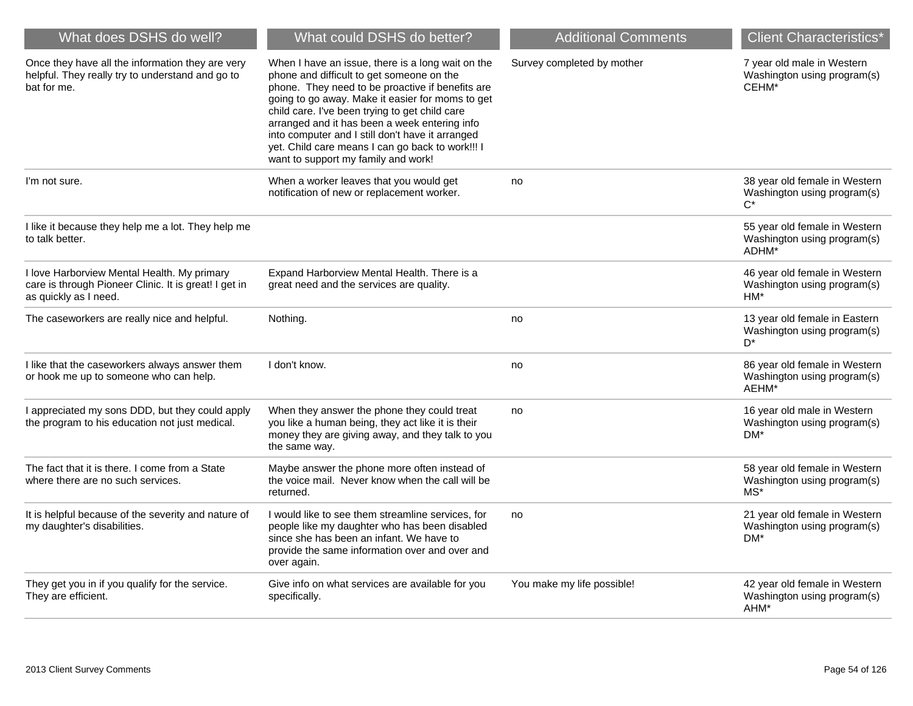| What does DSHS do well?                                                                                                       | What could DSHS do better?                                                                                                                                                                                                                                                                                                                                                                                                                               | <b>Additional Comments</b> | <b>Client Characteristics*</b>                                         |
|-------------------------------------------------------------------------------------------------------------------------------|----------------------------------------------------------------------------------------------------------------------------------------------------------------------------------------------------------------------------------------------------------------------------------------------------------------------------------------------------------------------------------------------------------------------------------------------------------|----------------------------|------------------------------------------------------------------------|
| Once they have all the information they are very<br>helpful. They really try to understand and go to<br>bat for me.           | When I have an issue, there is a long wait on the<br>phone and difficult to get someone on the<br>phone. They need to be proactive if benefits are<br>going to go away. Make it easier for moms to get<br>child care. I've been trying to get child care<br>arranged and it has been a week entering info<br>into computer and I still don't have it arranged<br>yet. Child care means I can go back to work!!! I<br>want to support my family and work! | Survey completed by mother | 7 year old male in Western<br>Washington using program(s)<br>CEHM*     |
| I'm not sure.                                                                                                                 | When a worker leaves that you would get<br>notification of new or replacement worker.                                                                                                                                                                                                                                                                                                                                                                    | no                         | 38 year old female in Western<br>Washington using program(s)<br>$C^*$  |
| I like it because they help me a lot. They help me<br>to talk better.                                                         |                                                                                                                                                                                                                                                                                                                                                                                                                                                          |                            | 55 year old female in Western<br>Washington using program(s)<br>ADHM*  |
| I love Harborview Mental Health. My primary<br>care is through Pioneer Clinic. It is great! I get in<br>as quickly as I need. | Expand Harborview Mental Health. There is a<br>great need and the services are quality.                                                                                                                                                                                                                                                                                                                                                                  |                            | 46 year old female in Western<br>Washington using program(s)<br>HM*    |
| The caseworkers are really nice and helpful.                                                                                  | Nothing.                                                                                                                                                                                                                                                                                                                                                                                                                                                 | no                         | 13 year old female in Eastern<br>Washington using program(s)<br>$D^*$  |
| I like that the caseworkers always answer them<br>or hook me up to someone who can help.                                      | I don't know.                                                                                                                                                                                                                                                                                                                                                                                                                                            | no                         | 86 year old female in Western<br>Washington using program(s)<br>AEHM*  |
| I appreciated my sons DDD, but they could apply<br>the program to his education not just medical.                             | When they answer the phone they could treat<br>you like a human being, they act like it is their<br>money they are giving away, and they talk to you<br>the same way.                                                                                                                                                                                                                                                                                    | no                         | 16 year old male in Western<br>Washington using program(s)<br>DM*      |
| The fact that it is there. I come from a State<br>where there are no such services.                                           | Maybe answer the phone more often instead of<br>the voice mail. Never know when the call will be<br>returned.                                                                                                                                                                                                                                                                                                                                            |                            | 58 year old female in Western<br>Washington using program(s)<br>$MS^*$ |
| It is helpful because of the severity and nature of<br>my daughter's disabilities.                                            | I would like to see them streamline services, for<br>people like my daughter who has been disabled<br>since she has been an infant. We have to<br>provide the same information over and over and<br>over again.                                                                                                                                                                                                                                          | no                         | 21 year old female in Western<br>Washington using program(s)<br>DM*    |
| They get you in if you qualify for the service.<br>They are efficient.                                                        | Give info on what services are available for you<br>specifically.                                                                                                                                                                                                                                                                                                                                                                                        | You make my life possible! | 42 year old female in Western<br>Washington using program(s)<br>AHM*   |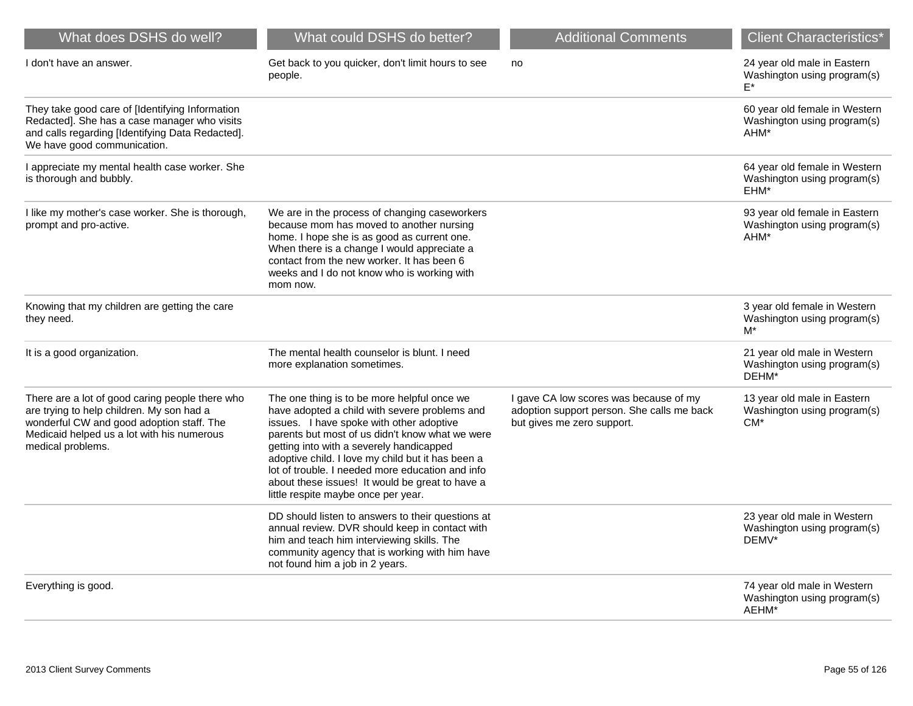| What does DSHS do well?                                                                                                                                                                                      | What could DSHS do better?                                                                                                                                                                                                                                                                                                                                                                                                                 | <b>Additional Comments</b>                                                                                         | <b>Client Characteristics*</b>                                       |
|--------------------------------------------------------------------------------------------------------------------------------------------------------------------------------------------------------------|--------------------------------------------------------------------------------------------------------------------------------------------------------------------------------------------------------------------------------------------------------------------------------------------------------------------------------------------------------------------------------------------------------------------------------------------|--------------------------------------------------------------------------------------------------------------------|----------------------------------------------------------------------|
| I don't have an answer.                                                                                                                                                                                      | Get back to you quicker, don't limit hours to see<br>people.                                                                                                                                                                                                                                                                                                                                                                               | no                                                                                                                 | 24 year old male in Eastern<br>Washington using program(s)<br>F*     |
| They take good care of [Identifying Information<br>Redacted]. She has a case manager who visits<br>and calls regarding [Identifying Data Redacted].<br>We have good communication.                           |                                                                                                                                                                                                                                                                                                                                                                                                                                            |                                                                                                                    | 60 year old female in Western<br>Washington using program(s)<br>AHM* |
| I appreciate my mental health case worker. She<br>is thorough and bubbly.                                                                                                                                    |                                                                                                                                                                                                                                                                                                                                                                                                                                            |                                                                                                                    | 64 year old female in Western<br>Washington using program(s)<br>EHM* |
| I like my mother's case worker. She is thorough,<br>prompt and pro-active.                                                                                                                                   | We are in the process of changing caseworkers<br>because mom has moved to another nursing<br>home. I hope she is as good as current one.<br>When there is a change I would appreciate a<br>contact from the new worker. It has been 6<br>weeks and I do not know who is working with<br>mom now.                                                                                                                                           |                                                                                                                    | 93 year old female in Eastern<br>Washington using program(s)<br>AHM* |
| Knowing that my children are getting the care<br>they need.                                                                                                                                                  |                                                                                                                                                                                                                                                                                                                                                                                                                                            |                                                                                                                    | 3 year old female in Western<br>Washington using program(s)<br>M*    |
| It is a good organization.                                                                                                                                                                                   | The mental health counselor is blunt. I need<br>more explanation sometimes.                                                                                                                                                                                                                                                                                                                                                                |                                                                                                                    | 21 year old male in Western<br>Washington using program(s)<br>DEHM*  |
| There are a lot of good caring people there who<br>are trying to help children. My son had a<br>wonderful CW and good adoption staff. The<br>Medicaid helped us a lot with his numerous<br>medical problems. | The one thing is to be more helpful once we<br>have adopted a child with severe problems and<br>issues. I have spoke with other adoptive<br>parents but most of us didn't know what we were<br>getting into with a severely handicapped<br>adoptive child. I love my child but it has been a<br>lot of trouble. I needed more education and info<br>about these issues! It would be great to have a<br>little respite maybe once per year. | I gave CA low scores was because of my<br>adoption support person. She calls me back<br>but gives me zero support. | 13 year old male in Eastern<br>Washington using program(s)<br>$CM^*$ |
|                                                                                                                                                                                                              | DD should listen to answers to their questions at<br>annual review. DVR should keep in contact with<br>him and teach him interviewing skills. The<br>community agency that is working with him have<br>not found him a job in 2 years.                                                                                                                                                                                                     |                                                                                                                    | 23 year old male in Western<br>Washington using program(s)<br>DEMV*  |
| Everything is good.                                                                                                                                                                                          |                                                                                                                                                                                                                                                                                                                                                                                                                                            |                                                                                                                    | 74 year old male in Western<br>Washington using program(s)<br>AEHM*  |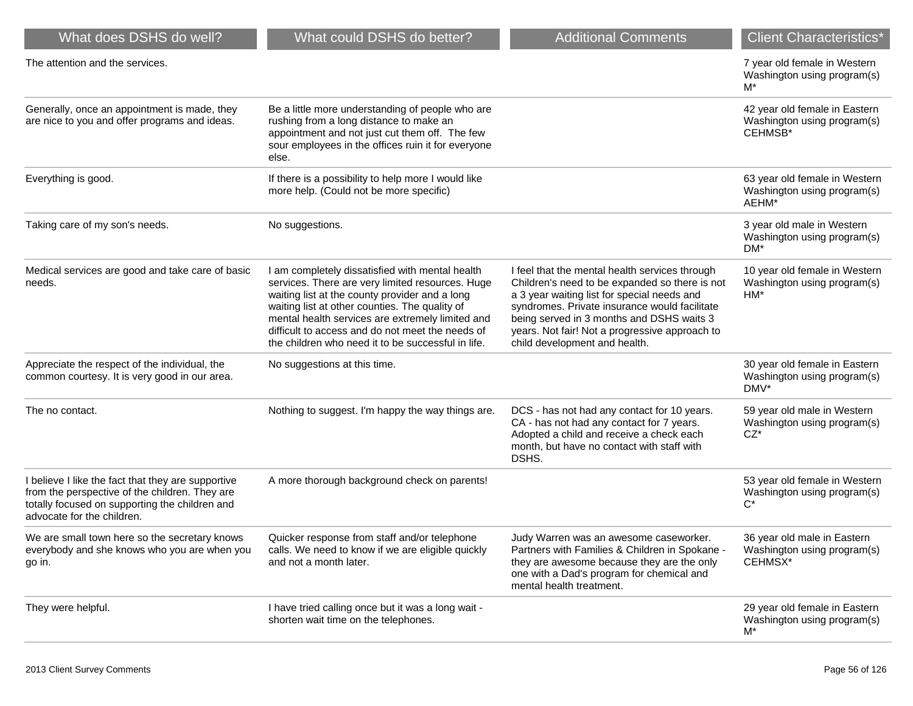| What does DSHS do well?                                                                                                                                                              | What could DSHS do better?                                                                                                                                                                                                                                                                                                                                            | <b>Additional Comments</b>                                                                                                                                                                                                                                                                                                       | <b>Client Characteristics*</b>                                          |
|--------------------------------------------------------------------------------------------------------------------------------------------------------------------------------------|-----------------------------------------------------------------------------------------------------------------------------------------------------------------------------------------------------------------------------------------------------------------------------------------------------------------------------------------------------------------------|----------------------------------------------------------------------------------------------------------------------------------------------------------------------------------------------------------------------------------------------------------------------------------------------------------------------------------|-------------------------------------------------------------------------|
| The attention and the services.                                                                                                                                                      |                                                                                                                                                                                                                                                                                                                                                                       |                                                                                                                                                                                                                                                                                                                                  | 7 year old female in Western<br>Washington using program(s)<br>M*       |
| Generally, once an appointment is made, they<br>are nice to you and offer programs and ideas.                                                                                        | Be a little more understanding of people who are<br>rushing from a long distance to make an<br>appointment and not just cut them off. The few<br>sour employees in the offices ruin it for everyone<br>else.                                                                                                                                                          |                                                                                                                                                                                                                                                                                                                                  | 42 year old female in Eastern<br>Washington using program(s)<br>CEHMSB* |
| Everything is good.                                                                                                                                                                  | If there is a possibility to help more I would like<br>more help. (Could not be more specific)                                                                                                                                                                                                                                                                        |                                                                                                                                                                                                                                                                                                                                  | 63 year old female in Western<br>Washington using program(s)<br>AEHM*   |
| Taking care of my son's needs.                                                                                                                                                       | No suggestions.                                                                                                                                                                                                                                                                                                                                                       |                                                                                                                                                                                                                                                                                                                                  | 3 year old male in Western<br>Washington using program(s)<br>DM*        |
| Medical services are good and take care of basic<br>needs.                                                                                                                           | I am completely dissatisfied with mental health<br>services. There are very limited resources. Huge<br>waiting list at the county provider and a long<br>waiting list at other counties. The quality of<br>mental health services are extremely limited and<br>difficult to access and do not meet the needs of<br>the children who need it to be successful in life. | I feel that the mental health services through<br>Children's need to be expanded so there is not<br>a 3 year waiting list for special needs and<br>syndromes. Private insurance would facilitate<br>being served in 3 months and DSHS waits 3<br>years. Not fair! Not a progressive approach to<br>child development and health. | 10 year old female in Western<br>Washington using program(s)<br>$HM*$   |
| Appreciate the respect of the individual, the<br>common courtesy. It is very good in our area.                                                                                       | No suggestions at this time.                                                                                                                                                                                                                                                                                                                                          |                                                                                                                                                                                                                                                                                                                                  | 30 year old female in Eastern<br>Washington using program(s)<br>DMV*    |
| The no contact.                                                                                                                                                                      | Nothing to suggest. I'm happy the way things are.                                                                                                                                                                                                                                                                                                                     | DCS - has not had any contact for 10 years.<br>CA - has not had any contact for 7 years.<br>Adopted a child and receive a check each<br>month, but have no contact with staff with<br>DSHS.                                                                                                                                      | 59 year old male in Western<br>Washington using program(s)<br>$CZ^*$    |
| I believe I like the fact that they are supportive<br>from the perspective of the children. They are<br>totally focused on supporting the children and<br>advocate for the children. | A more thorough background check on parents!                                                                                                                                                                                                                                                                                                                          |                                                                                                                                                                                                                                                                                                                                  | 53 year old female in Western<br>Washington using program(s)<br>$C^*$   |
| We are small town here so the secretary knows<br>everybody and she knows who you are when you<br>go in.                                                                              | Quicker response from staff and/or telephone<br>calls. We need to know if we are eligible quickly<br>and not a month later.                                                                                                                                                                                                                                           | Judy Warren was an awesome caseworker.<br>Partners with Families & Children in Spokane -<br>they are awesome because they are the only<br>one with a Dad's program for chemical and<br>mental health treatment.                                                                                                                  | 36 year old male in Eastern<br>Washington using program(s)<br>CEHMSX*   |
| They were helpful.                                                                                                                                                                   | I have tried calling once but it was a long wait -<br>shorten wait time on the telephones.                                                                                                                                                                                                                                                                            |                                                                                                                                                                                                                                                                                                                                  | 29 year old female in Eastern<br>Washington using program(s)<br>M*      |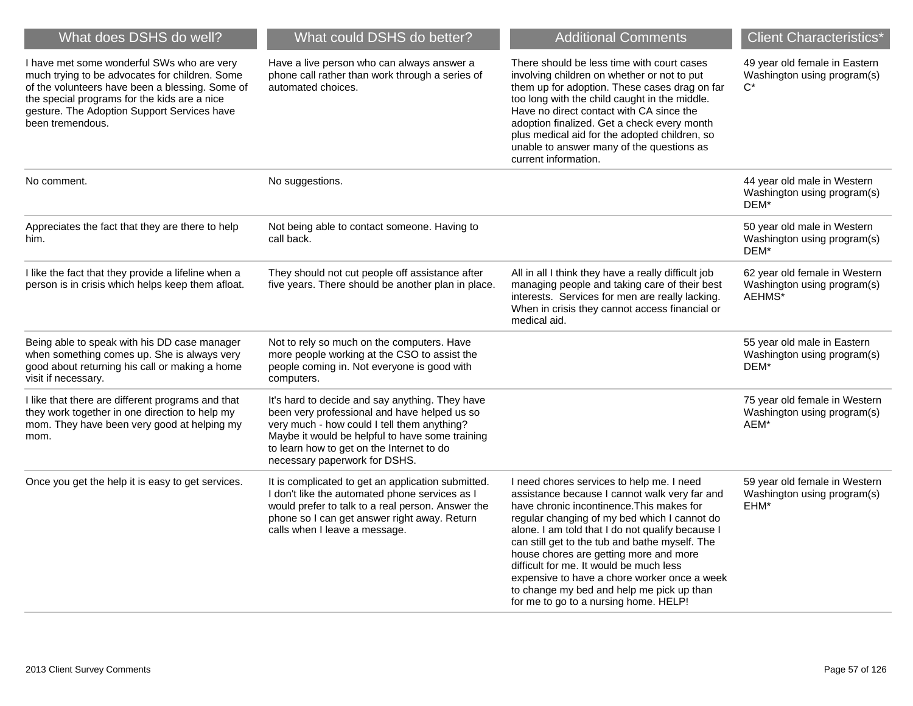| What does DSHS do well?                                                                                                                                                                                                                                            | What could DSHS do better?                                                                                                                                                                                                                                                      | <b>Additional Comments</b>                                                                                                                                                                                                                                                                                                                                                                                                                                                                                               | <b>Client Characteristics*</b>                                                     |
|--------------------------------------------------------------------------------------------------------------------------------------------------------------------------------------------------------------------------------------------------------------------|---------------------------------------------------------------------------------------------------------------------------------------------------------------------------------------------------------------------------------------------------------------------------------|--------------------------------------------------------------------------------------------------------------------------------------------------------------------------------------------------------------------------------------------------------------------------------------------------------------------------------------------------------------------------------------------------------------------------------------------------------------------------------------------------------------------------|------------------------------------------------------------------------------------|
| I have met some wonderful SWs who are very<br>much trying to be advocates for children. Some<br>of the volunteers have been a blessing. Some of<br>the special programs for the kids are a nice<br>gesture. The Adoption Support Services have<br>been tremendous. | Have a live person who can always answer a<br>phone call rather than work through a series of<br>automated choices.                                                                                                                                                             | There should be less time with court cases<br>involving children on whether or not to put<br>them up for adoption. These cases drag on far<br>too long with the child caught in the middle.<br>Have no direct contact with CA since the<br>adoption finalized. Get a check every month<br>plus medical aid for the adopted children, so<br>unable to answer many of the questions as<br>current information.                                                                                                             | 49 year old female in Eastern<br>Washington using program(s)<br>$C^*$              |
| No comment.                                                                                                                                                                                                                                                        | No suggestions.                                                                                                                                                                                                                                                                 |                                                                                                                                                                                                                                                                                                                                                                                                                                                                                                                          | 44 year old male in Western<br>Washington using program(s)<br>DEM*                 |
| Appreciates the fact that they are there to help<br>him.                                                                                                                                                                                                           | Not being able to contact someone. Having to<br>call back.                                                                                                                                                                                                                      |                                                                                                                                                                                                                                                                                                                                                                                                                                                                                                                          | 50 year old male in Western<br>Washington using program(s)<br>DEM*                 |
| I like the fact that they provide a lifeline when a<br>person is in crisis which helps keep them afloat.                                                                                                                                                           | They should not cut people off assistance after<br>five years. There should be another plan in place.                                                                                                                                                                           | All in all I think they have a really difficult job<br>managing people and taking care of their best<br>interests. Services for men are really lacking.<br>When in crisis they cannot access financial or<br>medical aid.                                                                                                                                                                                                                                                                                                | 62 year old female in Western<br>Washington using program(s)<br>AEHMS <sup>*</sup> |
| Being able to speak with his DD case manager<br>when something comes up. She is always very<br>good about returning his call or making a home<br>visit if necessary.                                                                                               | Not to rely so much on the computers. Have<br>more people working at the CSO to assist the<br>people coming in. Not everyone is good with<br>computers.                                                                                                                         |                                                                                                                                                                                                                                                                                                                                                                                                                                                                                                                          | 55 year old male in Eastern<br>Washington using program(s)<br>DEM*                 |
| I like that there are different programs and that<br>they work together in one direction to help my<br>mom. They have been very good at helping my<br>mom.                                                                                                         | It's hard to decide and say anything. They have<br>been very professional and have helped us so<br>very much - how could I tell them anything?<br>Maybe it would be helpful to have some training<br>to learn how to get on the Internet to do<br>necessary paperwork for DSHS. |                                                                                                                                                                                                                                                                                                                                                                                                                                                                                                                          | 75 year old female in Western<br>Washington using program(s)<br>AEM*               |
| Once you get the help it is easy to get services.                                                                                                                                                                                                                  | It is complicated to get an application submitted.<br>I don't like the automated phone services as I<br>would prefer to talk to a real person. Answer the<br>phone so I can get answer right away. Return<br>calls when I leave a message.                                      | I need chores services to help me. I need<br>assistance because I cannot walk very far and<br>have chronic incontinence. This makes for<br>regular changing of my bed which I cannot do<br>alone. I am told that I do not qualify because I<br>can still get to the tub and bathe myself. The<br>house chores are getting more and more<br>difficult for me. It would be much less<br>expensive to have a chore worker once a week<br>to change my bed and help me pick up than<br>for me to go to a nursing home. HELP! | 59 year old female in Western<br>Washington using program(s)<br>EHM*               |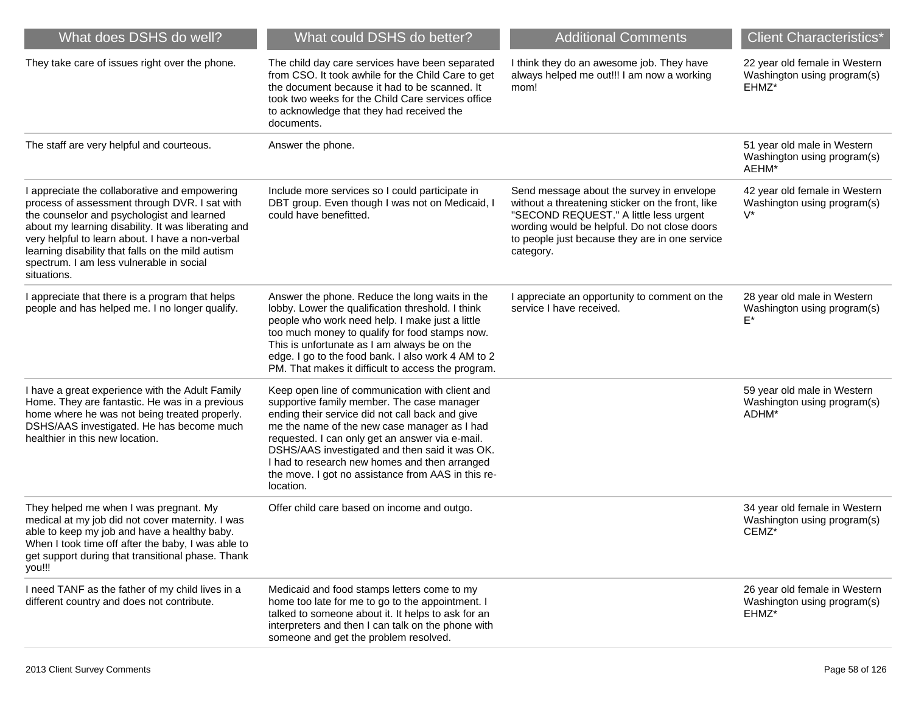| What does DSHS do well?                                                                                                                                                                                                                                                                                                                                                 | What could DSHS do better?                                                                                                                                                                                                                                                                                                                                                                                                | <b>Additional Comments</b>                                                                                                                                                                                                                             | <b>Client Characteristics*</b>                                        |
|-------------------------------------------------------------------------------------------------------------------------------------------------------------------------------------------------------------------------------------------------------------------------------------------------------------------------------------------------------------------------|---------------------------------------------------------------------------------------------------------------------------------------------------------------------------------------------------------------------------------------------------------------------------------------------------------------------------------------------------------------------------------------------------------------------------|--------------------------------------------------------------------------------------------------------------------------------------------------------------------------------------------------------------------------------------------------------|-----------------------------------------------------------------------|
| They take care of issues right over the phone.                                                                                                                                                                                                                                                                                                                          | The child day care services have been separated<br>from CSO. It took awhile for the Child Care to get<br>the document because it had to be scanned. It<br>took two weeks for the Child Care services office<br>to acknowledge that they had received the<br>documents.                                                                                                                                                    | I think they do an awesome job. They have<br>always helped me out!!! I am now a working<br>mom!                                                                                                                                                        | 22 year old female in Western<br>Washington using program(s)<br>EHMZ* |
| The staff are very helpful and courteous.                                                                                                                                                                                                                                                                                                                               | Answer the phone.                                                                                                                                                                                                                                                                                                                                                                                                         |                                                                                                                                                                                                                                                        | 51 year old male in Western<br>Washington using program(s)<br>AEHM*   |
| I appreciate the collaborative and empowering<br>process of assessment through DVR. I sat with<br>the counselor and psychologist and learned<br>about my learning disability. It was liberating and<br>very helpful to learn about. I have a non-verbal<br>learning disability that falls on the mild autism<br>spectrum. I am less vulnerable in social<br>situations. | Include more services so I could participate in<br>DBT group. Even though I was not on Medicaid, I<br>could have benefitted.                                                                                                                                                                                                                                                                                              | Send message about the survey in envelope<br>without a threatening sticker on the front, like<br>"SECOND REQUEST." A little less urgent<br>wording would be helpful. Do not close doors<br>to people just because they are in one service<br>category. | 42 year old female in Western<br>Washington using program(s)<br>$V^*$ |
| I appreciate that there is a program that helps<br>people and has helped me. I no longer qualify.                                                                                                                                                                                                                                                                       | Answer the phone. Reduce the long waits in the<br>lobby. Lower the qualification threshold. I think<br>people who work need help. I make just a little<br>too much money to qualify for food stamps now.<br>This is unfortunate as I am always be on the<br>edge. I go to the food bank. I also work 4 AM to 2<br>PM. That makes it difficult to access the program.                                                      | I appreciate an opportunity to comment on the<br>service I have received.                                                                                                                                                                              | 28 year old male in Western<br>Washington using program(s)<br>F*      |
| I have a great experience with the Adult Family<br>Home. They are fantastic. He was in a previous<br>home where he was not being treated properly.<br>DSHS/AAS investigated. He has become much<br>healthier in this new location.                                                                                                                                      | Keep open line of communication with client and<br>supportive family member. The case manager<br>ending their service did not call back and give<br>me the name of the new case manager as I had<br>requested. I can only get an answer via e-mail.<br>DSHS/AAS investigated and then said it was OK.<br>I had to research new homes and then arranged<br>the move. I got no assistance from AAS in this re-<br>location. |                                                                                                                                                                                                                                                        | 59 year old male in Western<br>Washington using program(s)<br>ADHM*   |
| They helped me when I was pregnant. My<br>medical at my job did not cover maternity. I was<br>able to keep my job and have a healthy baby.<br>When I took time off after the baby, I was able to<br>get support during that transitional phase. Thank<br>you!!!                                                                                                         | Offer child care based on income and outgo.                                                                                                                                                                                                                                                                                                                                                                               |                                                                                                                                                                                                                                                        | 34 year old female in Western<br>Washington using program(s)<br>CEMZ* |
| I need TANF as the father of my child lives in a<br>different country and does not contribute.                                                                                                                                                                                                                                                                          | Medicaid and food stamps letters come to my<br>home too late for me to go to the appointment. I<br>talked to someone about it. It helps to ask for an<br>interpreters and then I can talk on the phone with<br>someone and get the problem resolved.                                                                                                                                                                      |                                                                                                                                                                                                                                                        | 26 year old female in Western<br>Washington using program(s)<br>EHMZ* |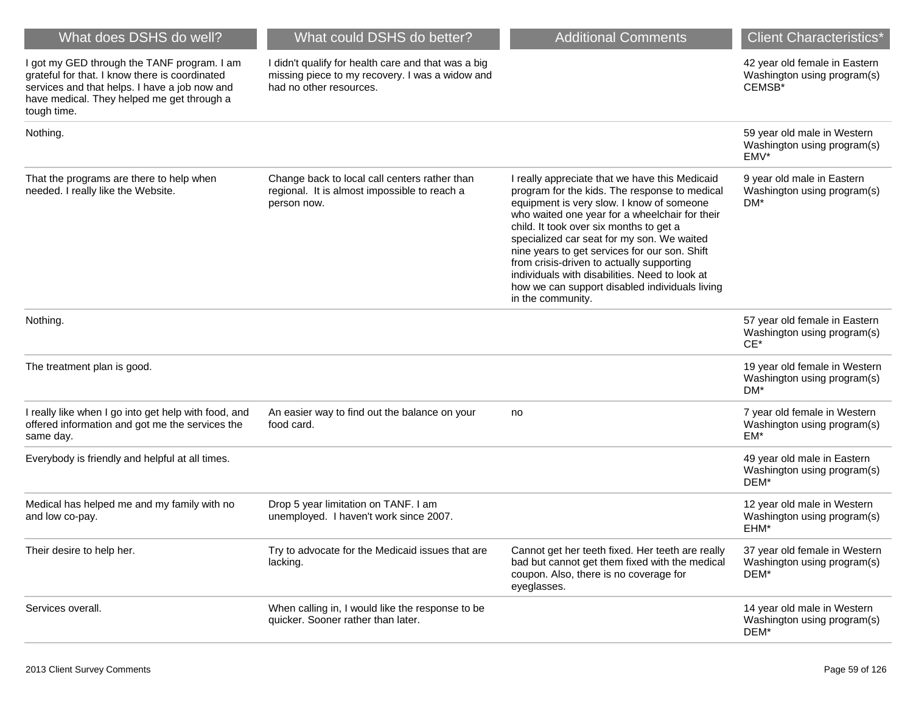| What does DSHS do well?                                                                                                                                                                                     | What could DSHS do better?                                                                                                        | <b>Additional Comments</b>                                                                                                                                                                                                                                                                                                                                                                                                                                                                                     | <b>Client Characteristics*</b>                                         |
|-------------------------------------------------------------------------------------------------------------------------------------------------------------------------------------------------------------|-----------------------------------------------------------------------------------------------------------------------------------|----------------------------------------------------------------------------------------------------------------------------------------------------------------------------------------------------------------------------------------------------------------------------------------------------------------------------------------------------------------------------------------------------------------------------------------------------------------------------------------------------------------|------------------------------------------------------------------------|
| I got my GED through the TANF program. I am<br>grateful for that. I know there is coordinated<br>services and that helps. I have a job now and<br>have medical. They helped me get through a<br>tough time. | I didn't qualify for health care and that was a big<br>missing piece to my recovery. I was a widow and<br>had no other resources. |                                                                                                                                                                                                                                                                                                                                                                                                                                                                                                                | 42 year old female in Eastern<br>Washington using program(s)<br>CEMSB* |
| Nothing.                                                                                                                                                                                                    |                                                                                                                                   |                                                                                                                                                                                                                                                                                                                                                                                                                                                                                                                | 59 year old male in Western<br>Washington using program(s)<br>EMV*     |
| That the programs are there to help when<br>needed. I really like the Website.                                                                                                                              | Change back to local call centers rather than<br>regional. It is almost impossible to reach a<br>person now.                      | I really appreciate that we have this Medicaid<br>program for the kids. The response to medical<br>equipment is very slow. I know of someone<br>who waited one year for a wheelchair for their<br>child. It took over six months to get a<br>specialized car seat for my son. We waited<br>nine years to get services for our son. Shift<br>from crisis-driven to actually supporting<br>individuals with disabilities. Need to look at<br>how we can support disabled individuals living<br>in the community. | 9 year old male in Eastern<br>Washington using program(s)<br>DM*       |
| Nothing.                                                                                                                                                                                                    |                                                                                                                                   |                                                                                                                                                                                                                                                                                                                                                                                                                                                                                                                | 57 year old female in Eastern<br>Washington using program(s)<br>$CE^*$ |
| The treatment plan is good.                                                                                                                                                                                 |                                                                                                                                   |                                                                                                                                                                                                                                                                                                                                                                                                                                                                                                                | 19 year old female in Western<br>Washington using program(s)<br>DM*    |
| I really like when I go into get help with food, and<br>offered information and got me the services the<br>same day.                                                                                        | An easier way to find out the balance on your<br>food card.                                                                       | no                                                                                                                                                                                                                                                                                                                                                                                                                                                                                                             | 7 year old female in Western<br>Washington using program(s)<br>EM*     |
| Everybody is friendly and helpful at all times.                                                                                                                                                             |                                                                                                                                   |                                                                                                                                                                                                                                                                                                                                                                                                                                                                                                                | 49 year old male in Eastern<br>Washington using program(s)<br>DEM*     |
| Medical has helped me and my family with no<br>and low co-pay.                                                                                                                                              | Drop 5 year limitation on TANF. I am<br>unemployed. I haven't work since 2007.                                                    |                                                                                                                                                                                                                                                                                                                                                                                                                                                                                                                | 12 year old male in Western<br>Washington using program(s)<br>EHM*     |
| Their desire to help her.                                                                                                                                                                                   | Try to advocate for the Medicaid issues that are<br>lacking.                                                                      | Cannot get her teeth fixed. Her teeth are really<br>bad but cannot get them fixed with the medical<br>coupon. Also, there is no coverage for<br>eyeglasses.                                                                                                                                                                                                                                                                                                                                                    | 37 year old female in Western<br>Washington using program(s)<br>DEM*   |
| Services overall.                                                                                                                                                                                           | When calling in, I would like the response to be<br>quicker. Sooner rather than later.                                            |                                                                                                                                                                                                                                                                                                                                                                                                                                                                                                                | 14 year old male in Western<br>Washington using program(s)<br>DEM*     |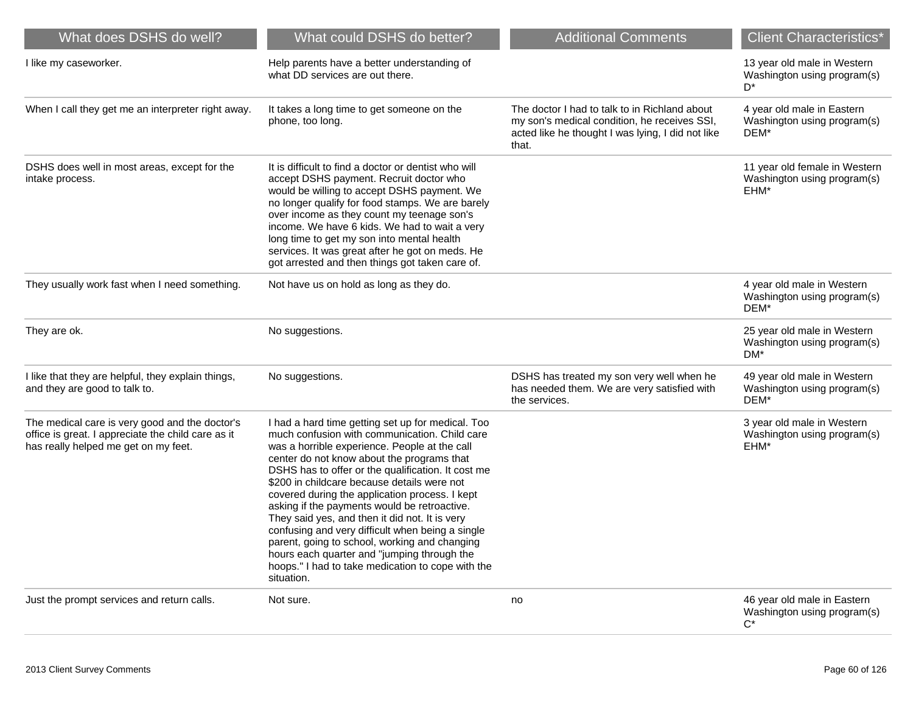| What does DSHS do well?                                                                                                                      | What could DSHS do better?                                                                                                                                                                                                                                                                                                                                                                                                                                                                                                                                                                                                                                                        | <b>Additional Comments</b>                                                                                                                                  | <b>Client Characteristics*</b>                                                |
|----------------------------------------------------------------------------------------------------------------------------------------------|-----------------------------------------------------------------------------------------------------------------------------------------------------------------------------------------------------------------------------------------------------------------------------------------------------------------------------------------------------------------------------------------------------------------------------------------------------------------------------------------------------------------------------------------------------------------------------------------------------------------------------------------------------------------------------------|-------------------------------------------------------------------------------------------------------------------------------------------------------------|-------------------------------------------------------------------------------|
| I like my caseworker.                                                                                                                        | Help parents have a better understanding of<br>what DD services are out there.                                                                                                                                                                                                                                                                                                                                                                                                                                                                                                                                                                                                    |                                                                                                                                                             | 13 year old male in Western<br>Washington using program(s)<br>D*              |
| When I call they get me an interpreter right away.                                                                                           | It takes a long time to get someone on the<br>phone, too long.                                                                                                                                                                                                                                                                                                                                                                                                                                                                                                                                                                                                                    | The doctor I had to talk to in Richland about<br>my son's medical condition, he receives SSI,<br>acted like he thought I was lying, I did not like<br>that. | 4 year old male in Eastern<br>Washington using program(s)<br>DEM*             |
| DSHS does well in most areas, except for the<br>intake process.                                                                              | It is difficult to find a doctor or dentist who will<br>accept DSHS payment. Recruit doctor who<br>would be willing to accept DSHS payment. We<br>no longer qualify for food stamps. We are barely<br>over income as they count my teenage son's<br>income. We have 6 kids. We had to wait a very<br>long time to get my son into mental health<br>services. It was great after he got on meds. He<br>got arrested and then things got taken care of.                                                                                                                                                                                                                             |                                                                                                                                                             | 11 year old female in Western<br>Washington using program(s)<br>EHM*          |
| They usually work fast when I need something.                                                                                                | Not have us on hold as long as they do.                                                                                                                                                                                                                                                                                                                                                                                                                                                                                                                                                                                                                                           |                                                                                                                                                             | 4 year old male in Western<br>Washington using program(s)<br>DEM*             |
| They are ok.                                                                                                                                 | No suggestions.                                                                                                                                                                                                                                                                                                                                                                                                                                                                                                                                                                                                                                                                   |                                                                                                                                                             | 25 year old male in Western<br>Washington using program(s)<br>DM <sup>*</sup> |
| I like that they are helpful, they explain things,<br>and they are good to talk to.                                                          | No suggestions.                                                                                                                                                                                                                                                                                                                                                                                                                                                                                                                                                                                                                                                                   | DSHS has treated my son very well when he<br>has needed them. We are very satisfied with<br>the services.                                                   | 49 year old male in Western<br>Washington using program(s)<br>DEM*            |
| The medical care is very good and the doctor's<br>office is great. I appreciate the child care as it<br>has really helped me get on my feet. | I had a hard time getting set up for medical. Too<br>much confusion with communication. Child care<br>was a horrible experience. People at the call<br>center do not know about the programs that<br>DSHS has to offer or the qualification. It cost me<br>\$200 in childcare because details were not<br>covered during the application process. I kept<br>asking if the payments would be retroactive.<br>They said yes, and then it did not. It is very<br>confusing and very difficult when being a single<br>parent, going to school, working and changing<br>hours each quarter and "jumping through the<br>hoops." I had to take medication to cope with the<br>situation. |                                                                                                                                                             | 3 year old male in Western<br>Washington using program(s)<br>EHM*             |
| Just the prompt services and return calls.                                                                                                   | Not sure.                                                                                                                                                                                                                                                                                                                                                                                                                                                                                                                                                                                                                                                                         | no                                                                                                                                                          | 46 year old male in Eastern<br>Washington using program(s)<br>$C^*$           |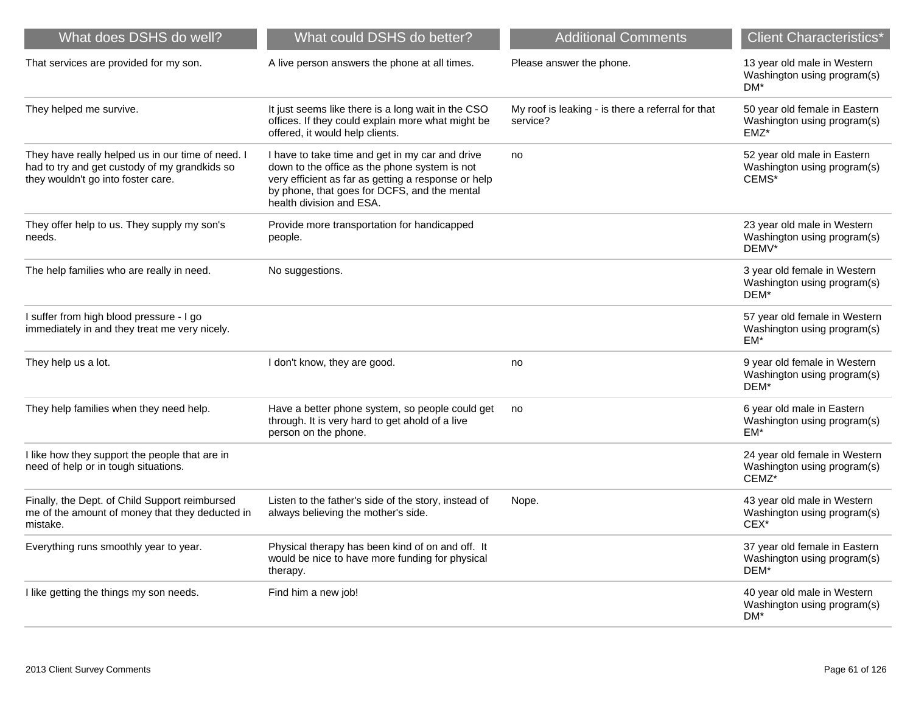| What does DSHS do well?                                                                                                                  | What could DSHS do better?                                                                                                                                                                                                          | <b>Additional Comments</b>                                    | <b>Client Characteristics*</b>                                        |
|------------------------------------------------------------------------------------------------------------------------------------------|-------------------------------------------------------------------------------------------------------------------------------------------------------------------------------------------------------------------------------------|---------------------------------------------------------------|-----------------------------------------------------------------------|
| That services are provided for my son.                                                                                                   | A live person answers the phone at all times.                                                                                                                                                                                       | Please answer the phone.                                      | 13 year old male in Western<br>Washington using program(s)<br>DM*     |
| They helped me survive.                                                                                                                  | It just seems like there is a long wait in the CSO<br>offices. If they could explain more what might be<br>offered, it would help clients.                                                                                          | My roof is leaking - is there a referral for that<br>service? | 50 year old female in Eastern<br>Washington using program(s)<br>EMZ*  |
| They have really helped us in our time of need. I<br>had to try and get custody of my grandkids so<br>they wouldn't go into foster care. | I have to take time and get in my car and drive<br>down to the office as the phone system is not<br>very efficient as far as getting a response or help<br>by phone, that goes for DCFS, and the mental<br>health division and ESA. | no                                                            | 52 year old male in Eastern<br>Washington using program(s)<br>CEMS*   |
| They offer help to us. They supply my son's<br>needs.                                                                                    | Provide more transportation for handicapped<br>people.                                                                                                                                                                              |                                                               | 23 year old male in Western<br>Washington using program(s)<br>DEMV*   |
| The help families who are really in need.                                                                                                | No suggestions.                                                                                                                                                                                                                     |                                                               | 3 year old female in Western<br>Washington using program(s)<br>DEM*   |
| I suffer from high blood pressure - I go<br>immediately in and they treat me very nicely.                                                |                                                                                                                                                                                                                                     |                                                               | 57 year old female in Western<br>Washington using program(s)<br>EM*   |
| They help us a lot.                                                                                                                      | I don't know, they are good.                                                                                                                                                                                                        | no                                                            | 9 year old female in Western<br>Washington using program(s)<br>DEM*   |
| They help families when they need help.                                                                                                  | Have a better phone system, so people could get<br>through. It is very hard to get ahold of a live<br>person on the phone.                                                                                                          | no                                                            | 6 year old male in Eastern<br>Washington using program(s)<br>EM*      |
| I like how they support the people that are in<br>need of help or in tough situations.                                                   |                                                                                                                                                                                                                                     |                                                               | 24 year old female in Western<br>Washington using program(s)<br>CEMZ* |
| Finally, the Dept. of Child Support reimbursed<br>me of the amount of money that they deducted in<br>mistake.                            | Listen to the father's side of the story, instead of<br>always believing the mother's side.                                                                                                                                         | Nope.                                                         | 43 year old male in Western<br>Washington using program(s)<br>CEX*    |
| Everything runs smoothly year to year.                                                                                                   | Physical therapy has been kind of on and off. It<br>would be nice to have more funding for physical<br>therapy.                                                                                                                     |                                                               | 37 year old female in Eastern<br>Washington using program(s)<br>DEM*  |
| I like getting the things my son needs.                                                                                                  | Find him a new job!                                                                                                                                                                                                                 |                                                               | 40 year old male in Western<br>Washington using program(s)<br>DM*     |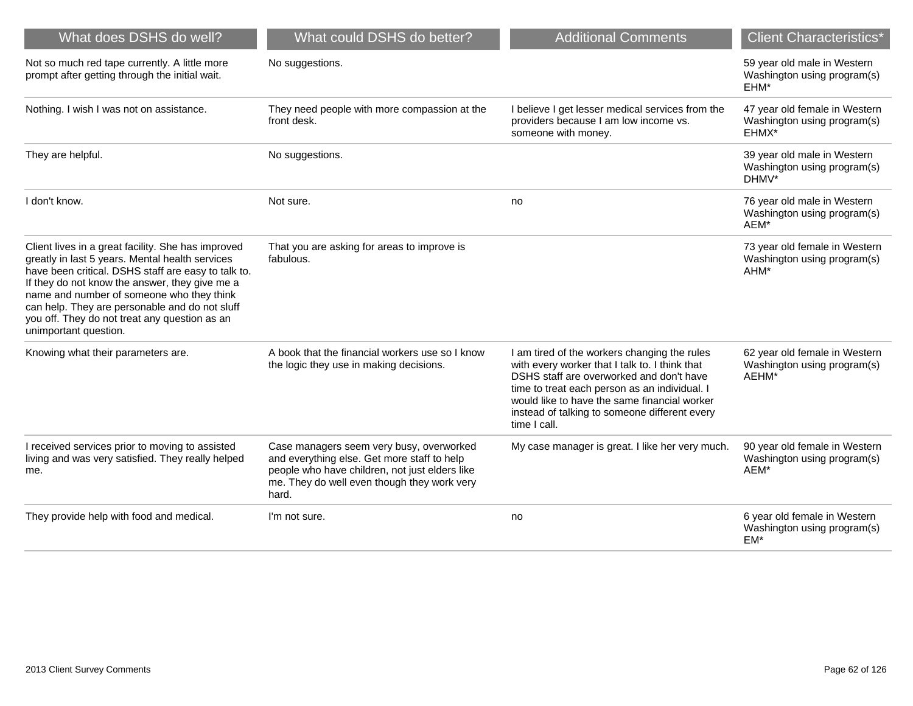| What does DSHS do well?                                                                                                                                                                                                                                                                                                                                                                 | What could DSHS do better?                                                                                                                                                                        | <b>Additional Comments</b>                                                                                                                                                                                                                                                                                   | <b>Client Characteristics*</b>                                        |
|-----------------------------------------------------------------------------------------------------------------------------------------------------------------------------------------------------------------------------------------------------------------------------------------------------------------------------------------------------------------------------------------|---------------------------------------------------------------------------------------------------------------------------------------------------------------------------------------------------|--------------------------------------------------------------------------------------------------------------------------------------------------------------------------------------------------------------------------------------------------------------------------------------------------------------|-----------------------------------------------------------------------|
| Not so much red tape currently. A little more<br>prompt after getting through the initial wait.                                                                                                                                                                                                                                                                                         | No suggestions.                                                                                                                                                                                   |                                                                                                                                                                                                                                                                                                              | 59 year old male in Western<br>Washington using program(s)<br>EHM*    |
| Nothing. I wish I was not on assistance.                                                                                                                                                                                                                                                                                                                                                | They need people with more compassion at the<br>front desk.                                                                                                                                       | I believe I get lesser medical services from the<br>providers because I am low income vs.<br>someone with money.                                                                                                                                                                                             | 47 year old female in Western<br>Washington using program(s)<br>EHMX* |
| They are helpful.                                                                                                                                                                                                                                                                                                                                                                       | No suggestions.                                                                                                                                                                                   |                                                                                                                                                                                                                                                                                                              | 39 year old male in Western<br>Washington using program(s)<br>DHMV*   |
| I don't know.                                                                                                                                                                                                                                                                                                                                                                           | Not sure.                                                                                                                                                                                         | no                                                                                                                                                                                                                                                                                                           | 76 year old male in Western<br>Washington using program(s)<br>AEM*    |
| Client lives in a great facility. She has improved<br>greatly in last 5 years. Mental health services<br>have been critical. DSHS staff are easy to talk to.<br>If they do not know the answer, they give me a<br>name and number of someone who they think<br>can help. They are personable and do not sluff<br>you off. They do not treat any question as an<br>unimportant question. | That you are asking for areas to improve is<br>fabulous.                                                                                                                                          |                                                                                                                                                                                                                                                                                                              | 73 year old female in Western<br>Washington using program(s)<br>AHM*  |
| Knowing what their parameters are.                                                                                                                                                                                                                                                                                                                                                      | A book that the financial workers use so I know<br>the logic they use in making decisions.                                                                                                        | I am tired of the workers changing the rules<br>with every worker that I talk to. I think that<br>DSHS staff are overworked and don't have<br>time to treat each person as an individual. I<br>would like to have the same financial worker<br>instead of talking to someone different every<br>time I call. | 62 year old female in Western<br>Washington using program(s)<br>AEHM* |
| I received services prior to moving to assisted<br>living and was very satisfied. They really helped<br>me.                                                                                                                                                                                                                                                                             | Case managers seem very busy, overworked<br>and everything else. Get more staff to help<br>people who have children, not just elders like<br>me. They do well even though they work very<br>hard. | My case manager is great. I like her very much.                                                                                                                                                                                                                                                              | 90 year old female in Western<br>Washington using program(s)<br>AEM*  |
| They provide help with food and medical.                                                                                                                                                                                                                                                                                                                                                | I'm not sure.                                                                                                                                                                                     | no                                                                                                                                                                                                                                                                                                           | 6 year old female in Western<br>Washington using program(s)<br>EM*    |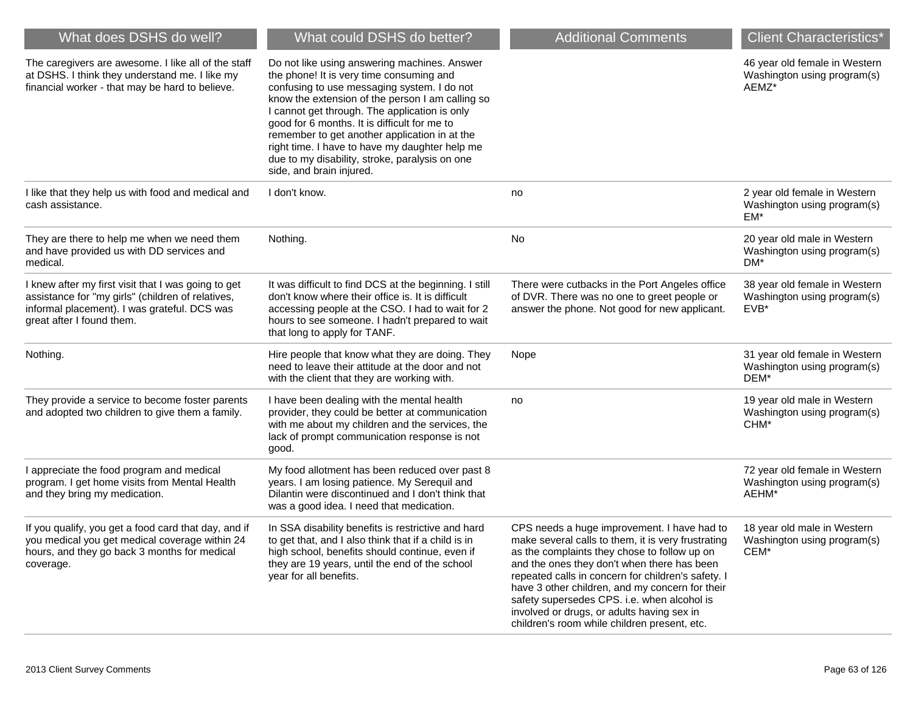| What does DSHS do well?                                                                                                                                                               | What could DSHS do better?                                                                                                                                                                                                                                                                                                                                                                                                                                                    | <b>Additional Comments</b>                                                                                                                                                                                                                                                                                                                                                                                                                             | <b>Client Characteristics*</b>                                        |
|---------------------------------------------------------------------------------------------------------------------------------------------------------------------------------------|-------------------------------------------------------------------------------------------------------------------------------------------------------------------------------------------------------------------------------------------------------------------------------------------------------------------------------------------------------------------------------------------------------------------------------------------------------------------------------|--------------------------------------------------------------------------------------------------------------------------------------------------------------------------------------------------------------------------------------------------------------------------------------------------------------------------------------------------------------------------------------------------------------------------------------------------------|-----------------------------------------------------------------------|
| The caregivers are awesome. I like all of the staff<br>at DSHS. I think they understand me. I like my<br>financial worker - that may be hard to believe.                              | Do not like using answering machines. Answer<br>the phone! It is very time consuming and<br>confusing to use messaging system. I do not<br>know the extension of the person I am calling so<br>I cannot get through. The application is only<br>good for 6 months. It is difficult for me to<br>remember to get another application in at the<br>right time. I have to have my daughter help me<br>due to my disability, stroke, paralysis on one<br>side, and brain injured. |                                                                                                                                                                                                                                                                                                                                                                                                                                                        | 46 year old female in Western<br>Washington using program(s)<br>AEMZ* |
| I like that they help us with food and medical and<br>cash assistance.                                                                                                                | I don't know.                                                                                                                                                                                                                                                                                                                                                                                                                                                                 | no                                                                                                                                                                                                                                                                                                                                                                                                                                                     | 2 year old female in Western<br>Washington using program(s)<br>EM*    |
| They are there to help me when we need them<br>and have provided us with DD services and<br>medical.                                                                                  | Nothing.                                                                                                                                                                                                                                                                                                                                                                                                                                                                      | No                                                                                                                                                                                                                                                                                                                                                                                                                                                     | 20 year old male in Western<br>Washington using program(s)<br>DM*     |
| I knew after my first visit that I was going to get<br>assistance for "my girls" (children of relatives,<br>informal placement). I was grateful. DCS was<br>great after I found them. | It was difficult to find DCS at the beginning. I still<br>don't know where their office is. It is difficult<br>accessing people at the CSO. I had to wait for 2<br>hours to see someone. I hadn't prepared to wait<br>that long to apply for TANF.                                                                                                                                                                                                                            | There were cutbacks in the Port Angeles office<br>of DVR. There was no one to greet people or<br>answer the phone. Not good for new applicant.                                                                                                                                                                                                                                                                                                         | 38 year old female in Western<br>Washington using program(s)<br>EVB*  |
| Nothing.                                                                                                                                                                              | Hire people that know what they are doing. They<br>need to leave their attitude at the door and not<br>with the client that they are working with.                                                                                                                                                                                                                                                                                                                            | Nope                                                                                                                                                                                                                                                                                                                                                                                                                                                   | 31 year old female in Western<br>Washington using program(s)<br>DEM*  |
| They provide a service to become foster parents<br>and adopted two children to give them a family.                                                                                    | I have been dealing with the mental health<br>provider, they could be better at communication<br>with me about my children and the services, the<br>lack of prompt communication response is not<br>good.                                                                                                                                                                                                                                                                     | no                                                                                                                                                                                                                                                                                                                                                                                                                                                     | 19 year old male in Western<br>Washington using program(s)<br>CHM*    |
| I appreciate the food program and medical<br>program. I get home visits from Mental Health<br>and they bring my medication.                                                           | My food allotment has been reduced over past 8<br>years. I am losing patience. My Serequil and<br>Dilantin were discontinued and I don't think that<br>was a good idea. I need that medication.                                                                                                                                                                                                                                                                               |                                                                                                                                                                                                                                                                                                                                                                                                                                                        | 72 year old female in Western<br>Washington using program(s)<br>AEHM* |
| If you qualify, you get a food card that day, and if<br>you medical you get medical coverage within 24<br>hours, and they go back 3 months for medical<br>coverage.                   | In SSA disability benefits is restrictive and hard<br>to get that, and I also think that if a child is in<br>high school, benefits should continue, even if<br>they are 19 years, until the end of the school<br>year for all benefits.                                                                                                                                                                                                                                       | CPS needs a huge improvement. I have had to<br>make several calls to them, it is very frustrating<br>as the complaints they chose to follow up on<br>and the ones they don't when there has been<br>repeated calls in concern for children's safety. I<br>have 3 other children, and my concern for their<br>safety supersedes CPS. i.e. when alcohol is<br>involved or drugs, or adults having sex in<br>children's room while children present, etc. | 18 year old male in Western<br>Washington using program(s)<br>CEM*    |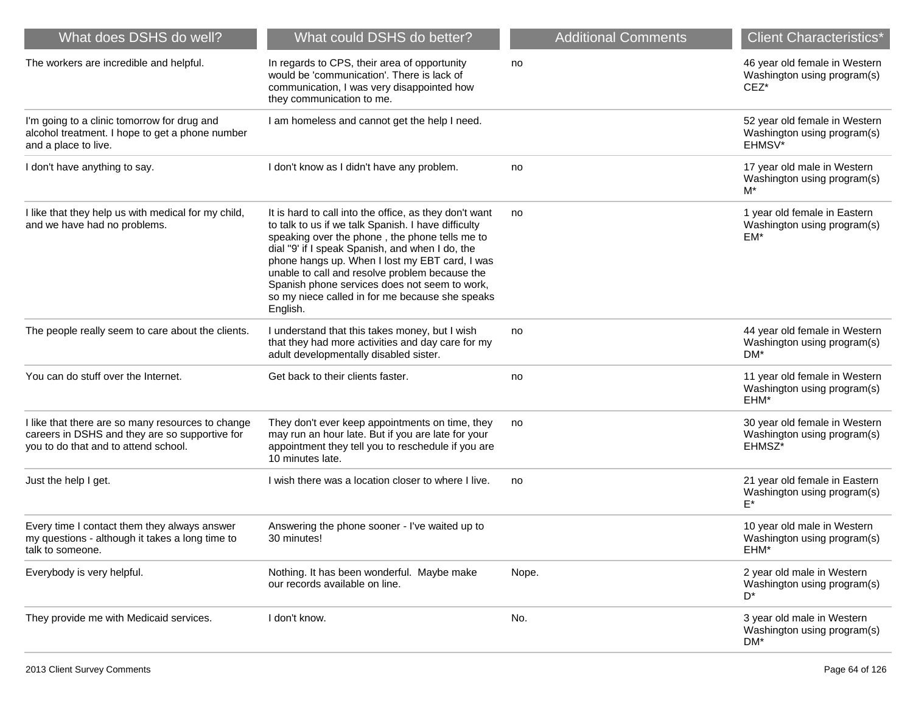| What does DSHS do well?                                                                                                                     | What could DSHS do better?                                                                                                                                                                                                                                                                                                                                                                                                             | <b>Additional Comments</b> | <b>Client Characteristics*</b>                                                  |
|---------------------------------------------------------------------------------------------------------------------------------------------|----------------------------------------------------------------------------------------------------------------------------------------------------------------------------------------------------------------------------------------------------------------------------------------------------------------------------------------------------------------------------------------------------------------------------------------|----------------------------|---------------------------------------------------------------------------------|
| The workers are incredible and helpful.                                                                                                     | In regards to CPS, their area of opportunity<br>would be 'communication'. There is lack of<br>communication, I was very disappointed how<br>they communication to me.                                                                                                                                                                                                                                                                  | no                         | 46 year old female in Western<br>Washington using program(s)<br>CEZ*            |
| I'm going to a clinic tomorrow for drug and<br>alcohol treatment. I hope to get a phone number<br>and a place to live.                      | I am homeless and cannot get the help I need.                                                                                                                                                                                                                                                                                                                                                                                          |                            | 52 year old female in Western<br>Washington using program(s)<br>EHMSV*          |
| I don't have anything to say.                                                                                                               | I don't know as I didn't have any problem.                                                                                                                                                                                                                                                                                                                                                                                             | no                         | 17 year old male in Western<br>Washington using program(s)<br>$M^*$             |
| I like that they help us with medical for my child,<br>and we have had no problems.                                                         | It is hard to call into the office, as they don't want<br>to talk to us if we talk Spanish. I have difficulty<br>speaking over the phone, the phone tells me to<br>dial "9' if I speak Spanish, and when I do, the<br>phone hangs up. When I lost my EBT card, I was<br>unable to call and resolve problem because the<br>Spanish phone services does not seem to work,<br>so my niece called in for me because she speaks<br>English. | no                         | 1 year old female in Eastern<br>Washington using program(s)<br>EM*              |
| The people really seem to care about the clients.                                                                                           | I understand that this takes money, but I wish<br>that they had more activities and day care for my<br>adult developmentally disabled sister.                                                                                                                                                                                                                                                                                          | no                         | 44 year old female in Western<br>Washington using program(s)<br>DM <sup>*</sup> |
| You can do stuff over the Internet.                                                                                                         | Get back to their clients faster.                                                                                                                                                                                                                                                                                                                                                                                                      | no                         | 11 year old female in Western<br>Washington using program(s)<br>EHM*            |
| I like that there are so many resources to change<br>careers in DSHS and they are so supportive for<br>you to do that and to attend school. | They don't ever keep appointments on time, they<br>may run an hour late. But if you are late for your<br>appointment they tell you to reschedule if you are<br>10 minutes late.                                                                                                                                                                                                                                                        | no                         | 30 year old female in Western<br>Washington using program(s)<br>EHMSZ*          |
| Just the help I get.                                                                                                                        | I wish there was a location closer to where I live.                                                                                                                                                                                                                                                                                                                                                                                    | no                         | 21 year old female in Eastern<br>Washington using program(s)<br>F*              |
| Every time I contact them they always answer<br>my questions - although it takes a long time to<br>talk to someone.                         | Answering the phone sooner - I've waited up to<br>30 minutes!                                                                                                                                                                                                                                                                                                                                                                          |                            | 10 year old male in Western<br>Washington using program(s)<br>EHM*              |
| Everybody is very helpful.                                                                                                                  | Nothing. It has been wonderful. Maybe make<br>our records available on line.                                                                                                                                                                                                                                                                                                                                                           | Nope.                      | 2 year old male in Western<br>Washington using program(s)<br>D*                 |
| They provide me with Medicaid services.                                                                                                     | I don't know.                                                                                                                                                                                                                                                                                                                                                                                                                          | No.                        | 3 year old male in Western<br>Washington using program(s)<br>DM*                |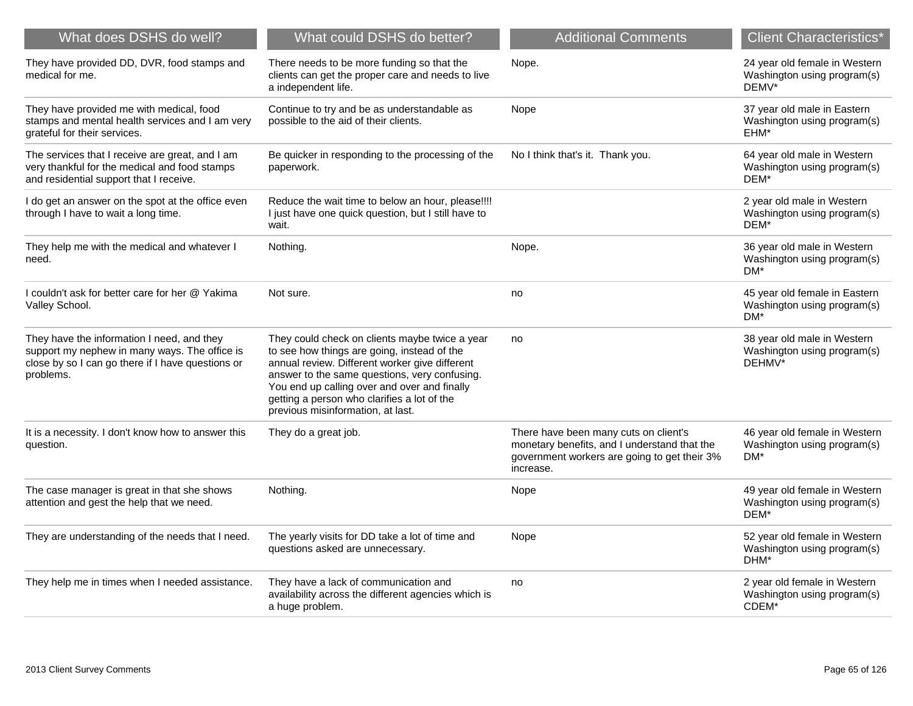| What does DSHS do well?                                                                                                                                       | What could DSHS do better?                                                                                                                                                                                                                                                                                                           | <b>Additional Comments</b>                                                                                                                         | <b>Client Characteristics*</b>                                        |
|---------------------------------------------------------------------------------------------------------------------------------------------------------------|--------------------------------------------------------------------------------------------------------------------------------------------------------------------------------------------------------------------------------------------------------------------------------------------------------------------------------------|----------------------------------------------------------------------------------------------------------------------------------------------------|-----------------------------------------------------------------------|
| They have provided DD, DVR, food stamps and<br>medical for me.                                                                                                | There needs to be more funding so that the<br>clients can get the proper care and needs to live<br>a independent life.                                                                                                                                                                                                               | Nope.                                                                                                                                              | 24 year old female in Western<br>Washington using program(s)<br>DEMV* |
| They have provided me with medical, food<br>stamps and mental health services and I am very<br>grateful for their services.                                   | Continue to try and be as understandable as<br>possible to the aid of their clients.                                                                                                                                                                                                                                                 | Nope                                                                                                                                               | 37 year old male in Eastern<br>Washington using program(s)<br>EHM*    |
| The services that I receive are great, and I am<br>very thankful for the medical and food stamps<br>and residential support that I receive.                   | Be quicker in responding to the processing of the<br>paperwork.                                                                                                                                                                                                                                                                      | No I think that's it. Thank you.                                                                                                                   | 64 year old male in Western<br>Washington using program(s)<br>DEM*    |
| I do get an answer on the spot at the office even<br>through I have to wait a long time.                                                                      | Reduce the wait time to below an hour, please!!!!<br>I just have one quick question, but I still have to<br>wait.                                                                                                                                                                                                                    |                                                                                                                                                    | 2 year old male in Western<br>Washington using program(s)<br>DEM*     |
| They help me with the medical and whatever I<br>need.                                                                                                         | Nothing.                                                                                                                                                                                                                                                                                                                             | Nope.                                                                                                                                              | 36 year old male in Western<br>Washington using program(s)<br>$DM*$   |
| I couldn't ask for better care for her @ Yakima<br>Valley School.                                                                                             | Not sure.                                                                                                                                                                                                                                                                                                                            | no                                                                                                                                                 | 45 year old female in Eastern<br>Washington using program(s)<br>DM*   |
| They have the information I need, and they<br>support my nephew in many ways. The office is<br>close by so I can go there if I have questions or<br>problems. | They could check on clients maybe twice a year<br>to see how things are going, instead of the<br>annual review. Different worker give different<br>answer to the same questions, very confusing.<br>You end up calling over and over and finally<br>getting a person who clarifies a lot of the<br>previous misinformation, at last. | no                                                                                                                                                 | 38 year old male in Western<br>Washington using program(s)<br>DEHMV*  |
| It is a necessity. I don't know how to answer this<br>question.                                                                                               | They do a great job.                                                                                                                                                                                                                                                                                                                 | There have been many cuts on client's<br>monetary benefits, and I understand that the<br>government workers are going to get their 3%<br>increase. | 46 year old female in Western<br>Washington using program(s)<br>DM*   |
| The case manager is great in that she shows<br>attention and gest the help that we need.                                                                      | Nothing.                                                                                                                                                                                                                                                                                                                             | Nope                                                                                                                                               | 49 year old female in Western<br>Washington using program(s)<br>DEM*  |
| They are understanding of the needs that I need.                                                                                                              | The yearly visits for DD take a lot of time and<br>questions asked are unnecessary.                                                                                                                                                                                                                                                  | Nope                                                                                                                                               | 52 year old female in Western<br>Washington using program(s)<br>DHM*  |
| They help me in times when I needed assistance.                                                                                                               | They have a lack of communication and<br>availability across the different agencies which is<br>a huge problem.                                                                                                                                                                                                                      | no                                                                                                                                                 | 2 year old female in Western<br>Washington using program(s)<br>CDEM*  |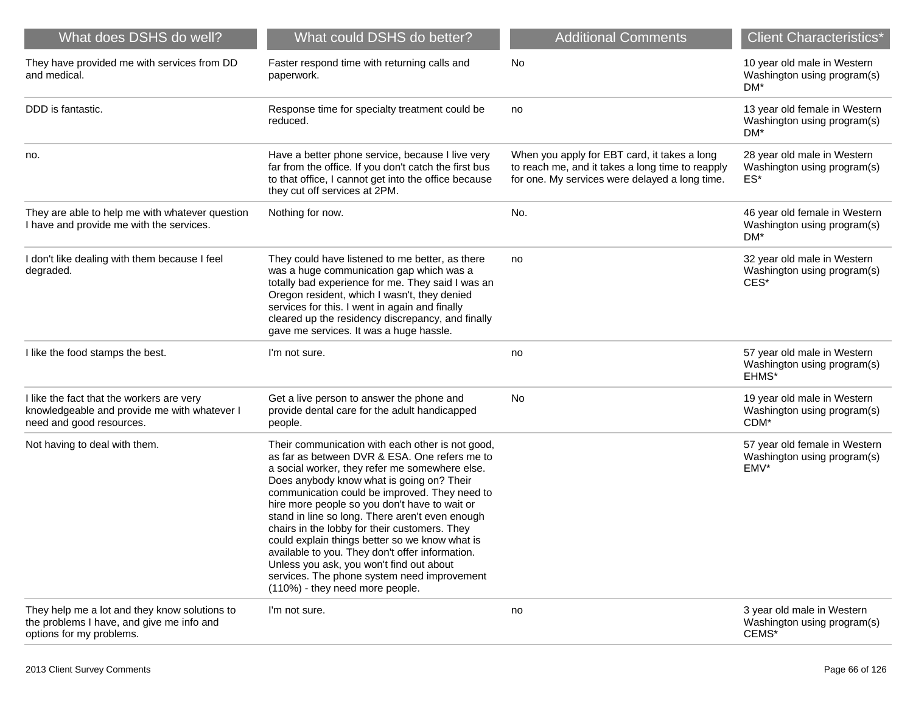| What does DSHS do well?                                                                                                | What could DSHS do better?                                                                                                                                                                                                                                                                                                                                                                                                                                                                                                                                                                                                                | <b>Additional Comments</b>                                                                                                                         | <b>Client Characteristics*</b>                                                |
|------------------------------------------------------------------------------------------------------------------------|-------------------------------------------------------------------------------------------------------------------------------------------------------------------------------------------------------------------------------------------------------------------------------------------------------------------------------------------------------------------------------------------------------------------------------------------------------------------------------------------------------------------------------------------------------------------------------------------------------------------------------------------|----------------------------------------------------------------------------------------------------------------------------------------------------|-------------------------------------------------------------------------------|
| They have provided me with services from DD<br>and medical.                                                            | Faster respond time with returning calls and<br>paperwork.                                                                                                                                                                                                                                                                                                                                                                                                                                                                                                                                                                                | No                                                                                                                                                 | 10 year old male in Western<br>Washington using program(s)<br>DM <sup>*</sup> |
| DDD is fantastic.                                                                                                      | Response time for specialty treatment could be<br>reduced.                                                                                                                                                                                                                                                                                                                                                                                                                                                                                                                                                                                | no                                                                                                                                                 | 13 year old female in Western<br>Washington using program(s)<br>DM*           |
| no.                                                                                                                    | Have a better phone service, because I live very<br>far from the office. If you don't catch the first bus<br>to that office, I cannot get into the office because<br>they cut off services at 2PM.                                                                                                                                                                                                                                                                                                                                                                                                                                        | When you apply for EBT card, it takes a long<br>to reach me, and it takes a long time to reapply<br>for one. My services were delayed a long time. | 28 year old male in Western<br>Washington using program(s)<br>ES*             |
| They are able to help me with whatever question<br>I have and provide me with the services.                            | Nothing for now.                                                                                                                                                                                                                                                                                                                                                                                                                                                                                                                                                                                                                          | No.                                                                                                                                                | 46 year old female in Western<br>Washington using program(s)<br>DM*           |
| I don't like dealing with them because I feel<br>degraded.                                                             | They could have listened to me better, as there<br>was a huge communication gap which was a<br>totally bad experience for me. They said I was an<br>Oregon resident, which I wasn't, they denied<br>services for this. I went in again and finally<br>cleared up the residency discrepancy, and finally<br>gave me services. It was a huge hassle.                                                                                                                                                                                                                                                                                        | no                                                                                                                                                 | 32 year old male in Western<br>Washington using program(s)<br>CES*            |
| I like the food stamps the best.                                                                                       | I'm not sure.                                                                                                                                                                                                                                                                                                                                                                                                                                                                                                                                                                                                                             | no                                                                                                                                                 | 57 year old male in Western<br>Washington using program(s)<br>EHMS*           |
| I like the fact that the workers are very<br>knowledgeable and provide me with whatever I<br>need and good resources.  | Get a live person to answer the phone and<br>provide dental care for the adult handicapped<br>people.                                                                                                                                                                                                                                                                                                                                                                                                                                                                                                                                     | No                                                                                                                                                 | 19 year old male in Western<br>Washington using program(s)<br>CDM*            |
| Not having to deal with them.                                                                                          | Their communication with each other is not good,<br>as far as between DVR & ESA. One refers me to<br>a social worker, they refer me somewhere else.<br>Does anybody know what is going on? Their<br>communication could be improved. They need to<br>hire more people so you don't have to wait or<br>stand in line so long. There aren't even enough<br>chairs in the lobby for their customers. They<br>could explain things better so we know what is<br>available to you. They don't offer information.<br>Unless you ask, you won't find out about<br>services. The phone system need improvement<br>(110%) - they need more people. |                                                                                                                                                    | 57 year old female in Western<br>Washington using program(s)<br>EMV*          |
| They help me a lot and they know solutions to<br>the problems I have, and give me info and<br>options for my problems. | I'm not sure.                                                                                                                                                                                                                                                                                                                                                                                                                                                                                                                                                                                                                             | no                                                                                                                                                 | 3 year old male in Western<br>Washington using program(s)<br>CEMS*            |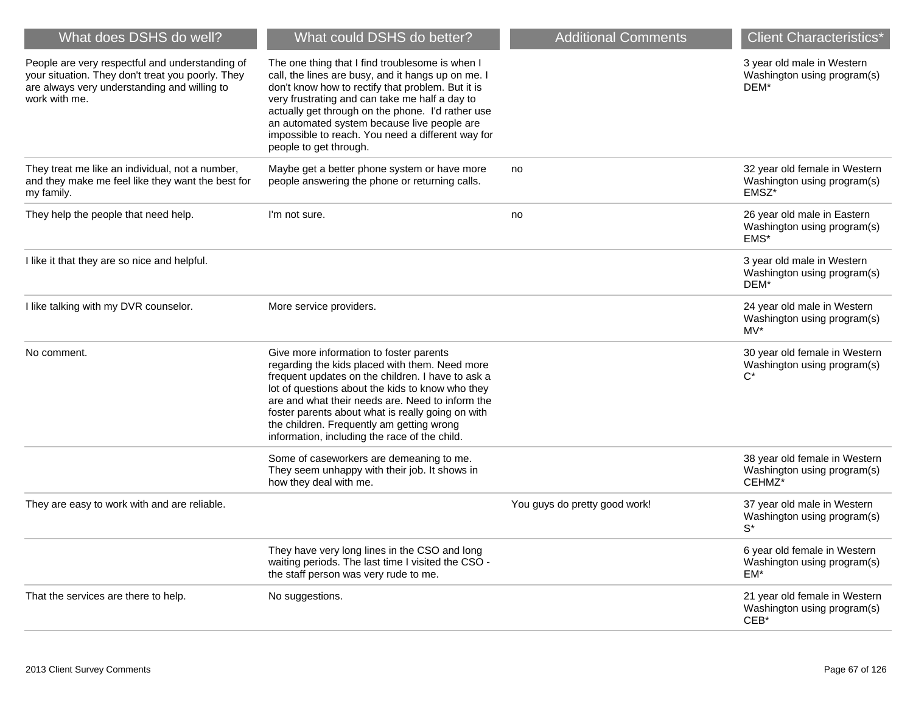| What does DSHS do well?                                                                                                                                               | What could DSHS do better?                                                                                                                                                                                                                                                                                                                                                                                | <b>Additional Comments</b>    | <b>Client Characteristics*</b>                                         |
|-----------------------------------------------------------------------------------------------------------------------------------------------------------------------|-----------------------------------------------------------------------------------------------------------------------------------------------------------------------------------------------------------------------------------------------------------------------------------------------------------------------------------------------------------------------------------------------------------|-------------------------------|------------------------------------------------------------------------|
| People are very respectful and understanding of<br>your situation. They don't treat you poorly. They<br>are always very understanding and willing to<br>work with me. | The one thing that I find troublesome is when I<br>call, the lines are busy, and it hangs up on me. I<br>don't know how to rectify that problem. But it is<br>very frustrating and can take me half a day to<br>actually get through on the phone. I'd rather use<br>an automated system because live people are<br>impossible to reach. You need a different way for<br>people to get through.           |                               | 3 year old male in Western<br>Washington using program(s)<br>DEM*      |
| They treat me like an individual, not a number,<br>and they make me feel like they want the best for<br>my family.                                                    | Maybe get a better phone system or have more<br>people answering the phone or returning calls.                                                                                                                                                                                                                                                                                                            | no                            | 32 year old female in Western<br>Washington using program(s)<br>EMSZ*  |
| They help the people that need help.                                                                                                                                  | I'm not sure.                                                                                                                                                                                                                                                                                                                                                                                             | no                            | 26 year old male in Eastern<br>Washington using program(s)<br>EMS*     |
| I like it that they are so nice and helpful.                                                                                                                          |                                                                                                                                                                                                                                                                                                                                                                                                           |                               | 3 year old male in Western<br>Washington using program(s)<br>DEM*      |
| I like talking with my DVR counselor.                                                                                                                                 | More service providers.                                                                                                                                                                                                                                                                                                                                                                                   |                               | 24 year old male in Western<br>Washington using program(s)<br>$MV^*$   |
| No comment.                                                                                                                                                           | Give more information to foster parents<br>regarding the kids placed with them. Need more<br>frequent updates on the children. I have to ask a<br>lot of questions about the kids to know who they<br>are and what their needs are. Need to inform the<br>foster parents about what is really going on with<br>the children. Frequently am getting wrong<br>information, including the race of the child. |                               | 30 year old female in Western<br>Washington using program(s)<br>$C^*$  |
|                                                                                                                                                                       | Some of caseworkers are demeaning to me.<br>They seem unhappy with their job. It shows in<br>how they deal with me.                                                                                                                                                                                                                                                                                       |                               | 38 year old female in Western<br>Washington using program(s)<br>CEHMZ* |
| They are easy to work with and are reliable.                                                                                                                          |                                                                                                                                                                                                                                                                                                                                                                                                           | You guys do pretty good work! | 37 year old male in Western<br>Washington using program(s)<br>$S^*$    |
|                                                                                                                                                                       | They have very long lines in the CSO and long<br>waiting periods. The last time I visited the CSO -<br>the staff person was very rude to me.                                                                                                                                                                                                                                                              |                               | 6 year old female in Western<br>Washington using program(s)<br>EM*     |
| That the services are there to help.                                                                                                                                  | No suggestions.                                                                                                                                                                                                                                                                                                                                                                                           |                               | 21 year old female in Western<br>Washington using program(s)<br>$CEB*$ |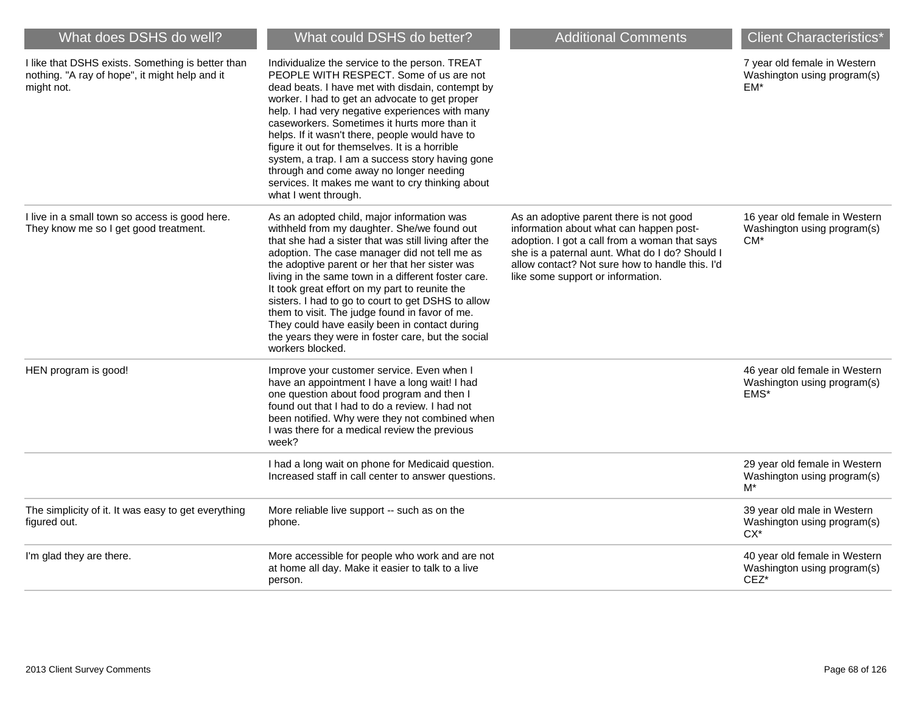| What does DSHS do well?                                                                                           | What could DSHS do better?                                                                                                                                                                                                                                                                                                                                                                                                                                                                                                                                                                        | <b>Additional Comments</b>                                                                                                                                                                                                                                                    | <b>Client Characteristics*</b>                                          |
|-------------------------------------------------------------------------------------------------------------------|---------------------------------------------------------------------------------------------------------------------------------------------------------------------------------------------------------------------------------------------------------------------------------------------------------------------------------------------------------------------------------------------------------------------------------------------------------------------------------------------------------------------------------------------------------------------------------------------------|-------------------------------------------------------------------------------------------------------------------------------------------------------------------------------------------------------------------------------------------------------------------------------|-------------------------------------------------------------------------|
| I like that DSHS exists. Something is better than<br>nothing. "A ray of hope", it might help and it<br>might not. | Individualize the service to the person. TREAT<br>PEOPLE WITH RESPECT. Some of us are not<br>dead beats. I have met with disdain, contempt by<br>worker. I had to get an advocate to get proper<br>help. I had very negative experiences with many<br>caseworkers. Sometimes it hurts more than it<br>helps. If it wasn't there, people would have to<br>figure it out for themselves. It is a horrible<br>system, a trap. I am a success story having gone<br>through and come away no longer needing<br>services. It makes me want to cry thinking about<br>what I went through.                |                                                                                                                                                                                                                                                                               | 7 year old female in Western<br>Washington using program(s)<br>$EM*$    |
| I live in a small town so access is good here.<br>They know me so I get good treatment.                           | As an adopted child, major information was<br>withheld from my daughter. She/we found out<br>that she had a sister that was still living after the<br>adoption. The case manager did not tell me as<br>the adoptive parent or her that her sister was<br>living in the same town in a different foster care.<br>It took great effort on my part to reunite the<br>sisters. I had to go to court to get DSHS to allow<br>them to visit. The judge found in favor of me.<br>They could have easily been in contact during<br>the years they were in foster care, but the social<br>workers blocked. | As an adoptive parent there is not good<br>information about what can happen post-<br>adoption. I got a call from a woman that says<br>she is a paternal aunt. What do I do? Should I<br>allow contact? Not sure how to handle this. I'd<br>like some support or information. | 16 year old female in Western<br>Washington using program(s)<br>$CM^*$  |
| HEN program is good!                                                                                              | Improve your customer service. Even when I<br>have an appointment I have a long wait! I had<br>one question about food program and then I<br>found out that I had to do a review. I had not<br>been notified. Why were they not combined when<br>I was there for a medical review the previous<br>week?                                                                                                                                                                                                                                                                                           |                                                                                                                                                                                                                                                                               | 46 year old female in Western<br>Washington using program(s)<br>EMS*    |
|                                                                                                                   | I had a long wait on phone for Medicaid question.<br>Increased staff in call center to answer questions.                                                                                                                                                                                                                                                                                                                                                                                                                                                                                          |                                                                                                                                                                                                                                                                               | 29 year old female in Western<br>Washington using program(s)<br>$M^*$   |
| The simplicity of it. It was easy to get everything<br>figured out.                                               | More reliable live support -- such as on the<br>phone.                                                                                                                                                                                                                                                                                                                                                                                                                                                                                                                                            |                                                                                                                                                                                                                                                                               | 39 year old male in Western<br>Washington using program(s)<br>$CX^*$    |
| I'm glad they are there.                                                                                          | More accessible for people who work and are not<br>at home all day. Make it easier to talk to a live<br>person.                                                                                                                                                                                                                                                                                                                                                                                                                                                                                   |                                                                                                                                                                                                                                                                               | 40 year old female in Western<br>Washington using program(s)<br>$CEZ^*$ |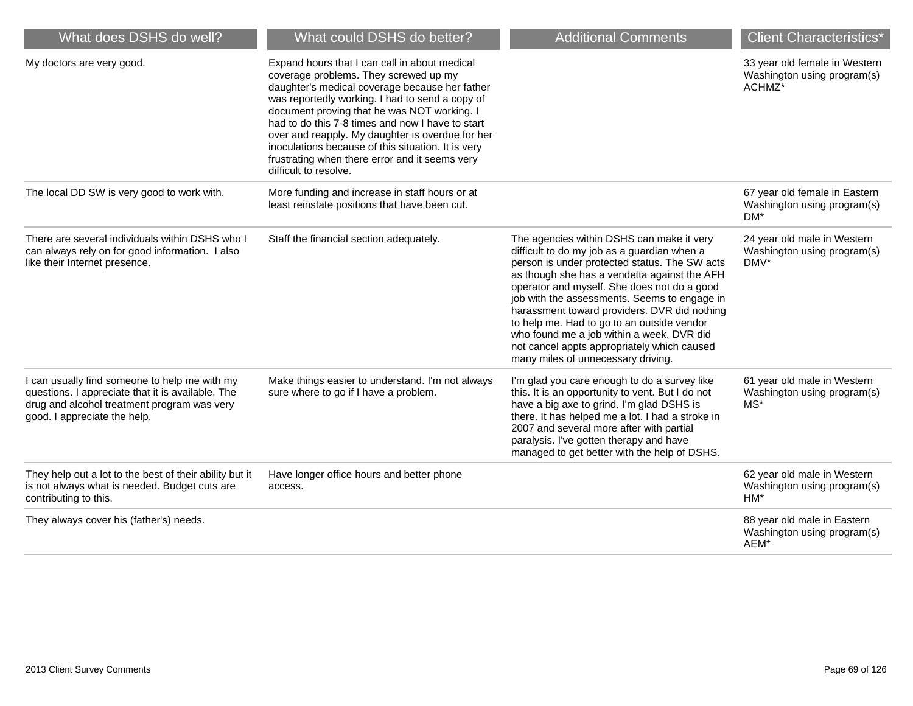| What does DSHS do well?                                                                                                                                                           | What could DSHS do better?                                                                                                                                                                                                                                                                                                                                                                                                                                                          | <b>Additional Comments</b>                                                                                                                                                                                                                                                                                                                                                                                                                                                                                               | <b>Client Characteristics*</b>                                                     |
|-----------------------------------------------------------------------------------------------------------------------------------------------------------------------------------|-------------------------------------------------------------------------------------------------------------------------------------------------------------------------------------------------------------------------------------------------------------------------------------------------------------------------------------------------------------------------------------------------------------------------------------------------------------------------------------|--------------------------------------------------------------------------------------------------------------------------------------------------------------------------------------------------------------------------------------------------------------------------------------------------------------------------------------------------------------------------------------------------------------------------------------------------------------------------------------------------------------------------|------------------------------------------------------------------------------------|
| My doctors are very good.                                                                                                                                                         | Expand hours that I can call in about medical<br>coverage problems. They screwed up my<br>daughter's medical coverage because her father<br>was reportedly working. I had to send a copy of<br>document proving that he was NOT working. I<br>had to do this 7-8 times and now I have to start<br>over and reapply. My daughter is overdue for her<br>inoculations because of this situation. It is very<br>frustrating when there error and it seems very<br>difficult to resolve. |                                                                                                                                                                                                                                                                                                                                                                                                                                                                                                                          | 33 year old female in Western<br>Washington using program(s)<br>ACHMZ <sup>*</sup> |
| The local DD SW is very good to work with.                                                                                                                                        | More funding and increase in staff hours or at<br>least reinstate positions that have been cut.                                                                                                                                                                                                                                                                                                                                                                                     |                                                                                                                                                                                                                                                                                                                                                                                                                                                                                                                          | 67 year old female in Eastern<br>Washington using program(s)<br>$DM^*$             |
| There are several individuals within DSHS who I<br>can always rely on for good information. I also<br>like their Internet presence.                                               | Staff the financial section adequately.                                                                                                                                                                                                                                                                                                                                                                                                                                             | The agencies within DSHS can make it very<br>difficult to do my job as a guardian when a<br>person is under protected status. The SW acts<br>as though she has a vendetta against the AFH<br>operator and myself. She does not do a good<br>job with the assessments. Seems to engage in<br>harassment toward providers. DVR did nothing<br>to help me. Had to go to an outside vendor<br>who found me a job within a week. DVR did<br>not cancel appts appropriately which caused<br>many miles of unnecessary driving. | 24 year old male in Western<br>Washington using program(s)<br>DMV*                 |
| I can usually find someone to help me with my<br>questions. I appreciate that it is available. The<br>drug and alcohol treatment program was very<br>good. I appreciate the help. | Make things easier to understand. I'm not always<br>sure where to go if I have a problem.                                                                                                                                                                                                                                                                                                                                                                                           | I'm glad you care enough to do a survey like<br>this. It is an opportunity to vent. But I do not<br>have a big axe to grind. I'm glad DSHS is<br>there. It has helped me a lot. I had a stroke in<br>2007 and several more after with partial<br>paralysis. I've gotten therapy and have<br>managed to get better with the help of DSHS.                                                                                                                                                                                 | 61 year old male in Western<br>Washington using program(s)<br>MS*                  |
| They help out a lot to the best of their ability but it<br>is not always what is needed. Budget cuts are<br>contributing to this.                                                 | Have longer office hours and better phone<br>access.                                                                                                                                                                                                                                                                                                                                                                                                                                |                                                                                                                                                                                                                                                                                                                                                                                                                                                                                                                          | 62 year old male in Western<br>Washington using program(s)<br>HM*                  |
| They always cover his (father's) needs.                                                                                                                                           |                                                                                                                                                                                                                                                                                                                                                                                                                                                                                     |                                                                                                                                                                                                                                                                                                                                                                                                                                                                                                                          | 88 year old male in Eastern<br>Washington using program(s)<br>AEM*                 |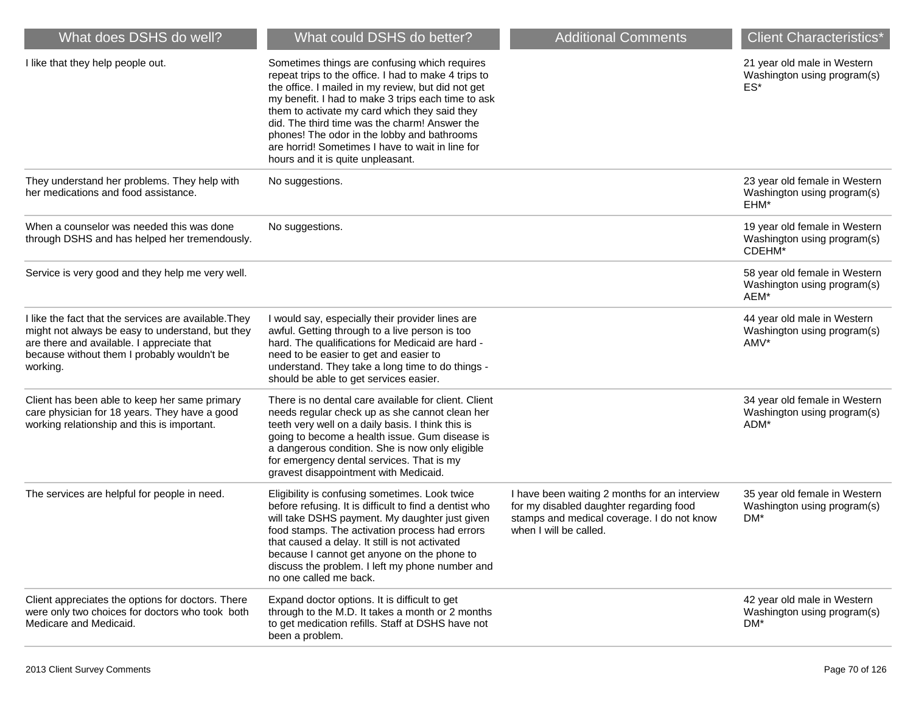| What does DSHS do well?                                                                                                                                                                                            | What could DSHS do better?                                                                                                                                                                                                                                                                                                                                                                                                                                  | <b>Additional Comments</b>                                                                                                                                       | <b>Client Characteristics*</b>                                         |
|--------------------------------------------------------------------------------------------------------------------------------------------------------------------------------------------------------------------|-------------------------------------------------------------------------------------------------------------------------------------------------------------------------------------------------------------------------------------------------------------------------------------------------------------------------------------------------------------------------------------------------------------------------------------------------------------|------------------------------------------------------------------------------------------------------------------------------------------------------------------|------------------------------------------------------------------------|
| I like that they help people out.                                                                                                                                                                                  | Sometimes things are confusing which requires<br>repeat trips to the office. I had to make 4 trips to<br>the office. I mailed in my review, but did not get<br>my benefit. I had to make 3 trips each time to ask<br>them to activate my card which they said they<br>did. The third time was the charm! Answer the<br>phones! The odor in the lobby and bathrooms<br>are horrid! Sometimes I have to wait in line for<br>hours and it is quite unpleasant. |                                                                                                                                                                  | 21 year old male in Western<br>Washington using program(s)<br>ES*      |
| They understand her problems. They help with<br>her medications and food assistance.                                                                                                                               | No suggestions.                                                                                                                                                                                                                                                                                                                                                                                                                                             |                                                                                                                                                                  | 23 year old female in Western<br>Washington using program(s)<br>EHM*   |
| When a counselor was needed this was done<br>through DSHS and has helped her tremendously.                                                                                                                         | No suggestions.                                                                                                                                                                                                                                                                                                                                                                                                                                             |                                                                                                                                                                  | 19 year old female in Western<br>Washington using program(s)<br>CDEHM* |
| Service is very good and they help me very well.                                                                                                                                                                   |                                                                                                                                                                                                                                                                                                                                                                                                                                                             |                                                                                                                                                                  | 58 year old female in Western<br>Washington using program(s)<br>AEM*   |
| I like the fact that the services are available. They<br>might not always be easy to understand, but they<br>are there and available. I appreciate that<br>because without them I probably wouldn't be<br>working. | I would say, especially their provider lines are<br>awful. Getting through to a live person is too<br>hard. The qualifications for Medicaid are hard -<br>need to be easier to get and easier to<br>understand. They take a long time to do things -<br>should be able to get services easier.                                                                                                                                                              |                                                                                                                                                                  | 44 year old male in Western<br>Washington using program(s)<br>AMV*     |
| Client has been able to keep her same primary<br>care physician for 18 years. They have a good<br>working relationship and this is important.                                                                      | There is no dental care available for client. Client<br>needs regular check up as she cannot clean her<br>teeth very well on a daily basis. I think this is<br>going to become a health issue. Gum disease is<br>a dangerous condition. She is now only eligible<br>for emergency dental services. That is my<br>gravest disappointment with Medicaid.                                                                                                      |                                                                                                                                                                  | 34 year old female in Western<br>Washington using program(s)<br>ADM*   |
| The services are helpful for people in need.                                                                                                                                                                       | Eligibility is confusing sometimes. Look twice<br>before refusing. It is difficult to find a dentist who<br>will take DSHS payment. My daughter just given<br>food stamps. The activation process had errors<br>that caused a delay. It still is not activated<br>because I cannot get anyone on the phone to<br>discuss the problem. I left my phone number and<br>no one called me back.                                                                  | I have been waiting 2 months for an interview<br>for my disabled daughter regarding food<br>stamps and medical coverage. I do not know<br>when I will be called. | 35 year old female in Western<br>Washington using program(s)<br>DM*    |
| Client appreciates the options for doctors. There<br>were only two choices for doctors who took both<br>Medicare and Medicaid.                                                                                     | Expand doctor options. It is difficult to get<br>through to the M.D. It takes a month or 2 months<br>to get medication refills. Staff at DSHS have not<br>been a problem.                                                                                                                                                                                                                                                                                   |                                                                                                                                                                  | 42 year old male in Western<br>Washington using program(s)<br>DM*      |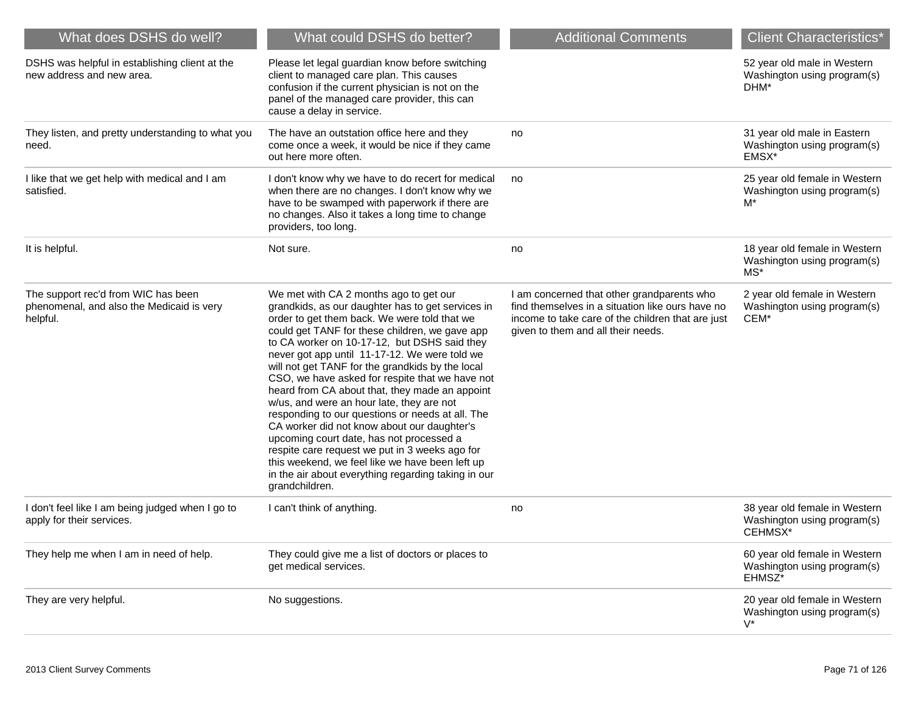| What does DSHS do well?                                                                      | What could DSHS do better?                                                                                                                                                                                                                                                                                                                                                                                                                                                                                                                                                                                                                                                                                                                                                                                                        | <b>Additional Comments</b>                                                                                                                                                                | <b>Client Characteristics*</b>                                          |
|----------------------------------------------------------------------------------------------|-----------------------------------------------------------------------------------------------------------------------------------------------------------------------------------------------------------------------------------------------------------------------------------------------------------------------------------------------------------------------------------------------------------------------------------------------------------------------------------------------------------------------------------------------------------------------------------------------------------------------------------------------------------------------------------------------------------------------------------------------------------------------------------------------------------------------------------|-------------------------------------------------------------------------------------------------------------------------------------------------------------------------------------------|-------------------------------------------------------------------------|
| DSHS was helpful in establishing client at the<br>new address and new area.                  | Please let legal guardian know before switching<br>client to managed care plan. This causes<br>confusion if the current physician is not on the<br>panel of the managed care provider, this can<br>cause a delay in service.                                                                                                                                                                                                                                                                                                                                                                                                                                                                                                                                                                                                      |                                                                                                                                                                                           | 52 year old male in Western<br>Washington using program(s)<br>DHM*      |
| They listen, and pretty understanding to what you<br>need.                                   | The have an outstation office here and they<br>come once a week, it would be nice if they came<br>out here more often.                                                                                                                                                                                                                                                                                                                                                                                                                                                                                                                                                                                                                                                                                                            | no                                                                                                                                                                                        | 31 year old male in Eastern<br>Washington using program(s)<br>EMSX*     |
| I like that we get help with medical and I am<br>satisfied.                                  | I don't know why we have to do recert for medical<br>when there are no changes. I don't know why we<br>have to be swamped with paperwork if there are<br>no changes. Also it takes a long time to change<br>providers, too long.                                                                                                                                                                                                                                                                                                                                                                                                                                                                                                                                                                                                  | no                                                                                                                                                                                        | 25 year old female in Western<br>Washington using program(s)<br>$M^*$   |
| It is helpful.                                                                               | Not sure.                                                                                                                                                                                                                                                                                                                                                                                                                                                                                                                                                                                                                                                                                                                                                                                                                         | no                                                                                                                                                                                        | 18 year old female in Western<br>Washington using program(s)<br>MS*     |
| The support rec'd from WIC has been<br>phenomenal, and also the Medicaid is very<br>helpful. | We met with CA 2 months ago to get our<br>grandkids, as our daughter has to get services in<br>order to get them back. We were told that we<br>could get TANF for these children, we gave app<br>to CA worker on 10-17-12, but DSHS said they<br>never got app until 11-17-12. We were told we<br>will not get TANF for the grandkids by the local<br>CSO, we have asked for respite that we have not<br>heard from CA about that, they made an appoint<br>w/us, and were an hour late, they are not<br>responding to our questions or needs at all. The<br>CA worker did not know about our daughter's<br>upcoming court date, has not processed a<br>respite care request we put in 3 weeks ago for<br>this weekend, we feel like we have been left up<br>in the air about everything regarding taking in our<br>grandchildren. | I am concerned that other grandparents who<br>find themselves in a situation like ours have no<br>income to take care of the children that are just<br>given to them and all their needs. | 2 year old female in Western<br>Washington using program(s)<br>CEM*     |
| I don't feel like I am being judged when I go to<br>apply for their services.                | I can't think of anything.                                                                                                                                                                                                                                                                                                                                                                                                                                                                                                                                                                                                                                                                                                                                                                                                        | no                                                                                                                                                                                        | 38 year old female in Western<br>Washington using program(s)<br>CEHMSX* |
| They help me when I am in need of help.                                                      | They could give me a list of doctors or places to<br>get medical services.                                                                                                                                                                                                                                                                                                                                                                                                                                                                                                                                                                                                                                                                                                                                                        |                                                                                                                                                                                           | 60 year old female in Western<br>Washington using program(s)<br>EHMSZ*  |
| They are very helpful.                                                                       | No suggestions.                                                                                                                                                                                                                                                                                                                                                                                                                                                                                                                                                                                                                                                                                                                                                                                                                   |                                                                                                                                                                                           | 20 year old female in Western<br>Washington using program(s)<br>$V^*$   |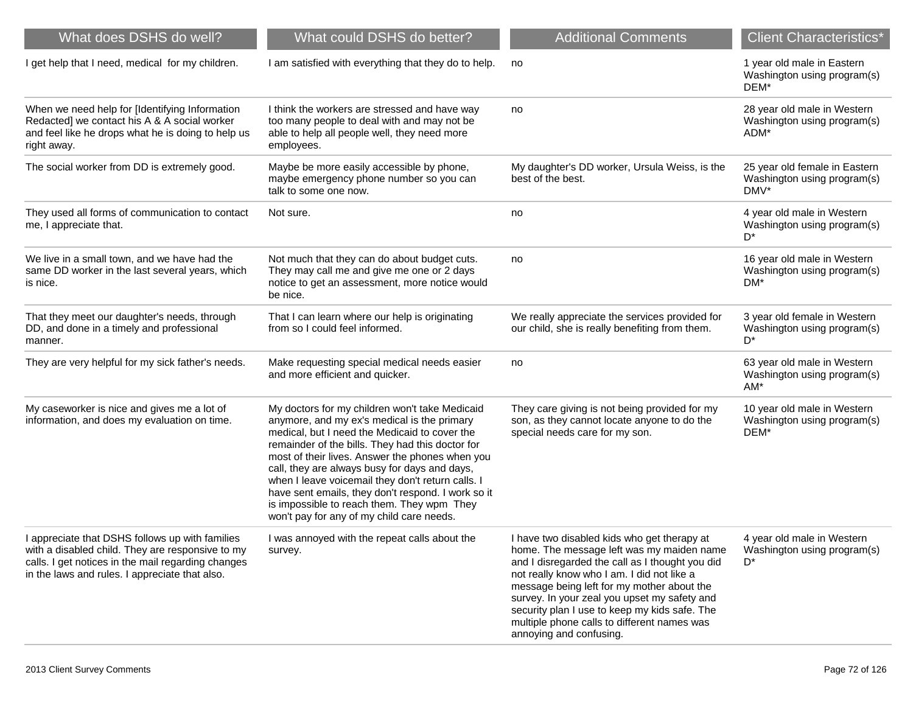| What does DSHS do well?                                                                                                                                                                                     | What could DSHS do better?                                                                                                                                                                                                                                                                                                                                                                                                                                                                                   | <b>Additional Comments</b>                                                                                                                                                                                                                                                                                                                                                                                         | <b>Client Characteristics*</b>                                       |
|-------------------------------------------------------------------------------------------------------------------------------------------------------------------------------------------------------------|--------------------------------------------------------------------------------------------------------------------------------------------------------------------------------------------------------------------------------------------------------------------------------------------------------------------------------------------------------------------------------------------------------------------------------------------------------------------------------------------------------------|--------------------------------------------------------------------------------------------------------------------------------------------------------------------------------------------------------------------------------------------------------------------------------------------------------------------------------------------------------------------------------------------------------------------|----------------------------------------------------------------------|
| I get help that I need, medical for my children.                                                                                                                                                            | I am satisfied with everything that they do to help.                                                                                                                                                                                                                                                                                                                                                                                                                                                         | no                                                                                                                                                                                                                                                                                                                                                                                                                 | 1 year old male in Eastern<br>Washington using program(s)<br>DEM*    |
| When we need help for [Identifying Information<br>Redacted] we contact his A & A social worker<br>and feel like he drops what he is doing to help us<br>right away.                                         | I think the workers are stressed and have way<br>too many people to deal with and may not be<br>able to help all people well, they need more<br>employees.                                                                                                                                                                                                                                                                                                                                                   | no                                                                                                                                                                                                                                                                                                                                                                                                                 | 28 year old male in Western<br>Washington using program(s)<br>ADM*   |
| The social worker from DD is extremely good.                                                                                                                                                                | Maybe be more easily accessible by phone,<br>maybe emergency phone number so you can<br>talk to some one now.                                                                                                                                                                                                                                                                                                                                                                                                | My daughter's DD worker, Ursula Weiss, is the<br>best of the best.                                                                                                                                                                                                                                                                                                                                                 | 25 year old female in Eastern<br>Washington using program(s)<br>DMV* |
| They used all forms of communication to contact<br>me, I appreciate that.                                                                                                                                   | Not sure.                                                                                                                                                                                                                                                                                                                                                                                                                                                                                                    | no                                                                                                                                                                                                                                                                                                                                                                                                                 | 4 year old male in Western<br>Washington using program(s)<br>D*      |
| We live in a small town, and we have had the<br>same DD worker in the last several years, which<br>is nice.                                                                                                 | Not much that they can do about budget cuts.<br>They may call me and give me one or 2 days<br>notice to get an assessment, more notice would<br>be nice.                                                                                                                                                                                                                                                                                                                                                     | no                                                                                                                                                                                                                                                                                                                                                                                                                 | 16 year old male in Western<br>Washington using program(s)<br>DM*    |
| That they meet our daughter's needs, through<br>DD, and done in a timely and professional<br>manner.                                                                                                        | That I can learn where our help is originating<br>from so I could feel informed.                                                                                                                                                                                                                                                                                                                                                                                                                             | We really appreciate the services provided for<br>our child, she is really benefiting from them.                                                                                                                                                                                                                                                                                                                   | 3 year old female in Western<br>Washington using program(s)<br>D*    |
| They are very helpful for my sick father's needs.                                                                                                                                                           | Make requesting special medical needs easier<br>and more efficient and quicker.                                                                                                                                                                                                                                                                                                                                                                                                                              | no                                                                                                                                                                                                                                                                                                                                                                                                                 | 63 year old male in Western<br>Washington using program(s)<br>$AM*$  |
| My caseworker is nice and gives me a lot of<br>information, and does my evaluation on time.                                                                                                                 | My doctors for my children won't take Medicaid<br>anymore, and my ex's medical is the primary<br>medical, but I need the Medicaid to cover the<br>remainder of the bills. They had this doctor for<br>most of their lives. Answer the phones when you<br>call, they are always busy for days and days,<br>when I leave voicemail they don't return calls. I<br>have sent emails, they don't respond. I work so it<br>is impossible to reach them. They wpm They<br>won't pay for any of my child care needs. | They care giving is not being provided for my<br>son, as they cannot locate anyone to do the<br>special needs care for my son.                                                                                                                                                                                                                                                                                     | 10 year old male in Western<br>Washington using program(s)<br>DEM*   |
| I appreciate that DSHS follows up with families<br>with a disabled child. They are responsive to my<br>calls. I get notices in the mail regarding changes<br>in the laws and rules. I appreciate that also. | I was annoyed with the repeat calls about the<br>survey.                                                                                                                                                                                                                                                                                                                                                                                                                                                     | I have two disabled kids who get therapy at<br>home. The message left was my maiden name<br>and I disregarded the call as I thought you did<br>not really know who I am. I did not like a<br>message being left for my mother about the<br>survey. In your zeal you upset my safety and<br>security plan I use to keep my kids safe. The<br>multiple phone calls to different names was<br>annoying and confusing. | 4 year old male in Western<br>Washington using program(s)<br>D*      |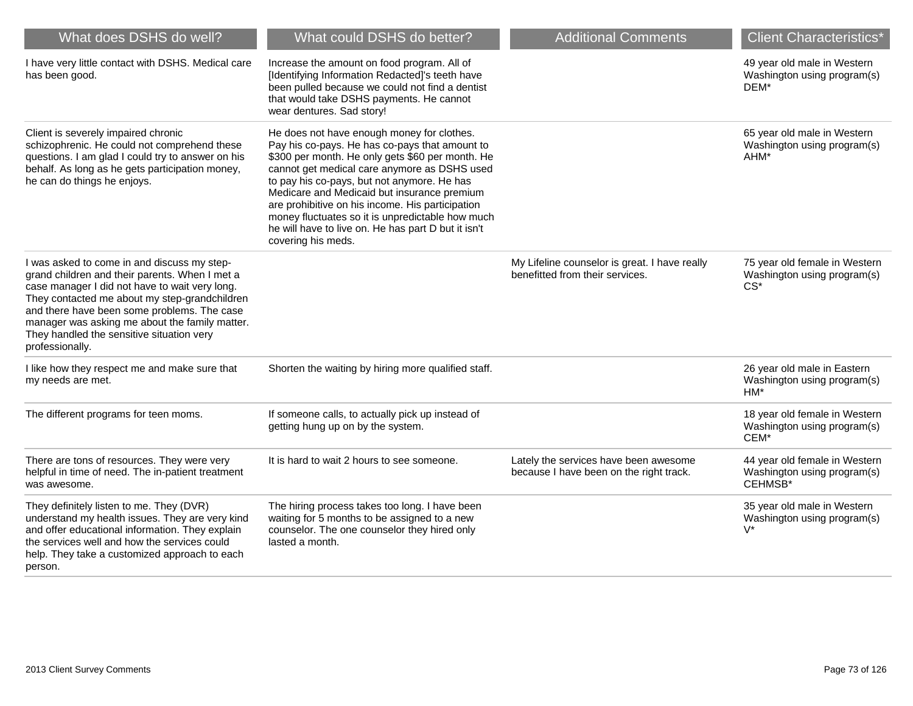| What does DSHS do well?                                                                                                                                                                                                                                                                                                                                           | What could DSHS do better?                                                                                                                                                                                                                                                                                                                                                                                                                                                          | <b>Additional Comments</b>                                                       | <b>Client Characteristics*</b>                                          |
|-------------------------------------------------------------------------------------------------------------------------------------------------------------------------------------------------------------------------------------------------------------------------------------------------------------------------------------------------------------------|-------------------------------------------------------------------------------------------------------------------------------------------------------------------------------------------------------------------------------------------------------------------------------------------------------------------------------------------------------------------------------------------------------------------------------------------------------------------------------------|----------------------------------------------------------------------------------|-------------------------------------------------------------------------|
| I have very little contact with DSHS. Medical care<br>has been good.                                                                                                                                                                                                                                                                                              | Increase the amount on food program. All of<br>[Identifying Information Redacted]'s teeth have<br>been pulled because we could not find a dentist<br>that would take DSHS payments. He cannot<br>wear dentures. Sad story!                                                                                                                                                                                                                                                          |                                                                                  | 49 year old male in Western<br>Washington using program(s)<br>DEM*      |
| Client is severely impaired chronic<br>schizophrenic. He could not comprehend these<br>questions. I am glad I could try to answer on his<br>behalf. As long as he gets participation money,<br>he can do things he enjoys.                                                                                                                                        | He does not have enough money for clothes.<br>Pay his co-pays. He has co-pays that amount to<br>\$300 per month. He only gets \$60 per month. He<br>cannot get medical care anymore as DSHS used<br>to pay his co-pays, but not anymore. He has<br>Medicare and Medicaid but insurance premium<br>are prohibitive on his income. His participation<br>money fluctuates so it is unpredictable how much<br>he will have to live on. He has part D but it isn't<br>covering his meds. |                                                                                  | 65 year old male in Western<br>Washington using program(s)<br>AHM*      |
| I was asked to come in and discuss my step-<br>grand children and their parents. When I met a<br>case manager I did not have to wait very long.<br>They contacted me about my step-grandchildren<br>and there have been some problems. The case<br>manager was asking me about the family matter.<br>They handled the sensitive situation very<br>professionally. |                                                                                                                                                                                                                                                                                                                                                                                                                                                                                     | My Lifeline counselor is great. I have really<br>benefitted from their services. | 75 year old female in Western<br>Washington using program(s)<br>$CS^*$  |
| I like how they respect me and make sure that<br>my needs are met.                                                                                                                                                                                                                                                                                                | Shorten the waiting by hiring more qualified staff.                                                                                                                                                                                                                                                                                                                                                                                                                                 |                                                                                  | 26 year old male in Eastern<br>Washington using program(s)<br>$HM*$     |
| The different programs for teen moms.                                                                                                                                                                                                                                                                                                                             | If someone calls, to actually pick up instead of<br>getting hung up on by the system.                                                                                                                                                                                                                                                                                                                                                                                               |                                                                                  | 18 year old female in Western<br>Washington using program(s)<br>CEM*    |
| There are tons of resources. They were very<br>helpful in time of need. The in-patient treatment<br>was awesome.                                                                                                                                                                                                                                                  | It is hard to wait 2 hours to see someone.                                                                                                                                                                                                                                                                                                                                                                                                                                          | Lately the services have been awesome<br>because I have been on the right track. | 44 year old female in Western<br>Washington using program(s)<br>CEHMSB* |
| They definitely listen to me. They (DVR)<br>understand my health issues. They are very kind<br>and offer educational information. They explain<br>the services well and how the services could<br>help. They take a customized approach to each<br>person.                                                                                                        | The hiring process takes too long. I have been<br>waiting for 5 months to be assigned to a new<br>counselor. The one counselor they hired only<br>lasted a month.                                                                                                                                                                                                                                                                                                                   |                                                                                  | 35 year old male in Western<br>Washington using program(s)<br>$V^*$     |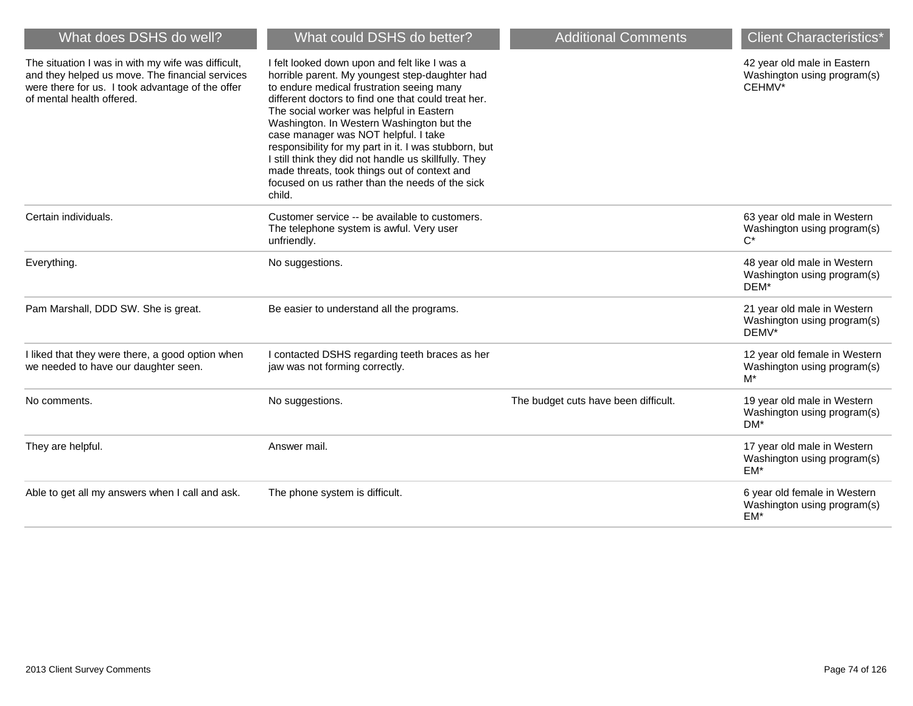| What does DSHS do well?                                                                                                                                                                | What could DSHS do better?                                                                                                                                                                                                                                                                                                                                                                                                                                                                                                                                          | <b>Additional Comments</b>           | <b>Client Characteristics*</b>                                        |
|----------------------------------------------------------------------------------------------------------------------------------------------------------------------------------------|---------------------------------------------------------------------------------------------------------------------------------------------------------------------------------------------------------------------------------------------------------------------------------------------------------------------------------------------------------------------------------------------------------------------------------------------------------------------------------------------------------------------------------------------------------------------|--------------------------------------|-----------------------------------------------------------------------|
| The situation I was in with my wife was difficult,<br>and they helped us move. The financial services<br>were there for us. I took advantage of the offer<br>of mental health offered. | I felt looked down upon and felt like I was a<br>horrible parent. My youngest step-daughter had<br>to endure medical frustration seeing many<br>different doctors to find one that could treat her.<br>The social worker was helpful in Eastern<br>Washington. In Western Washington but the<br>case manager was NOT helpful. I take<br>responsibility for my part in it. I was stubborn, but<br>I still think they did not handle us skillfully. They<br>made threats, took things out of context and<br>focused on us rather than the needs of the sick<br>child. |                                      | 42 year old male in Eastern<br>Washington using program(s)<br>CEHMV*  |
| Certain individuals.                                                                                                                                                                   | Customer service -- be available to customers.<br>The telephone system is awful. Very user<br>unfriendly.                                                                                                                                                                                                                                                                                                                                                                                                                                                           |                                      | 63 year old male in Western<br>Washington using program(s)<br>$C^*$   |
| Everything.                                                                                                                                                                            | No suggestions.                                                                                                                                                                                                                                                                                                                                                                                                                                                                                                                                                     |                                      | 48 year old male in Western<br>Washington using program(s)<br>DEM*    |
| Pam Marshall, DDD SW. She is great.                                                                                                                                                    | Be easier to understand all the programs.                                                                                                                                                                                                                                                                                                                                                                                                                                                                                                                           |                                      | 21 year old male in Western<br>Washington using program(s)<br>DEMV*   |
| I liked that they were there, a good option when<br>we needed to have our daughter seen.                                                                                               | I contacted DSHS regarding teeth braces as her<br>jaw was not forming correctly.                                                                                                                                                                                                                                                                                                                                                                                                                                                                                    |                                      | 12 year old female in Western<br>Washington using program(s)<br>$M^*$ |
| No comments.                                                                                                                                                                           | No suggestions.                                                                                                                                                                                                                                                                                                                                                                                                                                                                                                                                                     | The budget cuts have been difficult. | 19 year old male in Western<br>Washington using program(s)<br>DM*     |
| They are helpful.                                                                                                                                                                      | Answer mail.                                                                                                                                                                                                                                                                                                                                                                                                                                                                                                                                                        |                                      | 17 year old male in Western<br>Washington using program(s)<br>EM*     |
| Able to get all my answers when I call and ask.                                                                                                                                        | The phone system is difficult.                                                                                                                                                                                                                                                                                                                                                                                                                                                                                                                                      |                                      | 6 year old female in Western<br>Washington using program(s)<br>EM*    |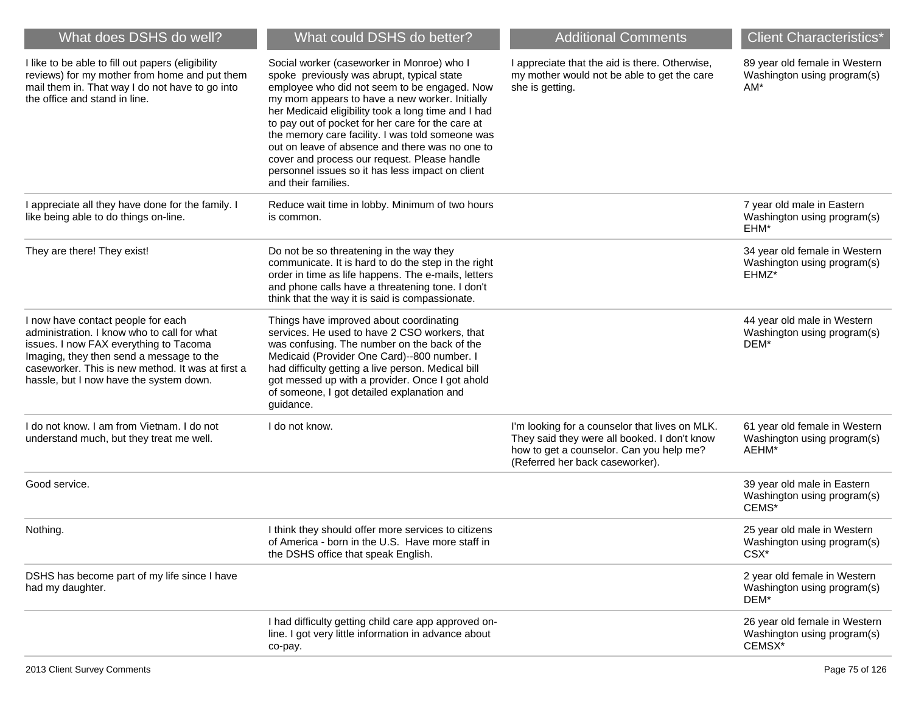| What does DSHS do well?                                                                                                                                                                                                                                                 | What could DSHS do better?                                                                                                                                                                                                                                                                                                                                                                                                                                                                                                               | <b>Additional Comments</b>                                                                                                                                                    | <b>Client Characteristics*</b>                                                     |
|-------------------------------------------------------------------------------------------------------------------------------------------------------------------------------------------------------------------------------------------------------------------------|------------------------------------------------------------------------------------------------------------------------------------------------------------------------------------------------------------------------------------------------------------------------------------------------------------------------------------------------------------------------------------------------------------------------------------------------------------------------------------------------------------------------------------------|-------------------------------------------------------------------------------------------------------------------------------------------------------------------------------|------------------------------------------------------------------------------------|
| I like to be able to fill out papers (eligibility<br>reviews) for my mother from home and put them<br>mail them in. That way I do not have to go into<br>the office and stand in line.                                                                                  | Social worker (caseworker in Monroe) who I<br>spoke previously was abrupt, typical state<br>employee who did not seem to be engaged. Now<br>my mom appears to have a new worker. Initially<br>her Medicaid eligibility took a long time and I had<br>to pay out of pocket for her care for the care at<br>the memory care facility. I was told someone was<br>out on leave of absence and there was no one to<br>cover and process our request. Please handle<br>personnel issues so it has less impact on client<br>and their families. | I appreciate that the aid is there. Otherwise,<br>my mother would not be able to get the care<br>she is getting.                                                              | 89 year old female in Western<br>Washington using program(s)<br>AM*                |
| I appreciate all they have done for the family. I<br>like being able to do things on-line.                                                                                                                                                                              | Reduce wait time in lobby. Minimum of two hours<br>is common.                                                                                                                                                                                                                                                                                                                                                                                                                                                                            |                                                                                                                                                                               | 7 year old male in Eastern<br>Washington using program(s)<br>EHM*                  |
| They are there! They exist!                                                                                                                                                                                                                                             | Do not be so threatening in the way they<br>communicate. It is hard to do the step in the right<br>order in time as life happens. The e-mails, letters<br>and phone calls have a threatening tone. I don't<br>think that the way it is said is compassionate.                                                                                                                                                                                                                                                                            |                                                                                                                                                                               | 34 year old female in Western<br>Washington using program(s)<br>EHMZ*              |
| I now have contact people for each<br>administration. I know who to call for what<br>issues. I now FAX everything to Tacoma<br>Imaging, they then send a message to the<br>caseworker. This is new method. It was at first a<br>hassle, but I now have the system down. | Things have improved about coordinating<br>services. He used to have 2 CSO workers, that<br>was confusing. The number on the back of the<br>Medicaid (Provider One Card)--800 number. I<br>had difficulty getting a live person. Medical bill<br>got messed up with a provider. Once I got ahold<br>of someone, I got detailed explanation and<br>guidance.                                                                                                                                                                              |                                                                                                                                                                               | 44 year old male in Western<br>Washington using program(s)<br>DEM*                 |
| I do not know. I am from Vietnam. I do not<br>understand much, but they treat me well.                                                                                                                                                                                  | I do not know.                                                                                                                                                                                                                                                                                                                                                                                                                                                                                                                           | I'm looking for a counselor that lives on MLK.<br>They said they were all booked. I don't know<br>how to get a counselor. Can you help me?<br>(Referred her back caseworker). | 61 year old female in Western<br>Washington using program(s)<br>AEHM*              |
| Good service.                                                                                                                                                                                                                                                           |                                                                                                                                                                                                                                                                                                                                                                                                                                                                                                                                          |                                                                                                                                                                               | 39 year old male in Eastern<br>Washington using program(s)<br>CEMS*                |
| Nothing.                                                                                                                                                                                                                                                                | I think they should offer more services to citizens<br>of America - born in the U.S. Have more staff in<br>the DSHS office that speak English.                                                                                                                                                                                                                                                                                                                                                                                           |                                                                                                                                                                               | 25 year old male in Western<br>Washington using program(s)<br>CSX <sup>*</sup>     |
| DSHS has become part of my life since I have<br>had my daughter.                                                                                                                                                                                                        |                                                                                                                                                                                                                                                                                                                                                                                                                                                                                                                                          |                                                                                                                                                                               | 2 year old female in Western<br>Washington using program(s)<br>DEM*                |
|                                                                                                                                                                                                                                                                         | I had difficulty getting child care app approved on-<br>line. I got very little information in advance about<br>co-pay.                                                                                                                                                                                                                                                                                                                                                                                                                  |                                                                                                                                                                               | 26 year old female in Western<br>Washington using program(s)<br>CEMSX <sup>*</sup> |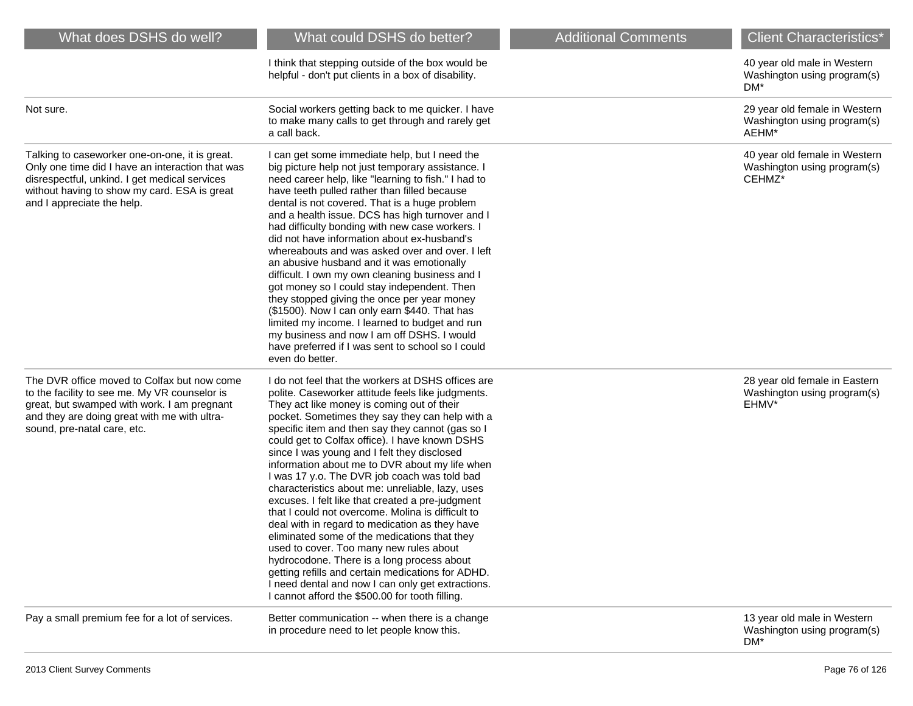| What does DSHS do well?                                                                                                                                                                                                           | What could DSHS do better?                                                                                                                                                                                                                                                                                                                                                                                                                                                                                                                                                                                                                                                                                                                                                                                                                                                                                                                                                           | <b>Additional Comments</b> | <b>Client Characteristics*</b>                                         |
|-----------------------------------------------------------------------------------------------------------------------------------------------------------------------------------------------------------------------------------|--------------------------------------------------------------------------------------------------------------------------------------------------------------------------------------------------------------------------------------------------------------------------------------------------------------------------------------------------------------------------------------------------------------------------------------------------------------------------------------------------------------------------------------------------------------------------------------------------------------------------------------------------------------------------------------------------------------------------------------------------------------------------------------------------------------------------------------------------------------------------------------------------------------------------------------------------------------------------------------|----------------------------|------------------------------------------------------------------------|
|                                                                                                                                                                                                                                   | I think that stepping outside of the box would be<br>helpful - don't put clients in a box of disability.                                                                                                                                                                                                                                                                                                                                                                                                                                                                                                                                                                                                                                                                                                                                                                                                                                                                             |                            | 40 year old male in Western<br>Washington using program(s)<br>DM*      |
| Not sure.                                                                                                                                                                                                                         | Social workers getting back to me quicker. I have<br>to make many calls to get through and rarely get<br>a call back.                                                                                                                                                                                                                                                                                                                                                                                                                                                                                                                                                                                                                                                                                                                                                                                                                                                                |                            | 29 year old female in Western<br>Washington using program(s)<br>AEHM*  |
| Talking to caseworker one-on-one, it is great.<br>Only one time did I have an interaction that was<br>disrespectful, unkind. I get medical services<br>without having to show my card. ESA is great<br>and I appreciate the help. | I can get some immediate help, but I need the<br>big picture help not just temporary assistance. I<br>need career help, like "learning to fish." I had to<br>have teeth pulled rather than filled because<br>dental is not covered. That is a huge problem<br>and a health issue. DCS has high turnover and I<br>had difficulty bonding with new case workers. I<br>did not have information about ex-husband's<br>whereabouts and was asked over and over. I left<br>an abusive husband and it was emotionally<br>difficult. I own my own cleaning business and I<br>got money so I could stay independent. Then<br>they stopped giving the once per year money<br>(\$1500). Now I can only earn \$440. That has<br>limited my income. I learned to budget and run<br>my business and now I am off DSHS. I would<br>have preferred if I was sent to school so I could<br>even do better.                                                                                            |                            | 40 year old female in Western<br>Washington using program(s)<br>CEHMZ* |
| The DVR office moved to Colfax but now come<br>to the facility to see me. My VR counselor is<br>great, but swamped with work. I am pregnant<br>and they are doing great with me with ultra-<br>sound, pre-natal care, etc.        | I do not feel that the workers at DSHS offices are<br>polite. Caseworker attitude feels like judgments.<br>They act like money is coming out of their<br>pocket. Sometimes they say they can help with a<br>specific item and then say they cannot (gas so I<br>could get to Colfax office). I have known DSHS<br>since I was young and I felt they disclosed<br>information about me to DVR about my life when<br>I was 17 y.o. The DVR job coach was told bad<br>characteristics about me: unreliable, lazy, uses<br>excuses. I felt like that created a pre-judgment<br>that I could not overcome. Molina is difficult to<br>deal with in regard to medication as they have<br>eliminated some of the medications that they<br>used to cover. Too many new rules about<br>hydrocodone. There is a long process about<br>getting refills and certain medications for ADHD.<br>I need dental and now I can only get extractions.<br>I cannot afford the \$500.00 for tooth filling. |                            | 28 year old female in Eastern<br>Washington using program(s)<br>EHMV*  |
| Pay a small premium fee for a lot of services.                                                                                                                                                                                    | Better communication -- when there is a change<br>in procedure need to let people know this.                                                                                                                                                                                                                                                                                                                                                                                                                                                                                                                                                                                                                                                                                                                                                                                                                                                                                         |                            | 13 year old male in Western<br>Washington using program(s)<br>DM*      |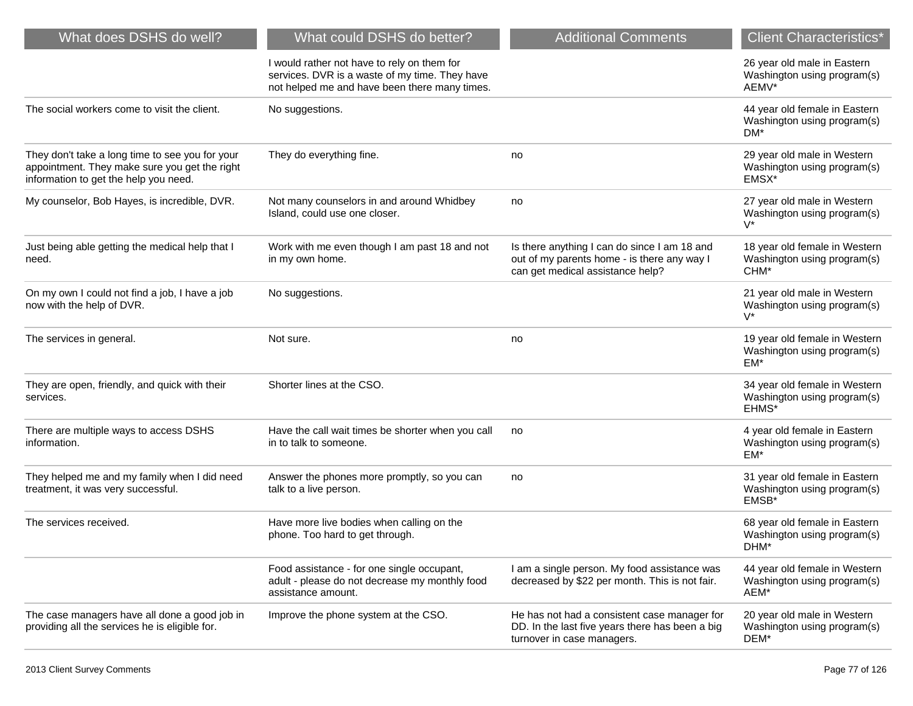| What does DSHS do well?                                                                                                                   | What could DSHS do better?                                                                                                                     | <b>Additional Comments</b>                                                                                                      | <b>Client Characteristics*</b>                                                   |
|-------------------------------------------------------------------------------------------------------------------------------------------|------------------------------------------------------------------------------------------------------------------------------------------------|---------------------------------------------------------------------------------------------------------------------------------|----------------------------------------------------------------------------------|
|                                                                                                                                           | I would rather not have to rely on them for<br>services. DVR is a waste of my time. They have<br>not helped me and have been there many times. |                                                                                                                                 | 26 year old male in Eastern<br>Washington using program(s)<br>AEMV*              |
| The social workers come to visit the client.                                                                                              | No suggestions.                                                                                                                                |                                                                                                                                 | 44 year old female in Eastern<br>Washington using program(s)<br>DM*              |
| They don't take a long time to see you for your<br>appointment. They make sure you get the right<br>information to get the help you need. | They do everything fine.                                                                                                                       | no                                                                                                                              | 29 year old male in Western<br>Washington using program(s)<br>EMSX*              |
| My counselor, Bob Hayes, is incredible, DVR.                                                                                              | Not many counselors in and around Whidbey<br>Island, could use one closer.                                                                     | no                                                                                                                              | 27 year old male in Western<br>Washington using program(s)<br>$V^*$              |
| Just being able getting the medical help that I<br>need.                                                                                  | Work with me even though I am past 18 and not<br>in my own home.                                                                               | Is there anything I can do since I am 18 and<br>out of my parents home - is there any way I<br>can get medical assistance help? | 18 year old female in Western<br>Washington using program(s)<br>CHM <sup>*</sup> |
| On my own I could not find a job, I have a job<br>now with the help of DVR.                                                               | No suggestions.                                                                                                                                |                                                                                                                                 | 21 year old male in Western<br>Washington using program(s)<br>$V^*$              |
| The services in general.                                                                                                                  | Not sure.                                                                                                                                      | no                                                                                                                              | 19 year old female in Western<br>Washington using program(s)<br>EM*              |
| They are open, friendly, and quick with their<br>services.                                                                                | Shorter lines at the CSO.                                                                                                                      |                                                                                                                                 | 34 year old female in Western<br>Washington using program(s)<br>EHMS*            |
| There are multiple ways to access DSHS<br>information.                                                                                    | Have the call wait times be shorter when you call<br>in to talk to someone.                                                                    | no                                                                                                                              | 4 year old female in Eastern<br>Washington using program(s)<br>EM*               |
| They helped me and my family when I did need<br>treatment, it was very successful.                                                        | Answer the phones more promptly, so you can<br>talk to a live person.                                                                          | no                                                                                                                              | 31 year old female in Eastern<br>Washington using program(s)<br>EMSB*            |
| The services received.                                                                                                                    | Have more live bodies when calling on the<br>phone. Too hard to get through.                                                                   |                                                                                                                                 | 68 year old female in Eastern<br>Washington using program(s)<br>DHM'             |
|                                                                                                                                           | Food assistance - for one single occupant,<br>adult - please do not decrease my monthly food<br>assistance amount.                             | I am a single person. My food assistance was<br>decreased by \$22 per month. This is not fair.                                  | 44 year old female in Western<br>Washington using program(s)<br>AEM*             |
| The case managers have all done a good job in<br>providing all the services he is eligible for.                                           | Improve the phone system at the CSO.                                                                                                           | He has not had a consistent case manager for<br>DD. In the last five years there has been a big<br>turnover in case managers.   | 20 year old male in Western<br>Washington using program(s)<br>DEM*               |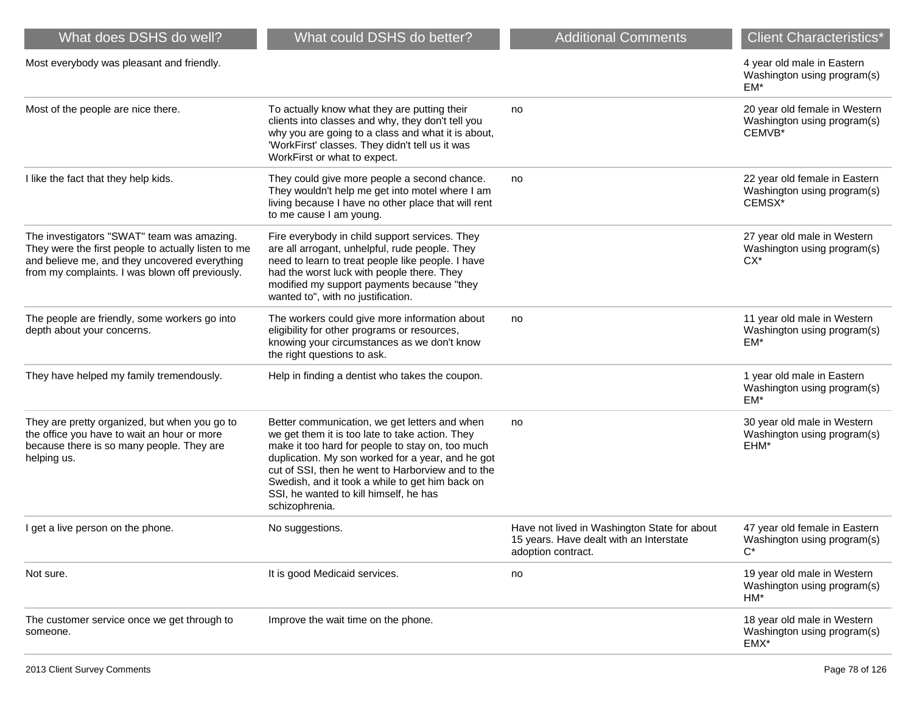| What does DSHS do well?                                                                                                                                                                               | What could DSHS do better?                                                                                                                                                                                                                                                                                                                                                    | <b>Additional Comments</b>                                                                                    | <b>Client Characteristics*</b>                                         |
|-------------------------------------------------------------------------------------------------------------------------------------------------------------------------------------------------------|-------------------------------------------------------------------------------------------------------------------------------------------------------------------------------------------------------------------------------------------------------------------------------------------------------------------------------------------------------------------------------|---------------------------------------------------------------------------------------------------------------|------------------------------------------------------------------------|
| Most everybody was pleasant and friendly.                                                                                                                                                             |                                                                                                                                                                                                                                                                                                                                                                               |                                                                                                               | 4 year old male in Eastern<br>Washington using program(s)<br>EM*       |
| Most of the people are nice there.                                                                                                                                                                    | To actually know what they are putting their<br>clients into classes and why, they don't tell you<br>why you are going to a class and what it is about,<br>'WorkFirst' classes. They didn't tell us it was<br>WorkFirst or what to expect.                                                                                                                                    | no                                                                                                            | 20 year old female in Western<br>Washington using program(s)<br>CEMVB* |
| I like the fact that they help kids.                                                                                                                                                                  | They could give more people a second chance.<br>They wouldn't help me get into motel where I am<br>living because I have no other place that will rent<br>to me cause I am young.                                                                                                                                                                                             | no                                                                                                            | 22 year old female in Eastern<br>Washington using program(s)<br>CEMSX* |
| The investigators "SWAT" team was amazing.<br>They were the first people to actually listen to me<br>and believe me, and they uncovered everything<br>from my complaints. I was blown off previously. | Fire everybody in child support services. They<br>are all arrogant, unhelpful, rude people. They<br>need to learn to treat people like people. I have<br>had the worst luck with people there. They<br>modified my support payments because "they<br>wanted to", with no justification.                                                                                       |                                                                                                               | 27 year old male in Western<br>Washington using program(s)<br>$CX^*$   |
| The people are friendly, some workers go into<br>depth about your concerns.                                                                                                                           | The workers could give more information about<br>eligibility for other programs or resources,<br>knowing your circumstances as we don't know<br>the right questions to ask.                                                                                                                                                                                                   | no                                                                                                            | 11 year old male in Western<br>Washington using program(s)<br>EM*      |
| They have helped my family tremendously.                                                                                                                                                              | Help in finding a dentist who takes the coupon.                                                                                                                                                                                                                                                                                                                               |                                                                                                               | 1 year old male in Eastern<br>Washington using program(s)<br>EM*       |
| They are pretty organized, but when you go to<br>the office you have to wait an hour or more<br>because there is so many people. They are<br>helping us.                                              | Better communication, we get letters and when<br>we get them it is too late to take action. They<br>make it too hard for people to stay on, too much<br>duplication. My son worked for a year, and he got<br>cut of SSI, then he went to Harborview and to the<br>Swedish, and it took a while to get him back on<br>SSI, he wanted to kill himself, he has<br>schizophrenia. | no                                                                                                            | 30 year old male in Western<br>Washington using program(s)<br>EHM*     |
| I get a live person on the phone.                                                                                                                                                                     | No suggestions.                                                                                                                                                                                                                                                                                                                                                               | Have not lived in Washington State for about<br>15 years. Have dealt with an Interstate<br>adoption contract. | 47 year old female in Eastern<br>Washington using program(s)<br>$C^*$  |
| Not sure.                                                                                                                                                                                             | It is good Medicaid services.                                                                                                                                                                                                                                                                                                                                                 | no                                                                                                            | 19 year old male in Western<br>Washington using program(s)<br>$HM*$    |
| The customer service once we get through to<br>someone.                                                                                                                                               | Improve the wait time on the phone.                                                                                                                                                                                                                                                                                                                                           |                                                                                                               | 18 year old male in Western<br>Washington using program(s)<br>EMX*     |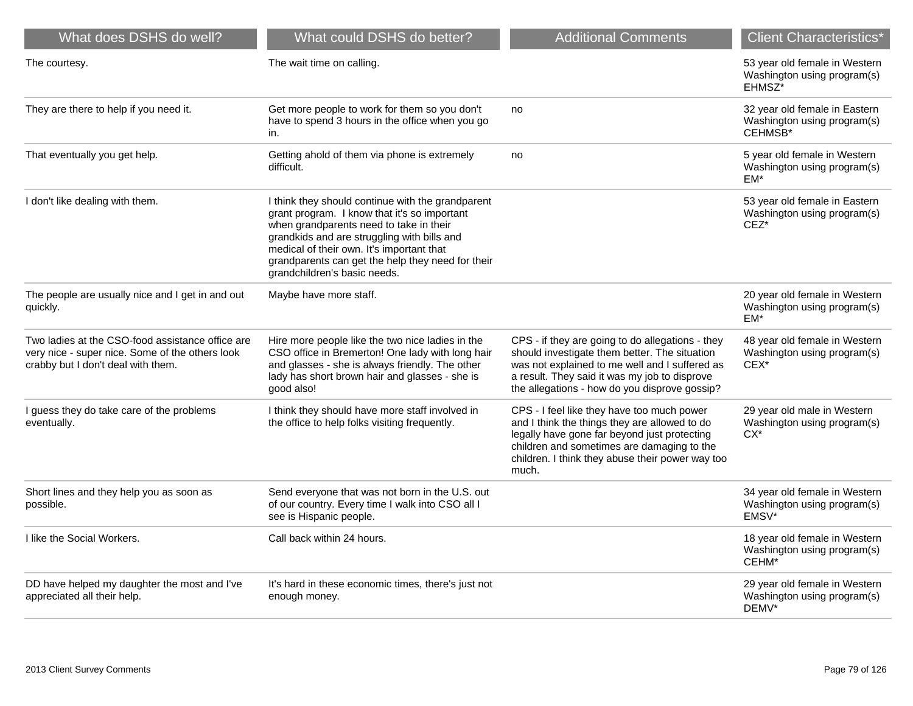| What does DSHS do well?                                                                                                                   | What could DSHS do better?                                                                                                                                                                                                                                                                                                    | <b>Additional Comments</b>                                                                                                                                                                                                                             | <b>Client Characteristics*</b>                                          |
|-------------------------------------------------------------------------------------------------------------------------------------------|-------------------------------------------------------------------------------------------------------------------------------------------------------------------------------------------------------------------------------------------------------------------------------------------------------------------------------|--------------------------------------------------------------------------------------------------------------------------------------------------------------------------------------------------------------------------------------------------------|-------------------------------------------------------------------------|
| The courtesy.                                                                                                                             | The wait time on calling.                                                                                                                                                                                                                                                                                                     |                                                                                                                                                                                                                                                        | 53 year old female in Western<br>Washington using program(s)<br>EHMSZ*  |
| They are there to help if you need it.                                                                                                    | Get more people to work for them so you don't<br>have to spend 3 hours in the office when you go<br>in.                                                                                                                                                                                                                       | no                                                                                                                                                                                                                                                     | 32 year old female in Eastern<br>Washington using program(s)<br>CEHMSB* |
| That eventually you get help.                                                                                                             | Getting ahold of them via phone is extremely<br>difficult.                                                                                                                                                                                                                                                                    | no                                                                                                                                                                                                                                                     | 5 year old female in Western<br>Washington using program(s)<br>EM*      |
| I don't like dealing with them.                                                                                                           | I think they should continue with the grandparent<br>grant program. I know that it's so important<br>when grandparents need to take in their<br>grandkids and are struggling with bills and<br>medical of their own. It's important that<br>grandparents can get the help they need for their<br>grandchildren's basic needs. |                                                                                                                                                                                                                                                        | 53 year old female in Eastern<br>Washington using program(s)<br>$CEZ^*$ |
| The people are usually nice and I get in and out<br>quickly.                                                                              | Maybe have more staff.                                                                                                                                                                                                                                                                                                        |                                                                                                                                                                                                                                                        | 20 year old female in Western<br>Washington using program(s)<br>$EM*$   |
| Two ladies at the CSO-food assistance office are<br>very nice - super nice. Some of the others look<br>crabby but I don't deal with them. | Hire more people like the two nice ladies in the<br>CSO office in Bremerton! One lady with long hair<br>and glasses - she is always friendly. The other<br>lady has short brown hair and glasses - she is<br>good also!                                                                                                       | CPS - if they are going to do allegations - they<br>should investigate them better. The situation<br>was not explained to me well and I suffered as<br>a result. They said it was my job to disprove<br>the allegations - how do you disprove gossip?  | 48 year old female in Western<br>Washington using program(s)<br>CEX*    |
| I guess they do take care of the problems<br>eventually.                                                                                  | I think they should have more staff involved in<br>the office to help folks visiting frequently.                                                                                                                                                                                                                              | CPS - I feel like they have too much power<br>and I think the things they are allowed to do<br>legally have gone far beyond just protecting<br>children and sometimes are damaging to the<br>children. I think they abuse their power way too<br>much. | 29 year old male in Western<br>Washington using program(s)<br>$CX*$     |
| Short lines and they help you as soon as<br>possible.                                                                                     | Send everyone that was not born in the U.S. out<br>of our country. Every time I walk into CSO all I<br>see is Hispanic people.                                                                                                                                                                                                |                                                                                                                                                                                                                                                        | 34 year old female in Western<br>Washington using program(s)<br>EMSV*   |
| I like the Social Workers.                                                                                                                | Call back within 24 hours.                                                                                                                                                                                                                                                                                                    |                                                                                                                                                                                                                                                        | 18 year old female in Western<br>Washington using program(s)<br>CEHM*   |
| DD have helped my daughter the most and I've<br>appreciated all their help.                                                               | It's hard in these economic times, there's just not<br>enough money.                                                                                                                                                                                                                                                          |                                                                                                                                                                                                                                                        | 29 year old female in Western<br>Washington using program(s)<br>DEMV*   |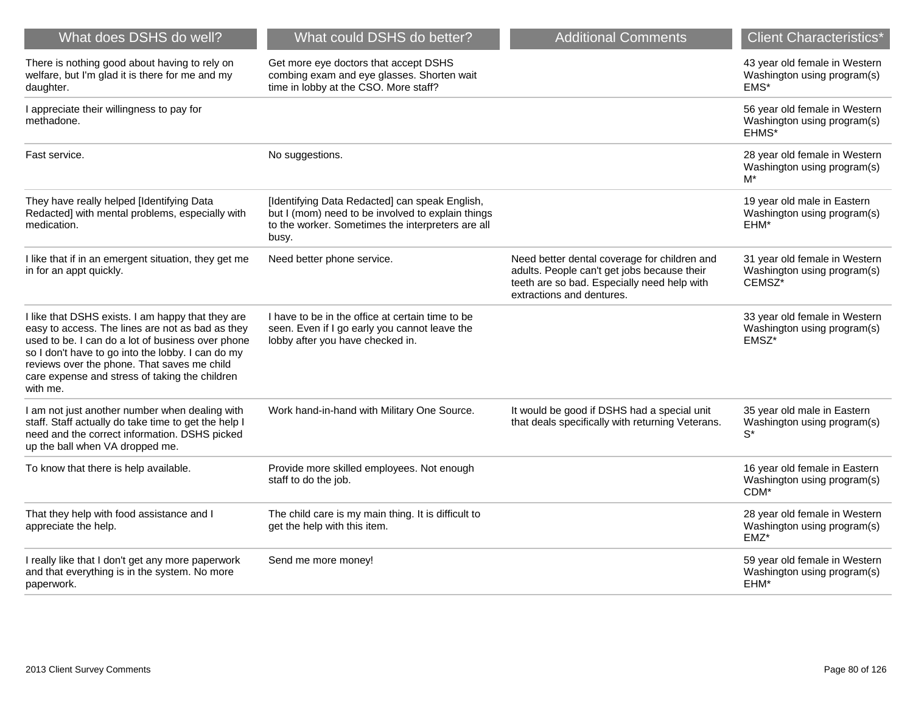| What does DSHS do well?                                                                                                                                                                                                                                                                                                      | What could DSHS do better?                                                                                                                                        | <b>Additional Comments</b>                                                                                                                                              | <b>Client Characteristics*</b>                                          |
|------------------------------------------------------------------------------------------------------------------------------------------------------------------------------------------------------------------------------------------------------------------------------------------------------------------------------|-------------------------------------------------------------------------------------------------------------------------------------------------------------------|-------------------------------------------------------------------------------------------------------------------------------------------------------------------------|-------------------------------------------------------------------------|
| There is nothing good about having to rely on<br>welfare, but I'm glad it is there for me and my<br>daughter.                                                                                                                                                                                                                | Get more eye doctors that accept DSHS<br>combing exam and eye glasses. Shorten wait<br>time in lobby at the CSO. More staff?                                      |                                                                                                                                                                         | 43 year old female in Western<br>Washington using program(s)<br>$EMS^*$ |
| I appreciate their willingness to pay for<br>methadone.                                                                                                                                                                                                                                                                      |                                                                                                                                                                   |                                                                                                                                                                         | 56 year old female in Western<br>Washington using program(s)<br>EHMS*   |
| Fast service.                                                                                                                                                                                                                                                                                                                | No suggestions.                                                                                                                                                   |                                                                                                                                                                         | 28 year old female in Western<br>Washington using program(s)<br>M*      |
| They have really helped [Identifying Data<br>Redacted] with mental problems, especially with<br>medication.                                                                                                                                                                                                                  | [Identifying Data Redacted] can speak English,<br>but I (mom) need to be involved to explain things<br>to the worker. Sometimes the interpreters are all<br>busy. |                                                                                                                                                                         | 19 year old male in Eastern<br>Washington using program(s)<br>EHM*      |
| I like that if in an emergent situation, they get me<br>in for an appt quickly.                                                                                                                                                                                                                                              | Need better phone service.                                                                                                                                        | Need better dental coverage for children and<br>adults. People can't get jobs because their<br>teeth are so bad. Especially need help with<br>extractions and dentures. | 31 year old female in Western<br>Washington using program(s)<br>CEMSZ*  |
| I like that DSHS exists. I am happy that they are<br>easy to access. The lines are not as bad as they<br>used to be. I can do a lot of business over phone<br>so I don't have to go into the lobby. I can do my<br>reviews over the phone. That saves me child<br>care expense and stress of taking the children<br>with me. | I have to be in the office at certain time to be<br>seen. Even if I go early you cannot leave the<br>lobby after you have checked in.                             |                                                                                                                                                                         | 33 year old female in Western<br>Washington using program(s)<br>EMSZ*   |
| I am not just another number when dealing with<br>staff. Staff actually do take time to get the help I<br>need and the correct information. DSHS picked<br>up the ball when VA dropped me.                                                                                                                                   | Work hand-in-hand with Military One Source.                                                                                                                       | It would be good if DSHS had a special unit<br>that deals specifically with returning Veterans.                                                                         | 35 year old male in Eastern<br>Washington using program(s)<br>$S^*$     |
| To know that there is help available.                                                                                                                                                                                                                                                                                        | Provide more skilled employees. Not enough<br>staff to do the job.                                                                                                |                                                                                                                                                                         | 16 year old female in Eastern<br>Washington using program(s)<br>CDM*    |
| That they help with food assistance and I<br>appreciate the help.                                                                                                                                                                                                                                                            | The child care is my main thing. It is difficult to<br>get the help with this item.                                                                               |                                                                                                                                                                         | 28 year old female in Western<br>Washington using program(s)<br>$EMZ^*$ |
| I really like that I don't get any more paperwork<br>and that everything is in the system. No more<br>paperwork.                                                                                                                                                                                                             | Send me more money!                                                                                                                                               |                                                                                                                                                                         | 59 year old female in Western<br>Washington using program(s)<br>EHM*    |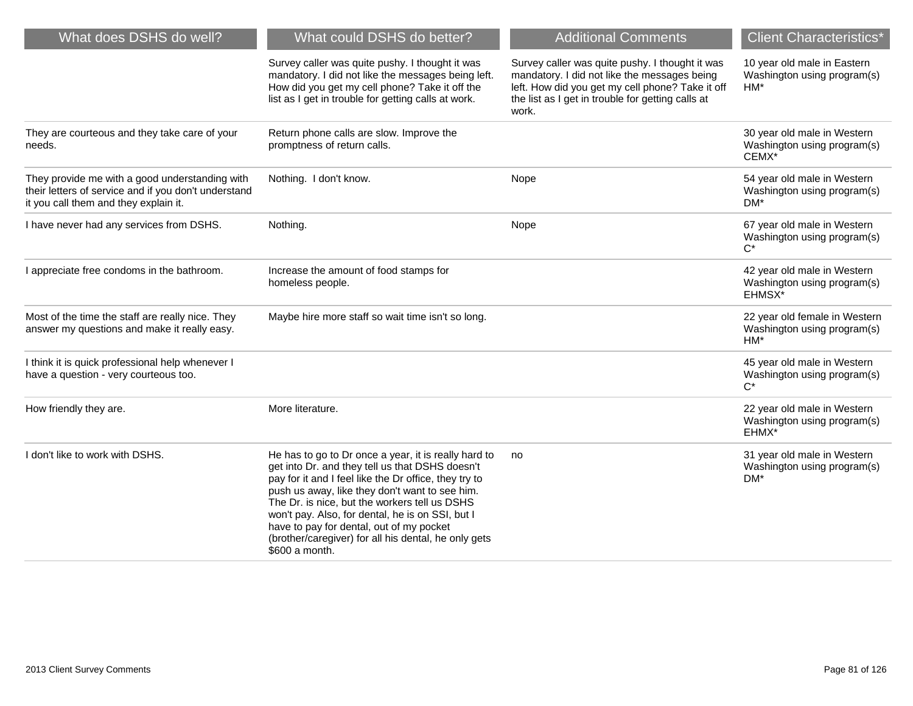| What does DSHS do well?                                                                                                                         | What could DSHS do better?                                                                                                                                                                                                                                                                                                                                                                                                                    | <b>Additional Comments</b>                                                                                                                                                                                        | <b>Client Characteristics*</b>                                                |
|-------------------------------------------------------------------------------------------------------------------------------------------------|-----------------------------------------------------------------------------------------------------------------------------------------------------------------------------------------------------------------------------------------------------------------------------------------------------------------------------------------------------------------------------------------------------------------------------------------------|-------------------------------------------------------------------------------------------------------------------------------------------------------------------------------------------------------------------|-------------------------------------------------------------------------------|
|                                                                                                                                                 | Survey caller was quite pushy. I thought it was<br>mandatory. I did not like the messages being left.<br>How did you get my cell phone? Take it off the<br>list as I get in trouble for getting calls at work.                                                                                                                                                                                                                                | Survey caller was quite pushy. I thought it was<br>mandatory. I did not like the messages being<br>left. How did you get my cell phone? Take it off<br>the list as I get in trouble for getting calls at<br>work. | 10 year old male in Eastern<br>Washington using program(s)<br>$HM*$           |
| They are courteous and they take care of your<br>needs.                                                                                         | Return phone calls are slow. Improve the<br>promptness of return calls.                                                                                                                                                                                                                                                                                                                                                                       |                                                                                                                                                                                                                   | 30 year old male in Western<br>Washington using program(s)<br>CEMX*           |
| They provide me with a good understanding with<br>their letters of service and if you don't understand<br>it you call them and they explain it. | Nothing. I don't know.                                                                                                                                                                                                                                                                                                                                                                                                                        | Nope                                                                                                                                                                                                              | 54 year old male in Western<br>Washington using program(s)<br>$DM*$           |
| I have never had any services from DSHS.                                                                                                        | Nothing.                                                                                                                                                                                                                                                                                                                                                                                                                                      | Nope                                                                                                                                                                                                              | 67 year old male in Western<br>Washington using program(s)<br>$C^*$           |
| I appreciate free condoms in the bathroom.                                                                                                      | Increase the amount of food stamps for<br>homeless people.                                                                                                                                                                                                                                                                                                                                                                                    |                                                                                                                                                                                                                   | 42 year old male in Western<br>Washington using program(s)<br>EHMSX*          |
| Most of the time the staff are really nice. They<br>answer my questions and make it really easy.                                                | Maybe hire more staff so wait time isn't so long.                                                                                                                                                                                                                                                                                                                                                                                             |                                                                                                                                                                                                                   | 22 year old female in Western<br>Washington using program(s)<br>HM*           |
| I think it is quick professional help whenever I<br>have a question - very courteous too.                                                       |                                                                                                                                                                                                                                                                                                                                                                                                                                               |                                                                                                                                                                                                                   | 45 year old male in Western<br>Washington using program(s)<br>$C^*$           |
| How friendly they are.                                                                                                                          | More literature.                                                                                                                                                                                                                                                                                                                                                                                                                              |                                                                                                                                                                                                                   | 22 year old male in Western<br>Washington using program(s)<br>EHMX*           |
| I don't like to work with DSHS.                                                                                                                 | He has to go to Dr once a year, it is really hard to<br>get into Dr. and they tell us that DSHS doesn't<br>pay for it and I feel like the Dr office, they try to<br>push us away, like they don't want to see him.<br>The Dr. is nice, but the workers tell us DSHS<br>won't pay. Also, for dental, he is on SSI, but I<br>have to pay for dental, out of my pocket<br>(brother/caregiver) for all his dental, he only gets<br>\$600 a month. | no                                                                                                                                                                                                                | 31 year old male in Western<br>Washington using program(s)<br>DM <sup>*</sup> |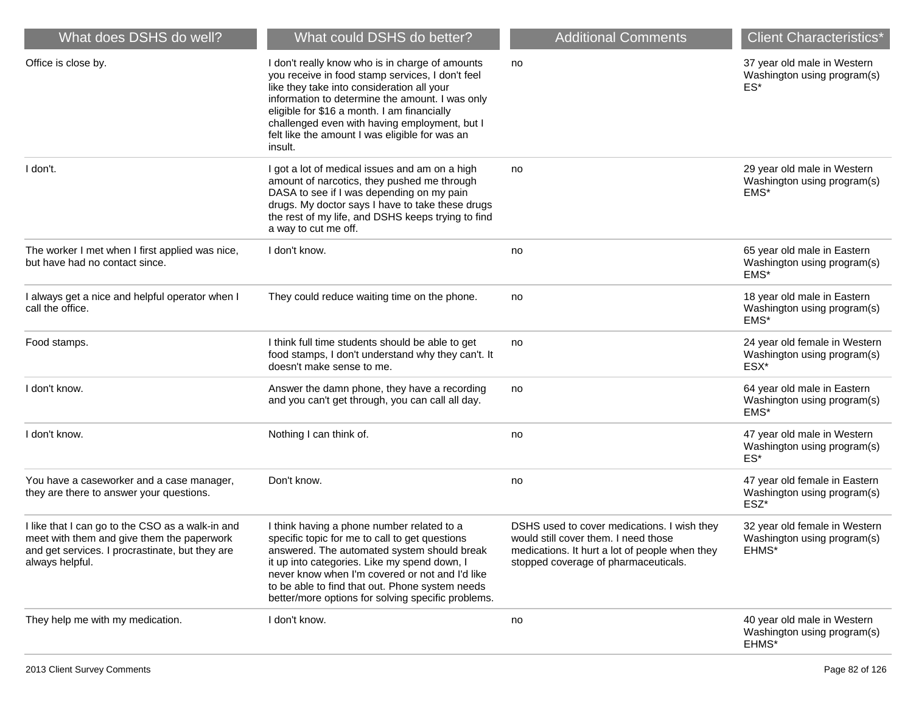| What does DSHS do well?                                                                                                                                              | What could DSHS do better?                                                                                                                                                                                                                                                                                                                                        | <b>Additional Comments</b>                                                                                                                                                    | <b>Client Characteristics*</b>                                        |
|----------------------------------------------------------------------------------------------------------------------------------------------------------------------|-------------------------------------------------------------------------------------------------------------------------------------------------------------------------------------------------------------------------------------------------------------------------------------------------------------------------------------------------------------------|-------------------------------------------------------------------------------------------------------------------------------------------------------------------------------|-----------------------------------------------------------------------|
| Office is close by.                                                                                                                                                  | I don't really know who is in charge of amounts<br>you receive in food stamp services, I don't feel<br>like they take into consideration all your<br>information to determine the amount. I was only<br>eligible for \$16 a month. I am financially<br>challenged even with having employment, but I<br>felt like the amount I was eligible for was an<br>insult. | no                                                                                                                                                                            | 37 year old male in Western<br>Washington using program(s)<br>ES*     |
| I don't.                                                                                                                                                             | I got a lot of medical issues and am on a high<br>amount of narcotics, they pushed me through<br>DASA to see if I was depending on my pain<br>drugs. My doctor says I have to take these drugs<br>the rest of my life, and DSHS keeps trying to find<br>a way to cut me off.                                                                                      | no                                                                                                                                                                            | 29 year old male in Western<br>Washington using program(s)<br>EMS*    |
| The worker I met when I first applied was nice,<br>but have had no contact since.                                                                                    | I don't know.                                                                                                                                                                                                                                                                                                                                                     | no                                                                                                                                                                            | 65 year old male in Eastern<br>Washington using program(s)<br>EMS*    |
| I always get a nice and helpful operator when I<br>call the office.                                                                                                  | They could reduce waiting time on the phone.                                                                                                                                                                                                                                                                                                                      | no                                                                                                                                                                            | 18 year old male in Eastern<br>Washington using program(s)<br>EMS*    |
| Food stamps.                                                                                                                                                         | I think full time students should be able to get<br>food stamps, I don't understand why they can't. It<br>doesn't make sense to me.                                                                                                                                                                                                                               | no                                                                                                                                                                            | 24 year old female in Western<br>Washington using program(s)<br>ESX*  |
| I don't know.                                                                                                                                                        | Answer the damn phone, they have a recording<br>and you can't get through, you can call all day.                                                                                                                                                                                                                                                                  | no                                                                                                                                                                            | 64 year old male in Eastern<br>Washington using program(s)<br>EMS*    |
| I don't know.                                                                                                                                                        | Nothing I can think of.                                                                                                                                                                                                                                                                                                                                           | no                                                                                                                                                                            | 47 year old male in Western<br>Washington using program(s)<br>ES*     |
| You have a caseworker and a case manager,<br>they are there to answer your questions.                                                                                | Don't know.                                                                                                                                                                                                                                                                                                                                                       | no                                                                                                                                                                            | 47 year old female in Eastern<br>Washington using program(s)<br>ESZ*  |
| I like that I can go to the CSO as a walk-in and<br>meet with them and give them the paperwork<br>and get services. I procrastinate, but they are<br>always helpful. | I think having a phone number related to a<br>specific topic for me to call to get questions<br>answered. The automated system should break<br>it up into categories. Like my spend down, I<br>never know when I'm covered or not and I'd like<br>to be able to find that out. Phone system needs<br>better/more options for solving specific problems.           | DSHS used to cover medications. I wish they<br>would still cover them. I need those<br>medications. It hurt a lot of people when they<br>stopped coverage of pharmaceuticals. | 32 year old female in Western<br>Washington using program(s)<br>EHMS* |
| They help me with my medication.                                                                                                                                     | I don't know.                                                                                                                                                                                                                                                                                                                                                     | no                                                                                                                                                                            | 40 year old male in Western<br>Washington using program(s)<br>EHMS*   |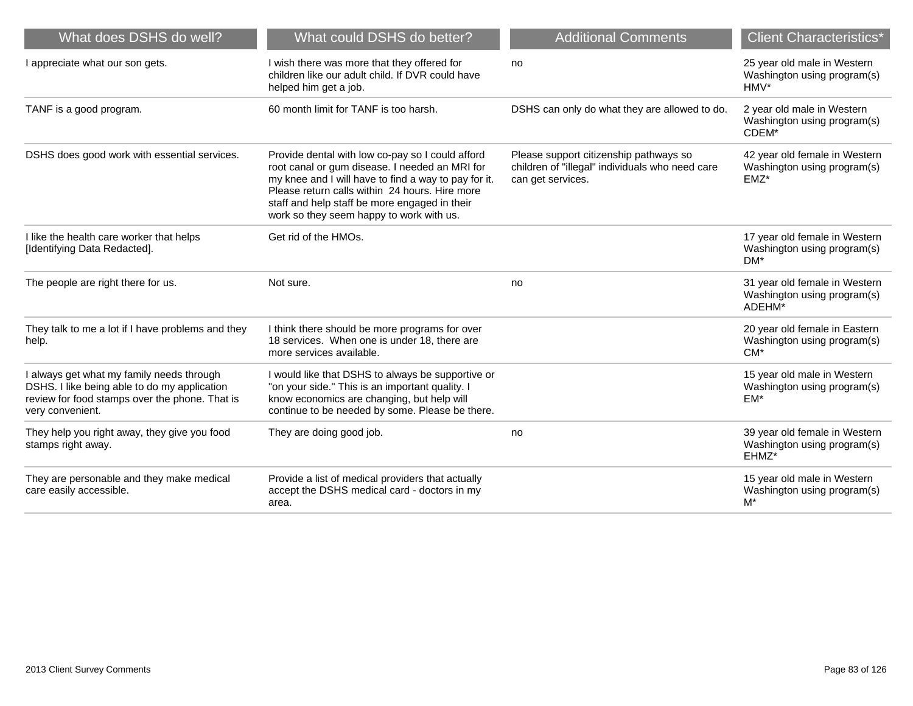| What does DSHS do well?                                                                                                                                         | What could DSHS do better?                                                                                                                                                                                                                                                                                | <b>Additional Comments</b>                                                                                     | <b>Client Characteristics*</b>                                          |
|-----------------------------------------------------------------------------------------------------------------------------------------------------------------|-----------------------------------------------------------------------------------------------------------------------------------------------------------------------------------------------------------------------------------------------------------------------------------------------------------|----------------------------------------------------------------------------------------------------------------|-------------------------------------------------------------------------|
| I appreciate what our son gets.                                                                                                                                 | I wish there was more that they offered for<br>children like our adult child. If DVR could have<br>helped him get a job.                                                                                                                                                                                  | no                                                                                                             | 25 year old male in Western<br>Washington using program(s)<br>HMV*      |
| TANF is a good program.                                                                                                                                         | 60 month limit for TANF is too harsh.                                                                                                                                                                                                                                                                     | DSHS can only do what they are allowed to do.                                                                  | 2 year old male in Western<br>Washington using program(s)<br>CDEM*      |
| DSHS does good work with essential services.                                                                                                                    | Provide dental with low co-pay so I could afford<br>root canal or gum disease. I needed an MRI for<br>my knee and I will have to find a way to pay for it.<br>Please return calls within 24 hours. Hire more<br>staff and help staff be more engaged in their<br>work so they seem happy to work with us. | Please support citizenship pathways so<br>children of "illegal" individuals who need care<br>can get services. | 42 year old female in Western<br>Washington using program(s)<br>$EMZ^*$ |
| I like the health care worker that helps<br>[Identifying Data Redacted].                                                                                        | Get rid of the HMOs.                                                                                                                                                                                                                                                                                      |                                                                                                                | 17 year old female in Western<br>Washington using program(s)<br>DM*     |
| The people are right there for us.                                                                                                                              | Not sure.                                                                                                                                                                                                                                                                                                 | no                                                                                                             | 31 year old female in Western<br>Washington using program(s)<br>ADEHM*  |
| They talk to me a lot if I have problems and they<br>help.                                                                                                      | I think there should be more programs for over<br>18 services. When one is under 18, there are<br>more services available.                                                                                                                                                                                |                                                                                                                | 20 year old female in Eastern<br>Washington using program(s)<br>$CM*$   |
| I always get what my family needs through<br>DSHS. I like being able to do my application<br>review for food stamps over the phone. That is<br>very convenient. | I would like that DSHS to always be supportive or<br>"on your side." This is an important quality. I<br>know economics are changing, but help will<br>continue to be needed by some. Please be there.                                                                                                     |                                                                                                                | 15 year old male in Western<br>Washington using program(s)<br>EM*       |
| They help you right away, they give you food<br>stamps right away.                                                                                              | They are doing good job.                                                                                                                                                                                                                                                                                  | no                                                                                                             | 39 year old female in Western<br>Washington using program(s)<br>EHMZ*   |
| They are personable and they make medical<br>care easily accessible.                                                                                            | Provide a list of medical providers that actually<br>accept the DSHS medical card - doctors in my<br>area.                                                                                                                                                                                                |                                                                                                                | 15 year old male in Western<br>Washington using program(s)<br>M*        |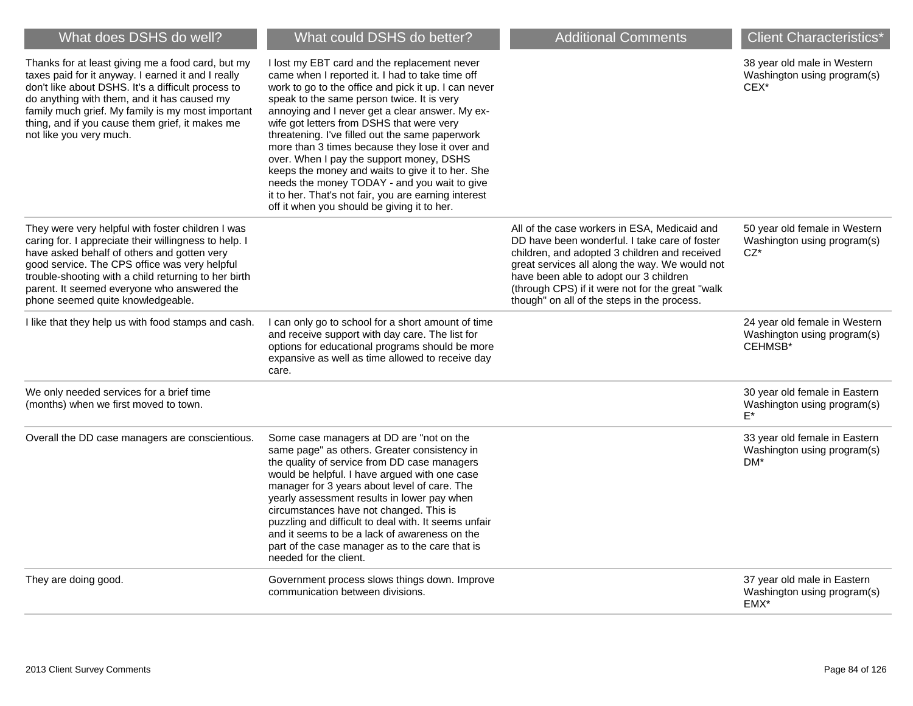| What does DSHS do well?                                                                                                                                                                                                                                                                                                                                | What could DSHS do better?                                                                                                                                                                                                                                                                                                                                                                                                                                                                                                                                                                                                                                         | <b>Additional Comments</b>                                                                                                                                                                                                                                                                                                                    | <b>Client Characteristics*</b>                                          |
|--------------------------------------------------------------------------------------------------------------------------------------------------------------------------------------------------------------------------------------------------------------------------------------------------------------------------------------------------------|--------------------------------------------------------------------------------------------------------------------------------------------------------------------------------------------------------------------------------------------------------------------------------------------------------------------------------------------------------------------------------------------------------------------------------------------------------------------------------------------------------------------------------------------------------------------------------------------------------------------------------------------------------------------|-----------------------------------------------------------------------------------------------------------------------------------------------------------------------------------------------------------------------------------------------------------------------------------------------------------------------------------------------|-------------------------------------------------------------------------|
| Thanks for at least giving me a food card, but my<br>taxes paid for it anyway. I earned it and I really<br>don't like about DSHS. It's a difficult process to<br>do anything with them, and it has caused my<br>family much grief. My family is my most important<br>thing, and if you cause them grief, it makes me<br>not like you very much.        | I lost my EBT card and the replacement never<br>came when I reported it. I had to take time off<br>work to go to the office and pick it up. I can never<br>speak to the same person twice. It is very<br>annoying and I never get a clear answer. My ex-<br>wife got letters from DSHS that were very<br>threatening. I've filled out the same paperwork<br>more than 3 times because they lose it over and<br>over. When I pay the support money, DSHS<br>keeps the money and waits to give it to her. She<br>needs the money TODAY - and you wait to give<br>it to her. That's not fair, you are earning interest<br>off it when you should be giving it to her. |                                                                                                                                                                                                                                                                                                                                               | 38 year old male in Western<br>Washington using program(s)<br>$CEX^*$   |
| They were very helpful with foster children I was<br>caring for. I appreciate their willingness to help. I<br>have asked behalf of others and gotten very<br>good service. The CPS office was very helpful<br>trouble-shooting with a child returning to her birth<br>parent. It seemed everyone who answered the<br>phone seemed quite knowledgeable. |                                                                                                                                                                                                                                                                                                                                                                                                                                                                                                                                                                                                                                                                    | All of the case workers in ESA, Medicaid and<br>DD have been wonderful. I take care of foster<br>children, and adopted 3 children and received<br>great services all along the way. We would not<br>have been able to adopt our 3 children<br>(through CPS) if it were not for the great "walk<br>though" on all of the steps in the process. | 50 year old female in Western<br>Washington using program(s)<br>$CZ^*$  |
| I like that they help us with food stamps and cash.                                                                                                                                                                                                                                                                                                    | I can only go to school for a short amount of time<br>and receive support with day care. The list for<br>options for educational programs should be more<br>expansive as well as time allowed to receive day<br>care.                                                                                                                                                                                                                                                                                                                                                                                                                                              |                                                                                                                                                                                                                                                                                                                                               | 24 year old female in Western<br>Washington using program(s)<br>CEHMSB* |
| We only needed services for a brief time<br>(months) when we first moved to town.                                                                                                                                                                                                                                                                      |                                                                                                                                                                                                                                                                                                                                                                                                                                                                                                                                                                                                                                                                    |                                                                                                                                                                                                                                                                                                                                               | 30 year old female in Eastern<br>Washington using program(s)<br>$F^*$   |
| Overall the DD case managers are conscientious.                                                                                                                                                                                                                                                                                                        | Some case managers at DD are "not on the<br>same page" as others. Greater consistency in<br>the quality of service from DD case managers<br>would be helpful. I have argued with one case<br>manager for 3 years about level of care. The<br>yearly assessment results in lower pay when<br>circumstances have not changed. This is<br>puzzling and difficult to deal with. It seems unfair<br>and it seems to be a lack of awareness on the<br>part of the case manager as to the care that is<br>needed for the client.                                                                                                                                          |                                                                                                                                                                                                                                                                                                                                               | 33 year old female in Eastern<br>Washington using program(s)<br>$DM*$   |
| They are doing good.                                                                                                                                                                                                                                                                                                                                   | Government process slows things down. Improve<br>communication between divisions.                                                                                                                                                                                                                                                                                                                                                                                                                                                                                                                                                                                  |                                                                                                                                                                                                                                                                                                                                               | 37 year old male in Eastern<br>Washington using program(s)<br>EMX*      |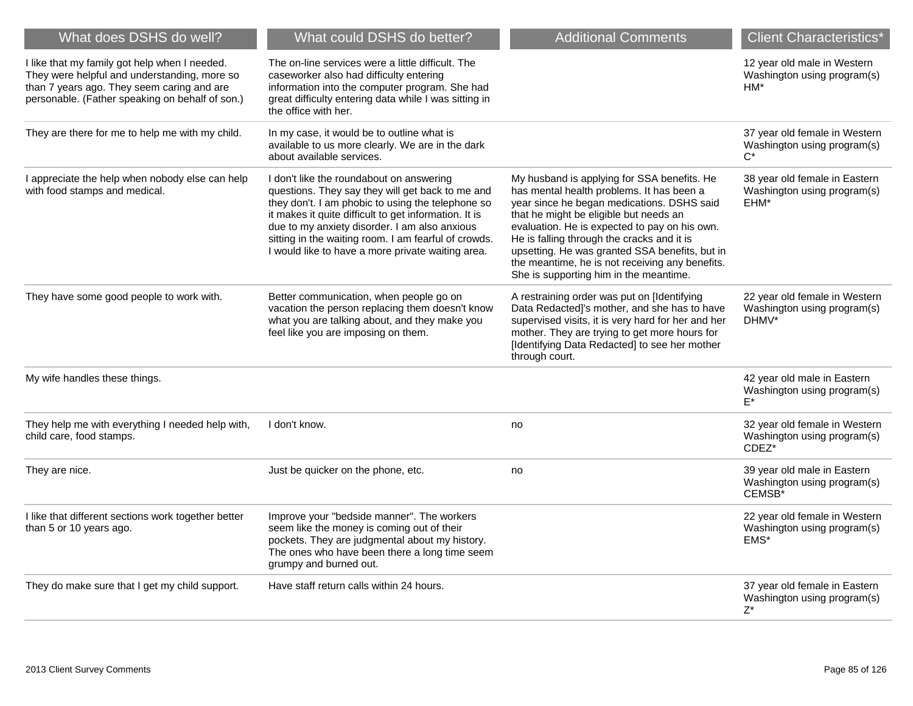| What does DSHS do well?                                                                                                                                                                        | What could DSHS do better?                                                                                                                                                                                                                                                                                                                                               | <b>Additional Comments</b>                                                                                                                                                                                                                                                                                                                                                                                                     | <b>Client Characteristics*</b>                                        |
|------------------------------------------------------------------------------------------------------------------------------------------------------------------------------------------------|--------------------------------------------------------------------------------------------------------------------------------------------------------------------------------------------------------------------------------------------------------------------------------------------------------------------------------------------------------------------------|--------------------------------------------------------------------------------------------------------------------------------------------------------------------------------------------------------------------------------------------------------------------------------------------------------------------------------------------------------------------------------------------------------------------------------|-----------------------------------------------------------------------|
| I like that my family got help when I needed.<br>They were helpful and understanding, more so<br>than 7 years ago. They seem caring and are<br>personable. (Father speaking on behalf of son.) | The on-line services were a little difficult. The<br>caseworker also had difficulty entering<br>information into the computer program. She had<br>great difficulty entering data while I was sitting in<br>the office with her.                                                                                                                                          |                                                                                                                                                                                                                                                                                                                                                                                                                                | 12 year old male in Western<br>Washington using program(s)<br>$HM*$   |
| They are there for me to help me with my child.                                                                                                                                                | In my case, it would be to outline what is<br>available to us more clearly. We are in the dark<br>about available services.                                                                                                                                                                                                                                              |                                                                                                                                                                                                                                                                                                                                                                                                                                | 37 year old female in Western<br>Washington using program(s)<br>$C^*$ |
| I appreciate the help when nobody else can help<br>with food stamps and medical.                                                                                                               | I don't like the roundabout on answering<br>questions. They say they will get back to me and<br>they don't. I am phobic to using the telephone so<br>it makes it quite difficult to get information. It is<br>due to my anxiety disorder. I am also anxious<br>sitting in the waiting room. I am fearful of crowds.<br>I would like to have a more private waiting area. | My husband is applying for SSA benefits. He<br>has mental health problems. It has been a<br>year since he began medications. DSHS said<br>that he might be eligible but needs an<br>evaluation. He is expected to pay on his own.<br>He is falling through the cracks and it is<br>upsetting. He was granted SSA benefits, but in<br>the meantime, he is not receiving any benefits.<br>She is supporting him in the meantime. | 38 year old female in Eastern<br>Washington using program(s)<br>EHM*  |
| They have some good people to work with.                                                                                                                                                       | Better communication, when people go on<br>vacation the person replacing them doesn't know<br>what you are talking about, and they make you<br>feel like you are imposing on them.                                                                                                                                                                                       | A restraining order was put on [Identifying<br>Data Redacted]'s mother, and she has to have<br>supervised visits, it is very hard for her and her<br>mother. They are trying to get more hours for<br>[Identifying Data Redacted] to see her mother<br>through court.                                                                                                                                                          | 22 year old female in Western<br>Washington using program(s)<br>DHMV* |
| My wife handles these things.                                                                                                                                                                  |                                                                                                                                                                                                                                                                                                                                                                          |                                                                                                                                                                                                                                                                                                                                                                                                                                | 42 year old male in Eastern<br>Washington using program(s)<br>F*      |
| They help me with everything I needed help with,<br>child care, food stamps.                                                                                                                   | I don't know.                                                                                                                                                                                                                                                                                                                                                            | no                                                                                                                                                                                                                                                                                                                                                                                                                             | 32 year old female in Western<br>Washington using program(s)<br>CDEZ* |
| They are nice.                                                                                                                                                                                 | Just be quicker on the phone, etc.                                                                                                                                                                                                                                                                                                                                       | no                                                                                                                                                                                                                                                                                                                                                                                                                             | 39 year old male in Eastern<br>Washington using program(s)<br>CEMSB*  |
| I like that different sections work together better<br>than 5 or 10 years ago.                                                                                                                 | Improve your "bedside manner". The workers<br>seem like the money is coming out of their<br>pockets. They are judgmental about my history.<br>The ones who have been there a long time seem<br>grumpy and burned out.                                                                                                                                                    |                                                                                                                                                                                                                                                                                                                                                                                                                                | 22 year old female in Western<br>Washington using program(s)<br>EMS*  |
| They do make sure that I get my child support.                                                                                                                                                 | Have staff return calls within 24 hours.                                                                                                                                                                                                                                                                                                                                 |                                                                                                                                                                                                                                                                                                                                                                                                                                | 37 year old female in Eastern<br>Washington using program(s)<br>Z*    |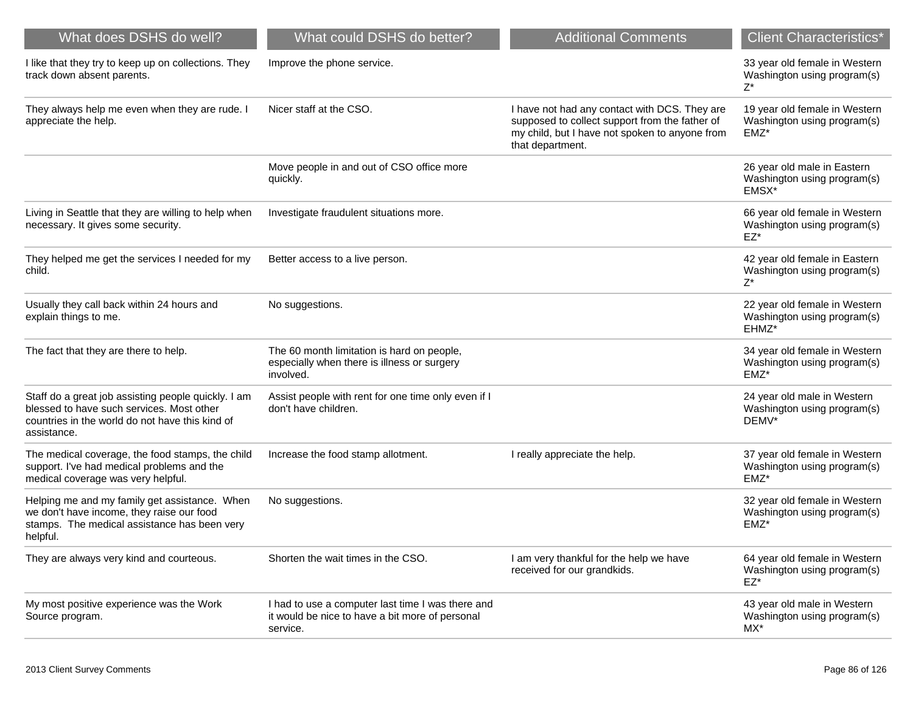| What does DSHS do well?                                                                                                                                            | What could DSHS do better?                                                                                       | <b>Additional Comments</b>                                                                                                                                            | <b>Client Characteristics*</b>                                          |
|--------------------------------------------------------------------------------------------------------------------------------------------------------------------|------------------------------------------------------------------------------------------------------------------|-----------------------------------------------------------------------------------------------------------------------------------------------------------------------|-------------------------------------------------------------------------|
| I like that they try to keep up on collections. They<br>track down absent parents.                                                                                 | Improve the phone service.                                                                                       |                                                                                                                                                                       | 33 year old female in Western<br>Washington using program(s)<br>Z*      |
| They always help me even when they are rude. I<br>appreciate the help.                                                                                             | Nicer staff at the CSO.                                                                                          | I have not had any contact with DCS. They are<br>supposed to collect support from the father of<br>my child, but I have not spoken to anyone from<br>that department. | 19 year old female in Western<br>Washington using program(s)<br>EMZ*    |
|                                                                                                                                                                    | Move people in and out of CSO office more<br>quickly.                                                            |                                                                                                                                                                       | 26 year old male in Eastern<br>Washington using program(s)<br>EMSX*     |
| Living in Seattle that they are willing to help when<br>necessary. It gives some security.                                                                         | Investigate fraudulent situations more.                                                                          |                                                                                                                                                                       | 66 year old female in Western<br>Washington using program(s)<br>EZ*     |
| They helped me get the services I needed for my<br>child.                                                                                                          | Better access to a live person.                                                                                  |                                                                                                                                                                       | 42 year old female in Eastern<br>Washington using program(s)<br>Z*      |
| Usually they call back within 24 hours and<br>explain things to me.                                                                                                | No suggestions.                                                                                                  |                                                                                                                                                                       | 22 year old female in Western<br>Washington using program(s)<br>EHMZ*   |
| The fact that they are there to help.                                                                                                                              | The 60 month limitation is hard on people,<br>especially when there is illness or surgery<br>involved.           |                                                                                                                                                                       | 34 year old female in Western<br>Washington using program(s)<br>$EMZ^*$ |
| Staff do a great job assisting people quickly. I am<br>blessed to have such services. Most other<br>countries in the world do not have this kind of<br>assistance. | Assist people with rent for one time only even if I<br>don't have children.                                      |                                                                                                                                                                       | 24 year old male in Western<br>Washington using program(s)<br>DEMV*     |
| The medical coverage, the food stamps, the child<br>support. I've had medical problems and the<br>medical coverage was very helpful.                               | Increase the food stamp allotment.                                                                               | I really appreciate the help.                                                                                                                                         | 37 year old female in Western<br>Washington using program(s)<br>EMZ*    |
| Helping me and my family get assistance. When<br>we don't have income, they raise our food<br>stamps. The medical assistance has been very<br>helpful.             | No suggestions.                                                                                                  |                                                                                                                                                                       | 32 year old female in Western<br>Washington using program(s)<br>$EMZ^*$ |
| They are always very kind and courteous.                                                                                                                           | Shorten the wait times in the CSO.                                                                               | I am very thankful for the help we have<br>received for our grandkids.                                                                                                | 64 year old female in Western<br>Washington using program(s)<br>EZ*     |
| My most positive experience was the Work<br>Source program.                                                                                                        | I had to use a computer last time I was there and<br>it would be nice to have a bit more of personal<br>service. |                                                                                                                                                                       | 43 year old male in Western<br>Washington using program(s)<br>MX*       |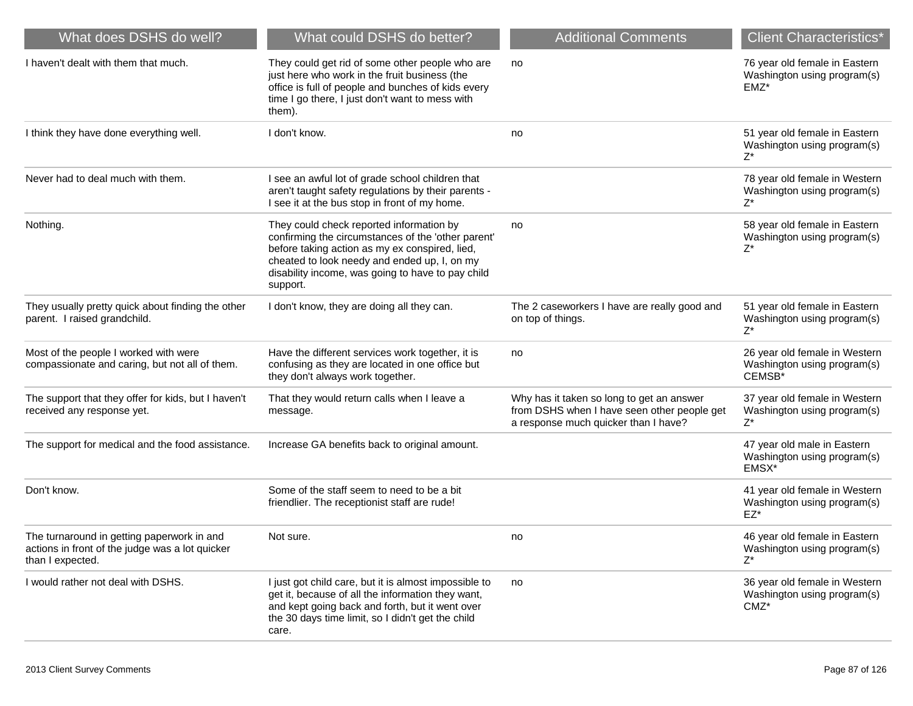| What does DSHS do well?                                                                                           | What could DSHS do better?                                                                                                                                                                                                                                        | <b>Additional Comments</b>                                                                                                       | <b>Client Characteristics*</b>                                         |
|-------------------------------------------------------------------------------------------------------------------|-------------------------------------------------------------------------------------------------------------------------------------------------------------------------------------------------------------------------------------------------------------------|----------------------------------------------------------------------------------------------------------------------------------|------------------------------------------------------------------------|
| I haven't dealt with them that much.                                                                              | They could get rid of some other people who are<br>just here who work in the fruit business (the<br>office is full of people and bunches of kids every<br>time I go there, I just don't want to mess with<br>them).                                               | no                                                                                                                               | 76 year old female in Eastern<br>Washington using program(s)<br>EMZ*   |
| I think they have done everything well.                                                                           | I don't know.                                                                                                                                                                                                                                                     | no                                                                                                                               | 51 year old female in Eastern<br>Washington using program(s)<br>Z*     |
| Never had to deal much with them.                                                                                 | I see an awful lot of grade school children that<br>aren't taught safety regulations by their parents -<br>I see it at the bus stop in front of my home.                                                                                                          |                                                                                                                                  | 78 year old female in Western<br>Washington using program(s)<br>$Z^*$  |
| Nothing.                                                                                                          | They could check reported information by<br>confirming the circumstances of the 'other parent'<br>before taking action as my ex conspired, lied,<br>cheated to look needy and ended up, I, on my<br>disability income, was going to have to pay child<br>support. | no                                                                                                                               | 58 year old female in Eastern<br>Washington using program(s)<br>Z*     |
| They usually pretty quick about finding the other<br>parent. I raised grandchild.                                 | I don't know, they are doing all they can.                                                                                                                                                                                                                        | The 2 caseworkers I have are really good and<br>on top of things.                                                                | 51 year old female in Eastern<br>Washington using program(s)<br>$Z^*$  |
| Most of the people I worked with were<br>compassionate and caring, but not all of them.                           | Have the different services work together, it is<br>confusing as they are located in one office but<br>they don't always work together.                                                                                                                           | no                                                                                                                               | 26 year old female in Western<br>Washington using program(s)<br>CEMSB* |
| The support that they offer for kids, but I haven't<br>received any response yet.                                 | That they would return calls when I leave a<br>message.                                                                                                                                                                                                           | Why has it taken so long to get an answer<br>from DSHS when I have seen other people get<br>a response much quicker than I have? | 37 year old female in Western<br>Washington using program(s)<br>Z*     |
| The support for medical and the food assistance.                                                                  | Increase GA benefits back to original amount.                                                                                                                                                                                                                     |                                                                                                                                  | 47 year old male in Eastern<br>Washington using program(s)<br>EMSX*    |
| Don't know.                                                                                                       | Some of the staff seem to need to be a bit<br>friendlier. The receptionist staff are rude!                                                                                                                                                                        |                                                                                                                                  | 41 year old female in Western<br>Washington using program(s)<br>EZ*    |
| The turnaround in getting paperwork in and<br>actions in front of the judge was a lot quicker<br>than I expected. | Not sure.                                                                                                                                                                                                                                                         | no                                                                                                                               | 46 year old female in Eastern<br>Washington using program(s)<br>$Z^*$  |
| I would rather not deal with DSHS.                                                                                | I just got child care, but it is almost impossible to<br>get it, because of all the information they want,<br>and kept going back and forth, but it went over<br>the 30 days time limit, so I didn't get the child<br>care.                                       | no                                                                                                                               | 36 year old female in Western<br>Washington using program(s)<br>CMZ*   |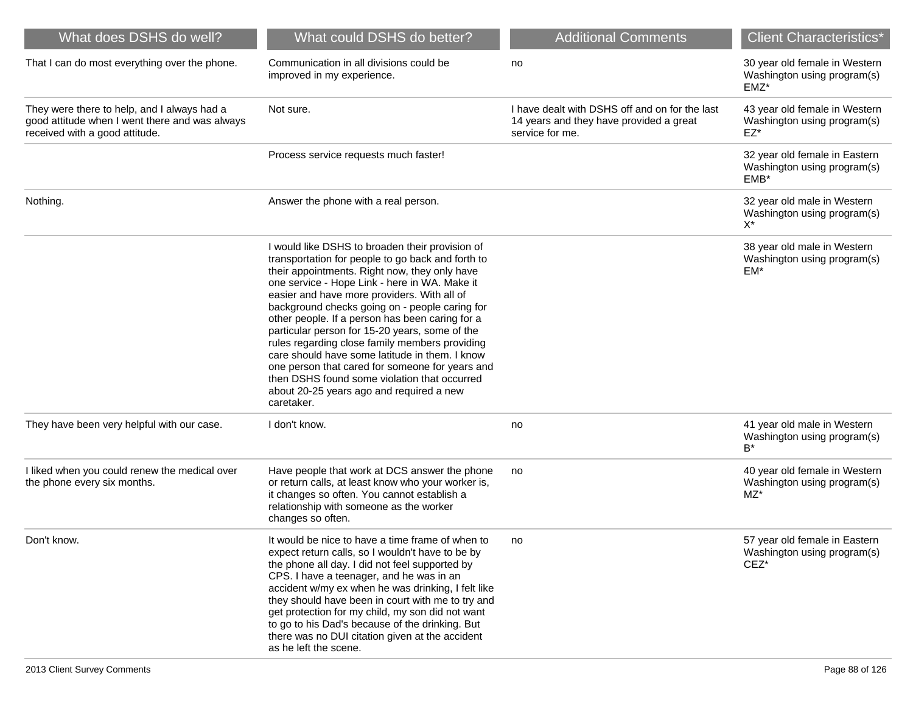| What does DSHS do well?                                                                                                         | What could DSHS do better?                                                                                                                                                                                                                                                                                                                                                                                                                                                                                                                                                                                                                                                    | <b>Additional Comments</b>                                                                                   | <b>Client Characteristics*</b>                                          |
|---------------------------------------------------------------------------------------------------------------------------------|-------------------------------------------------------------------------------------------------------------------------------------------------------------------------------------------------------------------------------------------------------------------------------------------------------------------------------------------------------------------------------------------------------------------------------------------------------------------------------------------------------------------------------------------------------------------------------------------------------------------------------------------------------------------------------|--------------------------------------------------------------------------------------------------------------|-------------------------------------------------------------------------|
| That I can do most everything over the phone.                                                                                   | Communication in all divisions could be<br>improved in my experience.                                                                                                                                                                                                                                                                                                                                                                                                                                                                                                                                                                                                         | no                                                                                                           | 30 year old female in Western<br>Washington using program(s)<br>EMZ*    |
| They were there to help, and I always had a<br>good attitude when I went there and was always<br>received with a good attitude. | Not sure.                                                                                                                                                                                                                                                                                                                                                                                                                                                                                                                                                                                                                                                                     | I have dealt with DSHS off and on for the last<br>14 years and they have provided a great<br>service for me. | 43 year old female in Western<br>Washington using program(s)<br>$EZ^*$  |
|                                                                                                                                 | Process service requests much faster!                                                                                                                                                                                                                                                                                                                                                                                                                                                                                                                                                                                                                                         |                                                                                                              | 32 year old female in Eastern<br>Washington using program(s)<br>$EMB^*$ |
| Nothing.                                                                                                                        | Answer the phone with a real person.                                                                                                                                                                                                                                                                                                                                                                                                                                                                                                                                                                                                                                          |                                                                                                              | 32 year old male in Western<br>Washington using program(s)<br>X*        |
|                                                                                                                                 | I would like DSHS to broaden their provision of<br>transportation for people to go back and forth to<br>their appointments. Right now, they only have<br>one service - Hope Link - here in WA. Make it<br>easier and have more providers. With all of<br>background checks going on - people caring for<br>other people. If a person has been caring for a<br>particular person for 15-20 years, some of the<br>rules regarding close family members providing<br>care should have some latitude in them. I know<br>one person that cared for someone for years and<br>then DSHS found some violation that occurred<br>about 20-25 years ago and required a new<br>caretaker. |                                                                                                              | 38 year old male in Western<br>Washington using program(s)<br>EM*       |
| They have been very helpful with our case.                                                                                      | I don't know.                                                                                                                                                                                                                                                                                                                                                                                                                                                                                                                                                                                                                                                                 | no                                                                                                           | 41 year old male in Western<br>Washington using program(s)<br>B*        |
| I liked when you could renew the medical over<br>the phone every six months.                                                    | Have people that work at DCS answer the phone<br>or return calls, at least know who your worker is,<br>it changes so often. You cannot establish a<br>relationship with someone as the worker<br>changes so often.                                                                                                                                                                                                                                                                                                                                                                                                                                                            | no                                                                                                           | 40 year old female in Western<br>Washington using program(s)<br>MZ*     |
| Don't know.                                                                                                                     | It would be nice to have a time frame of when to<br>expect return calls, so I wouldn't have to be by<br>the phone all day. I did not feel supported by<br>CPS. I have a teenager, and he was in an<br>accident w/my ex when he was drinking, I felt like<br>they should have been in court with me to try and<br>get protection for my child, my son did not want<br>to go to his Dad's because of the drinking. But<br>there was no DUI citation given at the accident<br>as he left the scene.                                                                                                                                                                              | no.                                                                                                          | 57 year old female in Eastern<br>Washington using program(s)<br>$CEZ^*$ |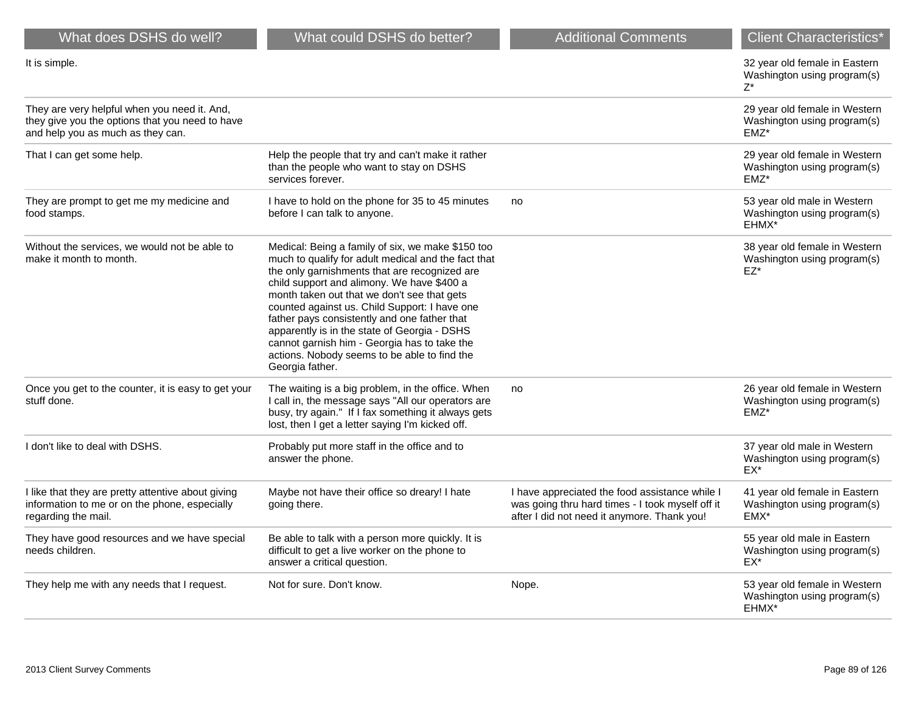| What does DSHS do well?                                                                                                              | What could DSHS do better?                                                                                                                                                                                                                                                                                                                                                                                                                                                                                                 | <b>Additional Comments</b>                                                                                                                        | <b>Client Characteristics</b> *                                         |
|--------------------------------------------------------------------------------------------------------------------------------------|----------------------------------------------------------------------------------------------------------------------------------------------------------------------------------------------------------------------------------------------------------------------------------------------------------------------------------------------------------------------------------------------------------------------------------------------------------------------------------------------------------------------------|---------------------------------------------------------------------------------------------------------------------------------------------------|-------------------------------------------------------------------------|
| It is simple.                                                                                                                        |                                                                                                                                                                                                                                                                                                                                                                                                                                                                                                                            |                                                                                                                                                   | 32 year old female in Eastern<br>Washington using program(s)<br>$Z^*$   |
| They are very helpful when you need it. And,<br>they give you the options that you need to have<br>and help you as much as they can. |                                                                                                                                                                                                                                                                                                                                                                                                                                                                                                                            |                                                                                                                                                   | 29 year old female in Western<br>Washington using program(s)<br>EMZ*    |
| That I can get some help.                                                                                                            | Help the people that try and can't make it rather<br>than the people who want to stay on DSHS<br>services forever.                                                                                                                                                                                                                                                                                                                                                                                                         |                                                                                                                                                   | 29 year old female in Western<br>Washington using program(s)<br>EMZ*    |
| They are prompt to get me my medicine and<br>food stamps.                                                                            | I have to hold on the phone for 35 to 45 minutes<br>before I can talk to anyone.                                                                                                                                                                                                                                                                                                                                                                                                                                           | no                                                                                                                                                | 53 year old male in Western<br>Washington using program(s)<br>EHMX*     |
| Without the services, we would not be able to<br>make it month to month.                                                             | Medical: Being a family of six, we make \$150 too<br>much to qualify for adult medical and the fact that<br>the only garnishments that are recognized are<br>child support and alimony. We have \$400 a<br>month taken out that we don't see that gets<br>counted against us. Child Support: I have one<br>father pays consistently and one father that<br>apparently is in the state of Georgia - DSHS<br>cannot garnish him - Georgia has to take the<br>actions. Nobody seems to be able to find the<br>Georgia father. |                                                                                                                                                   | 38 year old female in Western<br>Washington using program(s)<br>EZ*     |
| Once you get to the counter, it is easy to get your<br>stuff done.                                                                   | The waiting is a big problem, in the office. When<br>I call in, the message says "All our operators are<br>busy, try again." If I fax something it always gets<br>lost, then I get a letter saying I'm kicked off.                                                                                                                                                                                                                                                                                                         | no                                                                                                                                                | 26 year old female in Western<br>Washington using program(s)<br>$EMZ^*$ |
| I don't like to deal with DSHS.                                                                                                      | Probably put more staff in the office and to<br>answer the phone.                                                                                                                                                                                                                                                                                                                                                                                                                                                          |                                                                                                                                                   | 37 year old male in Western<br>Washington using program(s)<br>EX*       |
| I like that they are pretty attentive about giving<br>information to me or on the phone, especially<br>regarding the mail.           | Maybe not have their office so dreary! I hate<br>going there.                                                                                                                                                                                                                                                                                                                                                                                                                                                              | I have appreciated the food assistance while I<br>was going thru hard times - I took myself off it<br>after I did not need it anymore. Thank you! | 41 year old female in Eastern<br>Washington using program(s)<br>EMX*    |
| They have good resources and we have special<br>needs children.                                                                      | Be able to talk with a person more quickly. It is<br>difficult to get a live worker on the phone to<br>answer a critical question.                                                                                                                                                                                                                                                                                                                                                                                         |                                                                                                                                                   | 55 year old male in Eastern<br>Washington using program(s)<br>EX*       |
| They help me with any needs that I request.                                                                                          | Not for sure. Don't know.                                                                                                                                                                                                                                                                                                                                                                                                                                                                                                  | Nope.                                                                                                                                             | 53 year old female in Western<br>Washington using program(s)<br>EHMX*   |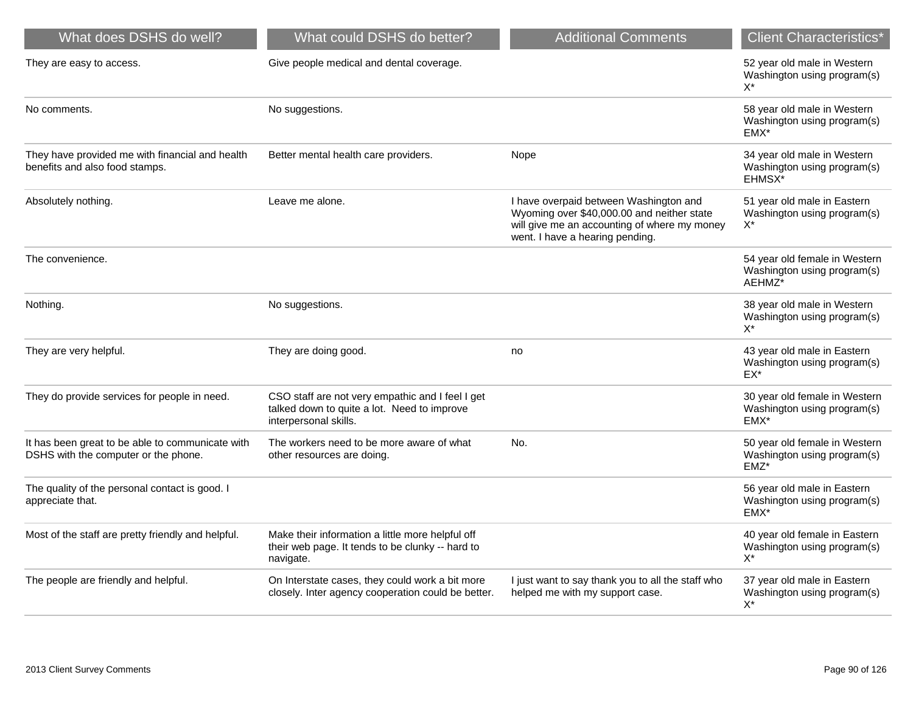| What does DSHS do well?                                                                  | What could DSHS do better?                                                                                               | <b>Additional Comments</b>                                                                                                                                              | <b>Client Characteristics*</b>                                          |
|------------------------------------------------------------------------------------------|--------------------------------------------------------------------------------------------------------------------------|-------------------------------------------------------------------------------------------------------------------------------------------------------------------------|-------------------------------------------------------------------------|
| They are easy to access.                                                                 | Give people medical and dental coverage.                                                                                 |                                                                                                                                                                         | 52 year old male in Western<br>Washington using program(s)<br>$X^*$     |
| No comments.                                                                             | No suggestions.                                                                                                          |                                                                                                                                                                         | 58 year old male in Western<br>Washington using program(s)<br>EMX*      |
| They have provided me with financial and health<br>benefits and also food stamps.        | Better mental health care providers.                                                                                     | Nope                                                                                                                                                                    | 34 year old male in Western<br>Washington using program(s)<br>EHMSX*    |
| Absolutely nothing.                                                                      | Leave me alone.                                                                                                          | I have overpaid between Washington and<br>Wyoming over \$40,000.00 and neither state<br>will give me an accounting of where my money<br>went. I have a hearing pending. | 51 year old male in Eastern<br>Washington using program(s)<br>X*        |
| The convenience.                                                                         |                                                                                                                          |                                                                                                                                                                         | 54 year old female in Western<br>Washington using program(s)<br>AEHMZ*  |
| Nothing.                                                                                 | No suggestions.                                                                                                          |                                                                                                                                                                         | 38 year old male in Western<br>Washington using program(s)<br>$X^*$     |
| They are very helpful.                                                                   | They are doing good.                                                                                                     | no                                                                                                                                                                      | 43 year old male in Eastern<br>Washington using program(s)<br>$EX^*$    |
| They do provide services for people in need.                                             | CSO staff are not very empathic and I feel I get<br>talked down to quite a lot. Need to improve<br>interpersonal skills. |                                                                                                                                                                         | 30 year old female in Western<br>Washington using program(s)<br>EMX*    |
| It has been great to be able to communicate with<br>DSHS with the computer or the phone. | The workers need to be more aware of what<br>other resources are doing.                                                  | No.                                                                                                                                                                     | 50 year old female in Western<br>Washington using program(s)<br>$EMZ^*$ |
| The quality of the personal contact is good. I<br>appreciate that.                       |                                                                                                                          |                                                                                                                                                                         | 56 year old male in Eastern<br>Washington using program(s)<br>EMX*      |
| Most of the staff are pretty friendly and helpful.                                       | Make their information a little more helpful off<br>their web page. It tends to be clunky -- hard to<br>navigate.        |                                                                                                                                                                         | 40 year old female in Eastern<br>Washington using program(s)<br>$X^*$   |
| The people are friendly and helpful.                                                     | On Interstate cases, they could work a bit more<br>closely. Inter agency cooperation could be better.                    | I just want to say thank you to all the staff who<br>helped me with my support case.                                                                                    | 37 year old male in Eastern<br>Washington using program(s)<br>$X^*$     |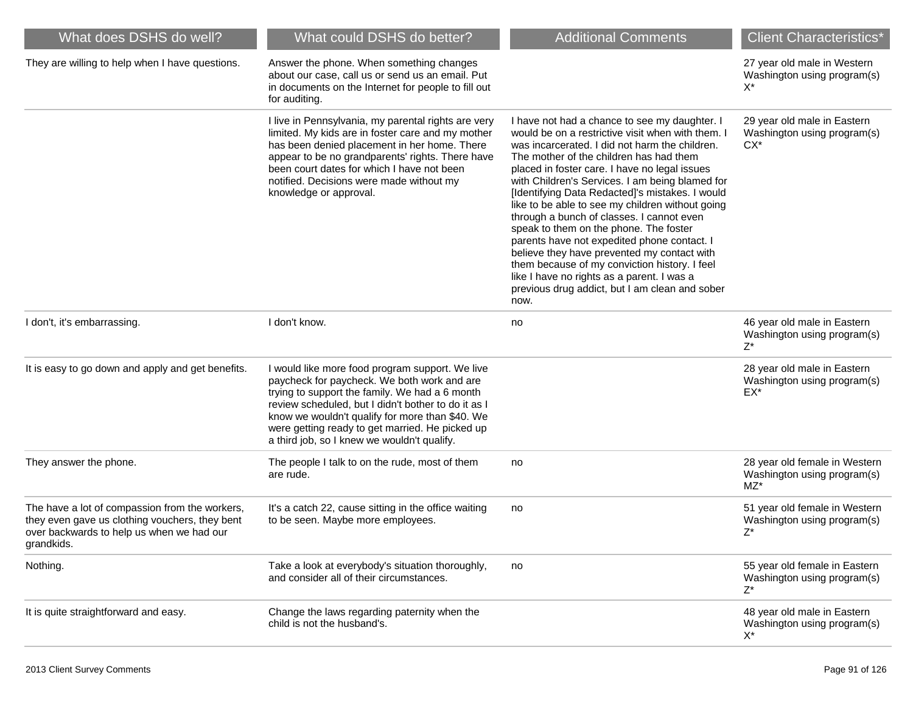| What does DSHS do well?                                                                                                                                     | What could DSHS do better?                                                                                                                                                                                                                                                                                                                                   | <b>Additional Comments</b>                                                                                                                                                                                                                                                                                                                                                                                                                                                                                                                                                                                                                                                                                                                               | <b>Client Characteristics*</b>                                                |
|-------------------------------------------------------------------------------------------------------------------------------------------------------------|--------------------------------------------------------------------------------------------------------------------------------------------------------------------------------------------------------------------------------------------------------------------------------------------------------------------------------------------------------------|----------------------------------------------------------------------------------------------------------------------------------------------------------------------------------------------------------------------------------------------------------------------------------------------------------------------------------------------------------------------------------------------------------------------------------------------------------------------------------------------------------------------------------------------------------------------------------------------------------------------------------------------------------------------------------------------------------------------------------------------------------|-------------------------------------------------------------------------------|
| They are willing to help when I have questions.                                                                                                             | Answer the phone. When something changes<br>about our case, call us or send us an email. Put<br>in documents on the Internet for people to fill out<br>for auditing.                                                                                                                                                                                         |                                                                                                                                                                                                                                                                                                                                                                                                                                                                                                                                                                                                                                                                                                                                                          | 27 year old male in Western<br>Washington using program(s)<br>X*              |
|                                                                                                                                                             | I live in Pennsylvania, my parental rights are very<br>limited. My kids are in foster care and my mother<br>has been denied placement in her home. There<br>appear to be no grandparents' rights. There have<br>been court dates for which I have not been<br>notified. Decisions were made without my<br>knowledge or approval.                             | I have not had a chance to see my daughter. I<br>would be on a restrictive visit when with them. I<br>was incarcerated. I did not harm the children.<br>The mother of the children has had them<br>placed in foster care. I have no legal issues<br>with Children's Services. I am being blamed for<br>[Identifying Data Redacted]'s mistakes. I would<br>like to be able to see my children without going<br>through a bunch of classes. I cannot even<br>speak to them on the phone. The foster<br>parents have not expedited phone contact. I<br>believe they have prevented my contact with<br>them because of my conviction history. I feel<br>like I have no rights as a parent. I was a<br>previous drug addict, but I am clean and sober<br>now. | 29 year old male in Eastern<br>Washington using program(s)<br>CX <sup>*</sup> |
| I don't, it's embarrassing.                                                                                                                                 | I don't know.                                                                                                                                                                                                                                                                                                                                                | no                                                                                                                                                                                                                                                                                                                                                                                                                                                                                                                                                                                                                                                                                                                                                       | 46 year old male in Eastern<br>Washington using program(s)<br>$7^*$           |
| It is easy to go down and apply and get benefits.                                                                                                           | I would like more food program support. We live<br>paycheck for paycheck. We both work and are<br>trying to support the family. We had a 6 month<br>review scheduled, but I didn't bother to do it as I<br>know we wouldn't qualify for more than \$40. We<br>were getting ready to get married. He picked up<br>a third job, so I knew we wouldn't qualify. |                                                                                                                                                                                                                                                                                                                                                                                                                                                                                                                                                                                                                                                                                                                                                          | 28 year old male in Eastern<br>Washington using program(s)<br>EX*             |
| They answer the phone.                                                                                                                                      | The people I talk to on the rude, most of them<br>are rude.                                                                                                                                                                                                                                                                                                  | no                                                                                                                                                                                                                                                                                                                                                                                                                                                                                                                                                                                                                                                                                                                                                       | 28 year old female in Western<br>Washington using program(s)<br>MZ*           |
| The have a lot of compassion from the workers,<br>they even gave us clothing vouchers, they bent<br>over backwards to help us when we had our<br>grandkids. | It's a catch 22, cause sitting in the office waiting<br>to be seen. Maybe more employees.                                                                                                                                                                                                                                                                    | no                                                                                                                                                                                                                                                                                                                                                                                                                                                                                                                                                                                                                                                                                                                                                       | 51 year old female in Western<br>Washington using program(s)<br>$Z^*$         |
| Nothing.                                                                                                                                                    | Take a look at everybody's situation thoroughly,<br>and consider all of their circumstances.                                                                                                                                                                                                                                                                 | no                                                                                                                                                                                                                                                                                                                                                                                                                                                                                                                                                                                                                                                                                                                                                       | 55 year old female in Eastern<br>Washington using program(s)<br>Z*            |
| It is quite straightforward and easy.                                                                                                                       | Change the laws regarding paternity when the<br>child is not the husband's.                                                                                                                                                                                                                                                                                  |                                                                                                                                                                                                                                                                                                                                                                                                                                                                                                                                                                                                                                                                                                                                                          | 48 year old male in Eastern<br>Washington using program(s)<br>$X^*$           |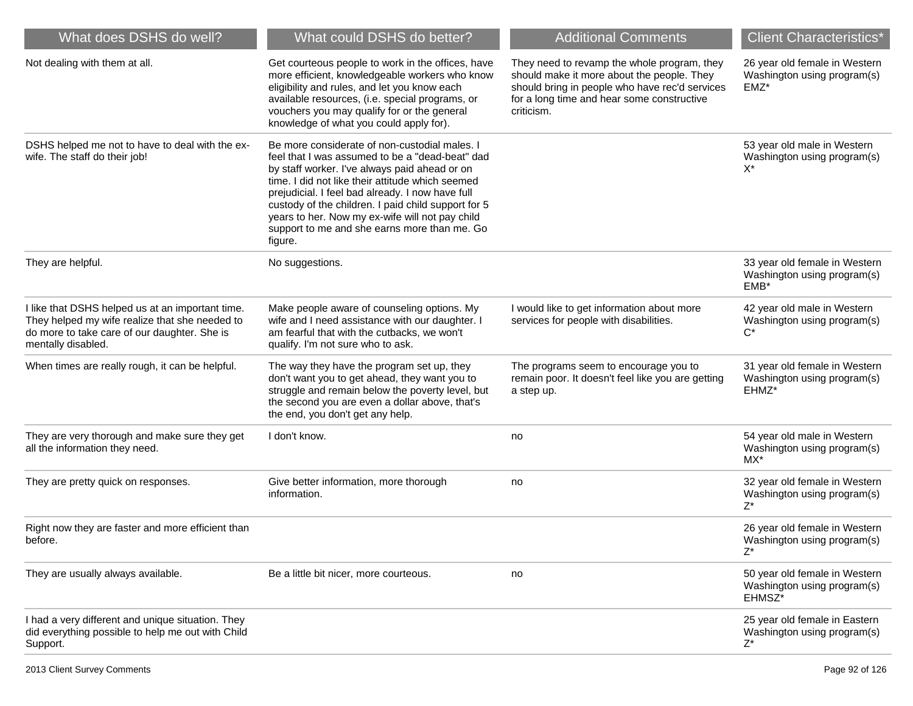| What does DSHS do well?                                                                                                                                                  | What could DSHS do better?                                                                                                                                                                                                                                                                                                                                                                                                     | <b>Additional Comments</b>                                                                                                                                                                              | <b>Client Characteristics*</b>                                                     |
|--------------------------------------------------------------------------------------------------------------------------------------------------------------------------|--------------------------------------------------------------------------------------------------------------------------------------------------------------------------------------------------------------------------------------------------------------------------------------------------------------------------------------------------------------------------------------------------------------------------------|---------------------------------------------------------------------------------------------------------------------------------------------------------------------------------------------------------|------------------------------------------------------------------------------------|
| Not dealing with them at all.                                                                                                                                            | Get courteous people to work in the offices, have<br>more efficient, knowledgeable workers who know<br>eligibility and rules, and let you know each<br>available resources, (i.e. special programs, or<br>vouchers you may qualify for or the general<br>knowledge of what you could apply for).                                                                                                                               | They need to revamp the whole program, they<br>should make it more about the people. They<br>should bring in people who have rec'd services<br>for a long time and hear some constructive<br>criticism. | 26 year old female in Western<br>Washington using program(s)<br>$EMZ^*$            |
| DSHS helped me not to have to deal with the ex-<br>wife. The staff do their job!                                                                                         | Be more considerate of non-custodial males. I<br>feel that I was assumed to be a "dead-beat" dad<br>by staff worker. I've always paid ahead or on<br>time. I did not like their attitude which seemed<br>prejudicial. I feel bad already. I now have full<br>custody of the children. I paid child support for 5<br>years to her. Now my ex-wife will not pay child<br>support to me and she earns more than me. Go<br>figure. |                                                                                                                                                                                                         | 53 year old male in Western<br>Washington using program(s)<br>X*                   |
| They are helpful.                                                                                                                                                        | No suggestions.                                                                                                                                                                                                                                                                                                                                                                                                                |                                                                                                                                                                                                         | 33 year old female in Western<br>Washington using program(s)<br>$EMB*$             |
| I like that DSHS helped us at an important time.<br>They helped my wife realize that she needed to<br>do more to take care of our daughter. She is<br>mentally disabled. | Make people aware of counseling options. My<br>wife and I need assistance with our daughter. I<br>am fearful that with the cutbacks, we won't<br>qualify. I'm not sure who to ask.                                                                                                                                                                                                                                             | I would like to get information about more<br>services for people with disabilities.                                                                                                                    | 42 year old male in Western<br>Washington using program(s)<br>$C^*$                |
| When times are really rough, it can be helpful.                                                                                                                          | The way they have the program set up, they<br>don't want you to get ahead, they want you to<br>struggle and remain below the poverty level, but<br>the second you are even a dollar above, that's<br>the end, you don't get any help.                                                                                                                                                                                          | The programs seem to encourage you to<br>remain poor. It doesn't feel like you are getting<br>a step up.                                                                                                | 31 year old female in Western<br>Washington using program(s)<br>EHMZ*              |
| They are very thorough and make sure they get<br>all the information they need.                                                                                          | I don't know.                                                                                                                                                                                                                                                                                                                                                                                                                  | no                                                                                                                                                                                                      | 54 year old male in Western<br>Washington using program(s)<br>MX*                  |
| They are pretty quick on responses.                                                                                                                                      | Give better information, more thorough<br>information.                                                                                                                                                                                                                                                                                                                                                                         | no                                                                                                                                                                                                      | 32 year old female in Western<br>Washington using program(s)<br>$Z^*$              |
| Right now they are faster and more efficient than<br>before.                                                                                                             |                                                                                                                                                                                                                                                                                                                                                                                                                                |                                                                                                                                                                                                         | 26 year old female in Western<br>Washington using program(s)<br>$Z^*$              |
| They are usually always available.                                                                                                                                       | Be a little bit nicer, more courteous.                                                                                                                                                                                                                                                                                                                                                                                         | no                                                                                                                                                                                                      | 50 year old female in Western<br>Washington using program(s)<br>EHMSZ <sup>*</sup> |
| I had a very different and unique situation. They<br>did everything possible to help me out with Child<br>Support.                                                       |                                                                                                                                                                                                                                                                                                                                                                                                                                |                                                                                                                                                                                                         | 25 year old female in Eastern<br>Washington using program(s)<br>$Z^*$              |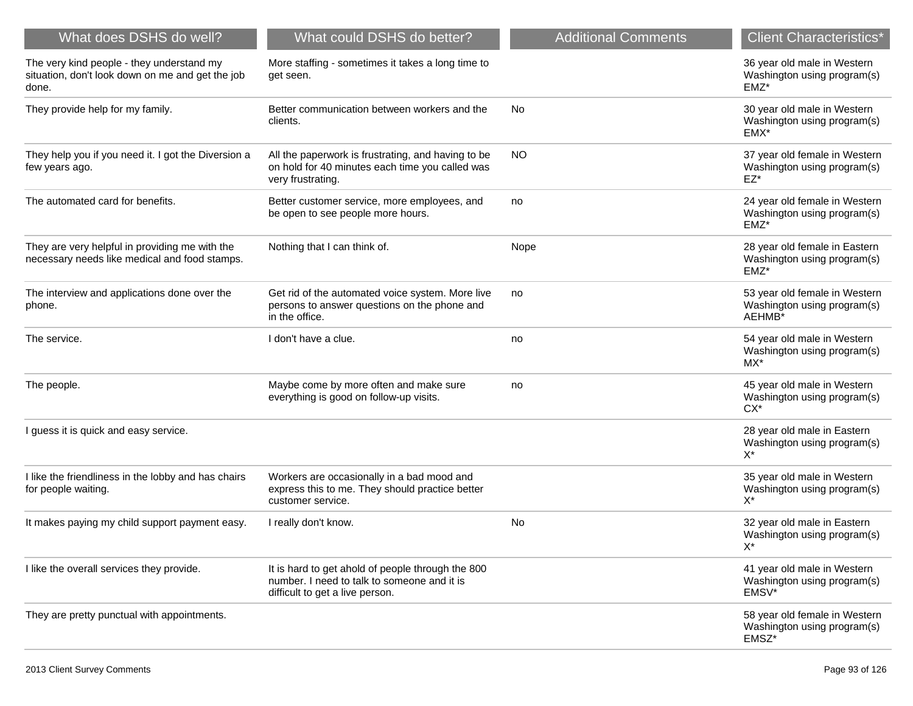| What does DSHS do well?                                                                                | What could DSHS do better?                                                                                                          | <b>Additional Comments</b> | <b>Client Characteristics*</b>                                         |
|--------------------------------------------------------------------------------------------------------|-------------------------------------------------------------------------------------------------------------------------------------|----------------------------|------------------------------------------------------------------------|
| The very kind people - they understand my<br>situation, don't look down on me and get the job<br>done. | More staffing - sometimes it takes a long time to<br>get seen.                                                                      |                            | 36 year old male in Western<br>Washington using program(s)<br>EMZ*     |
| They provide help for my family.                                                                       | Better communication between workers and the<br>clients.                                                                            | No.                        | 30 year old male in Western<br>Washington using program(s)<br>EMX*     |
| They help you if you need it. I got the Diversion a<br>few years ago.                                  | All the paperwork is frustrating, and having to be<br>on hold for 40 minutes each time you called was<br>very frustrating.          | <b>NO</b>                  | 37 year old female in Western<br>Washington using program(s)<br>EZ*    |
| The automated card for benefits.                                                                       | Better customer service, more employees, and<br>be open to see people more hours.                                                   | no                         | 24 year old female in Western<br>Washington using program(s)<br>EMZ*   |
| They are very helpful in providing me with the<br>necessary needs like medical and food stamps.        | Nothing that I can think of.                                                                                                        | Nope                       | 28 year old female in Eastern<br>Washington using program(s)<br>EMZ*   |
| The interview and applications done over the<br>phone.                                                 | Get rid of the automated voice system. More live<br>persons to answer questions on the phone and<br>in the office.                  | no                         | 53 year old female in Western<br>Washington using program(s)<br>AEHMB* |
| The service.                                                                                           | I don't have a clue.                                                                                                                | no                         | 54 year old male in Western<br>Washington using program(s)<br>MX*      |
| The people.                                                                                            | Maybe come by more often and make sure<br>everything is good on follow-up visits.                                                   | no                         | 45 year old male in Western<br>Washington using program(s)<br>$CX*$    |
| I guess it is quick and easy service.                                                                  |                                                                                                                                     |                            | 28 year old male in Eastern<br>Washington using program(s)<br>X*       |
| I like the friendliness in the lobby and has chairs<br>for people waiting.                             | Workers are occasionally in a bad mood and<br>express this to me. They should practice better<br>customer service.                  |                            | 35 year old male in Western<br>Washington using program(s)<br>$X^*$    |
| It makes paying my child support payment easy.                                                         | I really don't know.                                                                                                                | No                         | 32 year old male in Eastern<br>Washington using program(s)<br>$X^*$    |
| I like the overall services they provide.                                                              | It is hard to get ahold of people through the 800<br>number. I need to talk to someone and it is<br>difficult to get a live person. |                            | 41 year old male in Western<br>Washington using program(s)<br>EMSV*    |
| They are pretty punctual with appointments.                                                            |                                                                                                                                     |                            | 58 year old female in Western<br>Washington using program(s)<br>EMSZ*  |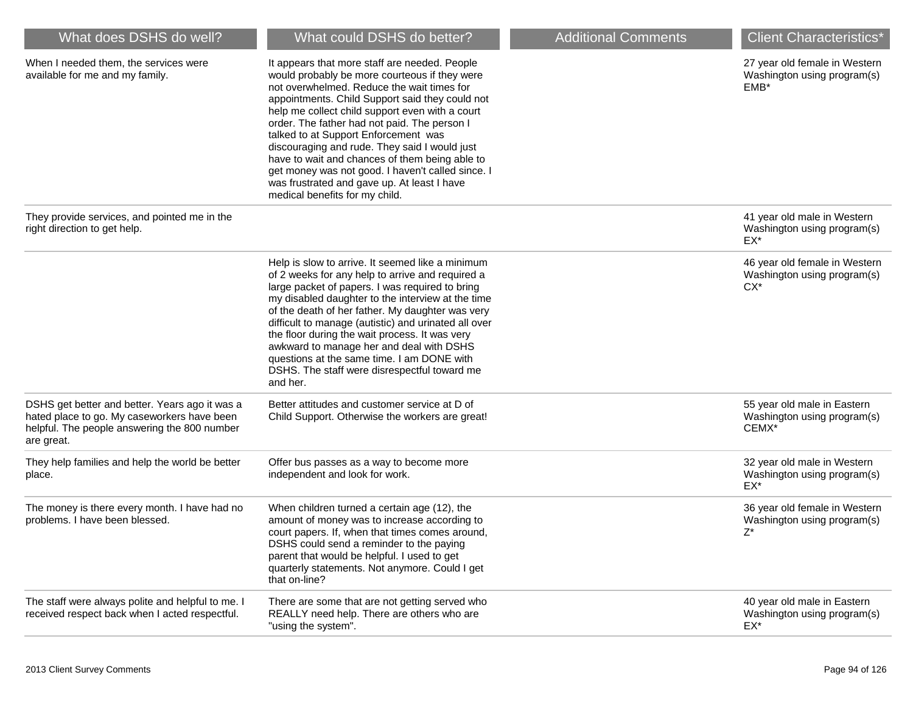| What does DSHS do well?                                                                                                                                     | What could DSHS do better?                                                                                                                                                                                                                                                                                                                                                                                                                                                                                                                                                          | <b>Additional Comments</b> | <b>Client Characteristics*</b>                                         |
|-------------------------------------------------------------------------------------------------------------------------------------------------------------|-------------------------------------------------------------------------------------------------------------------------------------------------------------------------------------------------------------------------------------------------------------------------------------------------------------------------------------------------------------------------------------------------------------------------------------------------------------------------------------------------------------------------------------------------------------------------------------|----------------------------|------------------------------------------------------------------------|
| When I needed them, the services were<br>available for me and my family.                                                                                    | It appears that more staff are needed. People<br>would probably be more courteous if they were<br>not overwhelmed. Reduce the wait times for<br>appointments. Child Support said they could not<br>help me collect child support even with a court<br>order. The father had not paid. The person I<br>talked to at Support Enforcement was<br>discouraging and rude. They said I would just<br>have to wait and chances of them being able to<br>get money was not good. I haven't called since. I<br>was frustrated and gave up. At least I have<br>medical benefits for my child. |                            | 27 year old female in Western<br>Washington using program(s)<br>EMB*   |
| They provide services, and pointed me in the<br>right direction to get help.                                                                                |                                                                                                                                                                                                                                                                                                                                                                                                                                                                                                                                                                                     |                            | 41 year old male in Western<br>Washington using program(s)<br>EX*      |
|                                                                                                                                                             | Help is slow to arrive. It seemed like a minimum<br>of 2 weeks for any help to arrive and required a<br>large packet of papers. I was required to bring<br>my disabled daughter to the interview at the time<br>of the death of her father. My daughter was very<br>difficult to manage (autistic) and urinated all over<br>the floor during the wait process. It was very<br>awkward to manage her and deal with DSHS<br>questions at the same time. I am DONE with<br>DSHS. The staff were disrespectful toward me<br>and her.                                                    |                            | 46 year old female in Western<br>Washington using program(s)<br>$CX^*$ |
| DSHS get better and better. Years ago it was a<br>hated place to go. My caseworkers have been<br>helpful. The people answering the 800 number<br>are great. | Better attitudes and customer service at D of<br>Child Support. Otherwise the workers are great!                                                                                                                                                                                                                                                                                                                                                                                                                                                                                    |                            | 55 year old male in Eastern<br>Washington using program(s)<br>CEMX*    |
| They help families and help the world be better<br>place.                                                                                                   | Offer bus passes as a way to become more<br>independent and look for work.                                                                                                                                                                                                                                                                                                                                                                                                                                                                                                          |                            | 32 year old male in Western<br>Washington using program(s)<br>$EX^*$   |
| The money is there every month. I have had no<br>problems. I have been blessed.                                                                             | When children turned a certain age (12), the<br>amount of money was to increase according to<br>court papers. If, when that times comes around,<br>DSHS could send a reminder to the paying<br>parent that would be helpful. I used to get<br>quarterly statements. Not anymore. Could I get<br>that on-line?                                                                                                                                                                                                                                                                       |                            | 36 year old female in Western<br>Washington using program(s)<br>Z*     |
| The staff were always polite and helpful to me. I<br>received respect back when I acted respectful.                                                         | There are some that are not getting served who<br>REALLY need help. There are others who are<br>"using the system".                                                                                                                                                                                                                                                                                                                                                                                                                                                                 |                            | 40 year old male in Eastern<br>Washington using program(s)<br>EX*      |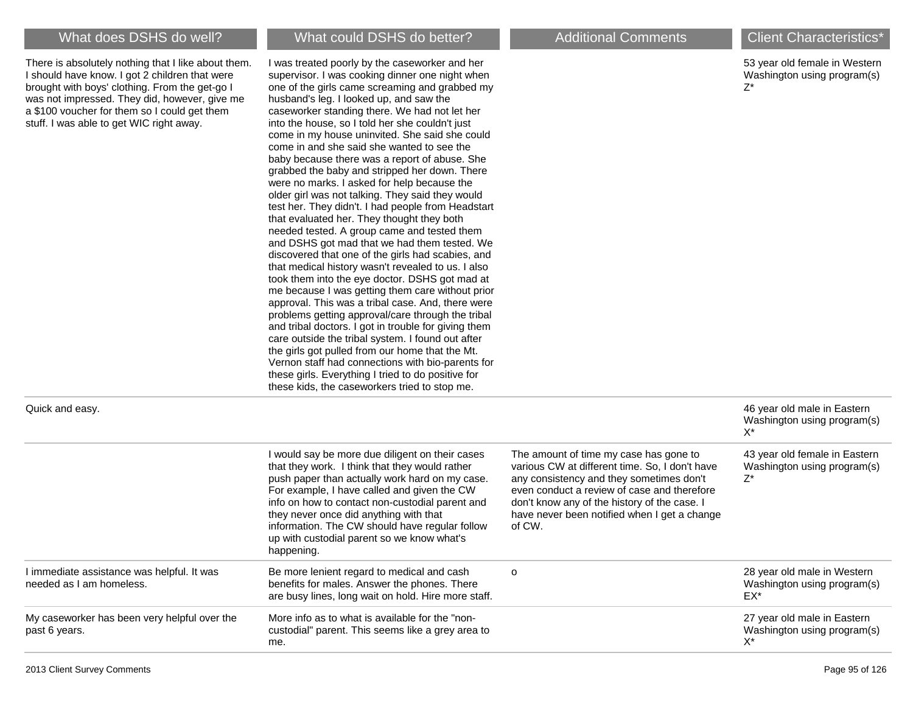There is absolutely nothing that I like about them. I should have know. I got 2 children that were brought with boys' clothing. From the get-go I was not impressed. They did, however, give me a \$100 voucher for them so I could get them stuff. I was able to get WIC right away.

## What does DSHS do well? What could DSHS do better? Additional Comments Client Characteristics<sup>\*</sup>

I was treated poorly by the caseworker and her supervisor. I was cooking dinner one night when one of the girls came screaming and grabbed my husband's leg. I looked up, and saw the caseworker standing there. We had not let her into the house, so I told her she couldn't just come in my house uninvited. She said she could come in and she said she wanted to see the baby because there was a report of abuse. She grabbed the baby and stripped her down. There were no marks. I asked for help because the older girl was not talking. They said they would test her. They didn't. I had people from Headstart that evaluated her. They thought they both needed tested. A group came and tested them and DSHS got mad that we had them tested. We discovered that one of the girls had scabies, and that medical history wasn't revealed to us. I also took them into the eye doctor. DSHS got mad at me because I was getting them care without prior approval. This was a tribal case. And, there were problems getting approval/care through the tribal and tribal doctors. I got in trouble for giving them care outside the tribal system. I found out after the girls got pulled from our home that the Mt. Vernon staff had connections with bio-parents for these girls. Everything I tried to do positive for these kids, the caseworkers tried to stop me.

53 year old female in Western Washington using program(s) Z\*

|                                                                                                                                                                                                                                                                                                                                                                                                               |                                                                                                                                                                                                                                                                                               | 46 year old male in Eastern<br>Washington using program(s)<br>$X^*$ |
|---------------------------------------------------------------------------------------------------------------------------------------------------------------------------------------------------------------------------------------------------------------------------------------------------------------------------------------------------------------------------------------------------------------|-----------------------------------------------------------------------------------------------------------------------------------------------------------------------------------------------------------------------------------------------------------------------------------------------|---------------------------------------------------------------------|
| I would say be more due diligent on their cases<br>that they work. I think that they would rather<br>push paper than actually work hard on my case.<br>For example, I have called and given the CW<br>info on how to contact non-custodial parent and<br>they never once did anything with that<br>information. The CW should have regular follow<br>up with custodial parent so we know what's<br>happening. | The amount of time my case has gone to<br>various CW at different time. So, I don't have<br>any consistency and they sometimes don't<br>even conduct a review of case and therefore<br>don't know any of the history of the case. I<br>have never been notified when I get a change<br>of CW. | 43 year old female in Eastern<br>Washington using program(s)<br>Z*  |
| Be more lenient regard to medical and cash<br>benefits for males. Answer the phones. There<br>are busy lines, long wait on hold. Hire more staff.                                                                                                                                                                                                                                                             | $\circ$                                                                                                                                                                                                                                                                                       | 28 year old male in Western<br>Washington using program(s)<br>EX*   |
| More info as to what is available for the "non-<br>custodial" parent. This seems like a grey area to<br>me.                                                                                                                                                                                                                                                                                                   |                                                                                                                                                                                                                                                                                               | 27 year old male in Eastern<br>Washington using program(s)<br>X*    |
|                                                                                                                                                                                                                                                                                                                                                                                                               |                                                                                                                                                                                                                                                                                               |                                                                     |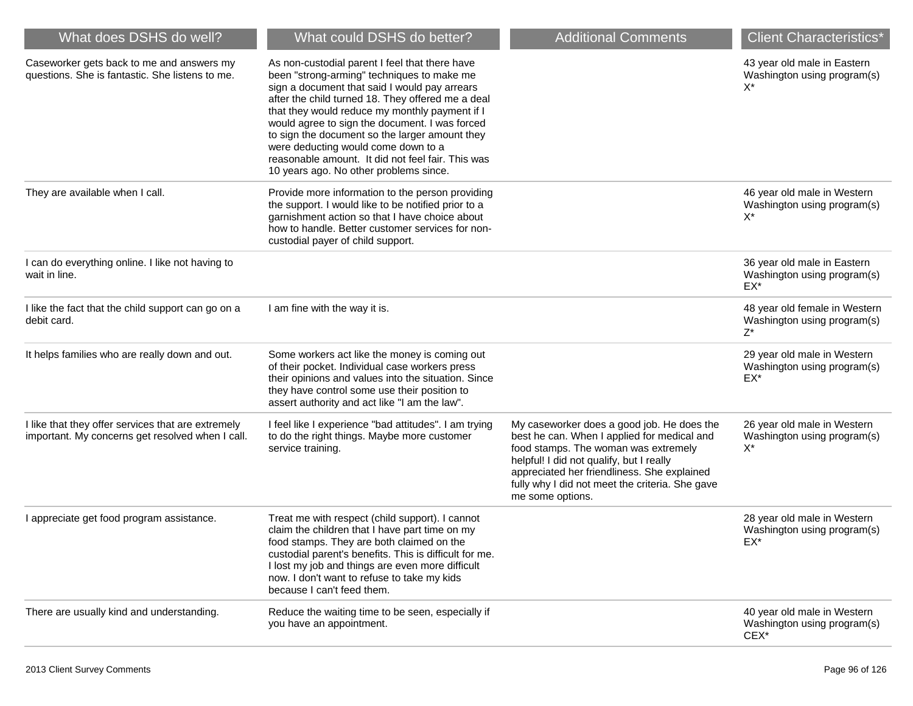| What does DSHS do well?                                                                                | What could DSHS do better?                                                                                                                                                                                                                                                                                                                                                                                                                                                                     | <b>Additional Comments</b>                                                                                                                                                                                                                                                                          | <b>Client Characteristics*</b>                                        |
|--------------------------------------------------------------------------------------------------------|------------------------------------------------------------------------------------------------------------------------------------------------------------------------------------------------------------------------------------------------------------------------------------------------------------------------------------------------------------------------------------------------------------------------------------------------------------------------------------------------|-----------------------------------------------------------------------------------------------------------------------------------------------------------------------------------------------------------------------------------------------------------------------------------------------------|-----------------------------------------------------------------------|
| Caseworker gets back to me and answers my<br>questions. She is fantastic. She listens to me.           | As non-custodial parent I feel that there have<br>been "strong-arming" techniques to make me<br>sign a document that said I would pay arrears<br>after the child turned 18. They offered me a deal<br>that they would reduce my monthly payment if I<br>would agree to sign the document. I was forced<br>to sign the document so the larger amount they<br>were deducting would come down to a<br>reasonable amount. It did not feel fair. This was<br>10 years ago. No other problems since. |                                                                                                                                                                                                                                                                                                     | 43 year old male in Eastern<br>Washington using program(s)<br>$X^*$   |
| They are available when I call.                                                                        | Provide more information to the person providing<br>the support. I would like to be notified prior to a<br>garnishment action so that I have choice about<br>how to handle. Better customer services for non-<br>custodial payer of child support.                                                                                                                                                                                                                                             |                                                                                                                                                                                                                                                                                                     | 46 year old male in Western<br>Washington using program(s)<br>X*      |
| I can do everything online. I like not having to<br>wait in line.                                      |                                                                                                                                                                                                                                                                                                                                                                                                                                                                                                |                                                                                                                                                                                                                                                                                                     | 36 year old male in Eastern<br>Washington using program(s)<br>EX*     |
| I like the fact that the child support can go on a<br>debit card.                                      | I am fine with the way it is.                                                                                                                                                                                                                                                                                                                                                                                                                                                                  |                                                                                                                                                                                                                                                                                                     | 48 year old female in Western<br>Washington using program(s)<br>$Z^*$ |
| It helps families who are really down and out.                                                         | Some workers act like the money is coming out<br>of their pocket. Individual case workers press<br>their opinions and values into the situation. Since<br>they have control some use their position to<br>assert authority and act like "I am the law".                                                                                                                                                                                                                                        |                                                                                                                                                                                                                                                                                                     | 29 year old male in Western<br>Washington using program(s)<br>$EX^*$  |
| I like that they offer services that are extremely<br>important. My concerns get resolved when I call. | I feel like I experience "bad attitudes". I am trying<br>to do the right things. Maybe more customer<br>service training.                                                                                                                                                                                                                                                                                                                                                                      | My caseworker does a good job. He does the<br>best he can. When I applied for medical and<br>food stamps. The woman was extremely<br>helpful! I did not qualify, but I really<br>appreciated her friendliness. She explained<br>fully why I did not meet the criteria. She gave<br>me some options. | 26 year old male in Western<br>Washington using program(s)<br>$X^*$   |
| I appreciate get food program assistance.                                                              | Treat me with respect (child support). I cannot<br>claim the children that I have part time on my<br>food stamps. They are both claimed on the<br>custodial parent's benefits. This is difficult for me.<br>I lost my job and things are even more difficult<br>now. I don't want to refuse to take my kids<br>because I can't feed them.                                                                                                                                                      |                                                                                                                                                                                                                                                                                                     | 28 year old male in Western<br>Washington using program(s)<br>EX*     |
| There are usually kind and understanding.                                                              | Reduce the waiting time to be seen, especially if<br>you have an appointment.                                                                                                                                                                                                                                                                                                                                                                                                                  |                                                                                                                                                                                                                                                                                                     | 40 year old male in Western<br>Washington using program(s)<br>$CEX^*$ |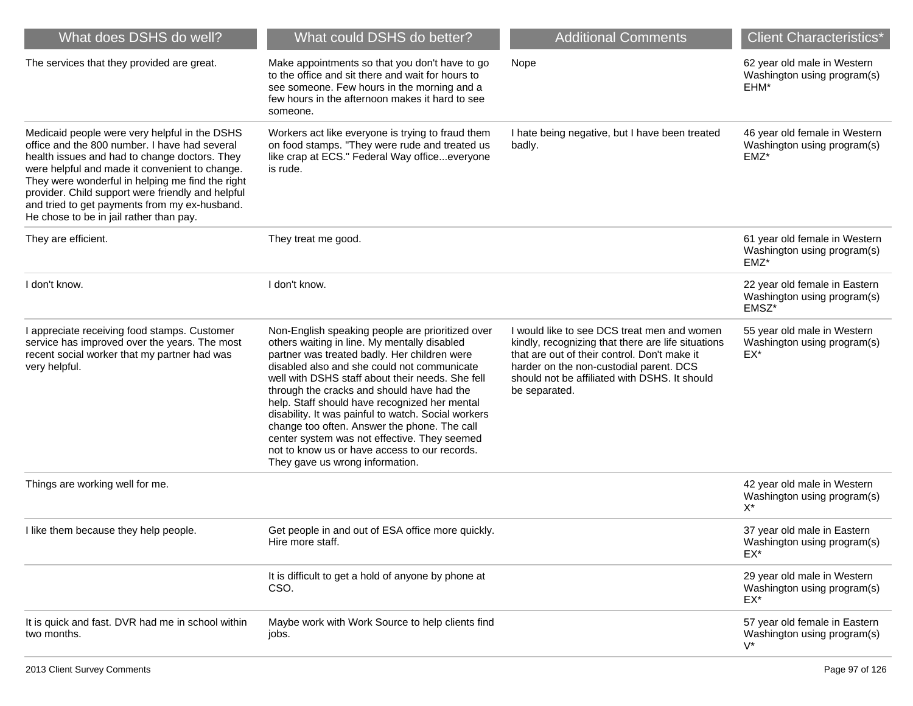| What does DSHS do well?                                                                                                                                                                                                                                                                                                                                                                                | What could DSHS do better?                                                                                                                                                                                                                                                                                                                                                                                                                                                                                                                                                                    | <b>Additional Comments</b>                                                                                                                                                                                                                                     | <b>Client Characteristics*</b>                                        |
|--------------------------------------------------------------------------------------------------------------------------------------------------------------------------------------------------------------------------------------------------------------------------------------------------------------------------------------------------------------------------------------------------------|-----------------------------------------------------------------------------------------------------------------------------------------------------------------------------------------------------------------------------------------------------------------------------------------------------------------------------------------------------------------------------------------------------------------------------------------------------------------------------------------------------------------------------------------------------------------------------------------------|----------------------------------------------------------------------------------------------------------------------------------------------------------------------------------------------------------------------------------------------------------------|-----------------------------------------------------------------------|
| The services that they provided are great.                                                                                                                                                                                                                                                                                                                                                             | Make appointments so that you don't have to go<br>to the office and sit there and wait for hours to<br>see someone. Few hours in the morning and a<br>few hours in the afternoon makes it hard to see<br>someone.                                                                                                                                                                                                                                                                                                                                                                             | Nope                                                                                                                                                                                                                                                           | 62 year old male in Western<br>Washington using program(s)<br>EHM*    |
| Medicaid people were very helpful in the DSHS<br>office and the 800 number. I have had several<br>health issues and had to change doctors. They<br>were helpful and made it convenient to change.<br>They were wonderful in helping me find the right<br>provider. Child support were friendly and helpful<br>and tried to get payments from my ex-husband.<br>He chose to be in jail rather than pay. | Workers act like everyone is trying to fraud them<br>on food stamps. "They were rude and treated us<br>like crap at ECS." Federal Way officeeveryone<br>is rude.                                                                                                                                                                                                                                                                                                                                                                                                                              | I hate being negative, but I have been treated<br>badly.                                                                                                                                                                                                       | 46 year old female in Western<br>Washington using program(s)<br>EMZ*  |
| They are efficient.                                                                                                                                                                                                                                                                                                                                                                                    | They treat me good.                                                                                                                                                                                                                                                                                                                                                                                                                                                                                                                                                                           |                                                                                                                                                                                                                                                                | 61 year old female in Western<br>Washington using program(s)<br>EMZ*  |
| I don't know.                                                                                                                                                                                                                                                                                                                                                                                          | I don't know.                                                                                                                                                                                                                                                                                                                                                                                                                                                                                                                                                                                 |                                                                                                                                                                                                                                                                | 22 year old female in Eastern<br>Washington using program(s)<br>EMSZ* |
| I appreciate receiving food stamps. Customer<br>service has improved over the years. The most<br>recent social worker that my partner had was<br>very helpful.                                                                                                                                                                                                                                         | Non-English speaking people are prioritized over<br>others waiting in line. My mentally disabled<br>partner was treated badly. Her children were<br>disabled also and she could not communicate<br>well with DSHS staff about their needs. She fell<br>through the cracks and should have had the<br>help. Staff should have recognized her mental<br>disability. It was painful to watch. Social workers<br>change too often. Answer the phone. The call<br>center system was not effective. They seemed<br>not to know us or have access to our records.<br>They gave us wrong information. | I would like to see DCS treat men and women<br>kindly, recognizing that there are life situations<br>that are out of their control. Don't make it<br>harder on the non-custodial parent. DCS<br>should not be affiliated with DSHS. It should<br>be separated. | 55 year old male in Western<br>Washington using program(s)<br>EX*     |
| Things are working well for me.                                                                                                                                                                                                                                                                                                                                                                        |                                                                                                                                                                                                                                                                                                                                                                                                                                                                                                                                                                                               |                                                                                                                                                                                                                                                                | 42 year old male in Western<br>Washington using program(s)<br>X*      |
| I like them because they help people.                                                                                                                                                                                                                                                                                                                                                                  | Get people in and out of ESA office more quickly.<br>Hire more staff.                                                                                                                                                                                                                                                                                                                                                                                                                                                                                                                         |                                                                                                                                                                                                                                                                | 37 year old male in Eastern<br>Washington using program(s)<br>EX*     |
|                                                                                                                                                                                                                                                                                                                                                                                                        | It is difficult to get a hold of anyone by phone at<br>CSO.                                                                                                                                                                                                                                                                                                                                                                                                                                                                                                                                   |                                                                                                                                                                                                                                                                | 29 year old male in Western<br>Washington using program(s)<br>EX*     |
| It is quick and fast. DVR had me in school within<br>two months.                                                                                                                                                                                                                                                                                                                                       | Maybe work with Work Source to help clients find<br>jobs.                                                                                                                                                                                                                                                                                                                                                                                                                                                                                                                                     |                                                                                                                                                                                                                                                                | 57 year old female in Eastern<br>Washington using program(s)<br>$V^*$ |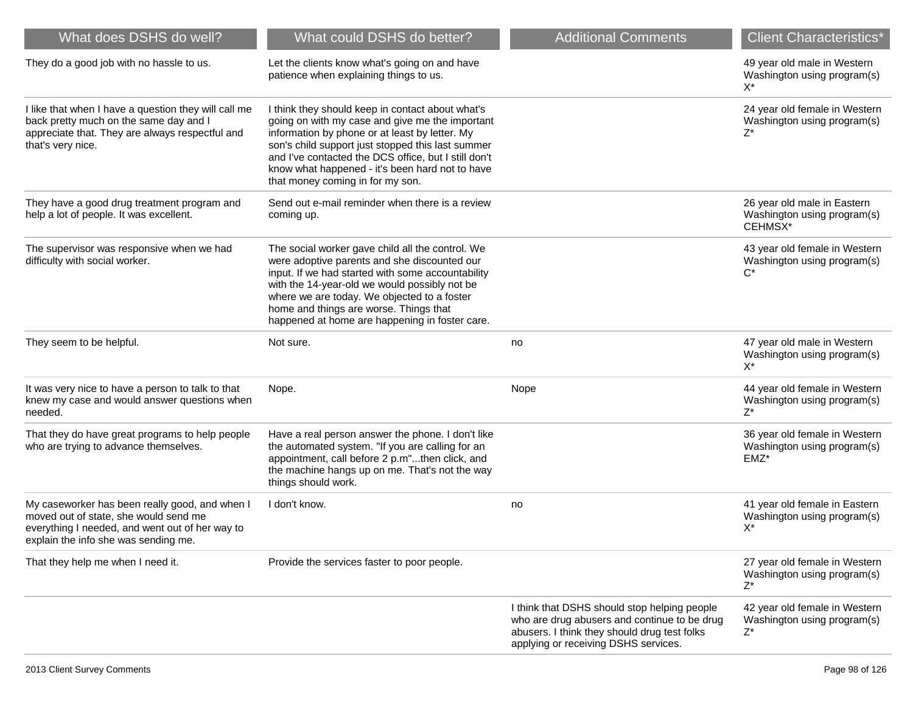| What does DSHS do well?                                                                                                                                                            | What could DSHS do better?                                                                                                                                                                                                                                                                                                                                | <b>Additional Comments</b>                                                                                                                                                           | <b>Client Characteristics*</b>                                        |
|------------------------------------------------------------------------------------------------------------------------------------------------------------------------------------|-----------------------------------------------------------------------------------------------------------------------------------------------------------------------------------------------------------------------------------------------------------------------------------------------------------------------------------------------------------|--------------------------------------------------------------------------------------------------------------------------------------------------------------------------------------|-----------------------------------------------------------------------|
| They do a good job with no hassle to us.                                                                                                                                           | Let the clients know what's going on and have<br>patience when explaining things to us.                                                                                                                                                                                                                                                                   |                                                                                                                                                                                      | 49 year old male in Western<br>Washington using program(s)<br>X*      |
| I like that when I have a question they will call me<br>back pretty much on the same day and I<br>appreciate that. They are always respectful and<br>that's very nice.             | I think they should keep in contact about what's<br>going on with my case and give me the important<br>information by phone or at least by letter. My<br>son's child support just stopped this last summer<br>and I've contacted the DCS office, but I still don't<br>know what happened - it's been hard not to have<br>that money coming in for my son. |                                                                                                                                                                                      | 24 year old female in Western<br>Washington using program(s)<br>Z*    |
| They have a good drug treatment program and<br>help a lot of people. It was excellent.                                                                                             | Send out e-mail reminder when there is a review<br>coming up.                                                                                                                                                                                                                                                                                             |                                                                                                                                                                                      | 26 year old male in Eastern<br>Washington using program(s)<br>CEHMSX* |
| The supervisor was responsive when we had<br>difficulty with social worker.                                                                                                        | The social worker gave child all the control. We<br>were adoptive parents and she discounted our<br>input. If we had started with some accountability<br>with the 14-year-old we would possibly not be<br>where we are today. We objected to a foster<br>home and things are worse. Things that<br>happened at home are happening in foster care.         |                                                                                                                                                                                      | 43 year old female in Western<br>Washington using program(s)<br>$C^*$ |
| They seem to be helpful.                                                                                                                                                           | Not sure.                                                                                                                                                                                                                                                                                                                                                 | no                                                                                                                                                                                   | 47 year old male in Western<br>Washington using program(s)<br>X*      |
| It was very nice to have a person to talk to that<br>knew my case and would answer questions when<br>needed.                                                                       | Nope.                                                                                                                                                                                                                                                                                                                                                     | Nope                                                                                                                                                                                 | 44 year old female in Western<br>Washington using program(s)<br>Z*    |
| That they do have great programs to help people<br>who are trying to advance themselves.                                                                                           | Have a real person answer the phone. I don't like<br>the automated system. "If you are calling for an<br>appointment, call before 2 p.m"then click, and<br>the machine hangs up on me. That's not the way<br>things should work.                                                                                                                          |                                                                                                                                                                                      | 36 year old female in Western<br>Washington using program(s)<br>EMZ*  |
| My caseworker has been really good, and when I<br>moved out of state, she would send me<br>everything I needed, and went out of her way to<br>explain the info she was sending me. | I don't know.                                                                                                                                                                                                                                                                                                                                             | no                                                                                                                                                                                   | 41 year old female in Eastern<br>Washington using program(s)<br>$X^*$ |
| That they help me when I need it.                                                                                                                                                  | Provide the services faster to poor people.                                                                                                                                                                                                                                                                                                               |                                                                                                                                                                                      | 27 year old female in Western<br>Washington using program(s)<br>Z*    |
|                                                                                                                                                                                    |                                                                                                                                                                                                                                                                                                                                                           | I think that DSHS should stop helping people<br>who are drug abusers and continue to be drug<br>abusers. I think they should drug test folks<br>applying or receiving DSHS services. | 42 year old female in Western<br>Washington using program(s)<br>Z*    |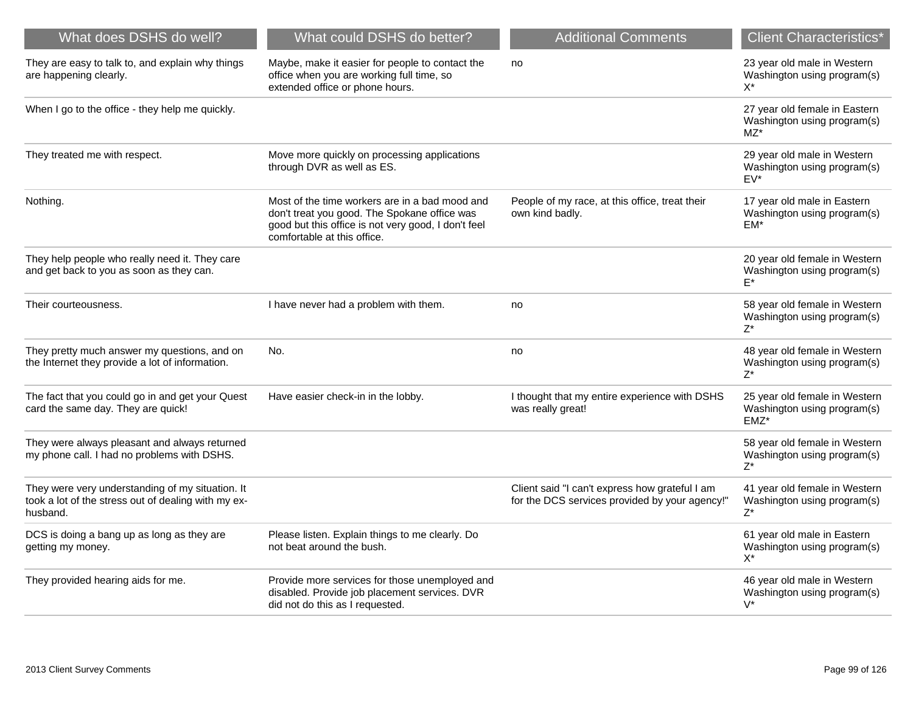| What does DSHS do well?                                                                                             | What could DSHS do better?                                                                                                                                                           | <b>Additional Comments</b>                                                                       | <b>Client Characteristics*</b>                                         |
|---------------------------------------------------------------------------------------------------------------------|--------------------------------------------------------------------------------------------------------------------------------------------------------------------------------------|--------------------------------------------------------------------------------------------------|------------------------------------------------------------------------|
| They are easy to talk to, and explain why things<br>are happening clearly.                                          | Maybe, make it easier for people to contact the<br>office when you are working full time, so<br>extended office or phone hours.                                                      | no                                                                                               | 23 year old male in Western<br>Washington using program(s)<br>$X^*$    |
| When I go to the office - they help me quickly.                                                                     |                                                                                                                                                                                      |                                                                                                  | 27 year old female in Eastern<br>Washington using program(s)<br>$MZ^*$ |
| They treated me with respect.                                                                                       | Move more quickly on processing applications<br>through DVR as well as ES.                                                                                                           |                                                                                                  | 29 year old male in Western<br>Washington using program(s)<br>$EV^*$   |
| Nothing.                                                                                                            | Most of the time workers are in a bad mood and<br>don't treat you good. The Spokane office was<br>good but this office is not very good, I don't feel<br>comfortable at this office. | People of my race, at this office, treat their<br>own kind badly.                                | 17 year old male in Eastern<br>Washington using program(s)<br>EM*      |
| They help people who really need it. They care<br>and get back to you as soon as they can.                          |                                                                                                                                                                                      |                                                                                                  | 20 year old female in Western<br>Washington using program(s)           |
| Their courteousness.                                                                                                | I have never had a problem with them.                                                                                                                                                | no                                                                                               | 58 year old female in Western<br>Washington using program(s)<br>$Z^*$  |
| They pretty much answer my questions, and on<br>the Internet they provide a lot of information.                     | No.                                                                                                                                                                                  | no                                                                                               | 48 year old female in Western<br>Washington using program(s)<br>$Z^*$  |
| The fact that you could go in and get your Quest<br>card the same day. They are quick!                              | Have easier check-in in the lobby.                                                                                                                                                   | I thought that my entire experience with DSHS<br>was really great!                               | 25 year old female in Western<br>Washington using program(s)<br>EMZ*   |
| They were always pleasant and always returned<br>my phone call. I had no problems with DSHS.                        |                                                                                                                                                                                      |                                                                                                  | 58 year old female in Western<br>Washington using program(s)<br>Z*     |
| They were very understanding of my situation. It<br>took a lot of the stress out of dealing with my ex-<br>husband. |                                                                                                                                                                                      | Client said "I can't express how grateful I am<br>for the DCS services provided by your agency!" | 41 year old female in Western<br>Washington using program(s)<br>$Z^*$  |
| DCS is doing a bang up as long as they are<br>getting my money.                                                     | Please listen. Explain things to me clearly. Do<br>not beat around the bush.                                                                                                         |                                                                                                  | 61 year old male in Eastern<br>Washington using program(s)<br>X*       |
| They provided hearing aids for me.                                                                                  | Provide more services for those unemployed and<br>disabled. Provide job placement services. DVR<br>did not do this as I requested.                                                   |                                                                                                  | 46 year old male in Western<br>Washington using program(s)<br>$V^*$    |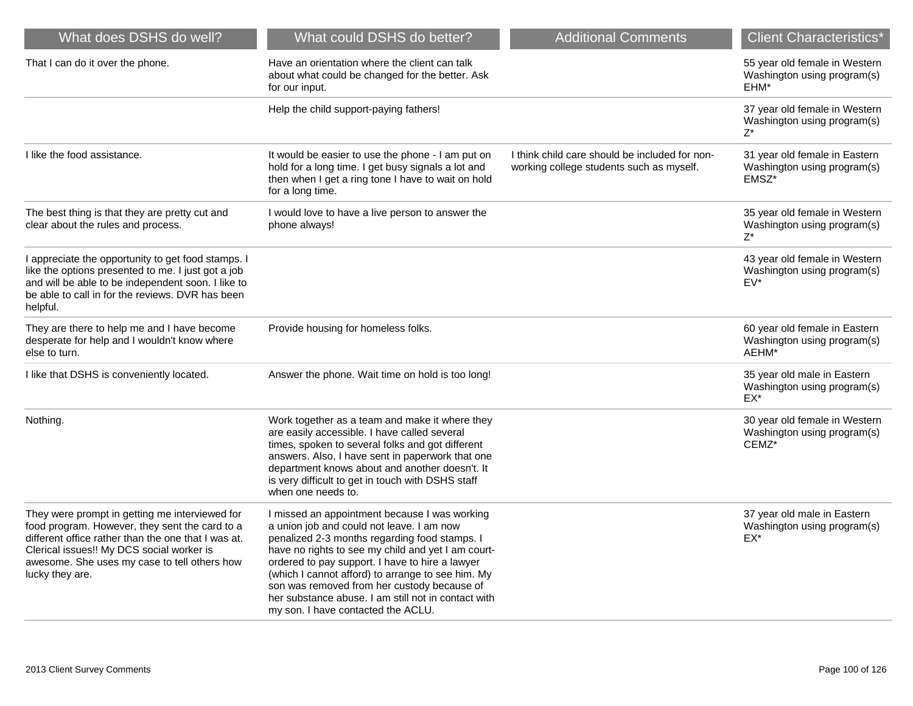| What does DSHS do well?                                                                                                                                                                                                                                                 | What could DSHS do better?                                                                                                                                                                                                                                                                                                                                                                                                                            | <b>Additional Comments</b>                                                                 | <b>Client Characteristics*</b>                                        |
|-------------------------------------------------------------------------------------------------------------------------------------------------------------------------------------------------------------------------------------------------------------------------|-------------------------------------------------------------------------------------------------------------------------------------------------------------------------------------------------------------------------------------------------------------------------------------------------------------------------------------------------------------------------------------------------------------------------------------------------------|--------------------------------------------------------------------------------------------|-----------------------------------------------------------------------|
| That I can do it over the phone.                                                                                                                                                                                                                                        | Have an orientation where the client can talk<br>about what could be changed for the better. Ask<br>for our input.                                                                                                                                                                                                                                                                                                                                    |                                                                                            | 55 year old female in Western<br>Washington using program(s)<br>EHM*  |
|                                                                                                                                                                                                                                                                         | Help the child support-paying fathers!                                                                                                                                                                                                                                                                                                                                                                                                                |                                                                                            | 37 year old female in Western<br>Washington using program(s)<br>$7^*$ |
| I like the food assistance.                                                                                                                                                                                                                                             | It would be easier to use the phone - I am put on<br>hold for a long time. I get busy signals a lot and<br>then when I get a ring tone I have to wait on hold<br>for a long time.                                                                                                                                                                                                                                                                     | I think child care should be included for non-<br>working college students such as myself. | 31 year old female in Eastern<br>Washington using program(s)<br>EMSZ* |
| The best thing is that they are pretty cut and<br>clear about the rules and process.                                                                                                                                                                                    | I would love to have a live person to answer the<br>phone always!                                                                                                                                                                                                                                                                                                                                                                                     |                                                                                            | 35 year old female in Western<br>Washington using program(s)<br>7*    |
| I appreciate the opportunity to get food stamps. I<br>like the options presented to me. I just got a job<br>and will be able to be independent soon. I like to<br>be able to call in for the reviews. DVR has been<br>helpful.                                          |                                                                                                                                                                                                                                                                                                                                                                                                                                                       |                                                                                            | 43 year old female in Western<br>Washington using program(s)<br>EV*   |
| They are there to help me and I have become<br>desperate for help and I wouldn't know where<br>else to turn.                                                                                                                                                            | Provide housing for homeless folks.                                                                                                                                                                                                                                                                                                                                                                                                                   |                                                                                            | 60 year old female in Eastern<br>Washington using program(s)<br>AEHM* |
| I like that DSHS is conveniently located.                                                                                                                                                                                                                               | Answer the phone. Wait time on hold is too long!                                                                                                                                                                                                                                                                                                                                                                                                      |                                                                                            | 35 year old male in Eastern<br>Washington using program(s)<br>EX*     |
| Nothing.                                                                                                                                                                                                                                                                | Work together as a team and make it where they<br>are easily accessible. I have called several<br>times, spoken to several folks and got different<br>answers. Also, I have sent in paperwork that one<br>department knows about and another doesn't. It<br>is very difficult to get in touch with DSHS staff<br>when one needs to.                                                                                                                   |                                                                                            | 30 year old female in Western<br>Washington using program(s)<br>CEMZ* |
| They were prompt in getting me interviewed for<br>food program. However, they sent the card to a<br>different office rather than the one that I was at.<br>Clerical issues!! My DCS social worker is<br>awesome. She uses my case to tell others how<br>lucky they are. | I missed an appointment because I was working<br>a union job and could not leave. I am now<br>penalized 2-3 months regarding food stamps. I<br>have no rights to see my child and yet I am court-<br>ordered to pay support. I have to hire a lawyer<br>(which I cannot afford) to arrange to see him. My<br>son was removed from her custody because of<br>her substance abuse. I am still not in contact with<br>my son. I have contacted the ACLU. |                                                                                            | 37 year old male in Eastern<br>Washington using program(s)<br>EX*     |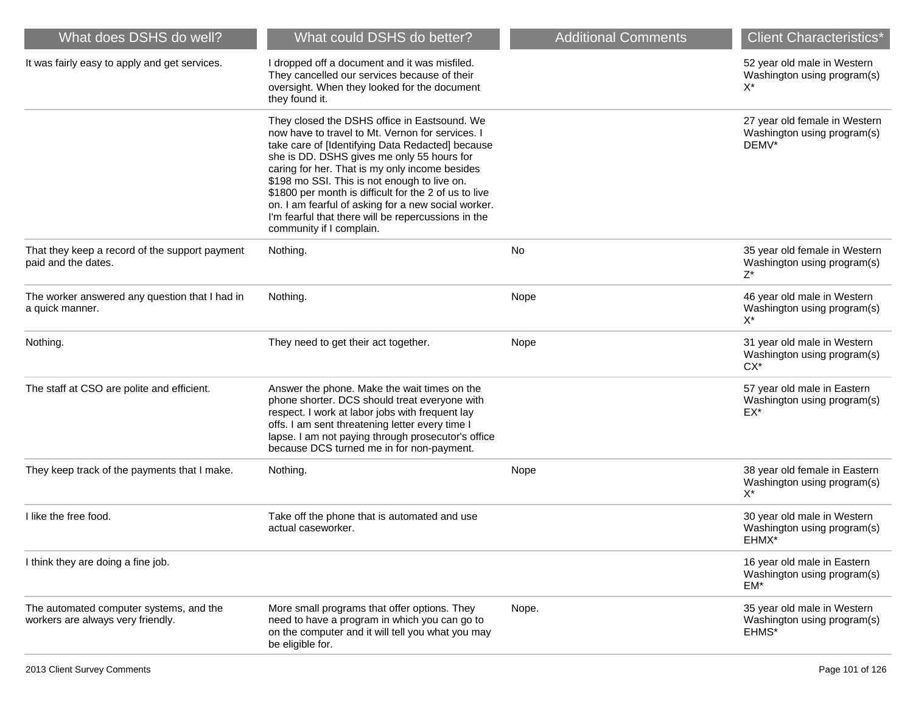| What does DSHS do well?                                                      | What could DSHS do better?                                                                                                                                                                                                                                                                                                                                                                                                                                                                              | <b>Additional Comments</b> | <b>Client Characteristics*</b>                                        |
|------------------------------------------------------------------------------|---------------------------------------------------------------------------------------------------------------------------------------------------------------------------------------------------------------------------------------------------------------------------------------------------------------------------------------------------------------------------------------------------------------------------------------------------------------------------------------------------------|----------------------------|-----------------------------------------------------------------------|
| It was fairly easy to apply and get services.                                | I dropped off a document and it was misfiled.<br>They cancelled our services because of their<br>oversight. When they looked for the document<br>they found it.                                                                                                                                                                                                                                                                                                                                         |                            | 52 year old male in Western<br>Washington using program(s)<br>$X^*$   |
|                                                                              | They closed the DSHS office in Eastsound. We<br>now have to travel to Mt. Vernon for services. I<br>take care of [Identifying Data Redacted] because<br>she is DD. DSHS gives me only 55 hours for<br>caring for her. That is my only income besides<br>\$198 mo SSI. This is not enough to live on.<br>\$1800 per month is difficult for the 2 of us to live<br>on. I am fearful of asking for a new social worker.<br>I'm fearful that there will be repercussions in the<br>community if I complain. |                            | 27 year old female in Western<br>Washington using program(s)<br>DEMV* |
| That they keep a record of the support payment<br>paid and the dates.        | Nothing.                                                                                                                                                                                                                                                                                                                                                                                                                                                                                                | No                         | 35 year old female in Western<br>Washington using program(s)<br>Z*    |
| The worker answered any question that I had in<br>a quick manner.            | Nothing.                                                                                                                                                                                                                                                                                                                                                                                                                                                                                                | Nope                       | 46 year old male in Western<br>Washington using program(s)<br>$X^*$   |
| Nothing.                                                                     | They need to get their act together.                                                                                                                                                                                                                                                                                                                                                                                                                                                                    | Nope                       | 31 year old male in Western<br>Washington using program(s)<br>$CX^*$  |
| The staff at CSO are polite and efficient.                                   | Answer the phone. Make the wait times on the<br>phone shorter. DCS should treat everyone with<br>respect. I work at labor jobs with frequent lay<br>offs. I am sent threatening letter every time I<br>lapse. I am not paying through prosecutor's office<br>because DCS turned me in for non-payment.                                                                                                                                                                                                  |                            | 57 year old male in Eastern<br>Washington using program(s)<br>EX*     |
| They keep track of the payments that I make.                                 | Nothing.                                                                                                                                                                                                                                                                                                                                                                                                                                                                                                | Nope                       | 38 year old female in Eastern<br>Washington using program(s)<br>$X^*$ |
| I like the free food.                                                        | Take off the phone that is automated and use<br>actual caseworker.                                                                                                                                                                                                                                                                                                                                                                                                                                      |                            | 30 year old male in Western<br>Washington using program(s)<br>EHMX*   |
| I think they are doing a fine job.                                           |                                                                                                                                                                                                                                                                                                                                                                                                                                                                                                         |                            | 16 year old male in Eastern<br>Washington using program(s)<br>$EM^*$  |
| The automated computer systems, and the<br>workers are always very friendly. | More small programs that offer options. They<br>need to have a program in which you can go to<br>on the computer and it will tell you what you may<br>be eligible for.                                                                                                                                                                                                                                                                                                                                  | Nope.                      | 35 year old male in Western<br>Washington using program(s)<br>EHMS*   |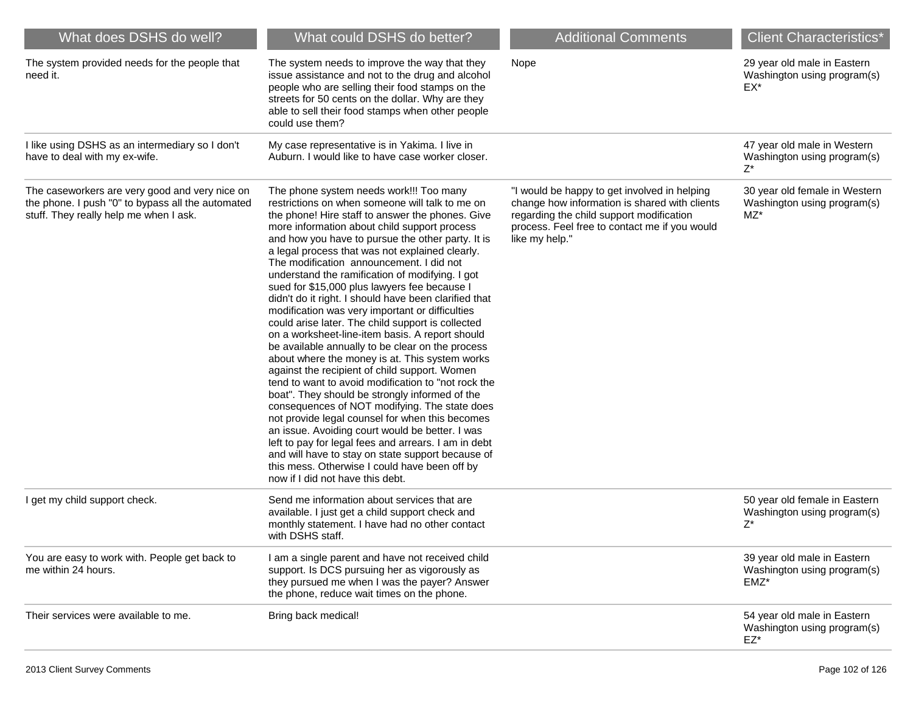| What does DSHS do well?                                                                                                                       | What could DSHS do better?                                                                                                                                                                                                                                                                                                                                                                                                                                                                                                                                                                                                                                                                                                                                                                                                                                                                                                                                                                                                                                                                                                                                                                                                                                                                         | <b>Additional Comments</b>                                                                                                                                                                                   | <b>Client Characteristics*</b>                                       |
|-----------------------------------------------------------------------------------------------------------------------------------------------|----------------------------------------------------------------------------------------------------------------------------------------------------------------------------------------------------------------------------------------------------------------------------------------------------------------------------------------------------------------------------------------------------------------------------------------------------------------------------------------------------------------------------------------------------------------------------------------------------------------------------------------------------------------------------------------------------------------------------------------------------------------------------------------------------------------------------------------------------------------------------------------------------------------------------------------------------------------------------------------------------------------------------------------------------------------------------------------------------------------------------------------------------------------------------------------------------------------------------------------------------------------------------------------------------|--------------------------------------------------------------------------------------------------------------------------------------------------------------------------------------------------------------|----------------------------------------------------------------------|
| The system provided needs for the people that<br>need it.                                                                                     | The system needs to improve the way that they<br>issue assistance and not to the drug and alcohol<br>people who are selling their food stamps on the<br>streets for 50 cents on the dollar. Why are they<br>able to sell their food stamps when other people<br>could use them?                                                                                                                                                                                                                                                                                                                                                                                                                                                                                                                                                                                                                                                                                                                                                                                                                                                                                                                                                                                                                    | Nope                                                                                                                                                                                                         | 29 year old male in Eastern<br>Washington using program(s)<br>EX*    |
| I like using DSHS as an intermediary so I don't<br>have to deal with my ex-wife.                                                              | My case representative is in Yakima. I live in<br>Auburn. I would like to have case worker closer.                                                                                                                                                                                                                                                                                                                                                                                                                                                                                                                                                                                                                                                                                                                                                                                                                                                                                                                                                                                                                                                                                                                                                                                                 |                                                                                                                                                                                                              | 47 year old male in Western<br>Washington using program(s)<br>Z*     |
| The caseworkers are very good and very nice on<br>the phone. I push "0" to bypass all the automated<br>stuff. They really help me when I ask. | The phone system needs work!!! Too many<br>restrictions on when someone will talk to me on<br>the phone! Hire staff to answer the phones. Give<br>more information about child support process<br>and how you have to pursue the other party. It is<br>a legal process that was not explained clearly.<br>The modification announcement. I did not<br>understand the ramification of modifying. I got<br>sued for \$15,000 plus lawyers fee because I<br>didn't do it right. I should have been clarified that<br>modification was very important or difficulties<br>could arise later. The child support is collected<br>on a worksheet-line-item basis. A report should<br>be available annually to be clear on the process<br>about where the money is at. This system works<br>against the recipient of child support. Women<br>tend to want to avoid modification to "not rock the<br>boat". They should be strongly informed of the<br>consequences of NOT modifying. The state does<br>not provide legal counsel for when this becomes<br>an issue. Avoiding court would be better. I was<br>left to pay for legal fees and arrears. I am in debt<br>and will have to stay on state support because of<br>this mess. Otherwise I could have been off by<br>now if I did not have this debt. | "I would be happy to get involved in helping<br>change how information is shared with clients<br>regarding the child support modification<br>process. Feel free to contact me if you would<br>like my help." | 30 year old female in Western<br>Washington using program(s)<br>MZ*  |
| I get my child support check.                                                                                                                 | Send me information about services that are<br>available. I just get a child support check and<br>monthly statement. I have had no other contact<br>with DSHS staff.                                                                                                                                                                                                                                                                                                                                                                                                                                                                                                                                                                                                                                                                                                                                                                                                                                                                                                                                                                                                                                                                                                                               |                                                                                                                                                                                                              | 50 year old female in Eastern<br>Washington using program(s)<br>Z*   |
| You are easy to work with. People get back to<br>me within 24 hours.                                                                          | I am a single parent and have not received child<br>support. Is DCS pursuing her as vigorously as<br>they pursued me when I was the payer? Answer<br>the phone, reduce wait times on the phone.                                                                                                                                                                                                                                                                                                                                                                                                                                                                                                                                                                                                                                                                                                                                                                                                                                                                                                                                                                                                                                                                                                    |                                                                                                                                                                                                              | 39 year old male in Eastern<br>Washington using program(s)<br>EMZ*   |
| Their services were available to me.                                                                                                          | Bring back medical!                                                                                                                                                                                                                                                                                                                                                                                                                                                                                                                                                                                                                                                                                                                                                                                                                                                                                                                                                                                                                                                                                                                                                                                                                                                                                |                                                                                                                                                                                                              | 54 year old male in Eastern<br>Washington using program(s)<br>$EZ^*$ |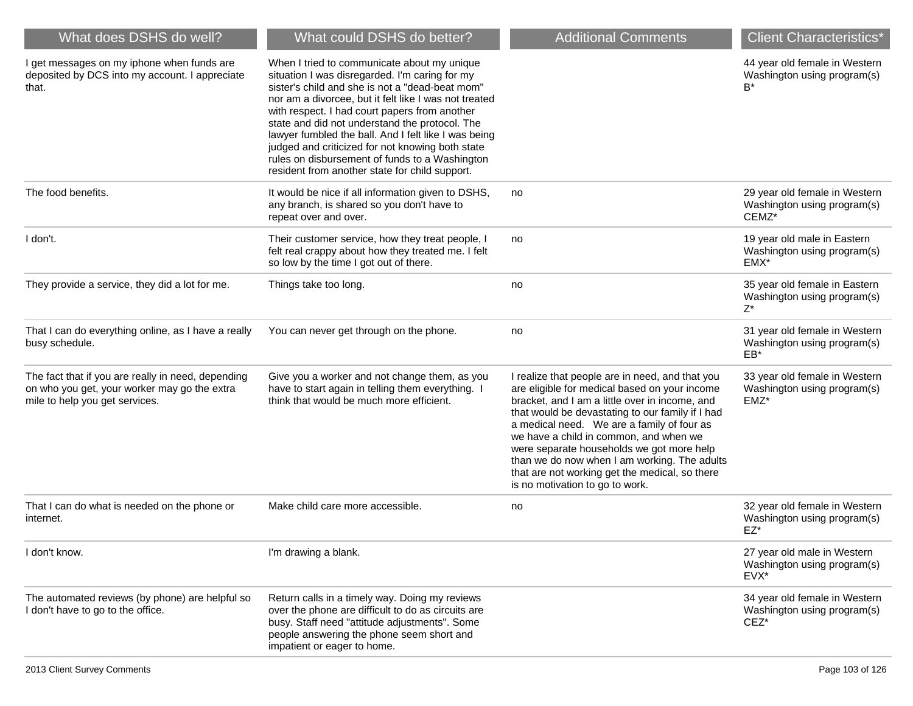| What does DSHS do well?                                                                                                              | What could DSHS do better?                                                                                                                                                                                                                                                                                                                                                                                                                                                                                                   | <b>Additional Comments</b>                                                                                                                                                                                                                                                                                                                                                                                                                                                       | <b>Client Characteristics*</b>                                          |
|--------------------------------------------------------------------------------------------------------------------------------------|------------------------------------------------------------------------------------------------------------------------------------------------------------------------------------------------------------------------------------------------------------------------------------------------------------------------------------------------------------------------------------------------------------------------------------------------------------------------------------------------------------------------------|----------------------------------------------------------------------------------------------------------------------------------------------------------------------------------------------------------------------------------------------------------------------------------------------------------------------------------------------------------------------------------------------------------------------------------------------------------------------------------|-------------------------------------------------------------------------|
| I get messages on my iphone when funds are<br>deposited by DCS into my account. I appreciate<br>that.                                | When I tried to communicate about my unique<br>situation I was disregarded. I'm caring for my<br>sister's child and she is not a "dead-beat mom"<br>nor am a divorcee, but it felt like I was not treated<br>with respect. I had court papers from another<br>state and did not understand the protocol. The<br>lawyer fumbled the ball. And I felt like I was being<br>judged and criticized for not knowing both state<br>rules on disbursement of funds to a Washington<br>resident from another state for child support. |                                                                                                                                                                                                                                                                                                                                                                                                                                                                                  | 44 year old female in Western<br>Washington using program(s)<br>B*      |
| The food benefits.                                                                                                                   | It would be nice if all information given to DSHS,<br>any branch, is shared so you don't have to<br>repeat over and over.                                                                                                                                                                                                                                                                                                                                                                                                    | no                                                                                                                                                                                                                                                                                                                                                                                                                                                                               | 29 year old female in Western<br>Washington using program(s)<br>CEMZ*   |
| I don't.                                                                                                                             | Their customer service, how they treat people, I<br>felt real crappy about how they treated me. I felt<br>so low by the time I got out of there.                                                                                                                                                                                                                                                                                                                                                                             | no                                                                                                                                                                                                                                                                                                                                                                                                                                                                               | 19 year old male in Eastern<br>Washington using program(s)<br>EMX*      |
| They provide a service, they did a lot for me.                                                                                       | Things take too long.                                                                                                                                                                                                                                                                                                                                                                                                                                                                                                        | no                                                                                                                                                                                                                                                                                                                                                                                                                                                                               | 35 year old female in Eastern<br>Washington using program(s)<br>Z*      |
| That I can do everything online, as I have a really<br>busy schedule.                                                                | You can never get through on the phone.                                                                                                                                                                                                                                                                                                                                                                                                                                                                                      | no                                                                                                                                                                                                                                                                                                                                                                                                                                                                               | 31 year old female in Western<br>Washington using program(s)<br>EB*     |
| The fact that if you are really in need, depending<br>on who you get, your worker may go the extra<br>mile to help you get services. | Give you a worker and not change them, as you<br>have to start again in telling them everything. I<br>think that would be much more efficient.                                                                                                                                                                                                                                                                                                                                                                               | I realize that people are in need, and that you<br>are eligible for medical based on your income<br>bracket, and I am a little over in income, and<br>that would be devastating to our family if I had<br>a medical need. We are a family of four as<br>we have a child in common, and when we<br>were separate households we got more help<br>than we do now when I am working. The adults<br>that are not working get the medical, so there<br>is no motivation to go to work. | 33 year old female in Western<br>Washington using program(s)<br>EMZ*    |
| That I can do what is needed on the phone or<br>internet.                                                                            | Make child care more accessible.                                                                                                                                                                                                                                                                                                                                                                                                                                                                                             | no                                                                                                                                                                                                                                                                                                                                                                                                                                                                               | 32 year old female in Western<br>Washington using program(s)<br>$EZ^*$  |
| I don't know.                                                                                                                        | I'm drawing a blank.                                                                                                                                                                                                                                                                                                                                                                                                                                                                                                         |                                                                                                                                                                                                                                                                                                                                                                                                                                                                                  | 27 year old male in Western<br>Washington using program(s)<br>EVX*      |
| The automated reviews (by phone) are helpful so<br>I don't have to go to the office.                                                 | Return calls in a timely way. Doing my reviews<br>over the phone are difficult to do as circuits are<br>busy. Staff need "attitude adjustments". Some<br>people answering the phone seem short and<br>impatient or eager to home.                                                                                                                                                                                                                                                                                            |                                                                                                                                                                                                                                                                                                                                                                                                                                                                                  | 34 year old female in Western<br>Washington using program(s)<br>$CEZ^*$ |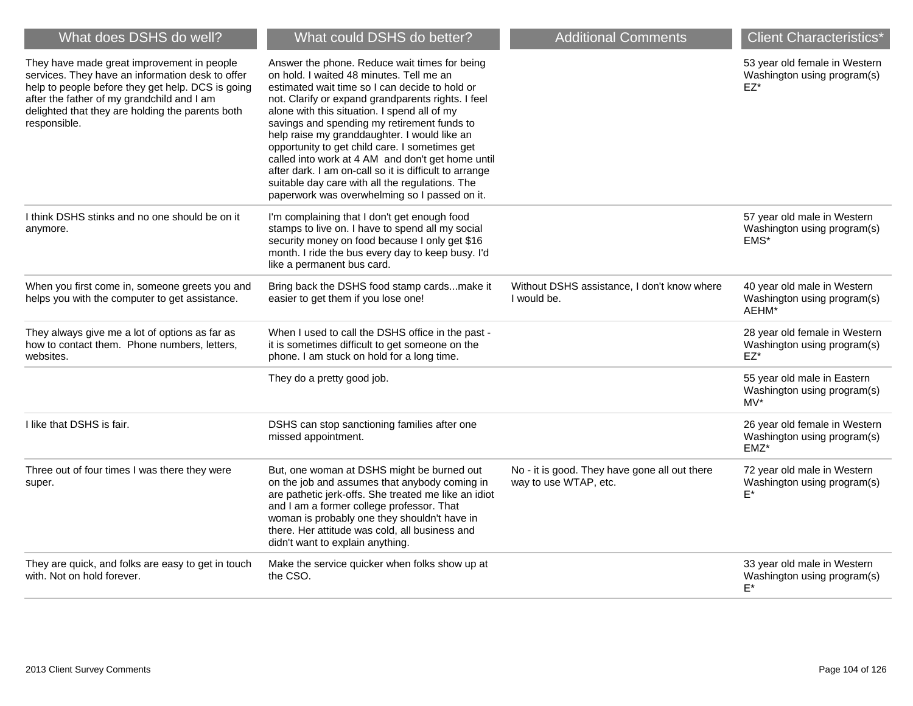| What does DSHS do well?                                                                                                                                                                                                                                               | What could DSHS do better?                                                                                                                                                                                                                                                                                                                                                                                                                                                                                                                                                                                            | <b>Additional Comments</b>                                             | <b>Client Characteristics*</b>                                         |
|-----------------------------------------------------------------------------------------------------------------------------------------------------------------------------------------------------------------------------------------------------------------------|-----------------------------------------------------------------------------------------------------------------------------------------------------------------------------------------------------------------------------------------------------------------------------------------------------------------------------------------------------------------------------------------------------------------------------------------------------------------------------------------------------------------------------------------------------------------------------------------------------------------------|------------------------------------------------------------------------|------------------------------------------------------------------------|
| They have made great improvement in people<br>services. They have an information desk to offer<br>help to people before they get help. DCS is going<br>after the father of my grandchild and I am<br>delighted that they are holding the parents both<br>responsible. | Answer the phone. Reduce wait times for being<br>on hold. I waited 48 minutes. Tell me an<br>estimated wait time so I can decide to hold or<br>not. Clarify or expand grandparents rights. I feel<br>alone with this situation. I spend all of my<br>savings and spending my retirement funds to<br>help raise my granddaughter. I would like an<br>opportunity to get child care. I sometimes get<br>called into work at 4 AM and don't get home until<br>after dark. I am on-call so it is difficult to arrange<br>suitable day care with all the regulations. The<br>paperwork was overwhelming so I passed on it. |                                                                        | 53 year old female in Western<br>Washington using program(s)<br>EZ*    |
| I think DSHS stinks and no one should be on it<br>anymore.                                                                                                                                                                                                            | I'm complaining that I don't get enough food<br>stamps to live on. I have to spend all my social<br>security money on food because I only get \$16<br>month. I ride the bus every day to keep busy. I'd<br>like a permanent bus card.                                                                                                                                                                                                                                                                                                                                                                                 |                                                                        | 57 year old male in Western<br>Washington using program(s)<br>EMS*     |
| When you first come in, someone greets you and<br>helps you with the computer to get assistance.                                                                                                                                                                      | Bring back the DSHS food stamp cardsmake it<br>easier to get them if you lose one!                                                                                                                                                                                                                                                                                                                                                                                                                                                                                                                                    | Without DSHS assistance, I don't know where<br>I would be.             | 40 year old male in Western<br>Washington using program(s)<br>AEHM*    |
| They always give me a lot of options as far as<br>how to contact them. Phone numbers, letters,<br>websites.                                                                                                                                                           | When I used to call the DSHS office in the past -<br>it is sometimes difficult to get someone on the<br>phone. I am stuck on hold for a long time.                                                                                                                                                                                                                                                                                                                                                                                                                                                                    |                                                                        | 28 year old female in Western<br>Washington using program(s)<br>$EZ^*$ |
|                                                                                                                                                                                                                                                                       | They do a pretty good job.                                                                                                                                                                                                                                                                                                                                                                                                                                                                                                                                                                                            |                                                                        | 55 year old male in Eastern<br>Washington using program(s)<br>$MV^*$   |
| I like that DSHS is fair.                                                                                                                                                                                                                                             | DSHS can stop sanctioning families after one<br>missed appointment.                                                                                                                                                                                                                                                                                                                                                                                                                                                                                                                                                   |                                                                        | 26 year old female in Western<br>Washington using program(s)<br>EMZ*   |
| Three out of four times I was there they were<br>super.                                                                                                                                                                                                               | But, one woman at DSHS might be burned out<br>on the job and assumes that anybody coming in<br>are pathetic jerk-offs. She treated me like an idiot<br>and I am a former college professor. That<br>woman is probably one they shouldn't have in<br>there. Her attitude was cold, all business and<br>didn't want to explain anything.                                                                                                                                                                                                                                                                                | No - it is good. They have gone all out there<br>way to use WTAP, etc. | 72 year old male in Western<br>Washington using program(s)<br>E*       |
| They are quick, and folks are easy to get in touch<br>with. Not on hold forever.                                                                                                                                                                                      | Make the service quicker when folks show up at<br>the CSO.                                                                                                                                                                                                                                                                                                                                                                                                                                                                                                                                                            |                                                                        | 33 year old male in Western<br>Washington using program(s)<br>$E^*$    |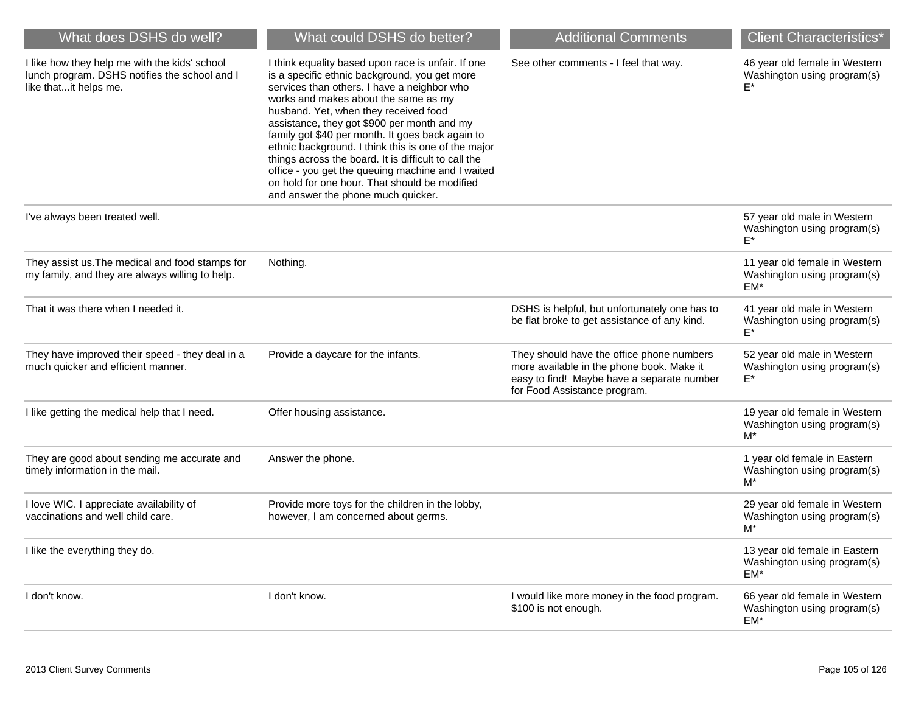| What does DSHS do well?                                                                                                 | What could DSHS do better?                                                                                                                                                                                                                                                                                                                                                                                                                                                                                                                                                                        | <b>Additional Comments</b>                                                                                                                                           | <b>Client Characteristics*</b>                                        |
|-------------------------------------------------------------------------------------------------------------------------|---------------------------------------------------------------------------------------------------------------------------------------------------------------------------------------------------------------------------------------------------------------------------------------------------------------------------------------------------------------------------------------------------------------------------------------------------------------------------------------------------------------------------------------------------------------------------------------------------|----------------------------------------------------------------------------------------------------------------------------------------------------------------------|-----------------------------------------------------------------------|
| I like how they help me with the kids' school<br>lunch program. DSHS notifies the school and I<br>like thatit helps me. | I think equality based upon race is unfair. If one<br>is a specific ethnic background, you get more<br>services than others. I have a neighbor who<br>works and makes about the same as my<br>husband. Yet, when they received food<br>assistance, they got \$900 per month and my<br>family got \$40 per month. It goes back again to<br>ethnic background. I think this is one of the major<br>things across the board. It is difficult to call the<br>office - you get the queuing machine and I waited<br>on hold for one hour. That should be modified<br>and answer the phone much quicker. | See other comments - I feel that way.                                                                                                                                | 46 year old female in Western<br>Washington using program(s)          |
| I've always been treated well.                                                                                          |                                                                                                                                                                                                                                                                                                                                                                                                                                                                                                                                                                                                   |                                                                                                                                                                      | 57 year old male in Western<br>Washington using program(s)<br>F*      |
| They assist us. The medical and food stamps for<br>my family, and they are always willing to help.                      | Nothing.                                                                                                                                                                                                                                                                                                                                                                                                                                                                                                                                                                                          |                                                                                                                                                                      | 11 year old female in Western<br>Washington using program(s)<br>EM*   |
| That it was there when I needed it.                                                                                     |                                                                                                                                                                                                                                                                                                                                                                                                                                                                                                                                                                                                   | DSHS is helpful, but unfortunately one has to<br>be flat broke to get assistance of any kind.                                                                        | 41 year old male in Western<br>Washington using program(s)<br>F*      |
| They have improved their speed - they deal in a<br>much quicker and efficient manner.                                   | Provide a daycare for the infants.                                                                                                                                                                                                                                                                                                                                                                                                                                                                                                                                                                | They should have the office phone numbers<br>more available in the phone book. Make it<br>easy to find! Maybe have a separate number<br>for Food Assistance program. | 52 year old male in Western<br>Washington using program(s)<br>E*      |
| I like getting the medical help that I need.                                                                            | Offer housing assistance.                                                                                                                                                                                                                                                                                                                                                                                                                                                                                                                                                                         |                                                                                                                                                                      | 19 year old female in Western<br>Washington using program(s)<br>$M^*$ |
| They are good about sending me accurate and<br>timely information in the mail.                                          | Answer the phone.                                                                                                                                                                                                                                                                                                                                                                                                                                                                                                                                                                                 |                                                                                                                                                                      | 1 year old female in Eastern<br>Washington using program(s)<br>$M^*$  |
| I love WIC. I appreciate availability of<br>vaccinations and well child care.                                           | Provide more toys for the children in the lobby,<br>however, I am concerned about germs.                                                                                                                                                                                                                                                                                                                                                                                                                                                                                                          |                                                                                                                                                                      | 29 year old female in Western<br>Washington using program(s)<br>M*    |
| I like the everything they do.                                                                                          |                                                                                                                                                                                                                                                                                                                                                                                                                                                                                                                                                                                                   |                                                                                                                                                                      | 13 year old female in Eastern<br>Washington using program(s)<br>EM*   |
| I don't know.                                                                                                           | I don't know.                                                                                                                                                                                                                                                                                                                                                                                                                                                                                                                                                                                     | I would like more money in the food program.<br>\$100 is not enough.                                                                                                 | 66 year old female in Western<br>Washington using program(s)<br>EM*   |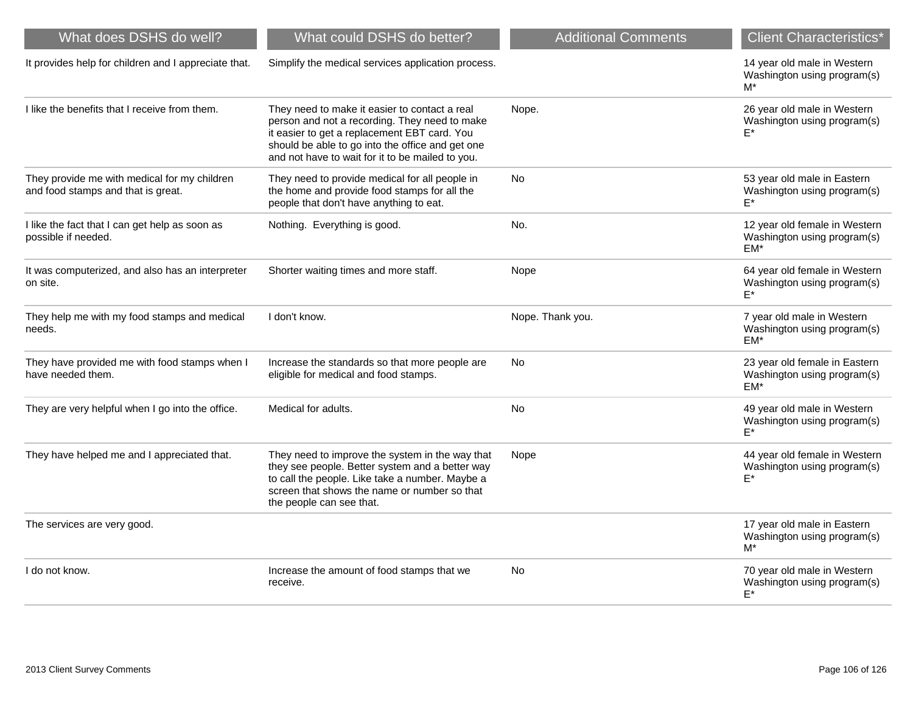| What could DSHS do better?                                                                                                                                                                                                                             | <b>Additional Comments</b> | <b>Client Characteristics*</b>                                        |
|--------------------------------------------------------------------------------------------------------------------------------------------------------------------------------------------------------------------------------------------------------|----------------------------|-----------------------------------------------------------------------|
| Simplify the medical services application process.                                                                                                                                                                                                     |                            | 14 year old male in Western<br>Washington using program(s)<br>$M^*$   |
| They need to make it easier to contact a real<br>person and not a recording. They need to make<br>it easier to get a replacement EBT card. You<br>should be able to go into the office and get one<br>and not have to wait for it to be mailed to you. | Nope.                      | 26 year old male in Western<br>Washington using program(s)<br>E*      |
| They need to provide medical for all people in<br>the home and provide food stamps for all the<br>people that don't have anything to eat.                                                                                                              | <b>No</b>                  | 53 year old male in Eastern<br>Washington using program(s)<br>$F^*$   |
| Nothing. Everything is good.                                                                                                                                                                                                                           | No.                        | 12 year old female in Western<br>Washington using program(s)<br>$EM*$ |
| Shorter waiting times and more staff.                                                                                                                                                                                                                  | Nope                       | 64 year old female in Western<br>Washington using program(s)<br>$F^*$ |
| I don't know.                                                                                                                                                                                                                                          | Nope. Thank you.           | 7 year old male in Western<br>Washington using program(s)<br>$EM*$    |
| Increase the standards so that more people are<br>eligible for medical and food stamps.                                                                                                                                                                | No                         | 23 year old female in Eastern<br>Washington using program(s)<br>$EM*$ |
| Medical for adults.                                                                                                                                                                                                                                    | No                         | 49 year old male in Western<br>Washington using program(s)<br>$F^*$   |
| They need to improve the system in the way that<br>they see people. Better system and a better way<br>to call the people. Like take a number. Maybe a<br>screen that shows the name or number so that<br>the people can see that.                      | Nope                       | 44 year old female in Western<br>Washington using program(s)<br>E*    |
|                                                                                                                                                                                                                                                        |                            | 17 year old male in Eastern<br>Washington using program(s)<br>$M^*$   |
| Increase the amount of food stamps that we<br>receive.                                                                                                                                                                                                 | No                         | 70 year old male in Western<br>Washington using program(s)<br>E*      |
|                                                                                                                                                                                                                                                        |                            |                                                                       |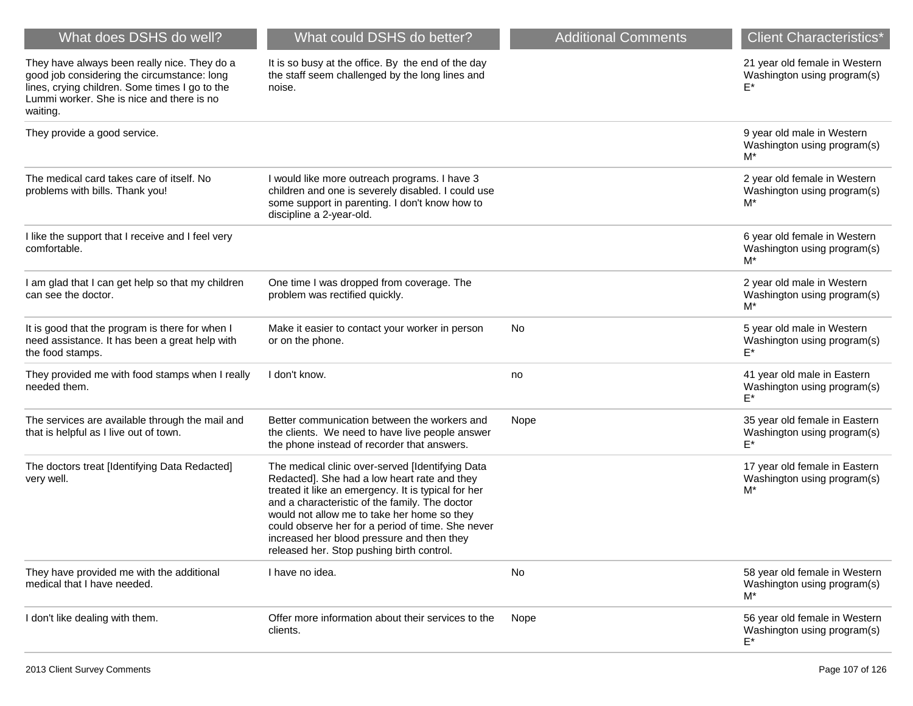| What does DSHS do well?                                                                                                                                                                                | What could DSHS do better?                                                                                                                                                                                                                                                                                                                                                                               | <b>Additional Comments</b> | <b>Client Characteristics*</b>                                        |
|--------------------------------------------------------------------------------------------------------------------------------------------------------------------------------------------------------|----------------------------------------------------------------------------------------------------------------------------------------------------------------------------------------------------------------------------------------------------------------------------------------------------------------------------------------------------------------------------------------------------------|----------------------------|-----------------------------------------------------------------------|
| They have always been really nice. They do a<br>good job considering the circumstance: long<br>lines, crying children. Some times I go to the<br>Lummi worker. She is nice and there is no<br>waiting. | It is so busy at the office. By the end of the day<br>the staff seem challenged by the long lines and<br>noise.                                                                                                                                                                                                                                                                                          |                            | 21 year old female in Western<br>Washington using program(s)          |
| They provide a good service.                                                                                                                                                                           |                                                                                                                                                                                                                                                                                                                                                                                                          |                            | 9 year old male in Western<br>Washington using program(s)<br>M*       |
| The medical card takes care of itself. No<br>problems with bills. Thank you!                                                                                                                           | I would like more outreach programs. I have 3<br>children and one is severely disabled. I could use<br>some support in parenting. I don't know how to<br>discipline a 2-year-old.                                                                                                                                                                                                                        |                            | 2 year old female in Western<br>Washington using program(s)<br>M*     |
| I like the support that I receive and I feel very<br>comfortable.                                                                                                                                      |                                                                                                                                                                                                                                                                                                                                                                                                          |                            | 6 year old female in Western<br>Washington using program(s)<br>M*     |
| I am glad that I can get help so that my children<br>can see the doctor.                                                                                                                               | One time I was dropped from coverage. The<br>problem was rectified quickly.                                                                                                                                                                                                                                                                                                                              |                            | 2 year old male in Western<br>Washington using program(s)<br>M*       |
| It is good that the program is there for when I<br>need assistance. It has been a great help with<br>the food stamps.                                                                                  | Make it easier to contact your worker in person<br>or on the phone.                                                                                                                                                                                                                                                                                                                                      | No                         | 5 year old male in Western<br>Washington using program(s)<br>F*       |
| They provided me with food stamps when I really<br>needed them.                                                                                                                                        | I don't know.                                                                                                                                                                                                                                                                                                                                                                                            | no                         | 41 year old male in Eastern<br>Washington using program(s)<br>F*      |
| The services are available through the mail and<br>that is helpful as I live out of town.                                                                                                              | Better communication between the workers and<br>the clients. We need to have live people answer<br>the phone instead of recorder that answers.                                                                                                                                                                                                                                                           | Nope                       | 35 year old female in Eastern<br>Washington using program(s)<br>E*    |
| The doctors treat [Identifying Data Redacted]<br>very well.                                                                                                                                            | The medical clinic over-served [Identifying Data<br>Redacted]. She had a low heart rate and they<br>treated it like an emergency. It is typical for her<br>and a characteristic of the family. The doctor<br>would not allow me to take her home so they<br>could observe her for a period of time. She never<br>increased her blood pressure and then they<br>released her. Stop pushing birth control. |                            | 17 year old female in Eastern<br>Washington using program(s)<br>M*    |
| They have provided me with the additional<br>medical that I have needed.                                                                                                                               | I have no idea.                                                                                                                                                                                                                                                                                                                                                                                          | No                         | 58 year old female in Western<br>Washington using program(s)<br>$M^*$ |
| I don't like dealing with them.                                                                                                                                                                        | Offer more information about their services to the<br>clients.                                                                                                                                                                                                                                                                                                                                           | Nope                       | 56 year old female in Western<br>Washington using program(s)<br>E*    |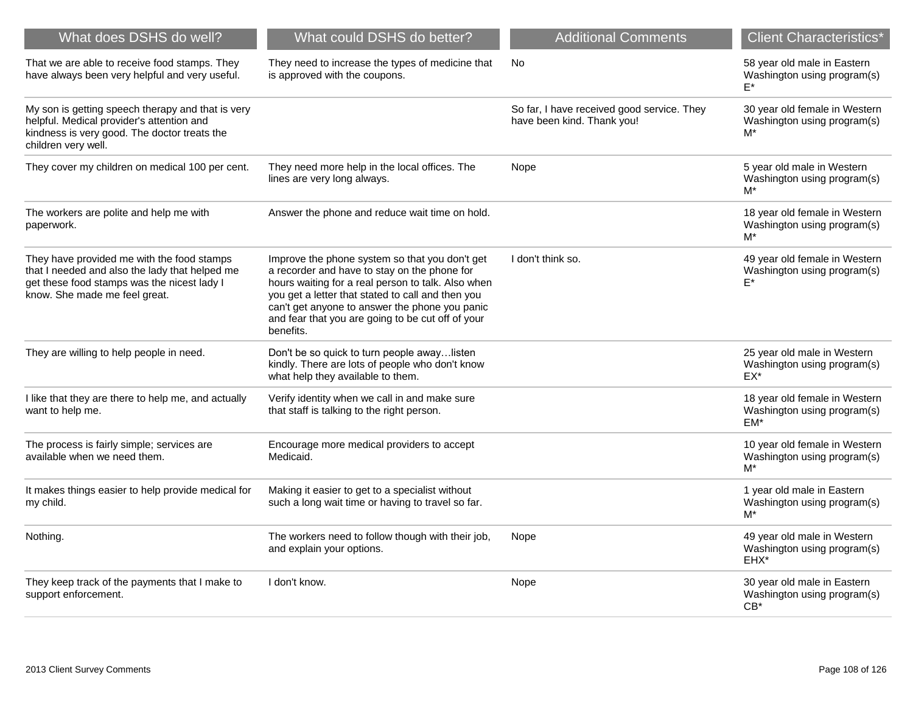| What does DSHS do well?                                                                                                                                                      | What could DSHS do better?                                                                                                                                                                                                                                                                                                    | <b>Additional Comments</b>                                               | <b>Client Characteristics*</b>                                        |
|------------------------------------------------------------------------------------------------------------------------------------------------------------------------------|-------------------------------------------------------------------------------------------------------------------------------------------------------------------------------------------------------------------------------------------------------------------------------------------------------------------------------|--------------------------------------------------------------------------|-----------------------------------------------------------------------|
| That we are able to receive food stamps. They<br>have always been very helpful and very useful.                                                                              | They need to increase the types of medicine that<br>is approved with the coupons.                                                                                                                                                                                                                                             | <b>No</b>                                                                | 58 year old male in Eastern<br>Washington using program(s)<br>F*      |
| My son is getting speech therapy and that is very<br>helpful. Medical provider's attention and<br>kindness is very good. The doctor treats the<br>children very well.        |                                                                                                                                                                                                                                                                                                                               | So far, I have received good service. They<br>have been kind. Thank you! | 30 year old female in Western<br>Washington using program(s)<br>$M^*$ |
| They cover my children on medical 100 per cent.                                                                                                                              | They need more help in the local offices. The<br>lines are very long always.                                                                                                                                                                                                                                                  | Nope                                                                     | 5 year old male in Western<br>Washington using program(s)<br>M*       |
| The workers are polite and help me with<br>paperwork.                                                                                                                        | Answer the phone and reduce wait time on hold.                                                                                                                                                                                                                                                                                |                                                                          | 18 year old female in Western<br>Washington using program(s)<br>M*    |
| They have provided me with the food stamps<br>that I needed and also the lady that helped me<br>get these food stamps was the nicest lady I<br>know. She made me feel great. | Improve the phone system so that you don't get<br>a recorder and have to stay on the phone for<br>hours waiting for a real person to talk. Also when<br>you get a letter that stated to call and then you<br>can't get anyone to answer the phone you panic<br>and fear that you are going to be cut off of your<br>benefits. | I don't think so.                                                        | 49 year old female in Western<br>Washington using program(s)<br>F*    |
| They are willing to help people in need.                                                                                                                                     | Don't be so quick to turn people awaylisten<br>kindly. There are lots of people who don't know<br>what help they available to them.                                                                                                                                                                                           |                                                                          | 25 year old male in Western<br>Washington using program(s)<br>EX*     |
| I like that they are there to help me, and actually<br>want to help me.                                                                                                      | Verify identity when we call in and make sure<br>that staff is talking to the right person.                                                                                                                                                                                                                                   |                                                                          | 18 year old female in Western<br>Washington using program(s)<br>EM*   |
| The process is fairly simple; services are<br>available when we need them.                                                                                                   | Encourage more medical providers to accept<br>Medicaid.                                                                                                                                                                                                                                                                       |                                                                          | 10 year old female in Western<br>Washington using program(s)<br>$M^*$ |
| It makes things easier to help provide medical for<br>my child.                                                                                                              | Making it easier to get to a specialist without<br>such a long wait time or having to travel so far.                                                                                                                                                                                                                          |                                                                          | 1 year old male in Eastern<br>Washington using program(s)<br>M*       |
| Nothing.                                                                                                                                                                     | The workers need to follow though with their job,<br>and explain your options.                                                                                                                                                                                                                                                | Nope                                                                     | 49 year old male in Western<br>Washington using program(s)<br>EHX*    |
| They keep track of the payments that I make to<br>support enforcement.                                                                                                       | I don't know.                                                                                                                                                                                                                                                                                                                 | Nope                                                                     | 30 year old male in Eastern<br>Washington using program(s)<br>$CB^*$  |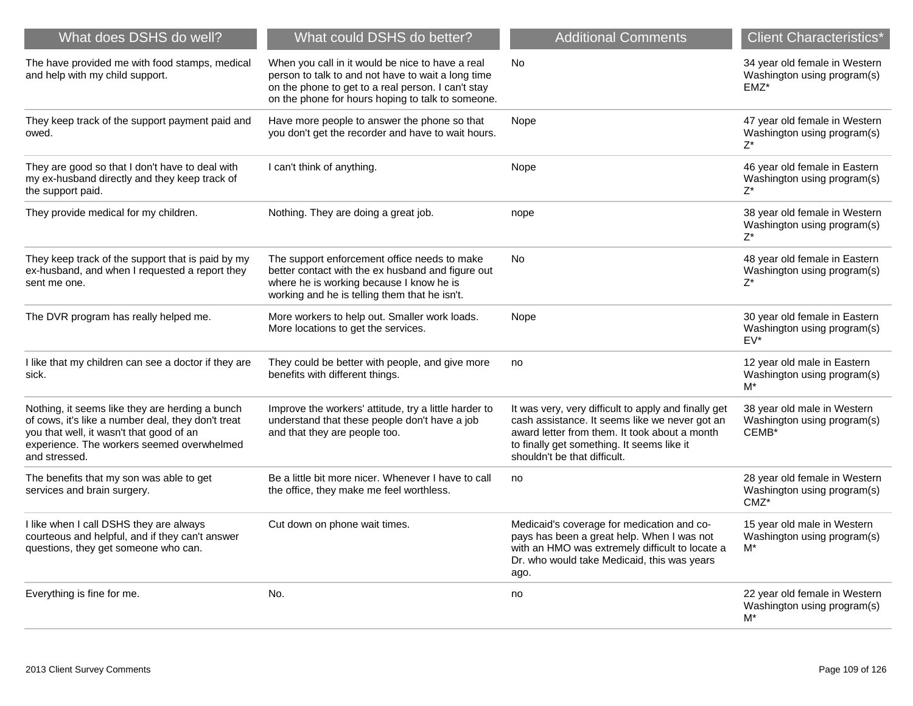| What does DSHS do well?                                                                                                                                                                                          | What could DSHS do better?                                                                                                                                                                                        | <b>Additional Comments</b>                                                                                                                                                                                                            | <b>Client Characteristics*</b>                                          |
|------------------------------------------------------------------------------------------------------------------------------------------------------------------------------------------------------------------|-------------------------------------------------------------------------------------------------------------------------------------------------------------------------------------------------------------------|---------------------------------------------------------------------------------------------------------------------------------------------------------------------------------------------------------------------------------------|-------------------------------------------------------------------------|
| The have provided me with food stamps, medical<br>and help with my child support.                                                                                                                                | When you call in it would be nice to have a real<br>person to talk to and not have to wait a long time<br>on the phone to get to a real person. I can't stay<br>on the phone for hours hoping to talk to someone. | <b>No</b>                                                                                                                                                                                                                             | 34 year old female in Western<br>Washington using program(s)<br>$EMZ^*$ |
| They keep track of the support payment paid and<br>owed.                                                                                                                                                         | Have more people to answer the phone so that<br>you don't get the recorder and have to wait hours.                                                                                                                | Nope                                                                                                                                                                                                                                  | 47 year old female in Western<br>Washington using program(s)<br>$Z^*$   |
| They are good so that I don't have to deal with<br>my ex-husband directly and they keep track of<br>the support paid.                                                                                            | I can't think of anything.                                                                                                                                                                                        | Nope                                                                                                                                                                                                                                  | 46 year old female in Eastern<br>Washington using program(s)<br>$Z^*$   |
| They provide medical for my children.                                                                                                                                                                            | Nothing. They are doing a great job.                                                                                                                                                                              | nope                                                                                                                                                                                                                                  | 38 year old female in Western<br>Washington using program(s)<br>$Z^*$   |
| They keep track of the support that is paid by my<br>ex-husband, and when I requested a report they<br>sent me one.                                                                                              | The support enforcement office needs to make<br>better contact with the ex husband and figure out<br>where he is working because I know he is<br>working and he is telling them that he isn't.                    | No                                                                                                                                                                                                                                    | 48 year old female in Eastern<br>Washington using program(s)<br>$Z^*$   |
| The DVR program has really helped me.                                                                                                                                                                            | More workers to help out. Smaller work loads.<br>More locations to get the services.                                                                                                                              | Nope                                                                                                                                                                                                                                  | 30 year old female in Eastern<br>Washington using program(s)<br>$EV^*$  |
| I like that my children can see a doctor if they are<br>sick.                                                                                                                                                    | They could be better with people, and give more<br>benefits with different things.                                                                                                                                | no                                                                                                                                                                                                                                    | 12 year old male in Eastern<br>Washington using program(s)<br>$M^*$     |
| Nothing, it seems like they are herding a bunch<br>of cows, it's like a number deal, they don't treat<br>you that well, it wasn't that good of an<br>experience. The workers seemed overwhelmed<br>and stressed. | Improve the workers' attitude, try a little harder to<br>understand that these people don't have a job<br>and that they are people too.                                                                           | It was very, very difficult to apply and finally get<br>cash assistance. It seems like we never got an<br>award letter from them. It took about a month<br>to finally get something. It seems like it<br>shouldn't be that difficult. | 38 year old male in Western<br>Washington using program(s)<br>CEMB*     |
| The benefits that my son was able to get<br>services and brain surgery.                                                                                                                                          | Be a little bit more nicer. Whenever I have to call<br>the office, they make me feel worthless.                                                                                                                   | no                                                                                                                                                                                                                                    | 28 year old female in Western<br>Washington using program(s)<br>CMZ*    |
| I like when I call DSHS they are always<br>courteous and helpful, and if they can't answer<br>questions, they get someone who can.                                                                               | Cut down on phone wait times.                                                                                                                                                                                     | Medicaid's coverage for medication and co-<br>pays has been a great help. When I was not<br>with an HMO was extremely difficult to locate a<br>Dr. who would take Medicaid, this was years<br>ago.                                    | 15 year old male in Western<br>Washington using program(s)<br>M*        |
| Everything is fine for me.                                                                                                                                                                                       | No.                                                                                                                                                                                                               | no                                                                                                                                                                                                                                    | 22 year old female in Western<br>Washington using program(s)<br>$M^*$   |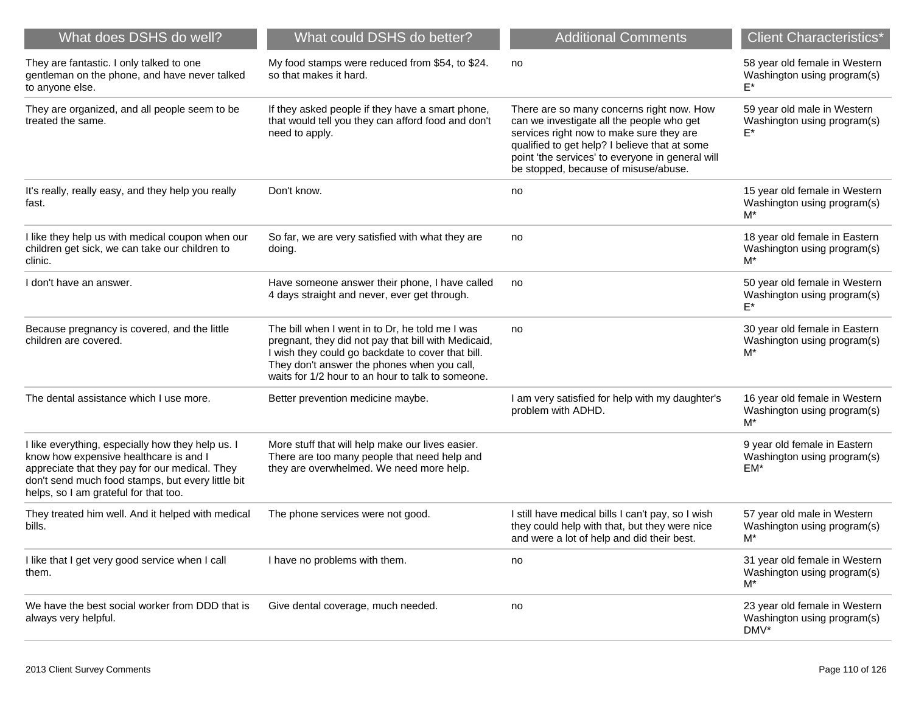| What does DSHS do well?                                                                                                                                                                                                                     | What could DSHS do better?                                                                                                                                                                                                                                      | <b>Additional Comments</b>                                                                                                                                                                                                                                                      | <b>Client Characteristics*</b>                                        |
|---------------------------------------------------------------------------------------------------------------------------------------------------------------------------------------------------------------------------------------------|-----------------------------------------------------------------------------------------------------------------------------------------------------------------------------------------------------------------------------------------------------------------|---------------------------------------------------------------------------------------------------------------------------------------------------------------------------------------------------------------------------------------------------------------------------------|-----------------------------------------------------------------------|
| They are fantastic. I only talked to one<br>gentleman on the phone, and have never talked<br>to anyone else.                                                                                                                                | My food stamps were reduced from \$54, to \$24.<br>so that makes it hard.                                                                                                                                                                                       | no                                                                                                                                                                                                                                                                              | 58 year old female in Western<br>Washington using program(s)          |
| They are organized, and all people seem to be<br>treated the same.                                                                                                                                                                          | If they asked people if they have a smart phone,<br>that would tell you they can afford food and don't<br>need to apply.                                                                                                                                        | There are so many concerns right now. How<br>can we investigate all the people who get<br>services right now to make sure they are<br>qualified to get help? I believe that at some<br>point 'the services' to everyone in general will<br>be stopped, because of misuse/abuse. | 59 year old male in Western<br>Washington using program(s)<br>E*      |
| It's really, really easy, and they help you really<br>fast.                                                                                                                                                                                 | Don't know.                                                                                                                                                                                                                                                     | no                                                                                                                                                                                                                                                                              | 15 year old female in Western<br>Washington using program(s)<br>M*    |
| I like they help us with medical coupon when our<br>children get sick, we can take our children to<br>clinic.                                                                                                                               | So far, we are very satisfied with what they are<br>doing.                                                                                                                                                                                                      | no                                                                                                                                                                                                                                                                              | 18 year old female in Eastern<br>Washington using program(s)<br>$M^*$ |
| I don't have an answer.                                                                                                                                                                                                                     | Have someone answer their phone, I have called<br>4 days straight and never, ever get through.                                                                                                                                                                  | no                                                                                                                                                                                                                                                                              | 50 year old female in Western<br>Washington using program(s)          |
| Because pregnancy is covered, and the little<br>children are covered.                                                                                                                                                                       | The bill when I went in to Dr, he told me I was<br>pregnant, they did not pay that bill with Medicaid,<br>I wish they could go backdate to cover that bill.<br>They don't answer the phones when you call,<br>waits for 1/2 hour to an hour to talk to someone. | no                                                                                                                                                                                                                                                                              | 30 year old female in Eastern<br>Washington using program(s)<br>M*    |
| The dental assistance which I use more.                                                                                                                                                                                                     | Better prevention medicine maybe.                                                                                                                                                                                                                               | I am very satisfied for help with my daughter's<br>problem with ADHD.                                                                                                                                                                                                           | 16 year old female in Western<br>Washington using program(s)<br>$M^*$ |
| I like everything, especially how they help us. I<br>know how expensive healthcare is and I<br>appreciate that they pay for our medical. They<br>don't send much food stamps, but every little bit<br>helps, so I am grateful for that too. | More stuff that will help make our lives easier.<br>There are too many people that need help and<br>they are overwhelmed. We need more help.                                                                                                                    |                                                                                                                                                                                                                                                                                 | 9 year old female in Eastern<br>Washington using program(s)<br>EM*    |
| They treated him well. And it helped with medical<br>bills.                                                                                                                                                                                 | The phone services were not good.                                                                                                                                                                                                                               | I still have medical bills I can't pay, so I wish<br>they could help with that, but they were nice<br>and were a lot of help and did their best.                                                                                                                                | 57 year old male in Western<br>Washington using program(s)<br>M*      |
| I like that I get very good service when I call<br>them.                                                                                                                                                                                    | I have no problems with them.                                                                                                                                                                                                                                   | no                                                                                                                                                                                                                                                                              | 31 year old female in Western<br>Washington using program(s)<br>$M^*$ |
| We have the best social worker from DDD that is<br>always very helpful.                                                                                                                                                                     | Give dental coverage, much needed.                                                                                                                                                                                                                              | no                                                                                                                                                                                                                                                                              | 23 year old female in Western<br>Washington using program(s)<br>DMV*  |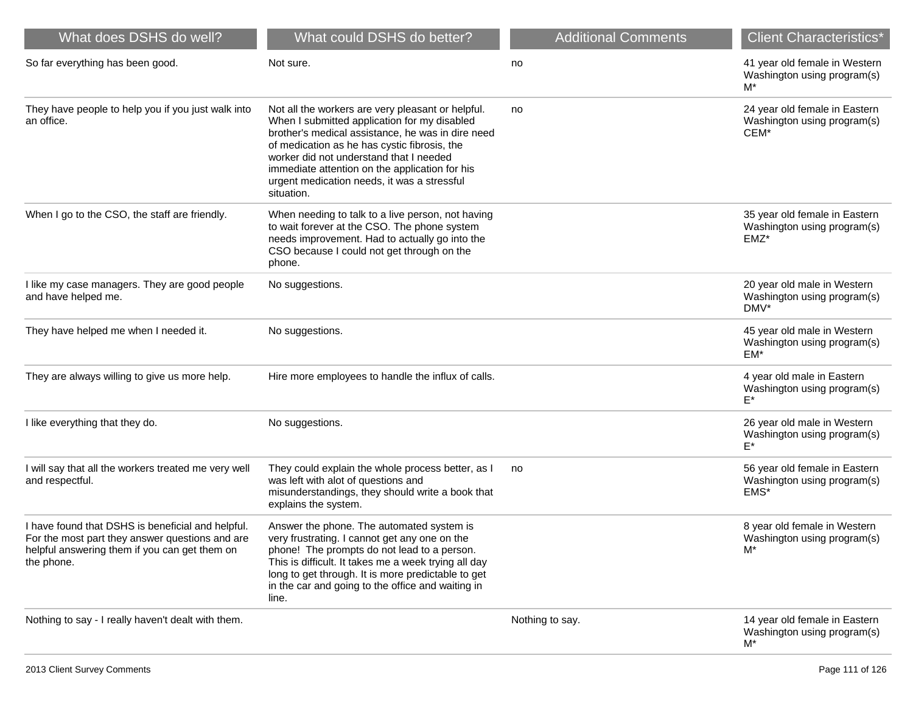| What does DSHS do well?                                                                                                                                             | What could DSHS do better?                                                                                                                                                                                                                                                                                                                                       | <b>Additional Comments</b> | <b>Client Characteristics*</b>                                       |
|---------------------------------------------------------------------------------------------------------------------------------------------------------------------|------------------------------------------------------------------------------------------------------------------------------------------------------------------------------------------------------------------------------------------------------------------------------------------------------------------------------------------------------------------|----------------------------|----------------------------------------------------------------------|
| So far everything has been good.                                                                                                                                    | Not sure.                                                                                                                                                                                                                                                                                                                                                        | no                         | 41 year old female in Western<br>Washington using program(s)<br>M*   |
| They have people to help you if you just walk into<br>an office.                                                                                                    | Not all the workers are very pleasant or helpful.<br>When I submitted application for my disabled<br>brother's medical assistance, he was in dire need<br>of medication as he has cystic fibrosis, the<br>worker did not understand that I needed<br>immediate attention on the application for his<br>urgent medication needs, it was a stressful<br>situation. | no                         | 24 year old female in Eastern<br>Washington using program(s)<br>CEM* |
| When I go to the CSO, the staff are friendly.                                                                                                                       | When needing to talk to a live person, not having<br>to wait forever at the CSO. The phone system<br>needs improvement. Had to actually go into the<br>CSO because I could not get through on the<br>phone.                                                                                                                                                      |                            | 35 year old female in Eastern<br>Washington using program(s)<br>EMZ* |
| I like my case managers. They are good people<br>and have helped me.                                                                                                | No suggestions.                                                                                                                                                                                                                                                                                                                                                  |                            | 20 year old male in Western<br>Washington using program(s)<br>DMV*   |
| They have helped me when I needed it.                                                                                                                               | No suggestions.                                                                                                                                                                                                                                                                                                                                                  |                            | 45 year old male in Western<br>Washington using program(s)<br>EM*    |
| They are always willing to give us more help.                                                                                                                       | Hire more employees to handle the influx of calls.                                                                                                                                                                                                                                                                                                               |                            | 4 year old male in Eastern<br>Washington using program(s)<br>E*      |
| I like everything that they do.                                                                                                                                     | No suggestions.                                                                                                                                                                                                                                                                                                                                                  |                            | 26 year old male in Western<br>Washington using program(s)<br>F*     |
| I will say that all the workers treated me very well<br>and respectful.                                                                                             | They could explain the whole process better, as I<br>was left with alot of questions and<br>misunderstandings, they should write a book that<br>explains the system.                                                                                                                                                                                             | no                         | 56 year old female in Eastern<br>Washington using program(s)<br>EMS* |
| I have found that DSHS is beneficial and helpful.<br>For the most part they answer questions and are<br>helpful answering them if you can get them on<br>the phone. | Answer the phone. The automated system is<br>very frustrating. I cannot get any one on the<br>phone! The prompts do not lead to a person.<br>This is difficult. It takes me a week trying all day<br>long to get through. It is more predictable to get<br>in the car and going to the office and waiting in<br>line.                                            |                            | 8 year old female in Western<br>Washington using program(s)<br>M*    |
| Nothing to say - I really haven't dealt with them.                                                                                                                  |                                                                                                                                                                                                                                                                                                                                                                  | Nothing to say.            | 14 year old female in Eastern<br>Washington using program(s)<br>M*   |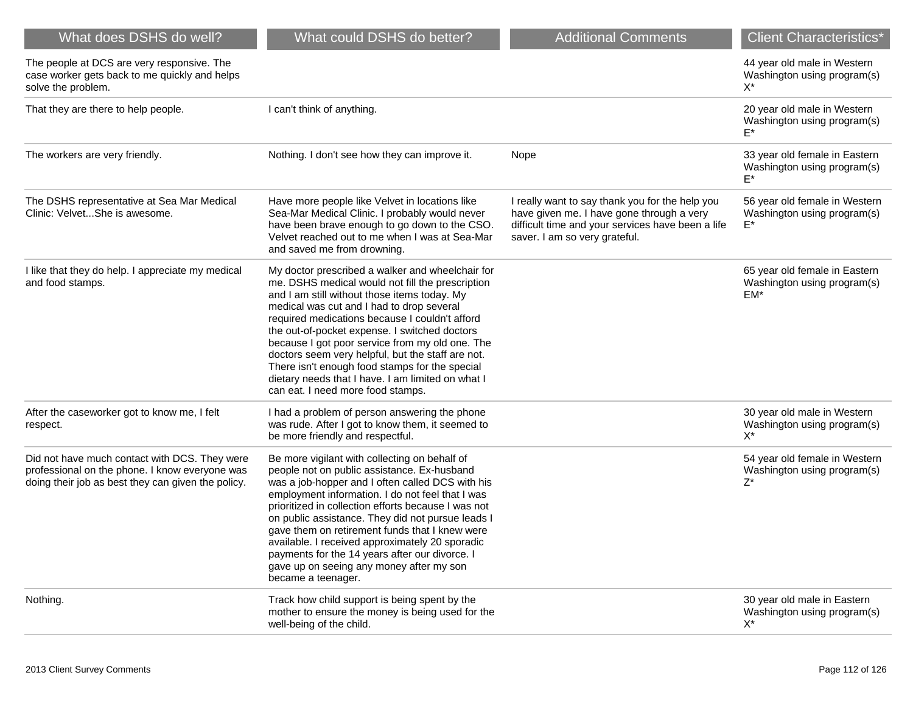| What does DSHS do well?                                                                                                                               | What could DSHS do better?                                                                                                                                                                                                                                                                                                                                                                                                                                                                                                                               | <b>Additional Comments</b>                                                                                                                                                         | <b>Client Characteristics*</b>                                        |
|-------------------------------------------------------------------------------------------------------------------------------------------------------|----------------------------------------------------------------------------------------------------------------------------------------------------------------------------------------------------------------------------------------------------------------------------------------------------------------------------------------------------------------------------------------------------------------------------------------------------------------------------------------------------------------------------------------------------------|------------------------------------------------------------------------------------------------------------------------------------------------------------------------------------|-----------------------------------------------------------------------|
| The people at DCS are very responsive. The<br>case worker gets back to me quickly and helps<br>solve the problem.                                     |                                                                                                                                                                                                                                                                                                                                                                                                                                                                                                                                                          |                                                                                                                                                                                    | 44 year old male in Western<br>Washington using program(s)<br>X*      |
| That they are there to help people.                                                                                                                   | I can't think of anything.                                                                                                                                                                                                                                                                                                                                                                                                                                                                                                                               |                                                                                                                                                                                    | 20 year old male in Western<br>Washington using program(s)<br>E*      |
| The workers are very friendly.                                                                                                                        | Nothing. I don't see how they can improve it.                                                                                                                                                                                                                                                                                                                                                                                                                                                                                                            | Nope                                                                                                                                                                               | 33 year old female in Eastern<br>Washington using program(s)<br>$E^*$ |
| The DSHS representative at Sea Mar Medical<br>Clinic: VelvetShe is awesome.                                                                           | Have more people like Velvet in locations like<br>Sea-Mar Medical Clinic. I probably would never<br>have been brave enough to go down to the CSO.<br>Velvet reached out to me when I was at Sea-Mar<br>and saved me from drowning.                                                                                                                                                                                                                                                                                                                       | I really want to say thank you for the help you<br>have given me. I have gone through a very<br>difficult time and your services have been a life<br>saver. I am so very grateful. | 56 year old female in Western<br>Washington using program(s)<br>E*    |
| I like that they do help. I appreciate my medical<br>and food stamps.                                                                                 | My doctor prescribed a walker and wheelchair for<br>me. DSHS medical would not fill the prescription<br>and I am still without those items today. My<br>medical was cut and I had to drop several<br>required medications because I couldn't afford<br>the out-of-pocket expense. I switched doctors<br>because I got poor service from my old one. The<br>doctors seem very helpful, but the staff are not.<br>There isn't enough food stamps for the special<br>dietary needs that I have. I am limited on what I<br>can eat. I need more food stamps. |                                                                                                                                                                                    | 65 year old female in Eastern<br>Washington using program(s)<br>EM*   |
| After the caseworker got to know me, I felt<br>respect.                                                                                               | I had a problem of person answering the phone<br>was rude. After I got to know them, it seemed to<br>be more friendly and respectful.                                                                                                                                                                                                                                                                                                                                                                                                                    |                                                                                                                                                                                    | 30 year old male in Western<br>Washington using program(s)<br>$X^*$   |
| Did not have much contact with DCS. They were<br>professional on the phone. I know everyone was<br>doing their job as best they can given the policy. | Be more vigilant with collecting on behalf of<br>people not on public assistance. Ex-husband<br>was a job-hopper and I often called DCS with his<br>employment information. I do not feel that I was<br>prioritized in collection efforts because I was not<br>on public assistance. They did not pursue leads I<br>gave them on retirement funds that I knew were<br>available. I received approximately 20 sporadic<br>payments for the 14 years after our divorce. I<br>gave up on seeing any money after my son<br>became a teenager.                |                                                                                                                                                                                    | 54 year old female in Western<br>Washington using program(s)<br>Z*    |
| Nothing.                                                                                                                                              | Track how child support is being spent by the<br>mother to ensure the money is being used for the<br>well-being of the child.                                                                                                                                                                                                                                                                                                                                                                                                                            |                                                                                                                                                                                    | 30 year old male in Eastern<br>Washington using program(s)<br>$X^*$   |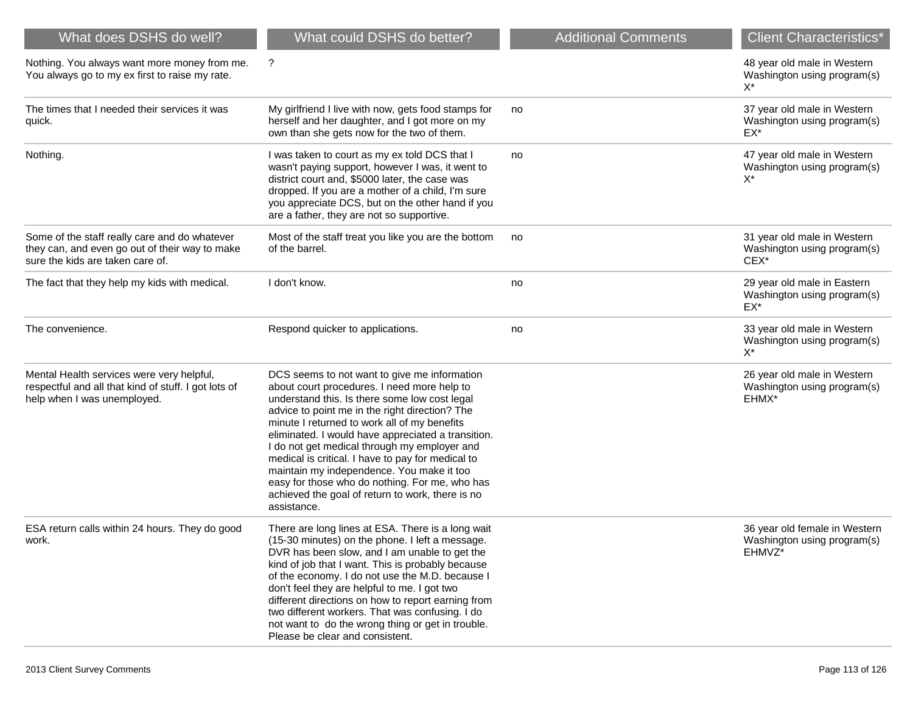| What does DSHS do well?                                                                                                             | What could DSHS do better?                                                                                                                                                                                                                                                                                                                                                                                                                                                                                                                                                  | <b>Additional Comments</b> | <b>Client Characteristics*</b>                                                 |
|-------------------------------------------------------------------------------------------------------------------------------------|-----------------------------------------------------------------------------------------------------------------------------------------------------------------------------------------------------------------------------------------------------------------------------------------------------------------------------------------------------------------------------------------------------------------------------------------------------------------------------------------------------------------------------------------------------------------------------|----------------------------|--------------------------------------------------------------------------------|
| Nothing. You always want more money from me.<br>You always go to my ex first to raise my rate.                                      | ?                                                                                                                                                                                                                                                                                                                                                                                                                                                                                                                                                                           |                            | 48 year old male in Western<br>Washington using program(s)<br>X*               |
| The times that I needed their services it was<br>quick.                                                                             | My girlfriend I live with now, gets food stamps for<br>herself and her daughter, and I got more on my<br>own than she gets now for the two of them.                                                                                                                                                                                                                                                                                                                                                                                                                         | no                         | 37 year old male in Western<br>Washington using program(s)<br>EX*              |
| Nothing.                                                                                                                            | I was taken to court as my ex told DCS that I<br>wasn't paying support, however I was, it went to<br>district court and, \$5000 later, the case was<br>dropped. If you are a mother of a child, I'm sure<br>you appreciate DCS, but on the other hand if you<br>are a father, they are not so supportive.                                                                                                                                                                                                                                                                   | no                         | 47 year old male in Western<br>Washington using program(s)<br>$X^*$            |
| Some of the staff really care and do whatever<br>they can, and even go out of their way to make<br>sure the kids are taken care of. | Most of the staff treat you like you are the bottom<br>of the barrel.                                                                                                                                                                                                                                                                                                                                                                                                                                                                                                       | no                         | 31 year old male in Western<br>Washington using program(s)<br>CEX <sup>*</sup> |
| The fact that they help my kids with medical.                                                                                       | I don't know.                                                                                                                                                                                                                                                                                                                                                                                                                                                                                                                                                               | no                         | 29 year old male in Eastern<br>Washington using program(s)<br>$EX^*$           |
| The convenience.                                                                                                                    | Respond quicker to applications.                                                                                                                                                                                                                                                                                                                                                                                                                                                                                                                                            | no                         | 33 year old male in Western<br>Washington using program(s)<br>$X^*$            |
| Mental Health services were very helpful,<br>respectful and all that kind of stuff. I got lots of<br>help when I was unemployed.    | DCS seems to not want to give me information<br>about court procedures. I need more help to<br>understand this. Is there some low cost legal<br>advice to point me in the right direction? The<br>minute I returned to work all of my benefits<br>eliminated. I would have appreciated a transition.<br>I do not get medical through my employer and<br>medical is critical. I have to pay for medical to<br>maintain my independence. You make it too<br>easy for those who do nothing. For me, who has<br>achieved the goal of return to work, there is no<br>assistance. |                            | 26 year old male in Western<br>Washington using program(s)<br>EHMX*            |
| ESA return calls within 24 hours. They do good<br>work.                                                                             | There are long lines at ESA. There is a long wait<br>(15-30 minutes) on the phone. I left a message.<br>DVR has been slow, and I am unable to get the<br>kind of job that I want. This is probably because<br>of the economy. I do not use the M.D. because I<br>don't feel they are helpful to me. I got two<br>different directions on how to report earning from<br>two different workers. That was confusing. I do<br>not want to do the wrong thing or get in trouble.<br>Please be clear and consistent.                                                              |                            | 36 year old female in Western<br>Washington using program(s)<br>EHMVZ*         |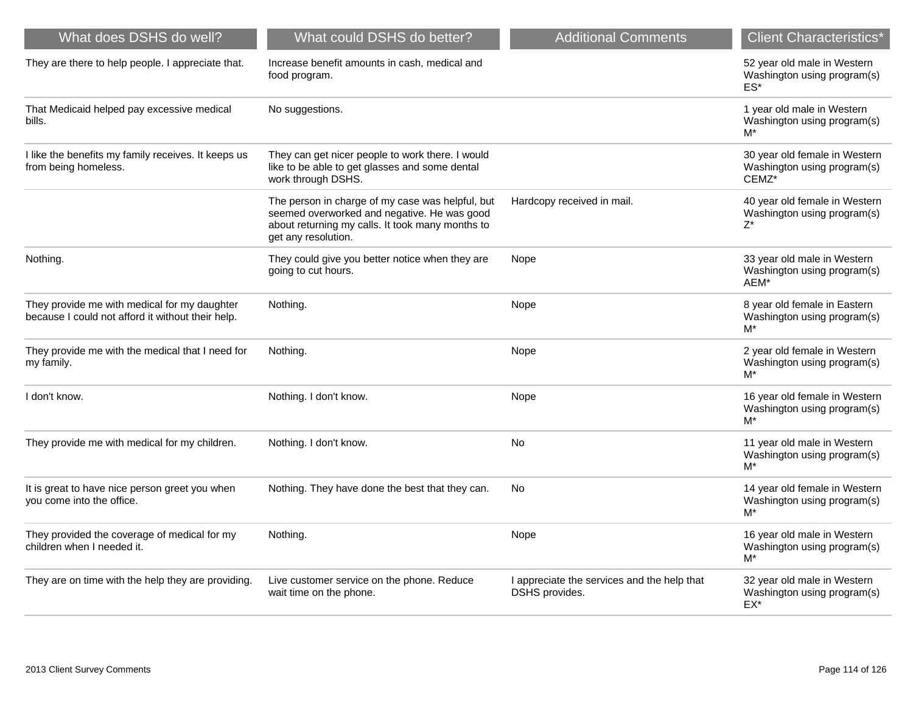| What does DSHS do well?                                                                           | What could DSHS do better?                                                                                                                                                 | <b>Additional Comments</b>                                    | <b>Client Characteristics*</b>                                        |
|---------------------------------------------------------------------------------------------------|----------------------------------------------------------------------------------------------------------------------------------------------------------------------------|---------------------------------------------------------------|-----------------------------------------------------------------------|
| They are there to help people. I appreciate that.                                                 | Increase benefit amounts in cash, medical and<br>food program.                                                                                                             |                                                               | 52 year old male in Western<br>Washington using program(s)<br>$ES^*$  |
| That Medicaid helped pay excessive medical<br>bills.                                              | No suggestions.                                                                                                                                                            |                                                               | 1 year old male in Western<br>Washington using program(s)<br>M*       |
| I like the benefits my family receives. It keeps us<br>from being homeless.                       | They can get nicer people to work there. I would<br>like to be able to get glasses and some dental<br>work through DSHS.                                                   |                                                               | 30 year old female in Western<br>Washington using program(s)<br>CEMZ* |
|                                                                                                   | The person in charge of my case was helpful, but<br>seemed overworked and negative. He was good<br>about returning my calls. It took many months to<br>get any resolution. | Hardcopy received in mail.                                    | 40 year old female in Western<br>Washington using program(s)<br>Z*    |
| Nothing.                                                                                          | They could give you better notice when they are<br>going to cut hours.                                                                                                     | Nope                                                          | 33 year old male in Western<br>Washington using program(s)<br>AEM*    |
| They provide me with medical for my daughter<br>because I could not afford it without their help. | Nothing.                                                                                                                                                                   | Nope                                                          | 8 year old female in Eastern<br>Washington using program(s)<br>M*     |
| They provide me with the medical that I need for<br>my family.                                    | Nothing.                                                                                                                                                                   | Nope                                                          | 2 year old female in Western<br>Washington using program(s)<br>M*     |
| I don't know.                                                                                     | Nothing. I don't know.                                                                                                                                                     | Nope                                                          | 16 year old female in Western<br>Washington using program(s)<br>$M^*$ |
| They provide me with medical for my children.                                                     | Nothing. I don't know.                                                                                                                                                     | <b>No</b>                                                     | 11 year old male in Western<br>Washington using program(s)<br>M*      |
| It is great to have nice person greet you when<br>you come into the office.                       | Nothing. They have done the best that they can.                                                                                                                            | No.                                                           | 14 year old female in Western<br>Washington using program(s)<br>$M^*$ |
| They provided the coverage of medical for my<br>children when I needed it.                        | Nothing.                                                                                                                                                                   | Nope                                                          | 16 year old male in Western<br>Washington using program(s)<br>$M^*$   |
| They are on time with the help they are providing.                                                | Live customer service on the phone. Reduce<br>wait time on the phone.                                                                                                      | I appreciate the services and the help that<br>DSHS provides. | 32 year old male in Western<br>Washington using program(s)<br>EX*     |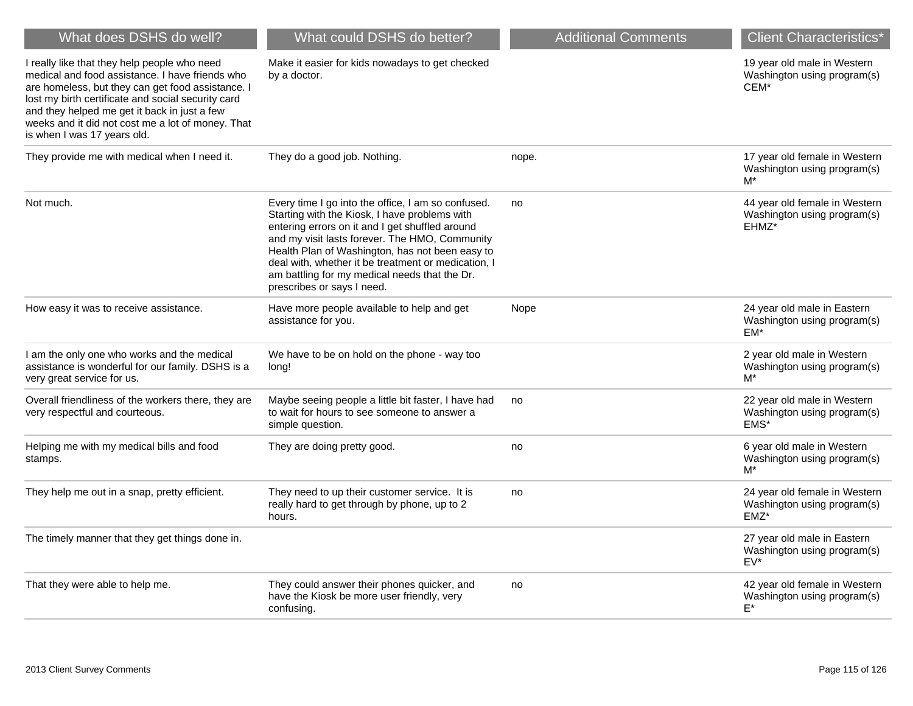| What does DSHS do well?                                                                                                                                                                                                                                                                                                                        | What could DSHS do better?                                                                                                                                                                                                                                                                                                                                                                        | <b>Additional Comments</b> | <b>Client Characteristics*</b>                                        |
|------------------------------------------------------------------------------------------------------------------------------------------------------------------------------------------------------------------------------------------------------------------------------------------------------------------------------------------------|---------------------------------------------------------------------------------------------------------------------------------------------------------------------------------------------------------------------------------------------------------------------------------------------------------------------------------------------------------------------------------------------------|----------------------------|-----------------------------------------------------------------------|
| I really like that they help people who need<br>medical and food assistance. I have friends who<br>are homeless, but they can get food assistance. I<br>lost my birth certificate and social security card<br>and they helped me get it back in just a few<br>weeks and it did not cost me a lot of money. That<br>is when I was 17 years old. | Make it easier for kids nowadays to get checked<br>by a doctor.                                                                                                                                                                                                                                                                                                                                   |                            | 19 year old male in Western<br>Washington using program(s)<br>CEM*    |
| They provide me with medical when I need it.                                                                                                                                                                                                                                                                                                   | They do a good job. Nothing.                                                                                                                                                                                                                                                                                                                                                                      | nope.                      | 17 year old female in Western<br>Washington using program(s)<br>M*    |
| Not much.                                                                                                                                                                                                                                                                                                                                      | Every time I go into the office, I am so confused.<br>Starting with the Kiosk, I have problems with<br>entering errors on it and I get shuffled around<br>and my visit lasts forever. The HMO, Community<br>Health Plan of Washington, has not been easy to<br>deal with, whether it be treatment or medication, I<br>am battling for my medical needs that the Dr.<br>prescribes or says I need. | no                         | 44 year old female in Western<br>Washington using program(s)<br>EHMZ* |
| How easy it was to receive assistance.                                                                                                                                                                                                                                                                                                         | Have more people available to help and get<br>assistance for you.                                                                                                                                                                                                                                                                                                                                 | Nope                       | 24 year old male in Eastern<br>Washington using program(s)<br>$EM*$   |
| I am the only one who works and the medical<br>assistance is wonderful for our family. DSHS is a<br>very great service for us.                                                                                                                                                                                                                 | We have to be on hold on the phone - way too<br>long!                                                                                                                                                                                                                                                                                                                                             |                            | 2 year old male in Western<br>Washington using program(s)<br>M*       |
| Overall friendliness of the workers there, they are<br>very respectful and courteous.                                                                                                                                                                                                                                                          | Maybe seeing people a little bit faster, I have had<br>to wait for hours to see someone to answer a<br>simple question.                                                                                                                                                                                                                                                                           | no                         | 22 year old male in Western<br>Washington using program(s)<br>EMS*    |
| Helping me with my medical bills and food<br>stamps.                                                                                                                                                                                                                                                                                           | They are doing pretty good.                                                                                                                                                                                                                                                                                                                                                                       | no                         | 6 year old male in Western<br>Washington using program(s)<br>M*       |
| They help me out in a snap, pretty efficient.                                                                                                                                                                                                                                                                                                  | They need to up their customer service. It is<br>really hard to get through by phone, up to 2<br>hours.                                                                                                                                                                                                                                                                                           | no                         | 24 year old female in Western<br>Washington using program(s)<br>EMZ*  |
| The timely manner that they get things done in.                                                                                                                                                                                                                                                                                                |                                                                                                                                                                                                                                                                                                                                                                                                   |                            | 27 year old male in Eastern<br>Washington using program(s)<br>EV*     |
| That they were able to help me.                                                                                                                                                                                                                                                                                                                | They could answer their phones quicker, and<br>have the Kiosk be more user friendly, very<br>confusing.                                                                                                                                                                                                                                                                                           | no                         | 42 year old female in Western<br>Washington using program(s)<br>E*    |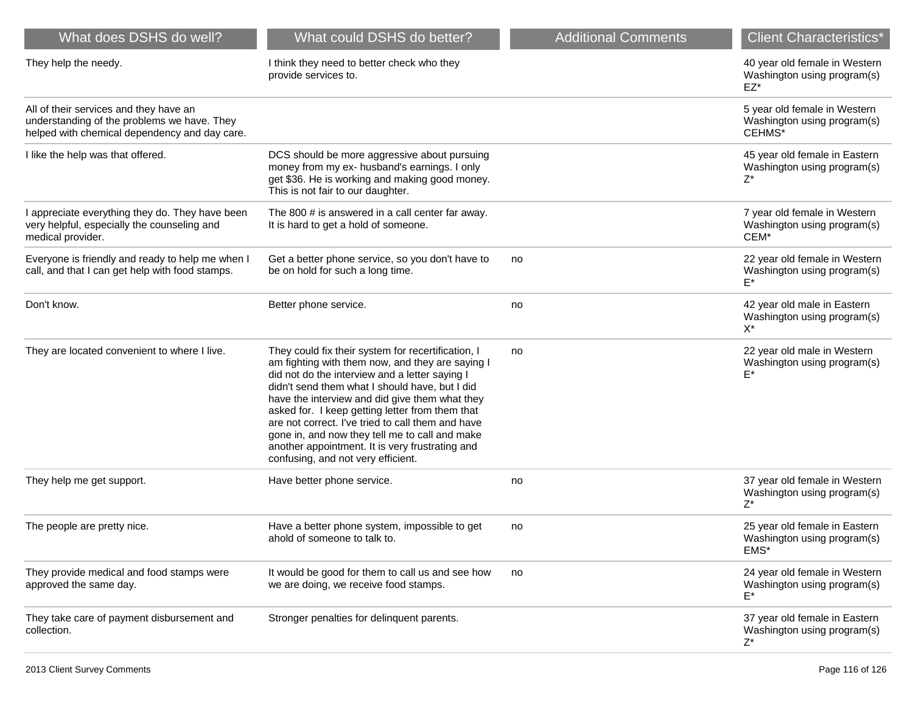| What does DSHS do well?                                                                                                                | What could DSHS do better?                                                                                                                                                                                                                                                                                                                                                                                                                                                                                      | <b>Additional Comments</b> | <b>Client Characteristics*</b>                                        |
|----------------------------------------------------------------------------------------------------------------------------------------|-----------------------------------------------------------------------------------------------------------------------------------------------------------------------------------------------------------------------------------------------------------------------------------------------------------------------------------------------------------------------------------------------------------------------------------------------------------------------------------------------------------------|----------------------------|-----------------------------------------------------------------------|
| They help the needy.                                                                                                                   | I think they need to better check who they<br>provide services to.                                                                                                                                                                                                                                                                                                                                                                                                                                              |                            | 40 year old female in Western<br>Washington using program(s)<br>EZ*   |
| All of their services and they have an<br>understanding of the problems we have. They<br>helped with chemical dependency and day care. |                                                                                                                                                                                                                                                                                                                                                                                                                                                                                                                 |                            | 5 year old female in Western<br>Washington using program(s)<br>CEHMS* |
| I like the help was that offered.                                                                                                      | DCS should be more aggressive about pursuing<br>money from my ex- husband's earnings. I only<br>get \$36. He is working and making good money.<br>This is not fair to our daughter.                                                                                                                                                                                                                                                                                                                             |                            | 45 year old female in Eastern<br>Washington using program(s)<br>Z*    |
| appreciate everything they do. They have been<br>very helpful, especially the counseling and<br>medical provider.                      | The 800 # is answered in a call center far away.<br>It is hard to get a hold of someone.                                                                                                                                                                                                                                                                                                                                                                                                                        |                            | 7 year old female in Western<br>Washington using program(s)<br>CEM*   |
| Everyone is friendly and ready to help me when I<br>call, and that I can get help with food stamps.                                    | Get a better phone service, so you don't have to<br>be on hold for such a long time.                                                                                                                                                                                                                                                                                                                                                                                                                            | no                         | 22 year old female in Western<br>Washington using program(s)<br>F*    |
| Don't know.                                                                                                                            | Better phone service.                                                                                                                                                                                                                                                                                                                                                                                                                                                                                           | no                         | 42 year old male in Eastern<br>Washington using program(s)<br>X*      |
| They are located convenient to where I live.                                                                                           | They could fix their system for recertification, I<br>am fighting with them now, and they are saying I<br>did not do the interview and a letter saying I<br>didn't send them what I should have, but I did<br>have the interview and did give them what they<br>asked for. I keep getting letter from them that<br>are not correct. I've tried to call them and have<br>gone in, and now they tell me to call and make<br>another appointment. It is very frustrating and<br>confusing, and not very efficient. | no                         | 22 year old male in Western<br>Washington using program(s)            |
| They help me get support.                                                                                                              | Have better phone service.                                                                                                                                                                                                                                                                                                                                                                                                                                                                                      | no                         | 37 year old female in Western<br>Washington using program(s)<br>Z*    |
| The people are pretty nice.                                                                                                            | Have a better phone system, impossible to get<br>ahold of someone to talk to.                                                                                                                                                                                                                                                                                                                                                                                                                                   | no                         | 25 year old female in Eastern<br>Washington using program(s)<br>EMS*  |
| They provide medical and food stamps were<br>approved the same day.                                                                    | It would be good for them to call us and see how<br>we are doing, we receive food stamps.                                                                                                                                                                                                                                                                                                                                                                                                                       | no                         | 24 year old female in Western<br>Washington using program(s)<br>$E^*$ |
| They take care of payment disbursement and<br>collection.                                                                              | Stronger penalties for delinquent parents.                                                                                                                                                                                                                                                                                                                                                                                                                                                                      |                            | 37 year old female in Eastern<br>Washington using program(s)<br>Z*    |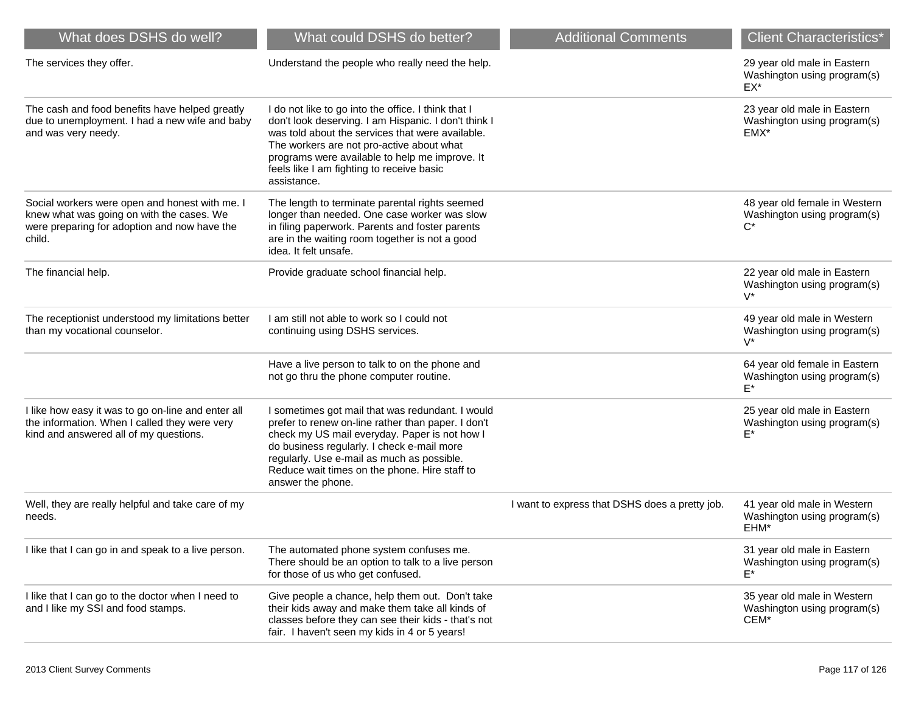| What does DSHS do well?                                                                                                                               | What could DSHS do better?                                                                                                                                                                                                                                                                                                 | <b>Additional Comments</b>                     | <b>Client Characteristics*</b>                                      |
|-------------------------------------------------------------------------------------------------------------------------------------------------------|----------------------------------------------------------------------------------------------------------------------------------------------------------------------------------------------------------------------------------------------------------------------------------------------------------------------------|------------------------------------------------|---------------------------------------------------------------------|
| The services they offer.                                                                                                                              | Understand the people who really need the help.                                                                                                                                                                                                                                                                            |                                                | 29 year old male in Eastern<br>Washington using program(s)<br>EX*   |
| The cash and food benefits have helped greatly<br>due to unemployment. I had a new wife and baby<br>and was very needy.                               | I do not like to go into the office. I think that I<br>don't look deserving. I am Hispanic. I don't think I<br>was told about the services that were available.<br>The workers are not pro-active about what<br>programs were available to help me improve. It<br>feels like I am fighting to receive basic<br>assistance. |                                                | 23 year old male in Eastern<br>Washington using program(s)<br>EMX*  |
| Social workers were open and honest with me. I<br>knew what was going on with the cases. We<br>were preparing for adoption and now have the<br>child. | The length to terminate parental rights seemed<br>longer than needed. One case worker was slow<br>in filing paperwork. Parents and foster parents<br>are in the waiting room together is not a good<br>idea. It felt unsafe.                                                                                               |                                                | 48 year old female in Western<br>Washington using program(s)        |
| The financial help.                                                                                                                                   | Provide graduate school financial help.                                                                                                                                                                                                                                                                                    |                                                | 22 year old male in Eastern<br>Washington using program(s)<br>$V^*$ |
| The receptionist understood my limitations better<br>than my vocational counselor.                                                                    | I am still not able to work so I could not<br>continuing using DSHS services.                                                                                                                                                                                                                                              |                                                | 49 year old male in Western<br>Washington using program(s)<br>$V^*$ |
|                                                                                                                                                       | Have a live person to talk to on the phone and<br>not go thru the phone computer routine.                                                                                                                                                                                                                                  |                                                | 64 year old female in Eastern<br>Washington using program(s)<br>F*  |
| I like how easy it was to go on-line and enter all<br>the information. When I called they were very<br>kind and answered all of my questions.         | I sometimes got mail that was redundant. I would<br>prefer to renew on-line rather than paper. I don't<br>check my US mail everyday. Paper is not how I<br>do business regularly. I check e-mail more<br>regularly. Use e-mail as much as possible.<br>Reduce wait times on the phone. Hire staff to<br>answer the phone.  |                                                | 25 year old male in Eastern<br>Washington using program(s)<br>F*    |
| Well, they are really helpful and take care of my<br>needs.                                                                                           |                                                                                                                                                                                                                                                                                                                            | I want to express that DSHS does a pretty job. | 41 year old male in Western<br>Washington using program(s)<br>EHM*  |
| I like that I can go in and speak to a live person.                                                                                                   | The automated phone system confuses me.<br>There should be an option to talk to a live person<br>for those of us who get confused.                                                                                                                                                                                         |                                                | 31 year old male in Eastern<br>Washington using program(s)<br>E*    |
| I like that I can go to the doctor when I need to<br>and I like my SSI and food stamps.                                                               | Give people a chance, help them out. Don't take<br>their kids away and make them take all kinds of<br>classes before they can see their kids - that's not<br>fair. I haven't seen my kids in 4 or 5 years!                                                                                                                 |                                                | 35 year old male in Western<br>Washington using program(s)<br>CEM*  |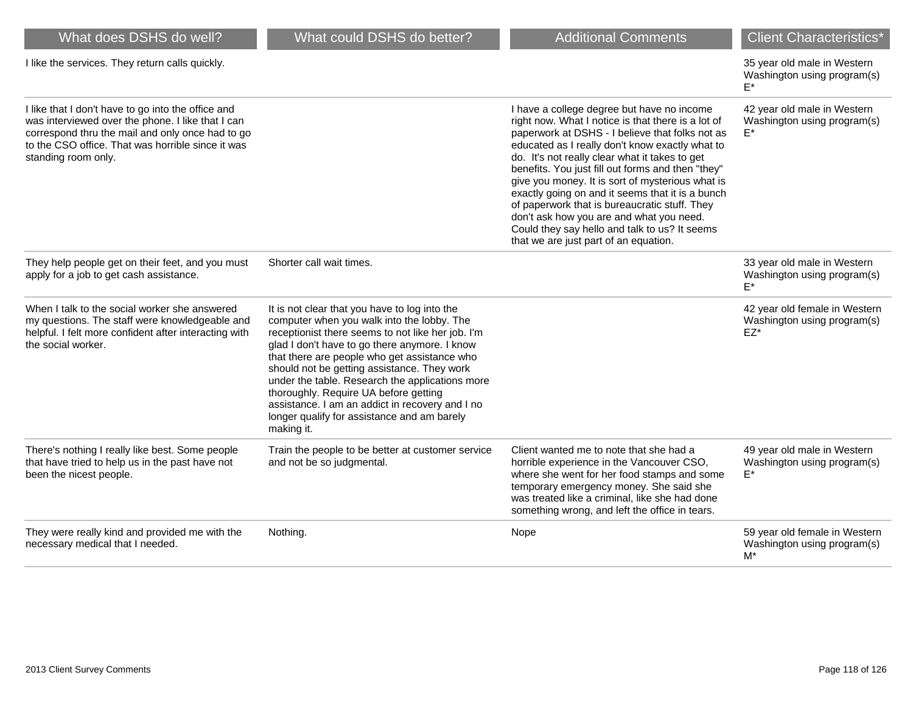| What does DSHS do well?                                                                                                                                                                                                                 | What could DSHS do better?                                                                                                                                                                                                                                                                                                                                                                                                                                                                                   | <b>Additional Comments</b>                                                                                                                                                                                                                                                                                                                                                                                                                                                                                                                                                                                   | <b>Client Characteristics*</b>                                         |
|-----------------------------------------------------------------------------------------------------------------------------------------------------------------------------------------------------------------------------------------|--------------------------------------------------------------------------------------------------------------------------------------------------------------------------------------------------------------------------------------------------------------------------------------------------------------------------------------------------------------------------------------------------------------------------------------------------------------------------------------------------------------|--------------------------------------------------------------------------------------------------------------------------------------------------------------------------------------------------------------------------------------------------------------------------------------------------------------------------------------------------------------------------------------------------------------------------------------------------------------------------------------------------------------------------------------------------------------------------------------------------------------|------------------------------------------------------------------------|
| I like the services. They return calls quickly.                                                                                                                                                                                         |                                                                                                                                                                                                                                                                                                                                                                                                                                                                                                              |                                                                                                                                                                                                                                                                                                                                                                                                                                                                                                                                                                                                              | 35 year old male in Western<br>Washington using program(s)<br>F*       |
| I like that I don't have to go into the office and<br>was interviewed over the phone. I like that I can<br>correspond thru the mail and only once had to go<br>to the CSO office. That was horrible since it was<br>standing room only. |                                                                                                                                                                                                                                                                                                                                                                                                                                                                                                              | I have a college degree but have no income<br>right now. What I notice is that there is a lot of<br>paperwork at DSHS - I believe that folks not as<br>educated as I really don't know exactly what to<br>do. It's not really clear what it takes to get<br>benefits. You just fill out forms and then "they"<br>give you money. It is sort of mysterious what is<br>exactly going on and it seems that it is a bunch<br>of paperwork that is bureaucratic stuff. They<br>don't ask how you are and what you need.<br>Could they say hello and talk to us? It seems<br>that we are just part of an equation. | 42 year old male in Western<br>Washington using program(s)<br>F*       |
| They help people get on their feet, and you must<br>apply for a job to get cash assistance.                                                                                                                                             | Shorter call wait times.                                                                                                                                                                                                                                                                                                                                                                                                                                                                                     |                                                                                                                                                                                                                                                                                                                                                                                                                                                                                                                                                                                                              | 33 year old male in Western<br>Washington using program(s)<br>F*       |
| When I talk to the social worker she answered<br>my questions. The staff were knowledgeable and<br>helpful. I felt more confident after interacting with<br>the social worker.                                                          | It is not clear that you have to log into the<br>computer when you walk into the lobby. The<br>receptionist there seems to not like her job. I'm<br>glad I don't have to go there anymore. I know<br>that there are people who get assistance who<br>should not be getting assistance. They work<br>under the table. Research the applications more<br>thoroughly. Require UA before getting<br>assistance. I am an addict in recovery and I no<br>longer qualify for assistance and am barely<br>making it. |                                                                                                                                                                                                                                                                                                                                                                                                                                                                                                                                                                                                              | 42 year old female in Western<br>Washington using program(s)<br>$EZ^*$ |
| There's nothing I really like best. Some people<br>that have tried to help us in the past have not<br>been the nicest people.                                                                                                           | Train the people to be better at customer service<br>and not be so judgmental.                                                                                                                                                                                                                                                                                                                                                                                                                               | Client wanted me to note that she had a<br>horrible experience in the Vancouver CSO,<br>where she went for her food stamps and some<br>temporary emergency money. She said she<br>was treated like a criminal, like she had done<br>something wrong, and left the office in tears.                                                                                                                                                                                                                                                                                                                           | 49 year old male in Western<br>Washington using program(s)<br>E*       |
| They were really kind and provided me with the<br>necessary medical that I needed.                                                                                                                                                      | Nothing.                                                                                                                                                                                                                                                                                                                                                                                                                                                                                                     | Nope                                                                                                                                                                                                                                                                                                                                                                                                                                                                                                                                                                                                         | 59 year old female in Western<br>Washington using program(s)<br>$M^*$  |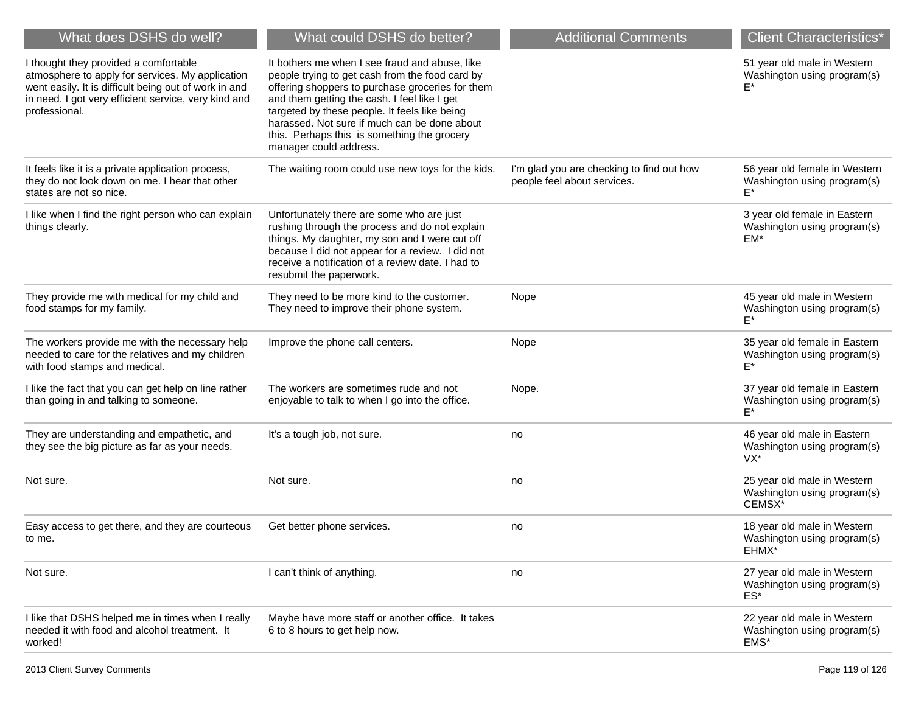| What does DSHS do well?                                                                                                                                                                                                     | What could DSHS do better?                                                                                                                                                                                                                                                                                                                                                      | <b>Additional Comments</b>                                               | <b>Client Characteristics*</b>                                       |
|-----------------------------------------------------------------------------------------------------------------------------------------------------------------------------------------------------------------------------|---------------------------------------------------------------------------------------------------------------------------------------------------------------------------------------------------------------------------------------------------------------------------------------------------------------------------------------------------------------------------------|--------------------------------------------------------------------------|----------------------------------------------------------------------|
| I thought they provided a comfortable<br>atmosphere to apply for services. My application<br>went easily. It is difficult being out of work in and<br>in need. I got very efficient service, very kind and<br>professional. | It bothers me when I see fraud and abuse, like<br>people trying to get cash from the food card by<br>offering shoppers to purchase groceries for them<br>and them getting the cash. I feel like I get<br>targeted by these people. It feels like being<br>harassed. Not sure if much can be done about<br>this. Perhaps this is something the grocery<br>manager could address. |                                                                          | 51 year old male in Western<br>Washington using program(s)           |
| It feels like it is a private application process,<br>they do not look down on me. I hear that other<br>states are not so nice.                                                                                             | The waiting room could use new toys for the kids.                                                                                                                                                                                                                                                                                                                               | I'm glad you are checking to find out how<br>people feel about services. | 56 year old female in Western<br>Washington using program(s)<br>E*   |
| I like when I find the right person who can explain<br>things clearly.                                                                                                                                                      | Unfortunately there are some who are just<br>rushing through the process and do not explain<br>things. My daughter, my son and I were cut off<br>because I did not appear for a review. I did not<br>receive a notification of a review date. I had to<br>resubmit the paperwork.                                                                                               |                                                                          | 3 year old female in Eastern<br>Washington using program(s)<br>EM*   |
| They provide me with medical for my child and<br>food stamps for my family.                                                                                                                                                 | They need to be more kind to the customer.<br>They need to improve their phone system.                                                                                                                                                                                                                                                                                          | Nope                                                                     | 45 year old male in Western<br>Washington using program(s)<br>F*     |
| The workers provide me with the necessary help<br>needed to care for the relatives and my children<br>with food stamps and medical.                                                                                         | Improve the phone call centers.                                                                                                                                                                                                                                                                                                                                                 | Nope                                                                     | 35 year old female in Eastern<br>Washington using program(s)<br>E*   |
| I like the fact that you can get help on line rather<br>than going in and talking to someone.                                                                                                                               | The workers are sometimes rude and not<br>enjoyable to talk to when I go into the office.                                                                                                                                                                                                                                                                                       | Nope.                                                                    | 37 year old female in Eastern<br>Washington using program(s)<br>E*   |
| They are understanding and empathetic, and<br>they see the big picture as far as your needs.                                                                                                                                | It's a tough job, not sure.                                                                                                                                                                                                                                                                                                                                                     | no                                                                       | 46 year old male in Eastern<br>Washington using program(s)<br>VX*    |
| Not sure.                                                                                                                                                                                                                   | Not sure.                                                                                                                                                                                                                                                                                                                                                                       | no                                                                       | 25 year old male in Western<br>Washington using program(s)<br>CEMSX* |
| Easy access to get there, and they are courteous<br>to me.                                                                                                                                                                  | Get better phone services.                                                                                                                                                                                                                                                                                                                                                      | no                                                                       | 18 year old male in Western<br>Washington using program(s)<br>EHMX*  |
| Not sure.                                                                                                                                                                                                                   | I can't think of anything.                                                                                                                                                                                                                                                                                                                                                      | no                                                                       | 27 year old male in Western<br>Washington using program(s)<br>ES*    |
| I like that DSHS helped me in times when I really<br>needed it with food and alcohol treatment. It<br>worked!                                                                                                               | Maybe have more staff or another office. It takes<br>6 to 8 hours to get help now.                                                                                                                                                                                                                                                                                              |                                                                          | 22 year old male in Western<br>Washington using program(s)<br>EMS*   |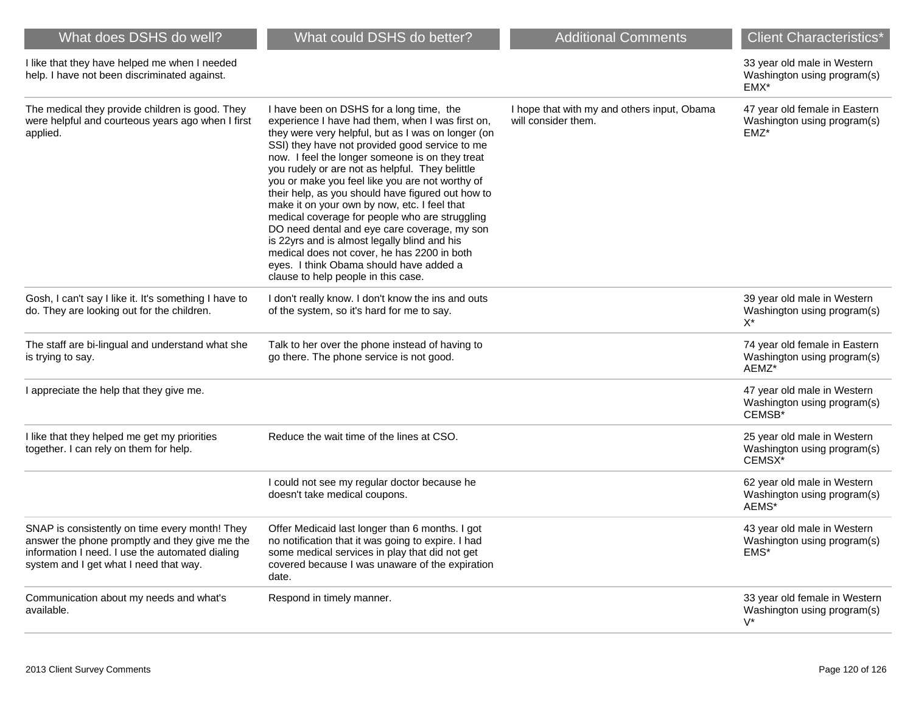| What does DSHS do well?                                                                                                                                                                       | What could DSHS do better?                                                                                                                                                                                                                                                                                                                                                                                                                                                                                                                                                                                                                                                                                                                            | <b>Additional Comments</b>                                         | <b>Client Characteristics*</b>                                        |
|-----------------------------------------------------------------------------------------------------------------------------------------------------------------------------------------------|-------------------------------------------------------------------------------------------------------------------------------------------------------------------------------------------------------------------------------------------------------------------------------------------------------------------------------------------------------------------------------------------------------------------------------------------------------------------------------------------------------------------------------------------------------------------------------------------------------------------------------------------------------------------------------------------------------------------------------------------------------|--------------------------------------------------------------------|-----------------------------------------------------------------------|
| I like that they have helped me when I needed<br>help. I have not been discriminated against.                                                                                                 |                                                                                                                                                                                                                                                                                                                                                                                                                                                                                                                                                                                                                                                                                                                                                       |                                                                    | 33 year old male in Western<br>Washington using program(s)<br>EMX*    |
| The medical they provide children is good. They<br>were helpful and courteous years ago when I first<br>applied.                                                                              | I have been on DSHS for a long time, the<br>experience I have had them, when I was first on,<br>they were very helpful, but as I was on longer (on<br>SSI) they have not provided good service to me<br>now. I feel the longer someone is on they treat<br>you rudely or are not as helpful. They belittle<br>you or make you feel like you are not worthy of<br>their help, as you should have figured out how to<br>make it on your own by now, etc. I feel that<br>medical coverage for people who are struggling<br>DO need dental and eye care coverage, my son<br>is 22yrs and is almost legally blind and his<br>medical does not cover, he has 2200 in both<br>eyes. I think Obama should have added a<br>clause to help people in this case. | I hope that with my and others input, Obama<br>will consider them. | 47 year old female in Eastern<br>Washington using program(s)<br>EMZ*  |
| Gosh, I can't say I like it. It's something I have to<br>do. They are looking out for the children.                                                                                           | I don't really know. I don't know the ins and outs<br>of the system, so it's hard for me to say.                                                                                                                                                                                                                                                                                                                                                                                                                                                                                                                                                                                                                                                      |                                                                    | 39 year old male in Western<br>Washington using program(s)<br>$X^*$   |
| The staff are bi-lingual and understand what she<br>is trying to say.                                                                                                                         | Talk to her over the phone instead of having to<br>go there. The phone service is not good.                                                                                                                                                                                                                                                                                                                                                                                                                                                                                                                                                                                                                                                           |                                                                    | 74 year old female in Eastern<br>Washington using program(s)<br>AEMZ* |
| I appreciate the help that they give me.                                                                                                                                                      |                                                                                                                                                                                                                                                                                                                                                                                                                                                                                                                                                                                                                                                                                                                                                       |                                                                    | 47 year old male in Western<br>Washington using program(s)<br>CEMSB*  |
| I like that they helped me get my priorities<br>together. I can rely on them for help.                                                                                                        | Reduce the wait time of the lines at CSO.                                                                                                                                                                                                                                                                                                                                                                                                                                                                                                                                                                                                                                                                                                             |                                                                    | 25 year old male in Western<br>Washington using program(s)<br>CEMSX*  |
|                                                                                                                                                                                               | I could not see my regular doctor because he<br>doesn't take medical coupons.                                                                                                                                                                                                                                                                                                                                                                                                                                                                                                                                                                                                                                                                         |                                                                    | 62 year old male in Western<br>Washington using program(s)<br>AEMS*   |
| SNAP is consistently on time every month! They<br>answer the phone promptly and they give me the<br>information I need. I use the automated dialing<br>system and I get what I need that way. | Offer Medicaid last longer than 6 months. I got<br>no notification that it was going to expire. I had<br>some medical services in play that did not get<br>covered because I was unaware of the expiration<br>date.                                                                                                                                                                                                                                                                                                                                                                                                                                                                                                                                   |                                                                    | 43 year old male in Western<br>Washington using program(s)<br>EMS*    |
| Communication about my needs and what's<br>available.                                                                                                                                         | Respond in timely manner.                                                                                                                                                                                                                                                                                                                                                                                                                                                                                                                                                                                                                                                                                                                             |                                                                    | 33 year old female in Western<br>Washington using program(s)<br>$V^*$ |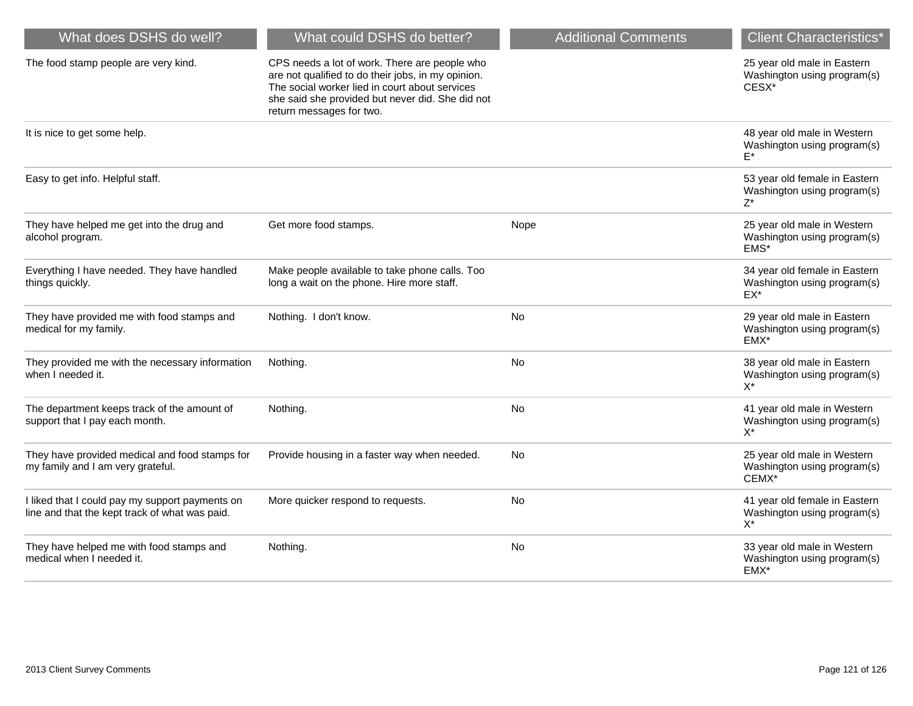| What does DSHS do well?                                                                           | What could DSHS do better?                                                                                                                                                                                                            | <b>Additional Comments</b> | <b>Client Characteristics*</b>                                        |
|---------------------------------------------------------------------------------------------------|---------------------------------------------------------------------------------------------------------------------------------------------------------------------------------------------------------------------------------------|----------------------------|-----------------------------------------------------------------------|
| The food stamp people are very kind.                                                              | CPS needs a lot of work. There are people who<br>are not qualified to do their jobs, in my opinion.<br>The social worker lied in court about services<br>she said she provided but never did. She did not<br>return messages for two. |                            | 25 year old male in Eastern<br>Washington using program(s)<br>CESX*   |
| It is nice to get some help.                                                                      |                                                                                                                                                                                                                                       |                            | 48 year old male in Western<br>Washington using program(s)<br>$F^*$   |
| Easy to get info. Helpful staff.                                                                  |                                                                                                                                                                                                                                       |                            | 53 year old female in Eastern<br>Washington using program(s)<br>$Z^*$ |
| They have helped me get into the drug and<br>alcohol program.                                     | Get more food stamps.                                                                                                                                                                                                                 | Nope                       | 25 year old male in Western<br>Washington using program(s)<br>EMS*    |
| Everything I have needed. They have handled<br>things quickly.                                    | Make people available to take phone calls. Too<br>long a wait on the phone. Hire more staff.                                                                                                                                          |                            | 34 year old female in Eastern<br>Washington using program(s)<br>EX*   |
| They have provided me with food stamps and<br>medical for my family.                              | Nothing. I don't know.                                                                                                                                                                                                                | <b>No</b>                  | 29 year old male in Eastern<br>Washington using program(s)<br>EMX*    |
| They provided me with the necessary information<br>when I needed it.                              | Nothing.                                                                                                                                                                                                                              | No                         | 38 year old male in Eastern<br>Washington using program(s)<br>$X^*$   |
| The department keeps track of the amount of<br>support that I pay each month.                     | Nothing.                                                                                                                                                                                                                              | No                         | 41 year old male in Western<br>Washington using program(s)<br>$X^*$   |
| They have provided medical and food stamps for<br>my family and I am very grateful.               | Provide housing in a faster way when needed.                                                                                                                                                                                          | No                         | 25 year old male in Western<br>Washington using program(s)<br>CEMX*   |
| I liked that I could pay my support payments on<br>line and that the kept track of what was paid. | More quicker respond to requests.                                                                                                                                                                                                     | No                         | 41 year old female in Eastern<br>Washington using program(s)<br>$X^*$ |
| They have helped me with food stamps and<br>medical when I needed it.                             | Nothing.                                                                                                                                                                                                                              | <b>No</b>                  | 33 year old male in Western<br>Washington using program(s)<br>EMX*    |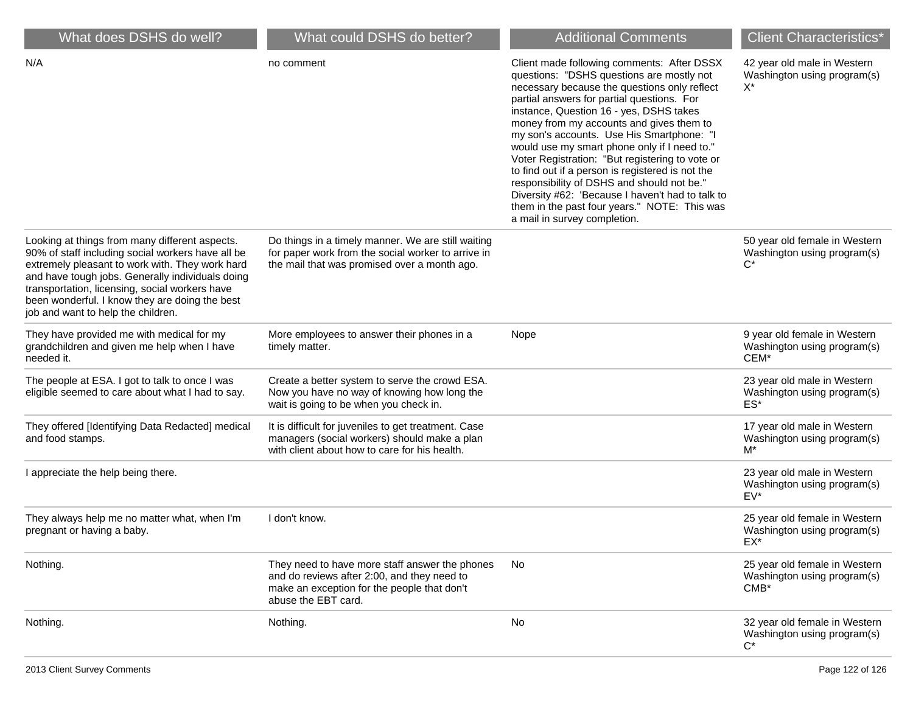| What does DSHS do well?                                                                                                                                                                                                                                                                                                                              | What could DSHS do better?                                                                                                                                          | <b>Additional Comments</b>                                                                                                                                                                                                                                                                                                                                                                                                                                                                                                                                                                                                                                         | <b>Client Characteristics*</b>                                          |
|------------------------------------------------------------------------------------------------------------------------------------------------------------------------------------------------------------------------------------------------------------------------------------------------------------------------------------------------------|---------------------------------------------------------------------------------------------------------------------------------------------------------------------|--------------------------------------------------------------------------------------------------------------------------------------------------------------------------------------------------------------------------------------------------------------------------------------------------------------------------------------------------------------------------------------------------------------------------------------------------------------------------------------------------------------------------------------------------------------------------------------------------------------------------------------------------------------------|-------------------------------------------------------------------------|
| N/A                                                                                                                                                                                                                                                                                                                                                  | no comment                                                                                                                                                          | Client made following comments: After DSSX<br>questions: "DSHS questions are mostly not<br>necessary because the questions only reflect<br>partial answers for partial questions. For<br>instance, Question 16 - yes, DSHS takes<br>money from my accounts and gives them to<br>my son's accounts. Use His Smartphone: "I<br>would use my smart phone only if I need to."<br>Voter Registration: "But registering to vote or<br>to find out if a person is registered is not the<br>responsibility of DSHS and should not be."<br>Diversity #62: 'Because I haven't had to talk to<br>them in the past four years." NOTE: This was<br>a mail in survey completion. | 42 year old male in Western<br>Washington using program(s)<br>X*        |
| Looking at things from many different aspects.<br>90% of staff including social workers have all be<br>extremely pleasant to work with. They work hard<br>and have tough jobs. Generally individuals doing<br>transportation, licensing, social workers have<br>been wonderful. I know they are doing the best<br>job and want to help the children. | Do things in a timely manner. We are still waiting<br>for paper work from the social worker to arrive in<br>the mail that was promised over a month ago.            |                                                                                                                                                                                                                                                                                                                                                                                                                                                                                                                                                                                                                                                                    | 50 year old female in Western<br>Washington using program(s)<br>C*      |
| They have provided me with medical for my<br>grandchildren and given me help when I have<br>needed it.                                                                                                                                                                                                                                               | More employees to answer their phones in a<br>timely matter.                                                                                                        | Nope                                                                                                                                                                                                                                                                                                                                                                                                                                                                                                                                                                                                                                                               | 9 year old female in Western<br>Washington using program(s)<br>CEM*     |
| The people at ESA. I got to talk to once I was<br>eligible seemed to care about what I had to say.                                                                                                                                                                                                                                                   | Create a better system to serve the crowd ESA.<br>Now you have no way of knowing how long the<br>wait is going to be when you check in.                             |                                                                                                                                                                                                                                                                                                                                                                                                                                                                                                                                                                                                                                                                    | 23 year old male in Western<br>Washington using program(s)<br>ES*       |
| They offered [Identifying Data Redacted] medical<br>and food stamps.                                                                                                                                                                                                                                                                                 | It is difficult for juveniles to get treatment. Case<br>managers (social workers) should make a plan<br>with client about how to care for his health.               |                                                                                                                                                                                                                                                                                                                                                                                                                                                                                                                                                                                                                                                                    | 17 year old male in Western<br>Washington using program(s)<br>$M^*$     |
| I appreciate the help being there.                                                                                                                                                                                                                                                                                                                   |                                                                                                                                                                     |                                                                                                                                                                                                                                                                                                                                                                                                                                                                                                                                                                                                                                                                    | 23 year old male in Western<br>Washington using program(s)<br>EV*       |
| They always help me no matter what, when I'm<br>pregnant or having a baby.                                                                                                                                                                                                                                                                           | I don't know.                                                                                                                                                       |                                                                                                                                                                                                                                                                                                                                                                                                                                                                                                                                                                                                                                                                    | 25 year old female in Western<br>Washington using program(s)<br>EX*     |
| Nothing.                                                                                                                                                                                                                                                                                                                                             | They need to have more staff answer the phones<br>and do reviews after 2:00, and they need to<br>make an exception for the people that don't<br>abuse the EBT card. | No                                                                                                                                                                                                                                                                                                                                                                                                                                                                                                                                                                                                                                                                 | 25 year old female in Western<br>Washington using program(s)<br>$CMB^*$ |
| Nothing.                                                                                                                                                                                                                                                                                                                                             | Nothing.                                                                                                                                                            | No                                                                                                                                                                                                                                                                                                                                                                                                                                                                                                                                                                                                                                                                 | 32 year old female in Western<br>Washington using program(s)<br>$C^*$   |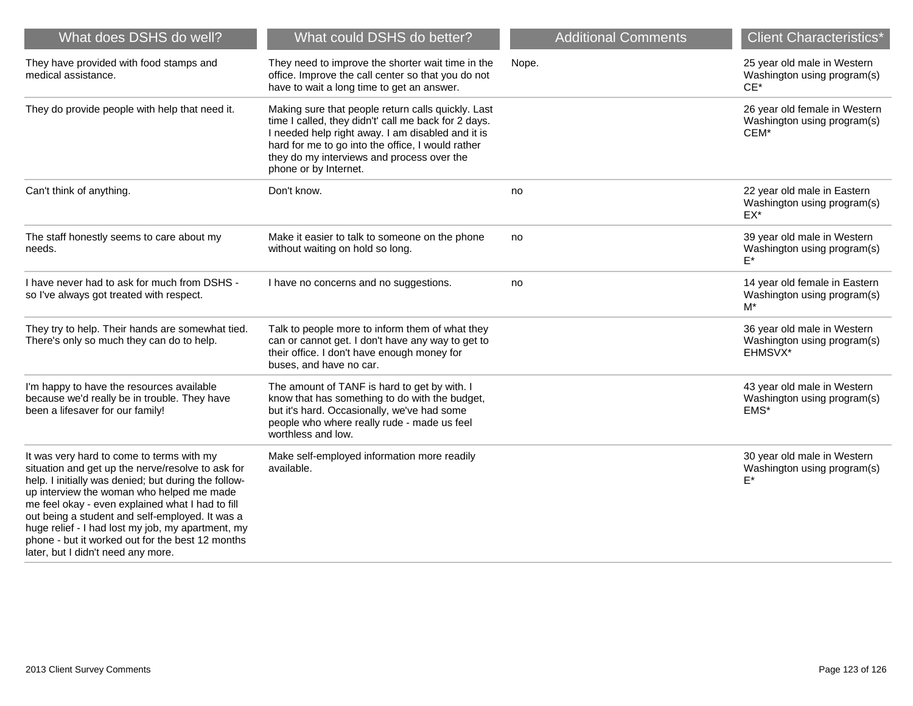| What does DSHS do well?                                                                                                                                                                                                                                                                                                                                                                                                                                   | What could DSHS do better?                                                                                                                                                                                                                                                                  | <b>Additional Comments</b> | <b>Client Characteristics*</b>                                        |
|-----------------------------------------------------------------------------------------------------------------------------------------------------------------------------------------------------------------------------------------------------------------------------------------------------------------------------------------------------------------------------------------------------------------------------------------------------------|---------------------------------------------------------------------------------------------------------------------------------------------------------------------------------------------------------------------------------------------------------------------------------------------|----------------------------|-----------------------------------------------------------------------|
| They have provided with food stamps and<br>medical assistance.                                                                                                                                                                                                                                                                                                                                                                                            | They need to improve the shorter wait time in the<br>office. Improve the call center so that you do not<br>have to wait a long time to get an answer.                                                                                                                                       | Nope.                      | 25 year old male in Western<br>Washington using program(s)<br>$CE^*$  |
| They do provide people with help that need it.                                                                                                                                                                                                                                                                                                                                                                                                            | Making sure that people return calls quickly. Last<br>time I called, they didn't' call me back for 2 days.<br>I needed help right away. I am disabled and it is<br>hard for me to go into the office, I would rather<br>they do my interviews and process over the<br>phone or by Internet. |                            | 26 year old female in Western<br>Washington using program(s)<br>CEM*  |
| Can't think of anything.                                                                                                                                                                                                                                                                                                                                                                                                                                  | Don't know.                                                                                                                                                                                                                                                                                 | no                         | 22 year old male in Eastern<br>Washington using program(s)<br>$EX^*$  |
| The staff honestly seems to care about my<br>needs.                                                                                                                                                                                                                                                                                                                                                                                                       | Make it easier to talk to someone on the phone<br>without waiting on hold so long.                                                                                                                                                                                                          | no                         | 39 year old male in Western<br>Washington using program(s)            |
| I have never had to ask for much from DSHS -<br>so I've always got treated with respect.                                                                                                                                                                                                                                                                                                                                                                  | I have no concerns and no suggestions.                                                                                                                                                                                                                                                      | no                         | 14 year old female in Eastern<br>Washington using program(s)<br>M*    |
| They try to help. Their hands are somewhat tied.<br>There's only so much they can do to help.                                                                                                                                                                                                                                                                                                                                                             | Talk to people more to inform them of what they<br>can or cannot get. I don't have any way to get to<br>their office. I don't have enough money for<br>buses, and have no car.                                                                                                              |                            | 36 year old male in Western<br>Washington using program(s)<br>EHMSVX* |
| I'm happy to have the resources available<br>because we'd really be in trouble. They have<br>been a lifesaver for our family!                                                                                                                                                                                                                                                                                                                             | The amount of TANF is hard to get by with. I<br>know that has something to do with the budget,<br>but it's hard. Occasionally, we've had some<br>people who where really rude - made us feel<br>worthless and low.                                                                          |                            | 43 year old male in Western<br>Washington using program(s)<br>EMS*    |
| It was very hard to come to terms with my<br>situation and get up the nerve/resolve to ask for<br>help. I initially was denied; but during the follow-<br>up interview the woman who helped me made<br>me feel okay - even explained what I had to fill<br>out being a student and self-employed. It was a<br>huge relief - I had lost my job, my apartment, my<br>phone - but it worked out for the best 12 months<br>later, but I didn't need any more. | Make self-employed information more readily<br>available.                                                                                                                                                                                                                                   |                            | 30 year old male in Western<br>Washington using program(s)<br>E*      |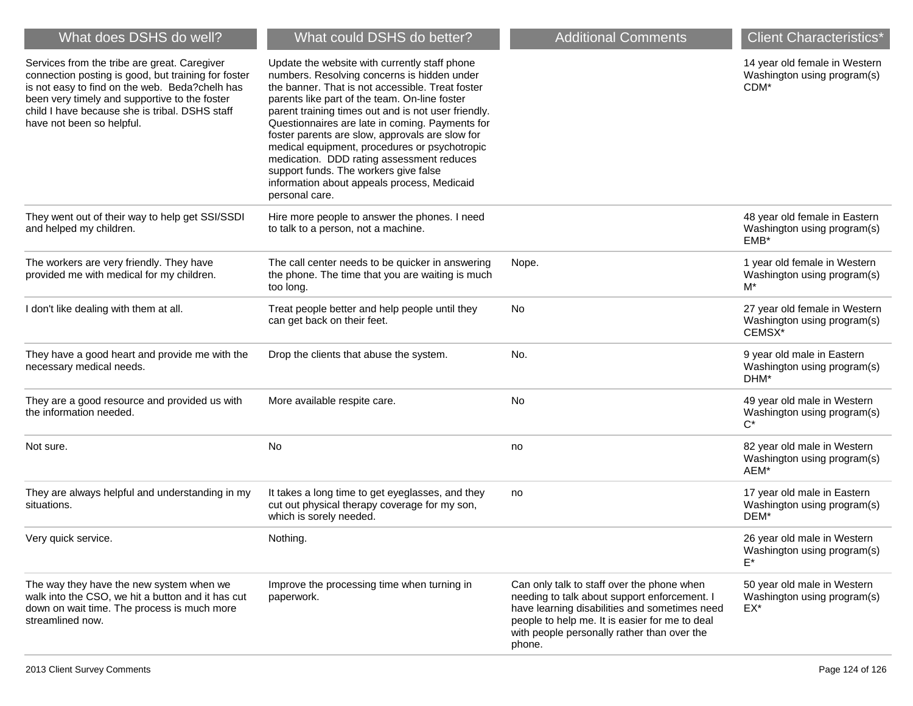| What does DSHS do well?                                                                                                                                                                                                                                                               | What could DSHS do better?                                                                                                                                                                                                                                                                                                                                                                                                                                                                                                                                             | <b>Additional Comments</b>                                                                                                                                                                                                                             | <b>Client Characteristics*</b>                                         |
|---------------------------------------------------------------------------------------------------------------------------------------------------------------------------------------------------------------------------------------------------------------------------------------|------------------------------------------------------------------------------------------------------------------------------------------------------------------------------------------------------------------------------------------------------------------------------------------------------------------------------------------------------------------------------------------------------------------------------------------------------------------------------------------------------------------------------------------------------------------------|--------------------------------------------------------------------------------------------------------------------------------------------------------------------------------------------------------------------------------------------------------|------------------------------------------------------------------------|
| Services from the tribe are great. Caregiver<br>connection posting is good, but training for foster<br>is not easy to find on the web. Beda?chelh has<br>been very timely and supportive to the foster<br>child I have because she is tribal. DSHS staff<br>have not been so helpful. | Update the website with currently staff phone<br>numbers. Resolving concerns is hidden under<br>the banner. That is not accessible. Treat foster<br>parents like part of the team. On-line foster<br>parent training times out and is not user friendly.<br>Questionnaires are late in coming. Payments for<br>foster parents are slow, approvals are slow for<br>medical equipment, procedures or psychotropic<br>medication. DDD rating assessment reduces<br>support funds. The workers give false<br>information about appeals process, Medicaid<br>personal care. |                                                                                                                                                                                                                                                        | 14 year old female in Western<br>Washington using program(s)<br>CDM*   |
| They went out of their way to help get SSI/SSDI<br>and helped my children.                                                                                                                                                                                                            | Hire more people to answer the phones. I need<br>to talk to a person, not a machine.                                                                                                                                                                                                                                                                                                                                                                                                                                                                                   |                                                                                                                                                                                                                                                        | 48 year old female in Eastern<br>Washington using program(s)<br>EMB*   |
| The workers are very friendly. They have<br>provided me with medical for my children.                                                                                                                                                                                                 | The call center needs to be quicker in answering<br>the phone. The time that you are waiting is much<br>too long.                                                                                                                                                                                                                                                                                                                                                                                                                                                      | Nope.                                                                                                                                                                                                                                                  | 1 year old female in Western<br>Washington using program(s)<br>M*      |
| I don't like dealing with them at all.                                                                                                                                                                                                                                                | Treat people better and help people until they<br>can get back on their feet.                                                                                                                                                                                                                                                                                                                                                                                                                                                                                          | No                                                                                                                                                                                                                                                     | 27 year old female in Western<br>Washington using program(s)<br>CEMSX* |
| They have a good heart and provide me with the<br>necessary medical needs.                                                                                                                                                                                                            | Drop the clients that abuse the system.                                                                                                                                                                                                                                                                                                                                                                                                                                                                                                                                | No.                                                                                                                                                                                                                                                    | 9 year old male in Eastern<br>Washington using program(s)<br>DHM*      |
| They are a good resource and provided us with<br>the information needed.                                                                                                                                                                                                              | More available respite care.                                                                                                                                                                                                                                                                                                                                                                                                                                                                                                                                           | No                                                                                                                                                                                                                                                     | 49 year old male in Western<br>Washington using program(s)<br>$C^*$    |
| Not sure.                                                                                                                                                                                                                                                                             | No                                                                                                                                                                                                                                                                                                                                                                                                                                                                                                                                                                     | no                                                                                                                                                                                                                                                     | 82 year old male in Western<br>Washington using program(s)<br>AEM*     |
| They are always helpful and understanding in my<br>situations.                                                                                                                                                                                                                        | It takes a long time to get eyeglasses, and they<br>cut out physical therapy coverage for my son,<br>which is sorely needed.                                                                                                                                                                                                                                                                                                                                                                                                                                           | no                                                                                                                                                                                                                                                     | 17 year old male in Eastern<br>Washington using program(s)<br>DEM*     |
| Very quick service.                                                                                                                                                                                                                                                                   | Nothing.                                                                                                                                                                                                                                                                                                                                                                                                                                                                                                                                                               |                                                                                                                                                                                                                                                        | 26 year old male in Western<br>Washington using program(s)<br>F*       |
| The way they have the new system when we<br>walk into the CSO, we hit a button and it has cut<br>down on wait time. The process is much more<br>streamlined now.                                                                                                                      | Improve the processing time when turning in<br>paperwork.                                                                                                                                                                                                                                                                                                                                                                                                                                                                                                              | Can only talk to staff over the phone when<br>needing to talk about support enforcement. I<br>have learning disabilities and sometimes need<br>people to help me. It is easier for me to deal<br>with people personally rather than over the<br>phone. | 50 year old male in Western<br>Washington using program(s)<br>$EX^*$   |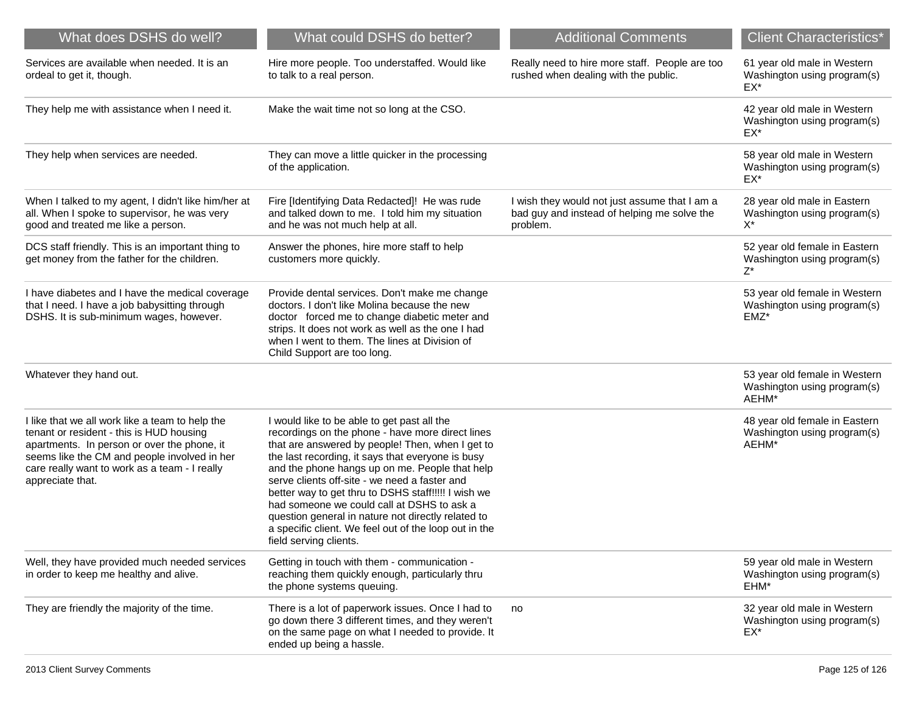| What does DSHS do well?                                                                                                                                                                                                                                         | What could DSHS do better?                                                                                                                                                                                                                                                                                                                                                                                                                                                                                                                                | <b>Additional Comments</b>                                                                               | <b>Client Characteristics*</b>                                          |
|-----------------------------------------------------------------------------------------------------------------------------------------------------------------------------------------------------------------------------------------------------------------|-----------------------------------------------------------------------------------------------------------------------------------------------------------------------------------------------------------------------------------------------------------------------------------------------------------------------------------------------------------------------------------------------------------------------------------------------------------------------------------------------------------------------------------------------------------|----------------------------------------------------------------------------------------------------------|-------------------------------------------------------------------------|
| Services are available when needed. It is an<br>ordeal to get it, though.                                                                                                                                                                                       | Hire more people. Too understaffed. Would like<br>to talk to a real person.                                                                                                                                                                                                                                                                                                                                                                                                                                                                               | Really need to hire more staff. People are too<br>rushed when dealing with the public.                   | 61 year old male in Western<br>Washington using program(s)<br>EX*       |
| They help me with assistance when I need it.                                                                                                                                                                                                                    | Make the wait time not so long at the CSO.                                                                                                                                                                                                                                                                                                                                                                                                                                                                                                                |                                                                                                          | 42 year old male in Western<br>Washington using program(s)<br>EX*       |
| They help when services are needed.                                                                                                                                                                                                                             | They can move a little quicker in the processing<br>of the application.                                                                                                                                                                                                                                                                                                                                                                                                                                                                                   |                                                                                                          | 58 year old male in Western<br>Washington using program(s)<br>EX*       |
| When I talked to my agent, I didn't like him/her at<br>all. When I spoke to supervisor, he was very<br>good and treated me like a person.                                                                                                                       | Fire [Identifying Data Redacted]! He was rude<br>and talked down to me. I told him my situation<br>and he was not much help at all.                                                                                                                                                                                                                                                                                                                                                                                                                       | I wish they would not just assume that I am a<br>bad guy and instead of helping me solve the<br>problem. | 28 year old male in Eastern<br>Washington using program(s)<br>X*        |
| DCS staff friendly. This is an important thing to<br>get money from the father for the children.                                                                                                                                                                | Answer the phones, hire more staff to help<br>customers more quickly.                                                                                                                                                                                                                                                                                                                                                                                                                                                                                     |                                                                                                          | 52 year old female in Eastern<br>Washington using program(s)<br>$Z^*$   |
| I have diabetes and I have the medical coverage<br>that I need. I have a job babysitting through<br>DSHS. It is sub-minimum wages, however.                                                                                                                     | Provide dental services. Don't make me change<br>doctors. I don't like Molina because the new<br>doctor forced me to change diabetic meter and<br>strips. It does not work as well as the one I had<br>when I went to them. The lines at Division of<br>Child Support are too long.                                                                                                                                                                                                                                                                       |                                                                                                          | 53 year old female in Western<br>Washington using program(s)<br>$EMZ^*$ |
| Whatever they hand out.                                                                                                                                                                                                                                         |                                                                                                                                                                                                                                                                                                                                                                                                                                                                                                                                                           |                                                                                                          | 53 year old female in Western<br>Washington using program(s)<br>AEHM*   |
| I like that we all work like a team to help the<br>tenant or resident - this is HUD housing<br>apartments. In person or over the phone, it<br>seems like the CM and people involved in her<br>care really want to work as a team - I really<br>appreciate that. | I would like to be able to get past all the<br>recordings on the phone - have more direct lines<br>that are answered by people! Then, when I get to<br>the last recording, it says that everyone is busy<br>and the phone hangs up on me. People that help<br>serve clients off-site - we need a faster and<br>better way to get thru to DSHS staff!!!!! I wish we<br>had someone we could call at DSHS to ask a<br>question general in nature not directly related to<br>a specific client. We feel out of the loop out in the<br>field serving clients. |                                                                                                          | 48 year old female in Eastern<br>Washington using program(s)<br>AEHM*   |
| Well, they have provided much needed services<br>in order to keep me healthy and alive.                                                                                                                                                                         | Getting in touch with them - communication -<br>reaching them quickly enough, particularly thru<br>the phone systems queuing.                                                                                                                                                                                                                                                                                                                                                                                                                             |                                                                                                          | 59 year old male in Western<br>Washington using program(s)<br>EHM*      |
| They are friendly the majority of the time.                                                                                                                                                                                                                     | There is a lot of paperwork issues. Once I had to<br>go down there 3 different times, and they weren't<br>on the same page on what I needed to provide. It<br>ended up being a hassle.                                                                                                                                                                                                                                                                                                                                                                    | no                                                                                                       | 32 year old male in Western<br>Washington using program(s)<br>EX*       |